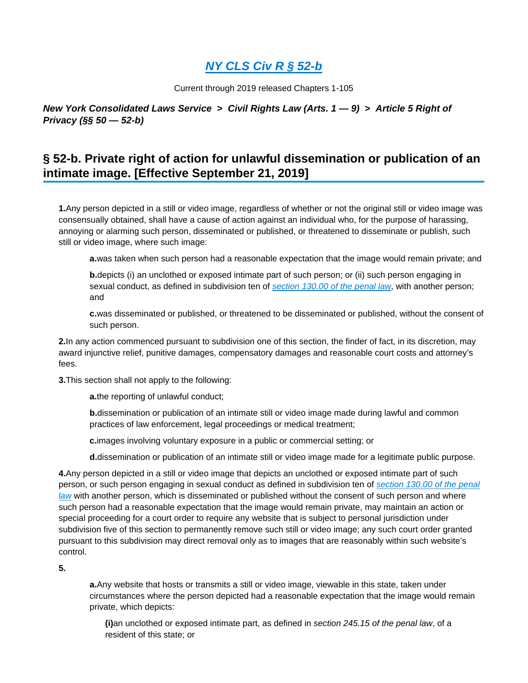# **[NY CLS Civ R § 52-b](https://advance.lexis.com/api/document?collection=statutes-legislation&id=urn:contentItem:8W2B-JDC2-D6RV-H0JX-00000-00&context=)**

Current through 2019 released Chapters 1-105

**New York Consolidated Laws Service > Civil Rights Law (Arts. 1 — 9) > Article 5 Right of Privacy (§§ 50 — 52-b)**

# **§ 52-b. Private right of action for unlawful dissemination or publication of an intimate image. [Effective September 21, 2019]**

**1.**Any person depicted in a still or video image, regardless of whether or not the original still or video image was consensually obtained, shall have a cause of action against an individual who, for the purpose of harassing, annoying or alarming such person, disseminated or published, or threatened to disseminate or publish, such still or video image, where such image:

**a.**was taken when such person had a reasonable expectation that the image would remain private; and

**b.**depicts (i) an unclothed or exposed intimate part of such person; or (ii) such person engaging in sexual conduct, as defined in subdivision ten of [section 130.00 of the penal law](https://advance.lexis.com/api/document?collection=statutes-legislation&id=urn:contentItem:5CT3-1N21-6RDJ-853X-00000-00&context=), with another person; and

**c.**was disseminated or published, or threatened to be disseminated or published, without the consent of such person.

**2.**In any action commenced pursuant to subdivision one of this section, the finder of fact, in its discretion, may award injunctive relief, punitive damages, compensatory damages and reasonable court costs and attorney's fees.

**3.**This section shall not apply to the following:

**a.**the reporting of unlawful conduct;

**b.**dissemination or publication of an intimate still or video image made during lawful and common practices of law enforcement, legal proceedings or medical treatment;

**c.**images involving voluntary exposure in a public or commercial setting; or

**d.**dissemination or publication of an intimate still or video image made for a legitimate public purpose.

**4.**Any person depicted in a still or video image that depicts an unclothed or exposed intimate part of such person, or such person engaging in sexual conduct as defined in subdivision ten of [section 130.00 of the penal](https://advance.lexis.com/api/document?collection=statutes-legislation&id=urn:contentItem:5CT3-1N21-6RDJ-853X-00000-00&context=)  [law](https://advance.lexis.com/api/document?collection=statutes-legislation&id=urn:contentItem:5CT3-1N21-6RDJ-853X-00000-00&context=) with another person, which is disseminated or published without the consent of such person and where such person had a reasonable expectation that the image would remain private, may maintain an action or special proceeding for a court order to require any website that is subject to personal jurisdiction under subdivision five of this section to permanently remove such still or video image; any such court order granted pursuant to this subdivision may direct removal only as to images that are reasonably within such website's control.

**5.**

**a.**Any website that hosts or transmits a still or video image, viewable in this state, taken under circumstances where the person depicted had a reasonable expectation that the image would remain private, which depicts:

**(i)**an unclothed or exposed intimate part, as defined in section 245.15 of the penal law, of a resident of this state; or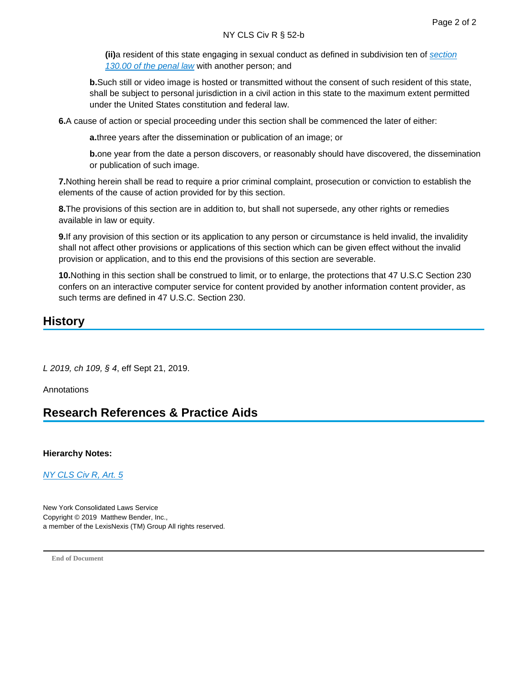**(ii)**a resident of this state engaging in sexual conduct as defined in subdivision ten of [section](https://advance.lexis.com/api/document?collection=statutes-legislation&id=urn:contentItem:5CT3-1N21-6RDJ-853X-00000-00&context=)  [130.00 of the penal law](https://advance.lexis.com/api/document?collection=statutes-legislation&id=urn:contentItem:5CT3-1N21-6RDJ-853X-00000-00&context=) with another person; and

**b.**Such still or video image is hosted or transmitted without the consent of such resident of this state, shall be subject to personal jurisdiction in a civil action in this state to the maximum extent permitted under the United States constitution and federal law.

**6.**A cause of action or special proceeding under this section shall be commenced the later of either:

**a.**three years after the dissemination or publication of an image; or

**b.**one year from the date a person discovers, or reasonably should have discovered, the dissemination or publication of such image.

**7.**Nothing herein shall be read to require a prior criminal complaint, prosecution or conviction to establish the elements of the cause of action provided for by this section.

**8.**The provisions of this section are in addition to, but shall not supersede, any other rights or remedies available in law or equity.

**9.**If any provision of this section or its application to any person or circumstance is held invalid, the invalidity shall not affect other provisions or applications of this section which can be given effect without the invalid provision or application, and to this end the provisions of this section are severable.

**10.**Nothing in this section shall be construed to limit, or to enlarge, the protections that 47 U.S.C Section 230 confers on an interactive computer service for content provided by another information content provider, as such terms are defined in 47 U.S.C. Section 230.

# **History**

L 2019, ch 109, § 4, eff Sept 21, 2019.

**Annotations** 

# **Research References & Practice Aids**

#### **Hierarchy Notes:**

[NY CLS Civ R, Art. 5](https://advance.lexis.com/api/document?collection=statutes-legislation&id=urn:contentItem:5CT3-0C71-6RDJ-851N-00000-00&context=)

New York Consolidated Laws Service Copyright © 2019 Matthew Bender, Inc., a member of the LexisNexis (TM) Group All rights reserved.

**End of Document**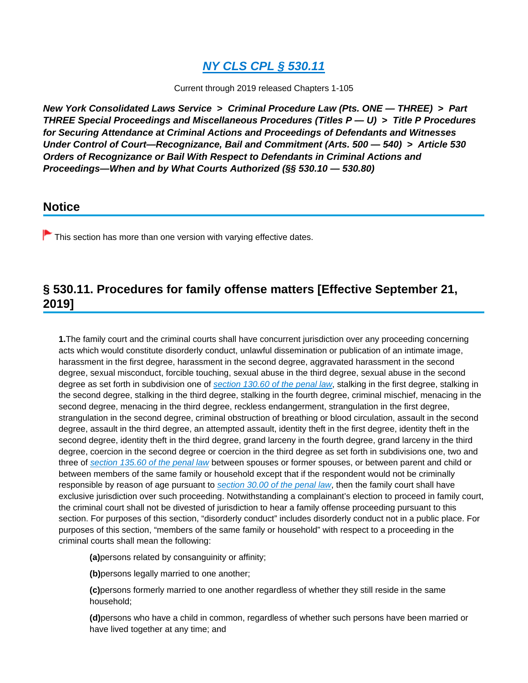Current through 2019 released Chapters 1-105

**New York Consolidated Laws Service > Criminal Procedure Law (Pts. ONE — THREE) > Part THREE Special Proceedings and Miscellaneous Procedures (Titles P — U) > Title P Procedures for Securing Attendance at Criminal Actions and Proceedings of Defendants and Witnesses Under Control of Court—Recognizance, Bail and Commitment (Arts. 500 — 540) > Article 530 Orders of Recognizance or Bail With Respect to Defendants in Criminal Actions and Proceedings—When and by What Courts Authorized (§§ 530.10 — 530.80)**

# **Notice**

 $\blacktriangleright$  This section has more than one version with varying effective dates.

# **§ 530.11. Procedures for family offense matters [Effective September 21, 2019]**

**1.**The family court and the criminal courts shall have concurrent jurisdiction over any proceeding concerning acts which would constitute disorderly conduct, unlawful dissemination or publication of an intimate image, harassment in the first degree, harassment in the second degree, aggravated harassment in the second degree, sexual misconduct, forcible touching, sexual abuse in the third degree, sexual abuse in the second degree as set forth in subdivision one of [section 130.60 of the penal law](https://advance.lexis.com/api/document?collection=statutes-legislation&id=urn:contentItem:5CT3-1N21-6RDJ-854G-00000-00&context=), stalking in the first degree, stalking in the second degree, stalking in the third degree, stalking in the fourth degree, criminal mischief, menacing in the second degree, menacing in the third degree, reckless endangerment, strangulation in the first degree, strangulation in the second degree, criminal obstruction of breathing or blood circulation, assault in the second degree, assault in the third degree, an attempted assault, identity theft in the first degree, identity theft in the second degree, identity theft in the third degree, grand larceny in the fourth degree, grand larceny in the third degree, coercion in the second degree or coercion in the third degree as set forth in subdivisions one, two and three of [section 135.60 of the penal law](https://advance.lexis.com/api/document?collection=statutes-legislation&id=urn:contentItem:8RGK-5R62-D6RV-H39B-00000-00&context=) between spouses or former spouses, or between parent and child or between members of the same family or household except that if the respondent would not be criminally responsible by reason of age pursuant to *[section 30.00 of the penal law](https://advance.lexis.com/api/document?collection=statutes-legislation&id=urn:contentItem:8MWD-MR52-8T6X-7140-00000-00&context=)*, then the family court shall have exclusive jurisdiction over such proceeding. Notwithstanding a complainant's election to proceed in family court, the criminal court shall not be divested of jurisdiction to hear a family offense proceeding pursuant to this section. For purposes of this section, "disorderly conduct" includes disorderly conduct not in a public place. For purposes of this section, "members of the same family or household" with respect to a proceeding in the criminal courts shall mean the following:

**(a)**persons related by consanguinity or affinity;

**(b)**persons legally married to one another;

**(c)**persons formerly married to one another regardless of whether they still reside in the same household;

**(d)**persons who have a child in common, regardless of whether such persons have been married or have lived together at any time; and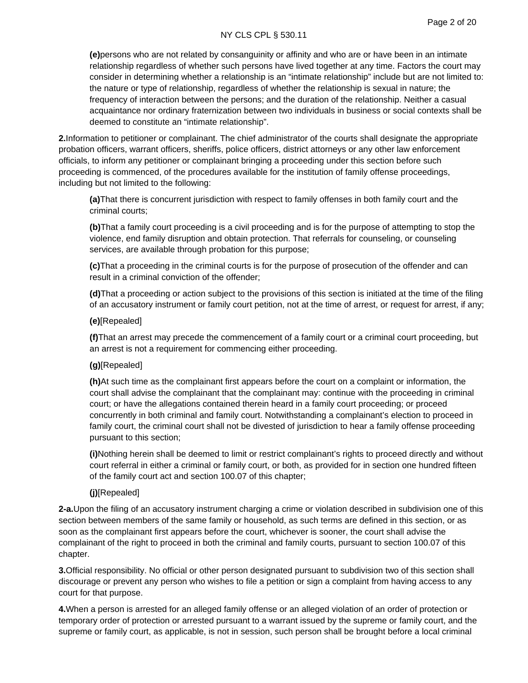**(e)**persons who are not related by consanguinity or affinity and who are or have been in an intimate relationship regardless of whether such persons have lived together at any time. Factors the court may consider in determining whether a relationship is an "intimate relationship" include but are not limited to: the nature or type of relationship, regardless of whether the relationship is sexual in nature; the frequency of interaction between the persons; and the duration of the relationship. Neither a casual acquaintance nor ordinary fraternization between two individuals in business or social contexts shall be deemed to constitute an "intimate relationship".

**2.**Information to petitioner or complainant. The chief administrator of the courts shall designate the appropriate probation officers, warrant officers, sheriffs, police officers, district attorneys or any other law enforcement officials, to inform any petitioner or complainant bringing a proceeding under this section before such proceeding is commenced, of the procedures available for the institution of family offense proceedings, including but not limited to the following:

**(a)**That there is concurrent jurisdiction with respect to family offenses in both family court and the criminal courts;

**(b)**That a family court proceeding is a civil proceeding and is for the purpose of attempting to stop the violence, end family disruption and obtain protection. That referrals for counseling, or counseling services, are available through probation for this purpose;

**(c)**That a proceeding in the criminal courts is for the purpose of prosecution of the offender and can result in a criminal conviction of the offender;

**(d)**That a proceeding or action subject to the provisions of this section is initiated at the time of the filing of an accusatory instrument or family court petition, not at the time of arrest, or request for arrest, if any;

## **(e)**[Repealed]

**(f)**That an arrest may precede the commencement of a family court or a criminal court proceeding, but an arrest is not a requirement for commencing either proceeding.

# **(g)**[Repealed]

**(h)**At such time as the complainant first appears before the court on a complaint or information, the court shall advise the complainant that the complainant may: continue with the proceeding in criminal court; or have the allegations contained therein heard in a family court proceeding; or proceed concurrently in both criminal and family court. Notwithstanding a complainant's election to proceed in family court, the criminal court shall not be divested of jurisdiction to hear a family offense proceeding pursuant to this section;

**(i)**Nothing herein shall be deemed to limit or restrict complainant's rights to proceed directly and without court referral in either a criminal or family court, or both, as provided for in section one hundred fifteen of the family court act and section 100.07 of this chapter;

# **(j)**[Repealed]

**2-a.**Upon the filing of an accusatory instrument charging a crime or violation described in subdivision one of this section between members of the same family or household, as such terms are defined in this section, or as soon as the complainant first appears before the court, whichever is sooner, the court shall advise the complainant of the right to proceed in both the criminal and family courts, pursuant to section 100.07 of this chapter.

**3.**Official responsibility. No official or other person designated pursuant to subdivision two of this section shall discourage or prevent any person who wishes to file a petition or sign a complaint from having access to any court for that purpose.

**4.**When a person is arrested for an alleged family offense or an alleged violation of an order of protection or temporary order of protection or arrested pursuant to a warrant issued by the supreme or family court, and the supreme or family court, as applicable, is not in session, such person shall be brought before a local criminal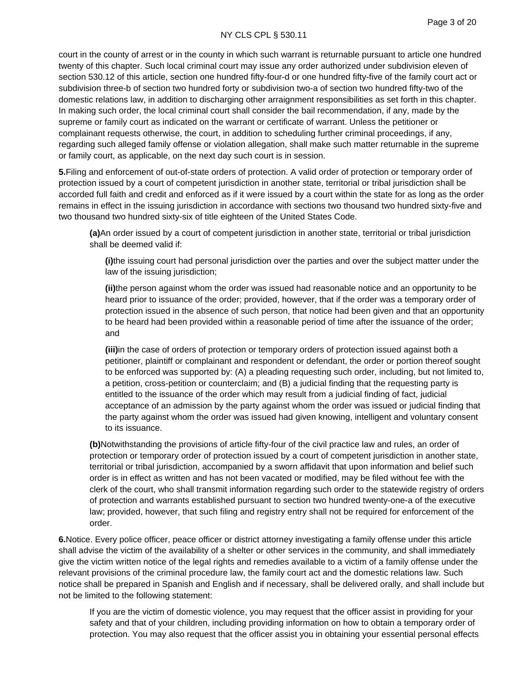court in the county of arrest or in the county in which such warrant is returnable pursuant to article one hundred twenty of this chapter. Such local criminal court may issue any order authorized under subdivision eleven of section 530.12 of this article, section one hundred fifty-four-d or one hundred fifty-five of the family court act or subdivision three-b of section two hundred forty or subdivision two-a of section two hundred fifty-two of the domestic relations law, in addition to discharging other arraignment responsibilities as set forth in this chapter. In making such order, the local criminal court shall consider the bail recommendation, if any, made by the supreme or family court as indicated on the warrant or certificate of warrant. Unless the petitioner or complainant requests otherwise, the court, in addition to scheduling further criminal proceedings, if any, regarding such alleged family offense or violation allegation, shall make such matter returnable in the supreme or family court, as applicable, on the next day such court is in session.

**5.**Filing and enforcement of out-of-state orders of protection. A valid order of protection or temporary order of protection issued by a court of competent jurisdiction in another state, territorial or tribal jurisdiction shall be accorded full faith and credit and enforced as if it were issued by a court within the state for as long as the order remains in effect in the issuing jurisdiction in accordance with sections two thousand two hundred sixty-five and two thousand two hundred sixty-six of title eighteen of the United States Code.

**(a)**An order issued by a court of competent jurisdiction in another state, territorial or tribal jurisdiction shall be deemed valid if:

**(i)**the issuing court had personal jurisdiction over the parties and over the subject matter under the law of the issuing jurisdiction;

**(ii)**the person against whom the order was issued had reasonable notice and an opportunity to be heard prior to issuance of the order; provided, however, that if the order was a temporary order of protection issued in the absence of such person, that notice had been given and that an opportunity to be heard had been provided within a reasonable period of time after the issuance of the order; and

**(iii)**in the case of orders of protection or temporary orders of protection issued against both a petitioner, plaintiff or complainant and respondent or defendant, the order or portion thereof sought to be enforced was supported by: (A) a pleading requesting such order, including, but not limited to, a petition, cross-petition or counterclaim; and (B) a judicial finding that the requesting party is entitled to the issuance of the order which may result from a judicial finding of fact, judicial acceptance of an admission by the party against whom the order was issued or judicial finding that the party against whom the order was issued had given knowing, intelligent and voluntary consent to its issuance.

**(b)**Notwithstanding the provisions of article fifty-four of the civil practice law and rules, an order of protection or temporary order of protection issued by a court of competent jurisdiction in another state, territorial or tribal jurisdiction, accompanied by a sworn affidavit that upon information and belief such order is in effect as written and has not been vacated or modified, may be filed without fee with the clerk of the court, who shall transmit information regarding such order to the statewide registry of orders of protection and warrants established pursuant to section two hundred twenty-one-a of the executive law; provided, however, that such filing and registry entry shall not be required for enforcement of the order.

**6.**Notice. Every police officer, peace officer or district attorney investigating a family offense under this article shall advise the victim of the availability of a shelter or other services in the community, and shall immediately give the victim written notice of the legal rights and remedies available to a victim of a family offense under the relevant provisions of the criminal procedure law, the family court act and the domestic relations law. Such notice shall be prepared in Spanish and English and if necessary, shall be delivered orally, and shall include but not be limited to the following statement:

If you are the victim of domestic violence, you may request that the officer assist in providing for your safety and that of your children, including providing information on how to obtain a temporary order of protection. You may also request that the officer assist you in obtaining your essential personal effects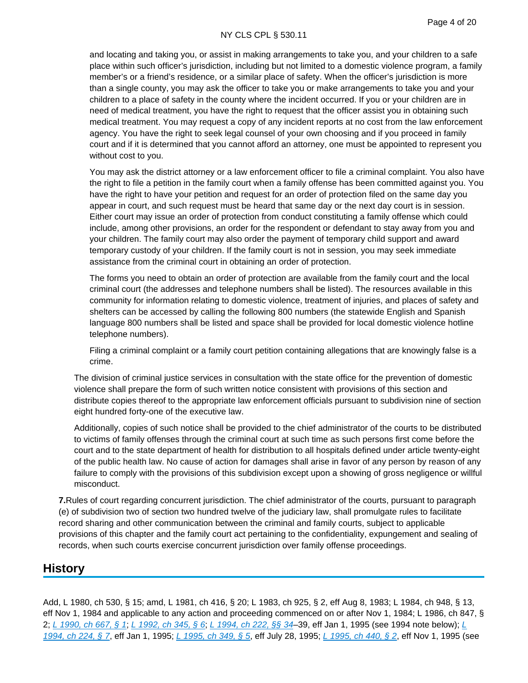and locating and taking you, or assist in making arrangements to take you, and your children to a safe place within such officer's jurisdiction, including but not limited to a domestic violence program, a family member's or a friend's residence, or a similar place of safety. When the officer's jurisdiction is more than a single county, you may ask the officer to take you or make arrangements to take you and your children to a place of safety in the county where the incident occurred. If you or your children are in need of medical treatment, you have the right to request that the officer assist you in obtaining such medical treatment. You may request a copy of any incident reports at no cost from the law enforcement agency. You have the right to seek legal counsel of your own choosing and if you proceed in family court and if it is determined that you cannot afford an attorney, one must be appointed to represent you without cost to you.

You may ask the district attorney or a law enforcement officer to file a criminal complaint. You also have the right to file a petition in the family court when a family offense has been committed against you. You have the right to have your petition and request for an order of protection filed on the same day you appear in court, and such request must be heard that same day or the next day court is in session. Either court may issue an order of protection from conduct constituting a family offense which could include, among other provisions, an order for the respondent or defendant to stay away from you and your children. The family court may also order the payment of temporary child support and award temporary custody of your children. If the family court is not in session, you may seek immediate assistance from the criminal court in obtaining an order of protection.

The forms you need to obtain an order of protection are available from the family court and the local criminal court (the addresses and telephone numbers shall be listed). The resources available in this community for information relating to domestic violence, treatment of injuries, and places of safety and shelters can be accessed by calling the following 800 numbers (the statewide English and Spanish language 800 numbers shall be listed and space shall be provided for local domestic violence hotline telephone numbers).

Filing a criminal complaint or a family court petition containing allegations that are knowingly false is a crime.

The division of criminal justice services in consultation with the state office for the prevention of domestic violence shall prepare the form of such written notice consistent with provisions of this section and distribute copies thereof to the appropriate law enforcement officials pursuant to subdivision nine of section eight hundred forty-one of the executive law.

Additionally, copies of such notice shall be provided to the chief administrator of the courts to be distributed to victims of family offenses through the criminal court at such time as such persons first come before the court and to the state department of health for distribution to all hospitals defined under article twenty-eight of the public health law. No cause of action for damages shall arise in favor of any person by reason of any failure to comply with the provisions of this subdivision except upon a showing of gross negligence or willful misconduct.

**7.**Rules of court regarding concurrent jurisdiction. The chief administrator of the courts, pursuant to paragraph (e) of subdivision two of section two hundred twelve of the judiciary law, shall promulgate rules to facilitate record sharing and other communication between the criminal and family courts, subject to applicable provisions of this chapter and the family court act pertaining to the confidentiality, expungement and sealing of records, when such courts exercise concurrent jurisdiction over family offense proceedings.

# **History**

Add, L 1980, ch 530, § 15; amd, L 1981, ch 416, § 20; L 1983, ch 925, § 2, eff Aug 8, 1983; L 1984, ch 948, § 13, eff Nov 1, 1984 and applicable to any action and proceeding commenced on or after Nov 1, 1984; L 1986, ch 847, § 2; [L 1990, ch 667, § 1](https://advance.lexis.com/api/document?collection=statutes-legislation&id=urn:contentItem:3SYG-9GK0-003Y-V28C-00000-00&context=); [L 1992, ch 345, § 6](https://advance.lexis.com/api/document?collection=statutes-legislation&id=urn:contentItem:3SYG-98B0-003Y-V51N-00000-00&context=); [L 1994, ch 222, §§ 34](https://advance.lexis.com/api/document?collection=statutes-legislation&id=urn:contentItem:3SYG-8WY0-003Y-V30R-00000-00&context=)–39, eff Jan 1, 1995 (see 1994 note below); L [1994, ch 224, § 7](https://advance.lexis.com/api/document?collection=statutes-legislation&id=urn:contentItem:3SYG-8X00-003Y-V30T-00000-00&context=), eff Jan 1, 1995; [L 1995, ch 349, § 5](https://advance.lexis.com/api/document?collection=statutes-legislation&id=urn:contentItem:3SYG-8TH0-003Y-V28F-00000-00&context=), eff July 28, 1995; [L 1995, ch 440, § 2](https://advance.lexis.com/api/document?collection=statutes-legislation&id=urn:contentItem:3SYG-8TY0-003Y-V2CP-00000-00&context=), eff Nov 1, 1995 (see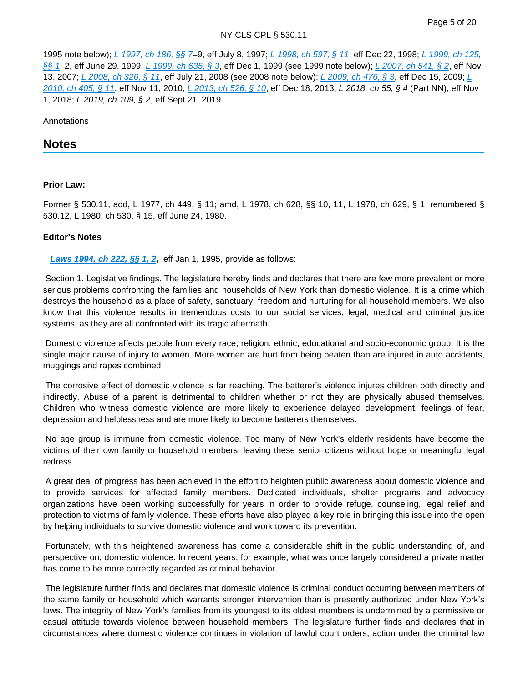1995 note below); [L 1997, ch 186, §§ 7](https://advance.lexis.com/api/document?collection=statutes-legislation&id=urn:contentItem:3SYG-8DY0-003Y-V06K-00000-00&context=)–9, eff July 8, 1997; [L 1998, ch 597, § 11](https://advance.lexis.com/api/document?collection=statutes-legislation&id=urn:contentItem:3TXJ-PX80-003Y-V38S-00000-00&context=), eff Dec 22, 1998; L 1999, ch 125, [§§ 1](https://advance.lexis.com/api/document?collection=statutes-legislation&id=urn:contentItem:3X0K-4340-003Y-V02M-00000-00&context=), 2, eff June 29, 1999; [L 1999, ch 635, § 3](https://advance.lexis.com/api/document?collection=statutes-legislation&id=urn:contentItem:3Y2T-Y630-003Y-V0S7-00000-00&context=), eff Dec 1, 1999 (see 1999 note below); [L 2007, ch 541, § 2](https://advance.lexis.com/api/document?collection=statutes-legislation&id=urn:contentItem:5CWT-BC11-DY1N-W3FR-00000-00&context=), eff Nov 13, 2007; [L 2008, ch 326, § 11](https://advance.lexis.com/api/document?collection=statutes-legislation&id=urn:contentItem:5CWT-BPW1-DY1N-W4T4-00000-00&context=), eff July 21, 2008 (see 2008 note below); [L 2009, ch 476, § 3](https://advance.lexis.com/api/document?collection=statutes-legislation&id=urn:contentItem:5CWT-C231-DY1N-W2P0-00000-00&context=), eff Dec 15, 2009; L [2010, ch 405, § 11](https://advance.lexis.com/api/document?collection=statutes-legislation&id=urn:contentItem:5CWT-C561-DY1N-W1YT-00000-00&context=), eff Nov 11, 2010; [L 2013, ch 526, § 10](https://advance.lexis.com/api/document?collection=statutes-legislation&id=urn:contentItem:5CWT-C5F1-DY1N-W4TP-00000-00&context=), eff Dec 18, 2013; L 2018, ch 55, § 4 (Part NN), eff Nov 1, 2018; L 2019, ch 109, § 2, eff Sept 21, 2019.

**Annotations** 

# **Notes**

#### **Prior Law:**

Former § 530.11, add, L 1977, ch 449, § 11; amd, L 1978, ch 628, §§ 10, 11, L 1978, ch 629, § 1; renumbered § 530.12, L 1980, ch 530, § 15, eff June 24, 1980.

#### **Editor's Notes**

**[Laws 1994, ch 222, §§ 1, 2](https://advance.lexis.com/api/document?collection=statutes-legislation&id=urn:contentItem:3SYG-8WY0-003Y-V30R-00000-00&context=),** eff Jan 1, 1995, provide as follows:

 Section 1. Legislative findings. The legislature hereby finds and declares that there are few more prevalent or more serious problems confronting the families and households of New York than domestic violence. It is a crime which destroys the household as a place of safety, sanctuary, freedom and nurturing for all household members. We also know that this violence results in tremendous costs to our social services, legal, medical and criminal justice systems, as they are all confronted with its tragic aftermath.

 Domestic violence affects people from every race, religion, ethnic, educational and socio-economic group. It is the single major cause of injury to women. More women are hurt from being beaten than are injured in auto accidents, muggings and rapes combined.

 The corrosive effect of domestic violence is far reaching. The batterer's violence injures children both directly and indirectly. Abuse of a parent is detrimental to children whether or not they are physically abused themselves. Children who witness domestic violence are more likely to experience delayed development, feelings of fear, depression and helplessness and are more likely to become batterers themselves.

 No age group is immune from domestic violence. Too many of New York's elderly residents have become the victims of their own family or household members, leaving these senior citizens without hope or meaningful legal redress.

 A great deal of progress has been achieved in the effort to heighten public awareness about domestic violence and to provide services for affected family members. Dedicated individuals, shelter programs and advocacy organizations have been working successfully for years in order to provide refuge, counseling, legal relief and protection to victims of family violence. These efforts have also played a key role in bringing this issue into the open by helping individuals to survive domestic violence and work toward its prevention.

 Fortunately, with this heightened awareness has come a considerable shift in the public understanding of, and perspective on, domestic violence. In recent years, for example, what was once largely considered a private matter has come to be more correctly regarded as criminal behavior.

 The legislature further finds and declares that domestic violence is criminal conduct occurring between members of the same family or household which warrants stronger intervention than is presently authorized under New York's laws. The integrity of New York's families from its youngest to its oldest members is undermined by a permissive or casual attitude towards violence between household members. The legislature further finds and declares that in circumstances where domestic violence continues in violation of lawful court orders, action under the criminal law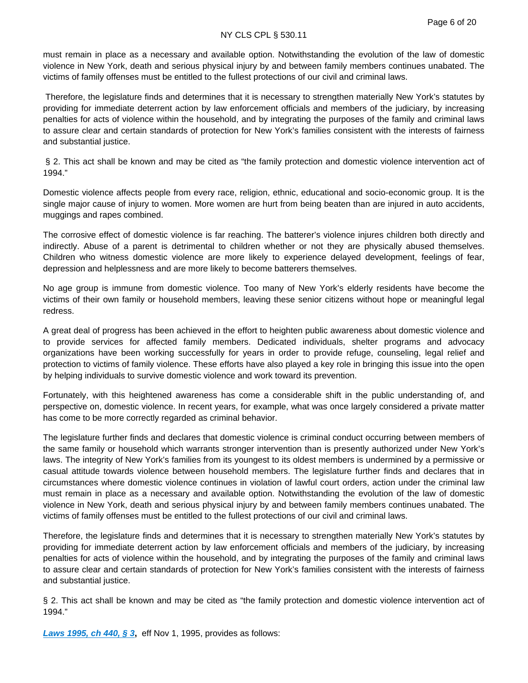must remain in place as a necessary and available option. Notwithstanding the evolution of the law of domestic violence in New York, death and serious physical injury by and between family members continues unabated. The victims of family offenses must be entitled to the fullest protections of our civil and criminal laws.

 Therefore, the legislature finds and determines that it is necessary to strengthen materially New York's statutes by providing for immediate deterrent action by law enforcement officials and members of the judiciary, by increasing penalties for acts of violence within the household, and by integrating the purposes of the family and criminal laws to assure clear and certain standards of protection for New York's families consistent with the interests of fairness and substantial justice.

 § 2. This act shall be known and may be cited as "the family protection and domestic violence intervention act of 1994."

Domestic violence affects people from every race, religion, ethnic, educational and socio-economic group. It is the single major cause of injury to women. More women are hurt from being beaten than are injured in auto accidents, muggings and rapes combined.

The corrosive effect of domestic violence is far reaching. The batterer's violence injures children both directly and indirectly. Abuse of a parent is detrimental to children whether or not they are physically abused themselves. Children who witness domestic violence are more likely to experience delayed development, feelings of fear, depression and helplessness and are more likely to become batterers themselves.

No age group is immune from domestic violence. Too many of New York's elderly residents have become the victims of their own family or household members, leaving these senior citizens without hope or meaningful legal redress.

A great deal of progress has been achieved in the effort to heighten public awareness about domestic violence and to provide services for affected family members. Dedicated individuals, shelter programs and advocacy organizations have been working successfully for years in order to provide refuge, counseling, legal relief and protection to victims of family violence. These efforts have also played a key role in bringing this issue into the open by helping individuals to survive domestic violence and work toward its prevention.

Fortunately, with this heightened awareness has come a considerable shift in the public understanding of, and perspective on, domestic violence. In recent years, for example, what was once largely considered a private matter has come to be more correctly regarded as criminal behavior.

The legislature further finds and declares that domestic violence is criminal conduct occurring between members of the same family or household which warrants stronger intervention than is presently authorized under New York's laws. The integrity of New York's families from its youngest to its oldest members is undermined by a permissive or casual attitude towards violence between household members. The legislature further finds and declares that in circumstances where domestic violence continues in violation of lawful court orders, action under the criminal law must remain in place as a necessary and available option. Notwithstanding the evolution of the law of domestic violence in New York, death and serious physical injury by and between family members continues unabated. The victims of family offenses must be entitled to the fullest protections of our civil and criminal laws.

Therefore, the legislature finds and determines that it is necessary to strengthen materially New York's statutes by providing for immediate deterrent action by law enforcement officials and members of the judiciary, by increasing penalties for acts of violence within the household, and by integrating the purposes of the family and criminal laws to assure clear and certain standards of protection for New York's families consistent with the interests of fairness and substantial justice.

§ 2. This act shall be known and may be cited as "the family protection and domestic violence intervention act of 1994."

**[Laws 1995, ch 440, § 3](https://advance.lexis.com/api/document?collection=statutes-legislation&id=urn:contentItem:3SYG-8TY0-003Y-V2CP-00000-00&context=),** eff Nov 1, 1995, provides as follows: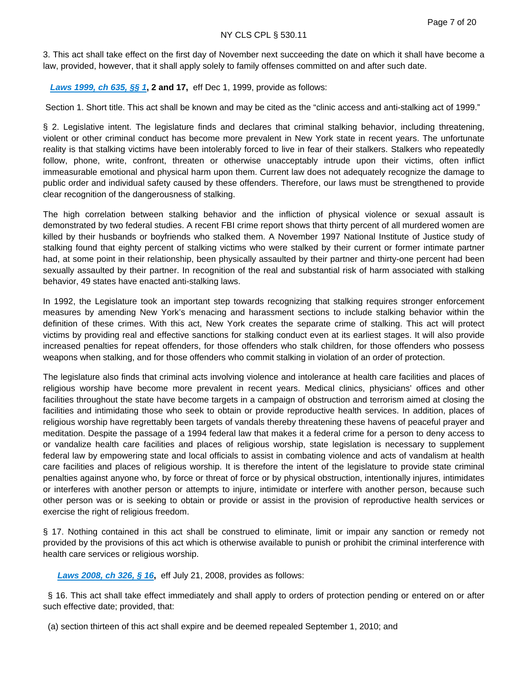3. This act shall take effect on the first day of November next succeeding the date on which it shall have become a law, provided, however, that it shall apply solely to family offenses committed on and after such date.

**[Laws 1999, ch 635, §§ 1](https://advance.lexis.com/api/document?collection=statutes-legislation&id=urn:contentItem:3Y2T-Y630-003Y-V0S7-00000-00&context=), 2 and 17,** eff Dec 1, 1999, provide as follows:

Section 1. Short title. This act shall be known and may be cited as the "clinic access and anti-stalking act of 1999."

§ 2. Legislative intent. The legislature finds and declares that criminal stalking behavior, including threatening, violent or other criminal conduct has become more prevalent in New York state in recent years. The unfortunate reality is that stalking victims have been intolerably forced to live in fear of their stalkers. Stalkers who repeatedly follow, phone, write, confront, threaten or otherwise unacceptably intrude upon their victims, often inflict immeasurable emotional and physical harm upon them. Current law does not adequately recognize the damage to public order and individual safety caused by these offenders. Therefore, our laws must be strengthened to provide clear recognition of the dangerousness of stalking.

The high correlation between stalking behavior and the infliction of physical violence or sexual assault is demonstrated by two federal studies. A recent FBI crime report shows that thirty percent of all murdered women are killed by their husbands or boyfriends who stalked them. A November 1997 National Institute of Justice study of stalking found that eighty percent of stalking victims who were stalked by their current or former intimate partner had, at some point in their relationship, been physically assaulted by their partner and thirty-one percent had been sexually assaulted by their partner. In recognition of the real and substantial risk of harm associated with stalking behavior, 49 states have enacted anti-stalking laws.

In 1992, the Legislature took an important step towards recognizing that stalking requires stronger enforcement measures by amending New York's menacing and harassment sections to include stalking behavior within the definition of these crimes. With this act, New York creates the separate crime of stalking. This act will protect victims by providing real and effective sanctions for stalking conduct even at its earliest stages. It will also provide increased penalties for repeat offenders, for those offenders who stalk children, for those offenders who possess weapons when stalking, and for those offenders who commit stalking in violation of an order of protection.

The legislature also finds that criminal acts involving violence and intolerance at health care facilities and places of religious worship have become more prevalent in recent years. Medical clinics, physicians' offices and other facilities throughout the state have become targets in a campaign of obstruction and terrorism aimed at closing the facilities and intimidating those who seek to obtain or provide reproductive health services. In addition, places of religious worship have regrettably been targets of vandals thereby threatening these havens of peaceful prayer and meditation. Despite the passage of a 1994 federal law that makes it a federal crime for a person to deny access to or vandalize health care facilities and places of religious worship, state legislation is necessary to supplement federal law by empowering state and local officials to assist in combating violence and acts of vandalism at health care facilities and places of religious worship. It is therefore the intent of the legislature to provide state criminal penalties against anyone who, by force or threat of force or by physical obstruction, intentionally injures, intimidates or interferes with another person or attempts to injure, intimidate or interfere with another person, because such other person was or is seeking to obtain or provide or assist in the provision of reproductive health services or exercise the right of religious freedom.

§ 17. Nothing contained in this act shall be construed to eliminate, limit or impair any sanction or remedy not provided by the provisions of this act which is otherwise available to punish or prohibit the criminal interference with health care services or religious worship.

**[Laws 2008, ch 326, § 16](https://advance.lexis.com/api/document?collection=statutes-legislation&id=urn:contentItem:5CWT-BPW1-DY1N-W4T4-00000-00&context=),** eff July 21, 2008, provides as follows:

 § 16. This act shall take effect immediately and shall apply to orders of protection pending or entered on or after such effective date; provided, that:

(a) section thirteen of this act shall expire and be deemed repealed September 1, 2010; and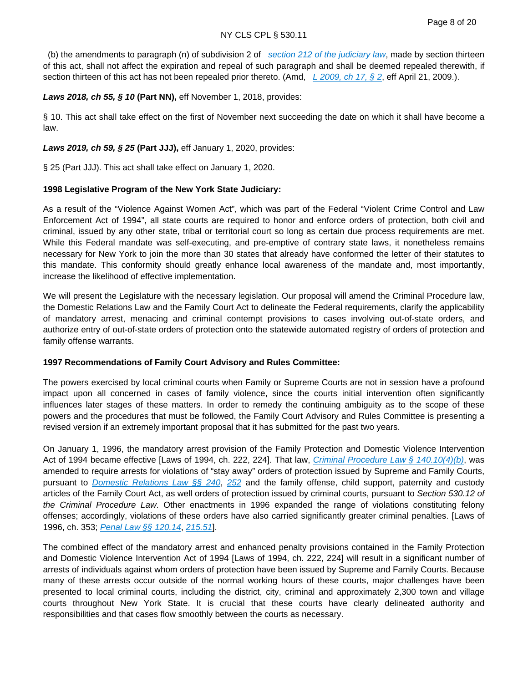(b) the amendments to paragraph (n) of subdivision 2 of [section 212 of the judiciary law](https://advance.lexis.com/api/document?collection=statutes-legislation&id=urn:contentItem:8VSC-B932-8T6X-70WH-00000-00&context=), made by section thirteen of this act, shall not affect the expiration and repeal of such paragraph and shall be deemed repealed therewith, if section thirteen of this act has not been repealed prior thereto. (Amd, [L 2009, ch 17, § 2](https://advance.lexis.com/api/document?collection=statutes-legislation&id=urn:contentItem:5CWT-BXR1-DY1N-W1SS-00000-00&context=), eff April 21, 2009.).

## **Laws 2018, ch 55, § 10 (Part NN),** eff November 1, 2018, provides:

§ 10. This act shall take effect on the first of November next succeeding the date on which it shall have become a law.

#### **Laws 2019, ch 59, § 25 (Part JJJ),** eff January 1, 2020, provides:

§ 25 (Part JJJ). This act shall take effect on January 1, 2020.

## **1998 Legislative Program of the New York State Judiciary:**

As a result of the "Violence Against Women Act", which was part of the Federal "Violent Crime Control and Law Enforcement Act of 1994", all state courts are required to honor and enforce orders of protection, both civil and criminal, issued by any other state, tribal or territorial court so long as certain due process requirements are met. While this Federal mandate was self-executing, and pre-emptive of contrary state laws, it nonetheless remains necessary for New York to join the more than 30 states that already have conformed the letter of their statutes to this mandate. This conformity should greatly enhance local awareness of the mandate and, most importantly, increase the likelihood of effective implementation.

We will present the Legislature with the necessary legislation. Our proposal will amend the Criminal Procedure law, the Domestic Relations Law and the Family Court Act to delineate the Federal requirements, clarify the applicability of mandatory arrest, menacing and criminal contempt provisions to cases involving out-of-state orders, and authorize entry of out-of-state orders of protection onto the statewide automated registry of orders of protection and family offense warrants.

#### **1997 Recommendations of Family Court Advisory and Rules Committee:**

The powers exercised by local criminal courts when Family or Supreme Courts are not in session have a profound impact upon all concerned in cases of family violence, since the courts initial intervention often significantly influences later stages of these matters. In order to remedy the continuing ambiguity as to the scope of these powers and the procedures that must be followed, the Family Court Advisory and Rules Committee is presenting a revised version if an extremely important proposal that it has submitted for the past two years.

On January 1, 1996, the mandatory arrest provision of the Family Protection and Domestic Violence Intervention Act of 1994 became effective [Laws of 1994, ch. 222, 224]. That law, [Criminal Procedure Law § 140.10\(4\)\(b\)](https://advance.lexis.com/api/document?collection=statutes-legislation&id=urn:contentItem:5HFT-8XC1-DXC8-0157-00000-00&context=), was amended to require arrests for violations of "stay away" orders of protection issued by Supreme and Family Courts, pursuant to *[Domestic Relations Law §§ 240](https://advance.lexis.com/api/document?collection=statutes-legislation&id=urn:contentItem:8MT4-RS62-8T6X-74RD-00000-00&context=)*, [252](https://advance.lexis.com/api/document?collection=statutes-legislation&id=urn:contentItem:8MT4-RTP2-8T6X-74RF-00000-00&context=) and the family offense, child support, paternity and custody articles of the Family Court Act, as well orders of protection issued by criminal courts, pursuant to Section 530.12 of the Criminal Procedure Law. Other enactments in 1996 expanded the range of violations constituting felony offenses; accordingly, violations of these orders have also carried significantly greater criminal penalties. [Laws of 1996, ch. 353; [Penal Law §§ 120.14](https://advance.lexis.com/api/document?collection=statutes-legislation&id=urn:contentItem:5CT3-1N21-6RDJ-852C-00000-00&context=), [215.51](https://advance.lexis.com/api/document?collection=statutes-legislation&id=urn:contentItem:5CT3-1N31-6RDJ-8492-00000-00&context=)].

The combined effect of the mandatory arrest and enhanced penalty provisions contained in the Family Protection and Domestic Violence Intervention Act of 1994 [Laws of 1994, ch. 222, 224] will result in a significant number of arrests of individuals against whom orders of protection have been issued by Supreme and Family Courts. Because many of these arrests occur outside of the normal working hours of these courts, major challenges have been presented to local criminal courts, including the district, city, criminal and approximately 2,300 town and village courts throughout New York State. It is crucial that these courts have clearly delineated authority and responsibilities and that cases flow smoothly between the courts as necessary.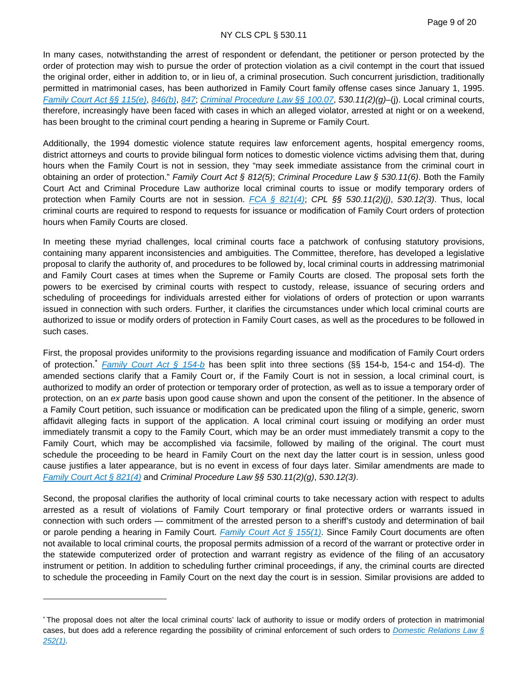In many cases, notwithstanding the arrest of respondent or defendant, the petitioner or person protected by the order of protection may wish to pursue the order of protection violation as a civil contempt in the court that issued the original order, either in addition to, or in lieu of, a criminal prosecution. Such concurrent jurisdiction, traditionally permitted in matrimonial cases, has been authorized in Family Court family offense cases since January 1, 1995. [Family Court Act §§ 115\(e\)](https://advance.lexis.com/api/document?collection=statutes-legislation&id=urn:contentItem:5JW5-8WH1-DXC8-01MM-00000-00&context=), [846\(b\)](https://advance.lexis.com/api/document?collection=statutes-legislation&id=urn:contentItem:5CT3-0VD1-6RDJ-84YM-00000-00&context=), [847](https://advance.lexis.com/api/document?collection=statutes-legislation&id=urn:contentItem:5CT3-0VD1-6RDJ-84YP-00000-00&context=); [Criminal Procedure Law §§ 100.07](https://advance.lexis.com/api/document?collection=statutes-legislation&id=urn:contentItem:8SSW-JWY2-D6RV-H4FW-00000-00&context=), 530.11(2)(g)–(j). Local criminal courts, therefore, increasingly have been faced with cases in which an alleged violator, arrested at night or on a weekend, has been brought to the criminal court pending a hearing in Supreme or Family Court.

Additionally, the 1994 domestic violence statute requires law enforcement agents, hospital emergency rooms, district attorneys and courts to provide bilingual form notices to domestic violence victims advising them that, during hours when the Family Court is not in session, they "may seek immediate assistance from the criminal court in obtaining an order of protection." Family Court Act § 812(5); Criminal Procedure Law § 530.11(6). Both the Family Court Act and Criminal Procedure Law authorize local criminal courts to issue or modify temporary orders of protection when Family Courts are not in session. FCA §  $821(4)$ ; CPL §§ 530.11(2)(j), 530.12(3). Thus, local criminal courts are required to respond to requests for issuance or modification of Family Court orders of protection hours when Family Courts are closed.

In meeting these myriad challenges, local criminal courts face a patchwork of confusing statutory provisions, containing many apparent inconsistencies and ambiguities. The Committee, therefore, has developed a legislative proposal to clarify the authority of, and procedures to be followed by, local criminal courts in addressing matrimonial and Family Court cases at times when the Supreme or Family Courts are closed. The proposal sets forth the powers to be exercised by criminal courts with respect to custody, release, issuance of securing orders and scheduling of proceedings for individuals arrested either for violations of orders of protection or upon warrants issued in connection with such orders. Further, it clarifies the circumstances under which local criminal courts are authorized to issue or modify orders of protection in Family Court cases, as well as the procedures to be followed in such cases.

First, the proposal provides uniformity to the provisions regarding issuance and modification of Family Court orders of protection.<sup>\*</sup> [Family Court Act § 154-b](https://advance.lexis.com/api/document?collection=statutes-legislation&id=urn:contentItem:5CT3-0VD1-6RDJ-846C-00000-00&context=) has been split into three sections (§§ 154-b, 154-c and 154-d). The amended sections clarify that a Family Court or, if the Family Court is not in session, a local criminal court, is authorized to modify an order of protection or temporary order of protection, as well as to issue a temporary order of protection, on an ex parte basis upon good cause shown and upon the consent of the petitioner. In the absence of a Family Court petition, such issuance or modification can be predicated upon the filing of a simple, generic, sworn affidavit alleging facts in support of the application. A local criminal court issuing or modifying an order must immediately transmit a copy to the Family Court, which may be an order must immediately transmit a copy to the Family Court, which may be accomplished via facsimile, followed by mailing of the original. The court must schedule the proceeding to be heard in Family Court on the next day the latter court is in session, unless good cause justifies a later appearance, but is no event in excess of four days later. Similar amendments are made to [Family Court Act § 821\(4\)](https://advance.lexis.com/api/document?collection=statutes-legislation&id=urn:contentItem:8RGK-1RB2-D6RV-H2NJ-00000-00&context=) and Criminal Procedure Law §§ 530.11(2)(g), 530.12(3).

Second, the proposal clarifies the authority of local criminal courts to take necessary action with respect to adults arrested as a result of violations of Family Court temporary or final protective orders or warrants issued in connection with such orders — commitment of the arrested person to a sheriff's custody and determination of bail or parole pending a hearing in Family Court. Family Court Act  $\S$  155(1). Since Family Court documents are often not available to local criminal courts, the proposal permits admission of a record of the warrant or protective order in the statewide computerized order of protection and warrant registry as evidence of the filing of an accusatory instrument or petition. In addition to scheduling further criminal proceedings, if any, the criminal courts are directed to schedule the proceeding in Family Court on the next day the court is in session. Similar provisions are added to

<sup>\*</sup> The proposal does not alter the local criminal courts' lack of authority to issue or modify orders of protection in matrimonial cases, but does add a reference regarding the possibility of criminal enforcement of such orders to Domestic Relations Law  $\S$  $252(1)$ .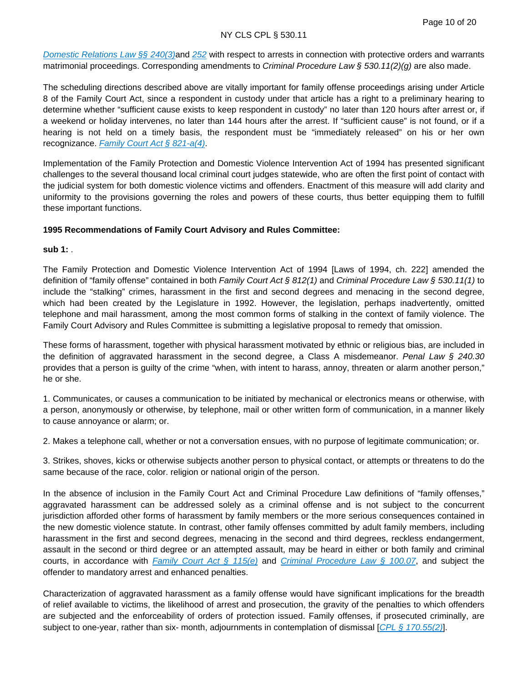[Domestic Relations Law §§ 240\(3\)](https://advance.lexis.com/api/document?collection=statutes-legislation&id=urn:contentItem:8MT4-RS62-8T6X-74RD-00000-00&context=)and [252](https://advance.lexis.com/api/document?collection=statutes-legislation&id=urn:contentItem:8MT4-RTP2-8T6X-74RF-00000-00&context=) with respect to arrests in connection with protective orders and warrants matrimonial proceedings. Corresponding amendments to Criminal Procedure Law § 530.11(2)(g) are also made.

The scheduling directions described above are vitally important for family offense proceedings arising under Article 8 of the Family Court Act, since a respondent in custody under that article has a right to a preliminary hearing to determine whether "sufficient cause exists to keep respondent in custody" no later than 120 hours after arrest or, if a weekend or holiday intervenes, no later than 144 hours after the arrest. If "sufficient cause" is not found, or if a hearing is not held on a timely basis, the respondent must be "immediately released" on his or her own recognizance. [Family Court Act § 821-a\(4\)](https://advance.lexis.com/api/document?collection=statutes-legislation&id=urn:contentItem:5CT3-0VD1-6RDJ-84XT-00000-00&context=).

Implementation of the Family Protection and Domestic Violence Intervention Act of 1994 has presented significant challenges to the several thousand local criminal court judges statewide, who are often the first point of contact with the judicial system for both domestic violence victims and offenders. Enactment of this measure will add clarity and uniformity to the provisions governing the roles and powers of these courts, thus better equipping them to fulfill these important functions.

## **1995 Recommendations of Family Court Advisory and Rules Committee:**

**sub 1:** .

The Family Protection and Domestic Violence Intervention Act of 1994 [Laws of 1994, ch. 222] amended the definition of "family offense" contained in both Family Court Act § 812(1) and Criminal Procedure Law § 530.11(1) to include the "stalking" crimes, harassment in the first and second degrees and menacing in the second degree, which had been created by the Legislature in 1992. However, the legislation, perhaps inadvertently, omitted telephone and mail harassment, among the most common forms of stalking in the context of family violence. The Family Court Advisory and Rules Committee is submitting a legislative proposal to remedy that omission.

These forms of harassment, together with physical harassment motivated by ethnic or religious bias, are included in the definition of aggravated harassment in the second degree, a Class A misdemeanor. Penal Law  $\S$  240.30 provides that a person is guilty of the crime "when, with intent to harass, annoy, threaten or alarm another person," he or she.

1. Communicates, or causes a communication to be initiated by mechanical or electronics means or otherwise, with a person, anonymously or otherwise, by telephone, mail or other written form of communication, in a manner likely to cause annoyance or alarm; or.

2. Makes a telephone call, whether or not a conversation ensues, with no purpose of legitimate communication; or.

3. Strikes, shoves, kicks or otherwise subjects another person to physical contact, or attempts or threatens to do the same because of the race, color. religion or national origin of the person.

In the absence of inclusion in the Family Court Act and Criminal Procedure Law definitions of "family offenses," aggravated harassment can be addressed solely as a criminal offense and is not subject to the concurrent jurisdiction afforded other forms of harassment by family members or the more serious consequences contained in the new domestic violence statute. In contrast, other family offenses committed by adult family members, including harassment in the first and second degrees, menacing in the second and third degrees, reckless endangerment, assault in the second or third degree or an attempted assault, may be heard in either or both family and criminal courts, in accordance with [Family Court Act § 115\(e\)](https://advance.lexis.com/api/document?collection=statutes-legislation&id=urn:contentItem:5JW5-8WH1-DXC8-01MM-00000-00&context=) and [Criminal Procedure Law § 100.07](https://advance.lexis.com/api/document?collection=statutes-legislation&id=urn:contentItem:8SSW-JWY2-D6RV-H4FW-00000-00&context=), and subject the offender to mandatory arrest and enhanced penalties.

Characterization of aggravated harassment as a family offense would have significant implications for the breadth of relief available to victims, the likelihood of arrest and prosecution, the gravity of the penalties to which offenders are subjected and the enforceability of orders of protection issued. Family offenses, if prosecuted criminally, are subject to one-year, rather than six- month, adjournments in contemplation of dismissal  $[CPL \S 170.55(2)]$ .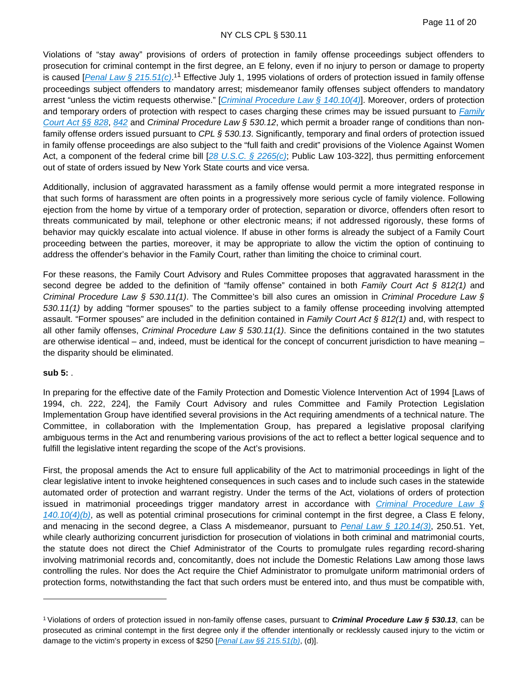Violations of "stay away" provisions of orders of protection in family offense proceedings subject offenders to prosecution for criminal contempt in the first degree, an E felony, even if no injury to person or damage to property is caused [*[Penal Law § 215.51\(c\)](https://advance.lexis.com/api/document?collection=statutes-legislation&id=urn:contentItem:5CT3-1N31-6RDJ-8492-00000-00&context=)*.<sup>11</sup> Effective July 1, 1995 violations of orders of protection issued in family offense proceedings subject offenders to mandatory arrest; misdemeanor family offenses subject offenders to mandatory arrest "unless the victim requests otherwise." [Criminal Procedure Law  $\S$  140.10(4)]. Moreover, orders of protection and temporary orders of protection with respect to cases charging these crimes may be issued pursuant to Family [Court Act §§ 828](https://advance.lexis.com/api/document?collection=statutes-legislation&id=urn:contentItem:5CT3-0VD1-6RDJ-84Y2-00000-00&context=), [842](https://advance.lexis.com/api/document?collection=statutes-legislation&id=urn:contentItem:5CT3-0VD1-6RDJ-84YF-00000-00&context=) and Criminal Procedure Law § 530.12, which permit a broader range of conditions than nonfamily offense orders issued pursuant to CPL § 530.13. Significantly, temporary and final orders of protection issued in family offense proceedings are also subject to the "full faith and credit" provisions of the Violence Against Women Act, a component of the federal crime bill  $[28 \text{ U.S.C.} \S 2265/c]$ ; Public Law 103-322], thus permitting enforcement out of state of orders issued by New York State courts and vice versa.

Additionally, inclusion of aggravated harassment as a family offense would permit a more integrated response in that such forms of harassment are often points in a progressively more serious cycle of family violence. Following ejection from the home by virtue of a temporary order of protection, separation or divorce, offenders often resort to threats communicated by mail, telephone or other electronic means; if not addressed rigorously, these forms of behavior may quickly escalate into actual violence. If abuse in other forms is already the subject of a Family Court proceeding between the parties, moreover, it may be appropriate to allow the victim the option of continuing to address the offender's behavior in the Family Court, rather than limiting the choice to criminal court.

For these reasons, the Family Court Advisory and Rules Committee proposes that aggravated harassment in the second degree be added to the definition of "family offense" contained in both Family Court Act § 812(1) and Criminal Procedure Law § 530.11(1). The Committee's bill also cures an omission in Criminal Procedure Law § 530.11(1) by adding "former spouses" to the parties subject to a family offense proceeding involving attempted assault. "Former spouses" are included in the definition contained in Family Court Act  $\S 812(1)$  and, with respect to all other family offenses, Criminal Procedure Law  $\S$  530.11(1). Since the definitions contained in the two statutes are otherwise identical – and, indeed, must be identical for the concept of concurrent jurisdiction to have meaning – the disparity should be eliminated.

#### **sub 5:** .

In preparing for the effective date of the Family Protection and Domestic Violence Intervention Act of 1994 [Laws of 1994, ch. 222, 224], the Family Court Advisory and rules Committee and Family Protection Legislation Implementation Group have identified several provisions in the Act requiring amendments of a technical nature. The Committee, in collaboration with the Implementation Group, has prepared a legislative proposal clarifying ambiguous terms in the Act and renumbering various provisions of the act to reflect a better logical sequence and to fulfill the legislative intent regarding the scope of the Act's provisions.

First, the proposal amends the Act to ensure full applicability of the Act to matrimonial proceedings in light of the clear legislative intent to invoke heightened consequences in such cases and to include such cases in the statewide automated order of protection and warrant registry. Under the terms of the Act, violations of orders of protection issued in matrimonial proceedings trigger mandatory arrest in accordance with *Criminal Procedure Law*  $\S$  $140.10(4)$  (b), as well as potential criminal prosecutions for criminal contempt in the first degree, a Class E felony, and menacing in the second degree, a Class A misdemeanor, pursuant to Penal Law  $\S$  120.14(3), 250.51. Yet, while clearly authorizing concurrent jurisdiction for prosecution of violations in both criminal and matrimonial courts, the statute does not direct the Chief Administrator of the Courts to promulgate rules regarding record-sharing involving matrimonial records and, concomitantly, does not include the Domestic Relations Law among those laws controlling the rules. Nor does the Act require the Chief Administrator to promulgate uniform matrimonial orders of protection forms, notwithstanding the fact that such orders must be entered into, and thus must be compatible with,

<sup>1</sup>Violations of orders of protection issued in non-family offense cases, pursuant to **Criminal Procedure Law § 530.13**, can be prosecuted as criminal contempt in the first degree only if the offender intentionally or recklessly caused injury to the victim or damage to the victim's property in excess of \$250 [*[Penal Law §§ 215.51\(b\)](https://advance.lexis.com/api/document?collection=statutes-legislation&id=urn:contentItem:5CT3-1N31-6RDJ-8492-00000-00&context=)*, (d)].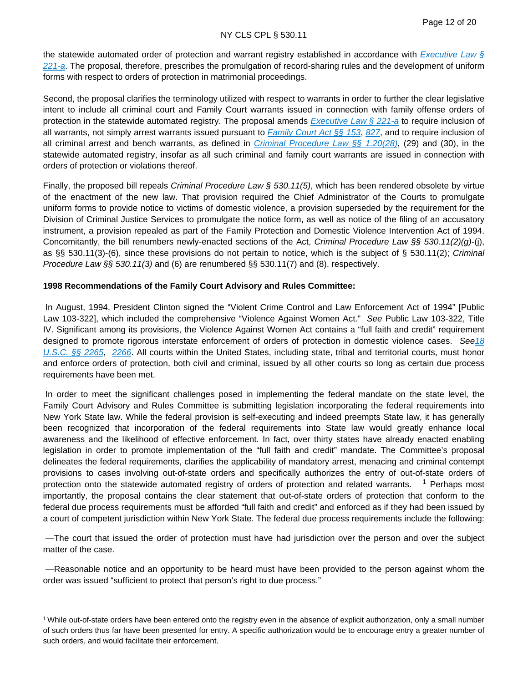the statewide automated order of protection and warrant registry established in accordance with *Executive Law*  $\S$ [221-a](https://advance.lexis.com/api/document?collection=statutes-legislation&id=urn:contentItem:5HFT-9871-DXC8-0175-00000-00&context=). The proposal, therefore, prescribes the promulgation of record-sharing rules and the development of uniform forms with respect to orders of protection in matrimonial proceedings.

Second, the proposal clarifies the terminology utilized with respect to warrants in order to further the clear legislative intent to include all criminal court and Family Court warrants issued in connection with family offense orders of protection in the statewide automated registry. The proposal amends **[Executive Law § 221-a](https://advance.lexis.com/api/document?collection=statutes-legislation&id=urn:contentItem:5HFT-9871-DXC8-0175-00000-00&context=)** to require inclusion of all warrants, not simply arrest warrants issued pursuant to Family Court Act  $\S_5$  153, [827](https://advance.lexis.com/api/document?collection=statutes-legislation&id=urn:contentItem:5CT3-0VD1-6RDJ-84Y1-00000-00&context=), and to require inclusion of all criminal arrest and bench warrants, as defined in *Criminal Procedure Law*  $\S$ § 1.20(28), (29) and (30), in the statewide automated registry, insofar as all such criminal and family court warrants are issued in connection with orders of protection or violations thereof.

Finally, the proposed bill repeals Criminal Procedure Law  $\S$  530.11(5), which has been rendered obsolete by virtue of the enactment of the new law. That provision required the Chief Administrator of the Courts to promulgate uniform forms to provide notice to victims of domestic violence, a provision superseded by the requirement for the Division of Criminal Justice Services to promulgate the notice form, as well as notice of the filing of an accusatory instrument, a provision repealed as part of the Family Protection and Domestic Violence Intervention Act of 1994. Concomitantly, the bill renumbers newly-enacted sections of the Act, Criminal Procedure Law  $\S$ § 530.11(2)(g)-(j), as §§ 530.11(3)-(6), since these provisions do not pertain to notice, which is the subject of § 530.11(2); Criminal Procedure Law §§ 530.11(3) and (6) are renumbered §§ 530.11(7) and (8), respectively.

## **1998 Recommendations of the Family Court Advisory and Rules Committee:**

 In August, 1994, President Clinton signed the "Violent Crime Control and Law Enforcement Act of 1994" [Public Law 103-322], which included the comprehensive "Violence Against Women Act." See Public Law 103-322, Title IV. Significant among its provisions, the Violence Against Women Act contains a "full faith and credit" requirement designed to promote rigorous interstate enforcement of orders of protection in domestic violence cases. See 18 [U.S.C. §§ 2265](https://advance.lexis.com/api/document?collection=statutes-legislation&id=urn:contentItem:8SG9-5042-D6RV-H0VD-00000-00&context=), [2266](https://advance.lexis.com/api/document?collection=statutes-legislation&id=urn:contentItem:8TR7-WT22-8T6X-73JF-00000-00&context=). All courts within the United States, including state, tribal and territorial courts, must honor and enforce orders of protection, both civil and criminal, issued by all other courts so long as certain due process requirements have been met.

 In order to meet the significant challenges posed in implementing the federal mandate on the state level, the Family Court Advisory and Rules Committee is submitting legislation incorporating the federal requirements into New York State law. While the federal provision is self-executing and indeed preempts State law, it has generally been recognized that incorporation of the federal requirements into State law would greatly enhance local awareness and the likelihood of effective enforcement. In fact, over thirty states have already enacted enabling legislation in order to promote implementation of the "full faith and credit" mandate. The Committee's proposal delineates the federal requirements, clarifies the applicability of mandatory arrest, menacing and criminal contempt provisions to cases involving out-of-state orders and specifically authorizes the entry of out-of-state orders of protection onto the statewide automated registry of orders of protection and related warrants. <sup>1</sup> Perhaps most importantly, the proposal contains the clear statement that out-of-state orders of protection that conform to the federal due process requirements must be afforded "full faith and credit" and enforced as if they had been issued by a court of competent jurisdiction within New York State. The federal due process requirements include the following:

 —The court that issued the order of protection must have had jurisdiction over the person and over the subject matter of the case.

 —Reasonable notice and an opportunity to be heard must have been provided to the person against whom the order was issued "sufficient to protect that person's right to due process."

<sup>1</sup>While out-of-state orders have been entered onto the registry even in the absence of explicit authorization, only a small number of such orders thus far have been presented for entry. A specific authorization would be to encourage entry a greater number of such orders, and would facilitate their enforcement.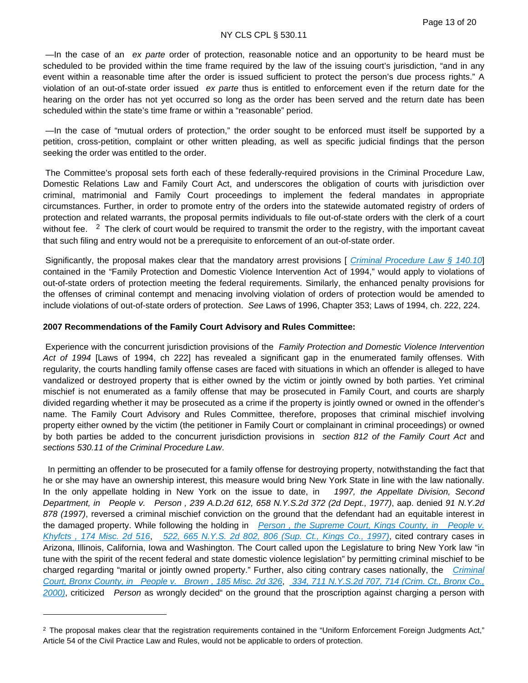—In the case of an ex parte order of protection, reasonable notice and an opportunity to be heard must be scheduled to be provided within the time frame required by the law of the issuing court's jurisdiction, "and in any event within a reasonable time after the order is issued sufficient to protect the person's due process rights." A violation of an out-of-state order issued ex parte thus is entitled to enforcement even if the return date for the hearing on the order has not yet occurred so long as the order has been served and the return date has been scheduled within the state's time frame or within a "reasonable" period.

 —In the case of "mutual orders of protection," the order sought to be enforced must itself be supported by a petition, cross-petition, complaint or other written pleading, as well as specific judicial findings that the person seeking the order was entitled to the order.

 The Committee's proposal sets forth each of these federally-required provisions in the Criminal Procedure Law, Domestic Relations Law and Family Court Act, and underscores the obligation of courts with jurisdiction over criminal, matrimonial and Family Court proceedings to implement the federal mandates in appropriate circumstances. Further, in order to promote entry of the orders into the statewide automated registry of orders of protection and related warrants, the proposal permits individuals to file out-of-state orders with the clerk of a court without fee.  $2$  The clerk of court would be required to transmit the order to the registry, with the important caveat that such filing and entry would not be a prerequisite to enforcement of an out-of-state order.

Significantly, the proposal makes clear that the mandatory arrest provisions [*[Criminal Procedure Law § 140.10](https://advance.lexis.com/api/document?collection=statutes-legislation&id=urn:contentItem:5HFT-8XC1-DXC8-0157-00000-00&context=)*] contained in the "Family Protection and Domestic Violence Intervention Act of 1994," would apply to violations of out-of-state orders of protection meeting the federal requirements. Similarly, the enhanced penalty provisions for the offenses of criminal contempt and menacing involving violation of orders of protection would be amended to include violations of out-of-state orders of protection. See Laws of 1996, Chapter 353; Laws of 1994, ch. 222, 224.

#### **2007 Recommendations of the Family Court Advisory and Rules Committee:**

Experience with the concurrent jurisdiction provisions of the Family Protection and Domestic Violence Intervention Act of 1994 [Laws of 1994, ch 222] has revealed a significant gap in the enumerated family offenses. With regularity, the courts handling family offense cases are faced with situations in which an offender is alleged to have vandalized or destroyed property that is either owned by the victim or jointly owned by both parties. Yet criminal mischief is not enumerated as a family offense that may be prosecuted in Family Court, and courts are sharply divided regarding whether it may be prosecuted as a crime if the property is jointly owned or owned in the offender's name. The Family Court Advisory and Rules Committee, therefore, proposes that criminal mischief involving property either owned by the victim (the petitioner in Family Court or complainant in criminal proceedings) or owned by both parties be added to the concurrent jurisdiction provisions in section 812 of the Family Court Act and sections 530.11 of the Criminal Procedure Law.

 In permitting an offender to be prosecuted for a family offense for destroying property, notwithstanding the fact that he or she may have an ownership interest, this measure would bring New York State in line with the law nationally. In the only appellate holding in New York on the issue to date, in 1997, the Appellate Division, Second Department, in People v. Person , 239 A.D.2d 612, 658 N.Y.S.2d 372 (2d Dept., 1977), aap. denied 91 N.Y.2d 878 (1997), reversed a criminal mischief conviction on the ground that the defendant had an equitable interest in the damaged property. While following the holding in Person, the Supreme Court, Kings County, in People v. [Khyfcts , 174 Misc. 2d 516](https://advance.lexis.com/api/document?collection=cases&id=urn:contentItem:3S16-1YB0-0039-4558-00000-00&context=), [522, 665 N.Y.S. 2d 802, 806 \(Sup. Ct., Kings Co., 1997\)](https://advance.lexis.com/api/document?collection=cases&id=urn:contentItem:3S16-1YB0-0039-4558-00000-00&context=), cited contrary cases in Arizona, Illinois, California, Iowa and Washington. The Court called upon the Legislature to bring New York law "in tune with the spirit of the recent federal and state domestic violence legislation" by permitting criminal mischief to be charged regarding "marital or jointly owned property." Further, also citing contrary cases nationally, the Criminal [Court, Bronx County, in People v. Brown , 185 Misc. 2d 326](https://advance.lexis.com/api/document?collection=cases&id=urn:contentItem:4101-6T10-0039-452N-00000-00&context=), [334, 711 N.Y.S.2d 707, 714 \(Crim. Ct., Bronx Co.,](https://advance.lexis.com/api/document?collection=cases&id=urn:contentItem:4101-6T10-0039-452N-00000-00&context=)  [2000\)](https://advance.lexis.com/api/document?collection=cases&id=urn:contentItem:4101-6T10-0039-452N-00000-00&context=), criticized Person as wrongly decided" on the ground that the proscription against charging a person with

<sup>&</sup>lt;sup>2</sup> The proposal makes clear that the registration requirements contained in the "Uniform Enforcement Foreign Judgments Act," Article 54 of the Civil Practice Law and Rules, would not be applicable to orders of protection.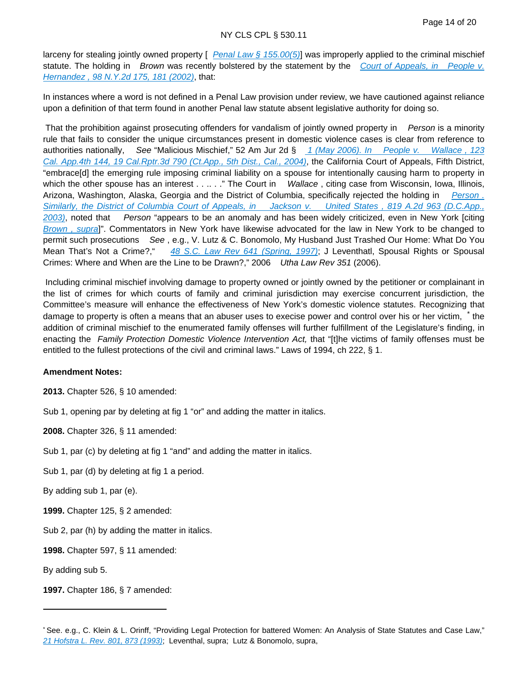larceny for stealing jointly owned property  $\int$  Penal Law  $\frac{6}{5}$  155.00(5)] was improperly applied to the criminal mischief statute. The holding in Brown was recently bolstered by the statement by the Court of Appeals, in People v. [Hernandez , 98 N.Y.2d 175, 181 \(2002\)](https://advance.lexis.com/api/document?collection=cases&id=urn:contentItem:4627-SBC0-0039-43G6-00000-00&context=), that:

In instances where a word is not defined in a Penal Law provision under review, we have cautioned against reliance upon a definition of that term found in another Penal law statute absent legislative authority for doing so.

That the prohibition against prosecuting offenders for vandalism of jointly owned property in Person is a minority rule that fails to consider the unique circumstances present in domestic violence cases is clear from reference to authorities nationally, See "Malicious Mischief," 52 Am Jur 2d  $\frac{1}{2}$  (May 2006). In People v. Wallace, 123 [Cal. App.4th 144, 19 Cal.Rptr.3d 790 \(Ct.App., 5th Dist., Cal., 2004\)](https://advance.lexis.com/api/document?collection=cases&id=urn:contentItem:4DKD-PCW0-0039-40T3-00000-00&context=), the California Court of Appeals, Fifth District, "embrace[d] the emerging rule imposing criminal liability on a spouse for intentionally causing harm to property in which the other spouse has an interest . . . . . ." The Court in Wallace, citing case from Wisconsin, Iowa, Illinois, Arizona, Washington, Alaska, Georgia and the District of Columbia, specifically rejected the holding in Person. [Similarly, the District of Columbia Court of Appeals, in Jackson v. United States , 819 A.2d 963 \(D.C.App.,](https://advance.lexis.com/api/document?collection=cases&id=urn:contentItem:487M-G2N0-0039-44NH-00000-00&context=)  [2003\)](https://advance.lexis.com/api/document?collection=cases&id=urn:contentItem:487M-G2N0-0039-44NH-00000-00&context=), noted that Person "appears to be an anomaly and has been widely criticized, even in New York [citing Brown, supra]". Commentators in New York have likewise advocated for the law in New York to be changed to permit such prosecutions See , e.g., V. Lutz & C. Bonomolo, My Husband Just Trashed Our Home: What Do You Mean That's Not a Crime?, "[48 S.C. Law Rev 641 \(Spring, 1997\)](https://advance.lexis.com/api/document?collection=analytical-materials&id=urn:contentItem:3S3T-VH40-00CV-X034-00000-00&context=); J Leventhatl, Spousal Rights or Spousal Crimes: Where and When are the Line to be Drawn?," 2006 Utha Law Rev 351 (2006).

 Including criminal mischief involving damage to property owned or jointly owned by the petitioner or complainant in the list of crimes for which courts of family and criminal jurisdiction may exercise concurrent jurisdiction, the Committee's measure will enhance the effectiveness of New York's domestic violence statutes. Recognizing that damage to property is often a means that an abuser uses to execise power and control over his or her victim,  $\dot{\ }$  the addition of criminal mischief to the enumerated family offenses will further fulfillment of the Legislature's finding, in enacting the Family Protection Domestic Violence Intervention Act, that "[t]he victims of family offenses must be entitled to the fullest protections of the civil and criminal laws." Laws of 1994, ch 222, § 1.

#### **Amendment Notes:**

**2013.** Chapter 526, § 10 amended:

Sub 1, opening par by deleting at fig 1 "or" and adding the matter in italics.

**2008.** Chapter 326, § 11 amended:

Sub 1, par (c) by deleting at fig 1 "and" and adding the matter in italics.

Sub 1, par (d) by deleting at fig 1 a period.

By adding sub 1, par (e).

**1999.** Chapter 125, § 2 amended:

Sub 2, par (h) by adding the matter in italics.

**1998.** Chapter 597, § 11 amended:

By adding sub 5.

**1997.** Chapter 186, § 7 amended:

<sup>\*</sup> See. e.g., C. Klein & L. Orinff, "Providing Legal Protection for battered Women: An Analysis of State Statutes and Case Law," [21 Hofstra L. Rev. 801, 873 \(1993\)](https://advance.lexis.com/api/document?collection=analytical-materials&id=urn:contentItem:3S3V-47T0-00CW-G39G-00000-01&context=); Leventhal, supra; Lutz & Bonomolo, supra,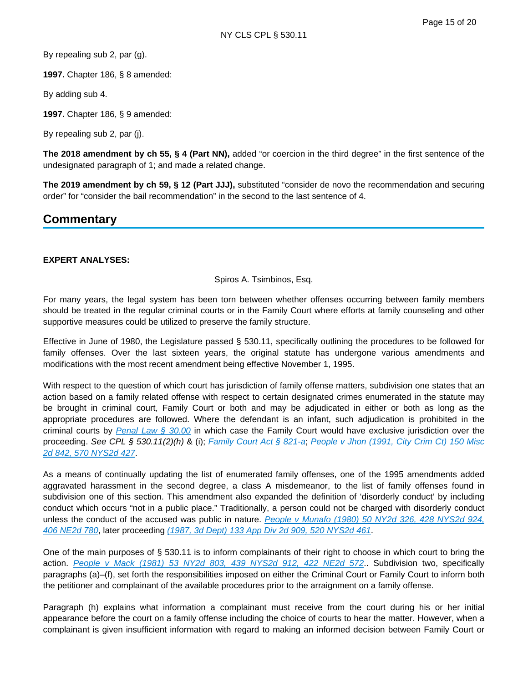By repealing sub 2, par (g).

**1997.** Chapter 186, § 8 amended:

By adding sub 4.

**1997.** Chapter 186, § 9 amended:

By repealing sub 2, par (j).

**The 2018 amendment by ch 55, § 4 (Part NN),** added "or coercion in the third degree" in the first sentence of the undesignated paragraph of 1; and made a related change.

**The 2019 amendment by ch 59, § 12 (Part JJJ),** substituted "consider de novo the recommendation and securing order" for "consider the bail recommendation" in the second to the last sentence of 4.

# **Commentary**

## **EXPERT ANALYSES:**

## Spiros A. Tsimbinos, Esq.

For many years, the legal system has been torn between whether offenses occurring between family members should be treated in the regular criminal courts or in the Family Court where efforts at family counseling and other supportive measures could be utilized to preserve the family structure.

Effective in June of 1980, the Legislature passed § 530.11, specifically outlining the procedures to be followed for family offenses. Over the last sixteen years, the original statute has undergone various amendments and modifications with the most recent amendment being effective November 1, 1995.

With respect to the question of which court has jurisdiction of family offense matters, subdivision one states that an action based on a family related offense with respect to certain designated crimes enumerated in the statute may be brought in criminal court, Family Court or both and may be adjudicated in either or both as long as the appropriate procedures are followed. Where the defendant is an infant, such adjudication is prohibited in the criminal courts by Penal Law  $\S 30.00$  in which case the Family Court would have exclusive jurisdiction over the proceeding. See CPL § 530.11(2)(h) & (i); [Family Court Act § 821-a](https://advance.lexis.com/api/document?collection=statutes-legislation&id=urn:contentItem:5CT3-0VD1-6RDJ-84XT-00000-00&context=); People v Jhon (1991, City Crim Ct) 150 Misc [2d 842, 570 NYS2d 427](https://advance.lexis.com/api/document?collection=cases&id=urn:contentItem:3S2R-8R50-003V-B1YC-00000-00&context=).

As a means of continually updating the list of enumerated family offenses, one of the 1995 amendments added aggravated harassment in the second degree, a class A misdemeanor, to the list of family offenses found in subdivision one of this section. This amendment also expanded the definition of 'disorderly conduct' by including conduct which occurs "not in a public place." Traditionally, a person could not be charged with disorderly conduct unless the conduct of the accused was public in nature. People v Munafo (1980) 50 NY2d 326, 428 NYS2d 924, [406 NE2d 780](https://advance.lexis.com/api/document?collection=cases&id=urn:contentItem:3RRS-9TR0-003C-F1F0-00000-00&context=), later proceeding [\(1987, 3d Dept\) 133 App Div 2d 909, 520 NYS2d 461](https://advance.lexis.com/api/document?collection=cases&id=urn:contentItem:3S3K-08C0-003D-G518-00000-00&context=).

One of the main purposes of § 530.11 is to inform complainants of their right to choose in which court to bring the action. [People v Mack \(1981\) 53 NY2d 803, 439 NYS2d 912, 422 NE2d 572](https://advance.lexis.com/api/document?collection=cases&id=urn:contentItem:3RRS-9PH0-003C-F0CT-00000-00&context=). Subdivision two, specifically paragraphs (a)–(f), set forth the responsibilities imposed on either the Criminal Court or Family Court to inform both the petitioner and complainant of the available procedures prior to the arraignment on a family offense.

Paragraph (h) explains what information a complainant must receive from the court during his or her initial appearance before the court on a family offense including the choice of courts to hear the matter. However, when a complainant is given insufficient information with regard to making an informed decision between Family Court or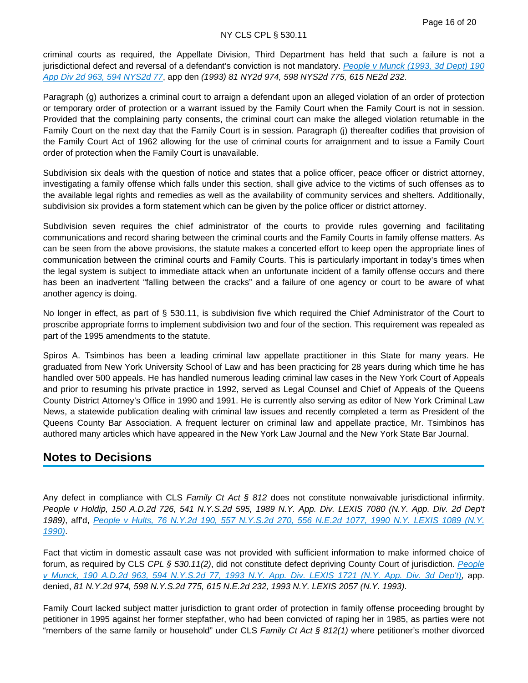criminal courts as required, the Appellate Division, Third Department has held that such a failure is not a jurisdictional defect and reversal of a defendant's conviction is not mandatory. People v Munck (1993, 3d Dept) 190 [App Div 2d 963, 594 NYS2d 77](https://advance.lexis.com/api/document?collection=cases&id=urn:contentItem:3S2R-7KH0-003V-B1DR-00000-00&context=), app den (1993) 81 NY2d 974, 598 NYS2d 775, 615 NE2d 232.

Paragraph (g) authorizes a criminal court to arraign a defendant upon an alleged violation of an order of protection or temporary order of protection or a warrant issued by the Family Court when the Family Court is not in session. Provided that the complaining party consents, the criminal court can make the alleged violation returnable in the Family Court on the next day that the Family Court is in session. Paragraph (j) thereafter codifies that provision of the Family Court Act of 1962 allowing for the use of criminal courts for arraignment and to issue a Family Court order of protection when the Family Court is unavailable.

Subdivision six deals with the question of notice and states that a police officer, peace officer or district attorney, investigating a family offense which falls under this section, shall give advice to the victims of such offenses as to the available legal rights and remedies as well as the availability of community services and shelters. Additionally, subdivision six provides a form statement which can be given by the police officer or district attorney.

Subdivision seven requires the chief administrator of the courts to provide rules governing and facilitating communications and record sharing between the criminal courts and the Family Courts in family offense matters. As can be seen from the above provisions, the statute makes a concerted effort to keep open the appropriate lines of communication between the criminal courts and Family Courts. This is particularly important in today's times when the legal system is subject to immediate attack when an unfortunate incident of a family offense occurs and there has been an inadvertent "falling between the cracks" and a failure of one agency or court to be aware of what another agency is doing.

No longer in effect, as part of § 530.11, is subdivision five which required the Chief Administrator of the Court to proscribe appropriate forms to implement subdivision two and four of the section. This requirement was repealed as part of the 1995 amendments to the statute.

Spiros A. Tsimbinos has been a leading criminal law appellate practitioner in this State for many years. He graduated from New York University School of Law and has been practicing for 28 years during which time he has handled over 500 appeals. He has handled numerous leading criminal law cases in the New York Court of Appeals and prior to resuming his private practice in 1992, served as Legal Counsel and Chief of Appeals of the Queens County District Attorney's Office in 1990 and 1991. He is currently also serving as editor of New York Criminal Law News, a statewide publication dealing with criminal law issues and recently completed a term as President of the Queens County Bar Association. A frequent lecturer on criminal law and appellate practice, Mr. Tsimbinos has authored many articles which have appeared in the New York Law Journal and the New York State Bar Journal.

# **Notes to Decisions**

Any defect in compliance with CLS Family Ct Act  $\S$  812 does not constitute nonwaivable jurisdictional infirmity. People v Holdip, 150 A.D.2d 726, 541 N.Y.S.2d 595, 1989 N.Y. App. Div. LEXIS 7080 (N.Y. App. Div. 2d Dep't 1989), aff'd, [People v Hults, 76 N.Y.2d 190, 557 N.Y.S.2d 270, 556 N.E.2d 1077, 1990 N.Y. LEXIS 1089 \(N.Y.](https://advance.lexis.com/api/document?collection=cases&id=urn:contentItem:3S2R-9DB0-003V-B43D-00000-00&context=)  [1990\)](https://advance.lexis.com/api/document?collection=cases&id=urn:contentItem:3S2R-9DB0-003V-B43D-00000-00&context=).

Fact that victim in domestic assault case was not provided with sufficient information to make informed choice of forum, as required by CLS CPL § 530.11(2), did not constitute defect depriving County Court of jurisdiction. People [v Munck, 190 A.D.2d 963, 594 N.Y.S.2d 77, 1993 N.Y. App. Div. LEXIS 1721 \(N.Y. App. Div. 3d Dep't\)](https://advance.lexis.com/api/document?collection=cases&id=urn:contentItem:3S2R-7KH0-003V-B1DR-00000-00&context=), app. denied, 81 N.Y.2d 974, 598 N.Y.S.2d 775, 615 N.E.2d 232, 1993 N.Y. LEXIS 2057 (N.Y. 1993).

Family Court lacked subject matter jurisdiction to grant order of protection in family offense proceeding brought by petitioner in 1995 against her former stepfather, who had been convicted of raping her in 1985, as parties were not "members of the same family or household" under CLS Family Ct Act  $\S 812(1)$  where petitioner's mother divorced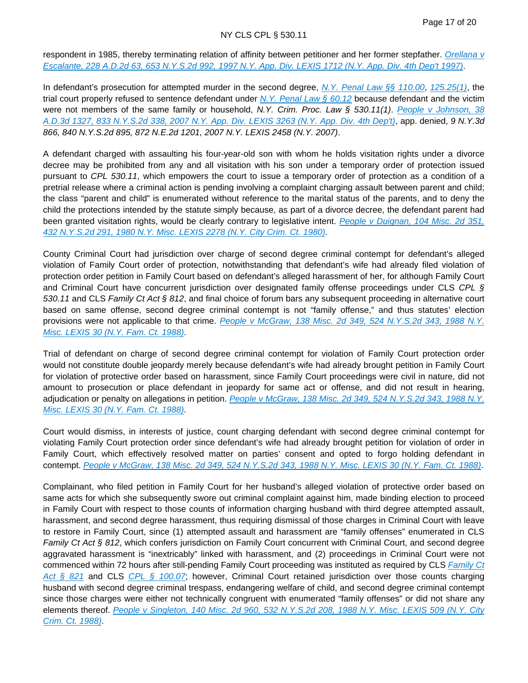respondent in 1985, thereby terminating relation of affinity between petitioner and her former stepfather. Orellana v [Escalante, 228 A.D.2d 63, 653 N.Y.S.2d 992, 1997 N.Y. App. Div. LEXIS 1712 \(N.Y. App. Div. 4th Dep't 1997\)](https://advance.lexis.com/api/document?collection=cases&id=urn:contentItem:3RGS-BG70-003V-B00F-00000-00&context=).

In defendant's prosecution for attempted murder in the second degree, [N.Y. Penal Law §§ 110.00](https://advance.lexis.com/api/document?collection=statutes-legislation&id=urn:contentItem:5CT3-1N21-6RDJ-851C-00000-00&context=), [125.25\(1\)](https://advance.lexis.com/api/document?collection=statutes-legislation&id=urn:contentItem:8VWB-NBX2-8T6X-73P3-00000-00&context=), the trial court properly refused to sentence defendant under  $N.Y.$  Penal Law § 60.12 because defendant and the victim were not members of the same family or household, N.Y. Crim. Proc. Law § 530.11(1). People v Johnson, 38 [A.D.3d 1327, 833 N.Y.S.2d 338, 2007 N.Y. App. Div. LEXIS 3263 \(N.Y. App. Div. 4th Dep't\)](https://advance.lexis.com/api/document?collection=cases&id=urn:contentItem:4N8N-5F40-0039-429F-00000-00&context=), app. denied, 9 N.Y.3d 866, 840 N.Y.S.2d 895, 872 N.E.2d 1201, 2007 N.Y. LEXIS 2458 (N.Y. 2007).

A defendant charged with assaulting his four-year-old son with whom he holds visitation rights under a divorce decree may be prohibited from any and all visitation with his son under a temporary order of protection issued pursuant to CPL 530.11, which empowers the court to issue a temporary order of protection as a condition of a pretrial release where a criminal action is pending involving a complaint charging assault between parent and child; the class "parent and child" is enumerated without reference to the marital status of the parents, and to deny the child the protections intended by the statute simply because, as part of a divorce decree, the defendant parent had been granted visitation rights, would be clearly contrary to legislative intent. People v Duignan, 104 Misc. 2d 351, [432 N.Y.S.2d 291, 1980 N.Y. Misc. LEXIS 2278 \(N.Y. City Crim. Ct. 1980\)](https://advance.lexis.com/api/document?collection=cases&id=urn:contentItem:3RRS-GBH0-003C-F16R-00000-00&context=).

County Criminal Court had jurisdiction over charge of second degree criminal contempt for defendant's alleged violation of Family Court order of protection, notwithstanding that defendant's wife had already filed violation of protection order petition in Family Court based on defendant's alleged harassment of her, for although Family Court and Criminal Court have concurrent jurisdiction over designated family offense proceedings under CLS CPL § 530.11 and CLS Family Ct Act § 812, and final choice of forum bars any subsequent proceeding in alternative court based on same offense, second degree criminal contempt is not "family offense," and thus statutes' election provisions were not applicable to that crime. People v McGraw, 138 Misc. 2d 349, 524 N.Y.S.2d 343, 1988 N.Y. [Misc. LEXIS 30 \(N.Y. Fam. Ct. 1988\)](https://advance.lexis.com/api/document?collection=cases&id=urn:contentItem:3S3K-2N00-003D-G2YJ-00000-00&context=).

Trial of defendant on charge of second degree criminal contempt for violation of Family Court protection order would not constitute double jeopardy merely because defendant's wife had already brought petition in Family Court for violation of protective order based on harassment, since Family Court proceedings were civil in nature, did not amount to prosecution or place defendant in jeopardy for same act or offense, and did not result in hearing, adjudication or penalty on allegations in petition. People v McGraw, 138 Misc. 2d 349, 524 N.Y.S.2d 343, 1988 N.Y. [Misc. LEXIS 30 \(N.Y. Fam. Ct. 1988\)](https://advance.lexis.com/api/document?collection=cases&id=urn:contentItem:3S3K-2N00-003D-G2YJ-00000-00&context=).

Court would dismiss, in interests of justice, count charging defendant with second degree criminal contempt for violating Family Court protection order since defendant's wife had already brought petition for violation of order in Family Court, which effectively resolved matter on parties' consent and opted to forgo holding defendant in contempt. [People v McGraw, 138 Misc. 2d 349, 524 N.Y.S.2d 343, 1988 N.Y. Misc. LEXIS 30 \(N.Y. Fam. Ct. 1988\)](https://advance.lexis.com/api/document?collection=cases&id=urn:contentItem:3S3K-2N00-003D-G2YJ-00000-00&context=).

Complainant, who filed petition in Family Court for her husband's alleged violation of protective order based on same acts for which she subsequently swore out criminal complaint against him, made binding election to proceed in Family Court with respect to those counts of information charging husband with third degree attempted assault, harassment, and second degree harassment, thus requiring dismissal of those charges in Criminal Court with leave to restore in Family Court, since (1) attempted assault and harassment are "family offenses" enumerated in CLS Family Ct Act § 812, which confers jurisdiction on Family Court concurrent with Criminal Court, and second degree aggravated harassment is "inextricably" linked with harassment, and (2) proceedings in Criminal Court were not commenced within 72 hours after still-pending Family Court proceeding was instituted as required by CLS Family Ct [Act § 821](https://advance.lexis.com/api/document?collection=statutes-legislation&id=urn:contentItem:8RGK-1RB2-D6RV-H2NJ-00000-00&context=) and CLS [CPL § 100.07](https://advance.lexis.com/api/document?collection=statutes-legislation&id=urn:contentItem:8SSW-JWY2-D6RV-H4FW-00000-00&context=); however, Criminal Court retained jurisdiction over those counts charging husband with second degree criminal trespass, endangering welfare of child, and second degree criminal contempt since those charges were either not technically congruent with enumerated "family offenses" or did not share any elements thereof. [People v Singleton, 140 Misc. 2d 960, 532 N.Y.S.2d 208, 1988 N.Y. Misc. LEXIS 509 \(N.Y. City](https://advance.lexis.com/api/document?collection=cases&id=urn:contentItem:3S3K-2KN0-003D-G2C3-00000-00&context=)  [Crim. Ct. 1988\)](https://advance.lexis.com/api/document?collection=cases&id=urn:contentItem:3S3K-2KN0-003D-G2C3-00000-00&context=).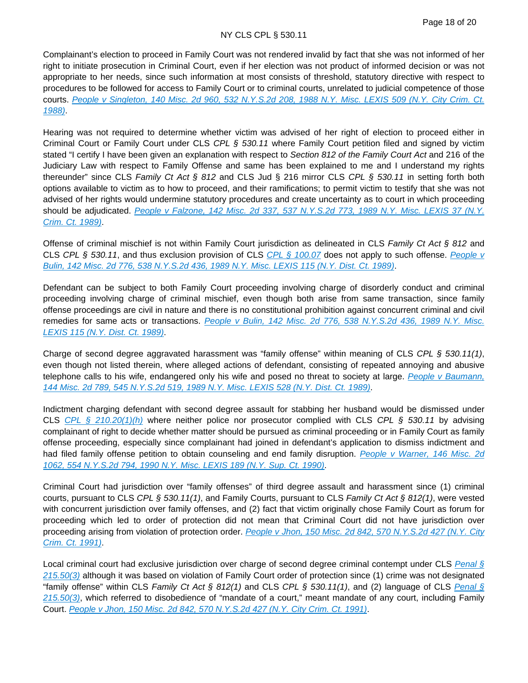Complainant's election to proceed in Family Court was not rendered invalid by fact that she was not informed of her right to initiate prosecution in Criminal Court, even if her election was not product of informed decision or was not appropriate to her needs, since such information at most consists of threshold, statutory directive with respect to procedures to be followed for access to Family Court or to criminal courts, unrelated to judicial competence of those courts. [People v Singleton, 140 Misc. 2d 960, 532 N.Y.S.2d 208, 1988 N.Y. Misc. LEXIS 509 \(N.Y. City Crim. Ct.](https://advance.lexis.com/api/document?collection=cases&id=urn:contentItem:3S3K-2KN0-003D-G2C3-00000-00&context=)  [1988\)](https://advance.lexis.com/api/document?collection=cases&id=urn:contentItem:3S3K-2KN0-003D-G2C3-00000-00&context=).

Hearing was not required to determine whether victim was advised of her right of election to proceed either in Criminal Court or Family Court under CLS CPL § 530.11 where Family Court petition filed and signed by victim stated "I certify I have been given an explanation with respect to Section 812 of the Family Court Act and 216 of the Judiciary Law with respect to Family Offense and same has been explained to me and I understand my rights thereunder" since CLS Family Ct Act § 812 and CLS Jud § 216 mirror CLS CPL § 530.11 in setting forth both options available to victim as to how to proceed, and their ramifications; to permit victim to testify that she was not advised of her rights would undermine statutory procedures and create uncertainty as to court in which proceeding should be adjudicated. People v Falzone, 142 Misc. 2d 337, 537 N.Y.S.2d 773, 1989 N.Y. Misc. LEXIS 37 (N.Y. [Crim. Ct. 1989\)](https://advance.lexis.com/api/document?collection=cases&id=urn:contentItem:3S2R-BH10-003V-B350-00000-00&context=).

Offense of criminal mischief is not within Family Court jurisdiction as delineated in CLS Family Ct Act  $\S$  812 and CLS CPL § 530.11, and thus exclusion provision of CLS [CPL § 100.07](https://advance.lexis.com/api/document?collection=statutes-legislation&id=urn:contentItem:8SSW-JWY2-D6RV-H4FW-00000-00&context=) does not apply to such offense. People v [Bulin, 142 Misc. 2d 776, 538 N.Y.S.2d 436, 1989 N.Y. Misc. LEXIS 115 \(N.Y. Dist. Ct. 1989\)](https://advance.lexis.com/api/document?collection=cases&id=urn:contentItem:3S2R-BF00-003V-B0MF-00000-00&context=).

Defendant can be subject to both Family Court proceeding involving charge of disorderly conduct and criminal proceeding involving charge of criminal mischief, even though both arise from same transaction, since family offense proceedings are civil in nature and there is no constitutional prohibition against concurrent criminal and civil remedies for same acts or transactions. People v Bulin, 142 Misc. 2d 776, 538 N.Y.S.2d 436, 1989 N.Y. Misc. [LEXIS 115 \(N.Y. Dist. Ct. 1989\)](https://advance.lexis.com/api/document?collection=cases&id=urn:contentItem:3S2R-BF00-003V-B0MF-00000-00&context=).

Charge of second degree aggravated harassment was "family offense" within meaning of CLS CPL § 530.11(1), even though not listed therein, where alleged actions of defendant, consisting of repeated annoying and abusive telephone calls to his wife, endangered only his wife and posed no threat to society at large. People v Baumann, [144 Misc. 2d 789, 545 N.Y.S.2d 519, 1989 N.Y. Misc. LEXIS 528 \(N.Y. Dist. Ct. 1989\)](https://advance.lexis.com/api/document?collection=cases&id=urn:contentItem:3S2R-B140-003V-B260-00000-00&context=).

Indictment charging defendant with second degree assault for stabbing her husband would be dismissed under CLS [CPL § 210.20\(1\)\(h\)](https://advance.lexis.com/api/document?collection=statutes-legislation&id=urn:contentItem:5CT2-YTD1-6RDJ-8474-00000-00&context=) where neither police nor prosecutor complied with CLS CPL § 530.11 by advising complainant of right to decide whether matter should be pursued as criminal proceeding or in Family Court as family offense proceeding, especially since complainant had joined in defendant's application to dismiss indictment and had filed family offense petition to obtain counseling and end family disruption. People v Warner, 146 Misc. 2d [1062, 554 N.Y.S.2d 794, 1990 N.Y. Misc. LEXIS 189 \(N.Y. Sup. Ct. 1990\)](https://advance.lexis.com/api/document?collection=cases&id=urn:contentItem:3S2R-9GM0-003V-B17K-00000-00&context=).

Criminal Court had jurisdiction over "family offenses" of third degree assault and harassment since (1) criminal courts, pursuant to CLS CPL § 530.11(1), and Family Courts, pursuant to CLS Family Ct Act § 812(1), were vested with concurrent jurisdiction over family offenses, and (2) fact that victim originally chose Family Court as forum for proceeding which led to order of protection did not mean that Criminal Court did not have jurisdiction over proceeding arising from violation of protection order. People v Jhon, 150 Misc. 2d 842, 570 N.Y.S.2d 427 (N.Y. City [Crim. Ct. 1991\)](https://advance.lexis.com/api/document?collection=cases&id=urn:contentItem:3S2R-8R50-003V-B1YC-00000-00&context=).

Local criminal court had exclusive jurisdiction over charge of second degree criminal contempt under CLS Penal §  $215.50(3)$  although it was based on violation of Family Court order of protection since (1) crime was not designated "family offense" within CLS Family Ct Act § 812(1) and CLS CPL § 530.11(1), and (2) language of CLS Penal §  $215.50(3)$ , which referred to disobedience of "mandate of a court," meant mandate of any court, including Family Court. [People v Jhon, 150 Misc. 2d 842, 570 N.Y.S.2d 427 \(N.Y. City Crim. Ct. 1991\)](https://advance.lexis.com/api/document?collection=cases&id=urn:contentItem:3S2R-8R50-003V-B1YC-00000-00&context=).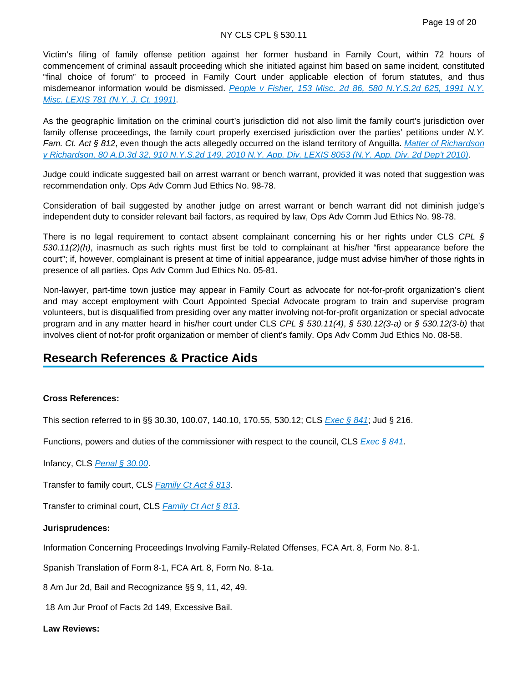Victim's filing of family offense petition against her former husband in Family Court, within 72 hours of commencement of criminal assault proceeding which she initiated against him based on same incident, constituted "final choice of forum" to proceed in Family Court under applicable election of forum statutes, and thus misdemeanor information would be dismissed. People v Fisher, 153 Misc. 2d 86, 580 N.Y.S.2d 625, 1991 N.Y. [Misc. LEXIS 781 \(N.Y. J. Ct. 1991\)](https://advance.lexis.com/api/document?collection=cases&id=urn:contentItem:3S2R-8650-003V-B1SD-00000-00&context=).

As the geographic limitation on the criminal court's jurisdiction did not also limit the family court's jurisdiction over family offense proceedings, the family court properly exercised jurisdiction over the parties' petitions under N.Y. Fam. Ct. Act  $\S 812$ , even though the acts allegedly occurred on the island territory of Anguilla. Matter of Richardson [v Richardson, 80 A.D.3d 32, 910 N.Y.S.2d 149, 2010 N.Y. App. Div. LEXIS 8053 \(N.Y. App. Div. 2d Dep't 2010\)](https://advance.lexis.com/api/document?collection=cases&id=urn:contentItem:51D7-XKF1-F04J-71M2-00000-00&context=).

Judge could indicate suggested bail on arrest warrant or bench warrant, provided it was noted that suggestion was recommendation only. Ops Adv Comm Jud Ethics No. 98-78.

Consideration of bail suggested by another judge on arrest warrant or bench warrant did not diminish judge's independent duty to consider relevant bail factors, as required by law, Ops Adv Comm Jud Ethics No. 98-78.

There is no legal requirement to contact absent complainant concerning his or her rights under CLS CPL §  $530.11(2)$ (h), inasmuch as such rights must first be told to complainant at his/her "first appearance before the court"; if, however, complainant is present at time of initial appearance, judge must advise him/her of those rights in presence of all parties. Ops Adv Comm Jud Ethics No. 05-81.

Non-lawyer, part-time town justice may appear in Family Court as advocate for not-for-profit organization's client and may accept employment with Court Appointed Special Advocate program to train and supervise program volunteers, but is disqualified from presiding over any matter involving not-for-profit organization or special advocate program and in any matter heard in his/her court under CLS CPL § 530.11(4), § 530.12(3-a) or § 530.12(3-b) that involves client of not-for profit organization or member of client's family. Ops Adv Comm Jud Ethics No. 08-58.

# **Research References & Practice Aids**

#### **Cross References:**

This section referred to in §§ 30.30, 100.07, 140.10, 170.55, 530.12; CLS *[Exec § 841](https://advance.lexis.com/api/document?collection=statutes-legislation&id=urn:contentItem:5CT3-0SG1-6RDJ-8522-00000-00&context=)*; Jud § 216.

Functions, powers and duties of the commissioner with respect to the council, CLS Exec  $\S 841$ .

Infancy, CLS [Penal § 30.00](https://advance.lexis.com/api/document?collection=statutes-legislation&id=urn:contentItem:8MWD-MR52-8T6X-7140-00000-00&context=).

Transfer to family court, CLS Family Ct Act  $\S 813$ .

Transfer to criminal court, CLS  $F_{\text{amily}}$  Ct Act § 813.

#### **Jurisprudences:**

Information Concerning Proceedings Involving Family-Related Offenses, FCA Art. 8, Form No. 8-1.

Spanish Translation of Form 8-1, FCA Art. 8, Form No. 8-1a.

8 Am Jur 2d, Bail and Recognizance §§ 9, 11, 42, 49.

18 Am Jur Proof of Facts 2d 149, Excessive Bail.

#### **Law Reviews:**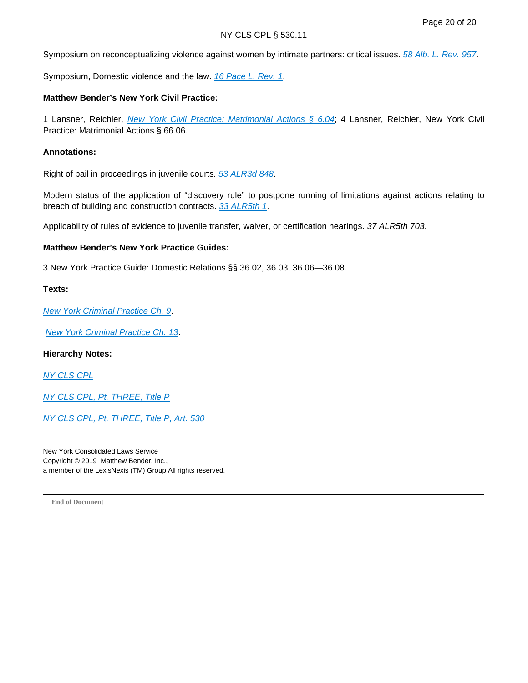Symposium on reconceptualizing violence against women by intimate partners: critical issues. [58 Alb. L. Rev. 957](https://advance.lexis.com/api/document?collection=analytical-materials&id=urn:contentItem:3S3T-W1M0-00CW-207F-00000-00&context=).

Symposium, Domestic violence and the law. [16 Pace L. Rev. 1](https://advance.lexis.com/api/document?collection=analytical-materials&id=urn:contentItem:3S3T-VCF0-00CV-R12R-00000-00&context=).

#### **Matthew Bender's New York Civil Practice:**

1 Lansner, Reichler, [New York Civil Practice: Matrimonial Actions § 6.04](https://advance.lexis.com/api/document?collection=analytical-materials&id=urn:contentItem:528Y-XXF0-R03N-B54D-00000-00&context=); 4 Lansner, Reichler, New York Civil Practice: Matrimonial Actions § 66.06.

## **Annotations:**

Right of bail in proceedings in juvenile courts. [53 ALR3d 848](https://advance.lexis.com/api/document?collection=analytical-materials&id=urn:contentItem:5TVG-5GH0-00CM-M451-00000-00&context=).

Modern status of the application of "discovery rule" to postpone running of limitations against actions relating to breach of building and construction contracts. [33 ALR5th 1](https://advance.lexis.com/api/document?collection=analytical-materials&id=urn:contentItem:5T0X-YJF0-00CR-649P-00000-00&context=).

Applicability of rules of evidence to juvenile transfer, waiver, or certification hearings. 37 ALR5th 703.

#### **Matthew Bender's New York Practice Guides:**

3 New York Practice Guide: Domestic Relations §§ 36.02, 36.03, 36.06—36.08.

#### **Texts:**

[New York Criminal Practice Ch. 9](https://advance.lexis.com/api/document?collection=analytical-materials&id=urn:contentItem:4JSX-JBR0-R03M-J338-00000-00&context=).

[New York Criminal Practice Ch. 13](https://advance.lexis.com/api/document?collection=analytical-materials&id=urn:contentItem:4JSX-JH20-R03N-G4K8-00000-00&context=).

#### **Hierarchy Notes:**

[NY CLS CPL](https://advance.lexis.com/api/document?collection=statutes-legislation&id=urn:contentItem:5CT2-YTD1-6RDJ-83Y5-00000-00&context=)

[NY CLS CPL, Pt. THREE, Title P](https://advance.lexis.com/api/document?collection=statutes-legislation&id=urn:contentItem:5CT2-YTD1-6RDJ-84HP-00000-00&context=)

[NY CLS CPL, Pt. THREE, Title P, Art. 530](https://advance.lexis.com/api/document?collection=statutes-legislation&id=urn:contentItem:5CT2-YTD1-6RDJ-84J8-00000-00&context=)

New York Consolidated Laws Service Copyright © 2019 Matthew Bender, Inc., a member of the LexisNexis (TM) Group All rights reserved.

**End of Document**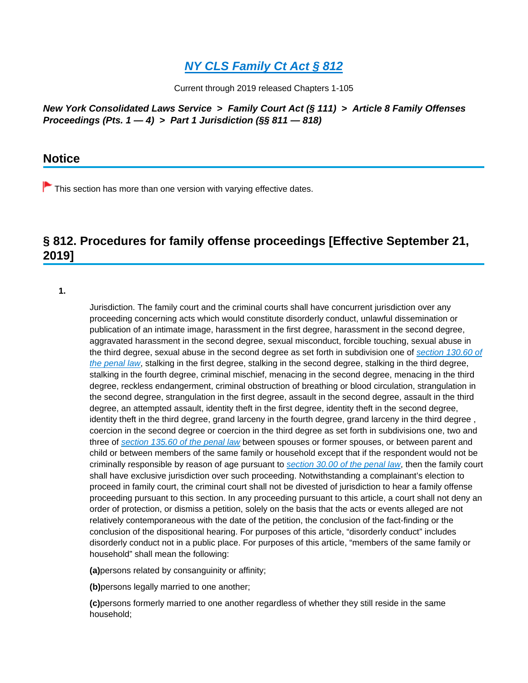# **[NY CLS Family Ct Act § 812](https://advance.lexis.com/api/document?collection=statutes-legislation&id=urn:contentItem:8W31-F482-D6RV-H41B-00000-00&context=)**

Current through 2019 released Chapters 1-105

**New York Consolidated Laws Service > Family Court Act (§ 111) > Article 8 Family Offenses Proceedings (Pts. 1 — 4) > Part 1 Jurisdiction (§§ 811 — 818)**

# **Notice**

 $\blacktriangleright$  This section has more than one version with varying effective dates.

# **§ 812. Procedures for family offense proceedings [Effective September 21, 2019]**

**1.**

Jurisdiction. The family court and the criminal courts shall have concurrent jurisdiction over any proceeding concerning acts which would constitute disorderly conduct, unlawful dissemination or publication of an intimate image, harassment in the first degree, harassment in the second degree, aggravated harassment in the second degree, sexual misconduct, forcible touching, sexual abuse in the third degree, sexual abuse in the second degree as set forth in subdivision one of section 130.60 of [the penal law](https://advance.lexis.com/api/document?collection=statutes-legislation&id=urn:contentItem:5CT3-1N21-6RDJ-854G-00000-00&context=), stalking in the first degree, stalking in the second degree, stalking in the third degree, stalking in the fourth degree, criminal mischief, menacing in the second degree, menacing in the third degree, reckless endangerment, criminal obstruction of breathing or blood circulation, strangulation in the second degree, strangulation in the first degree, assault in the second degree, assault in the third degree, an attempted assault, identity theft in the first degree, identity theft in the second degree, identity theft in the third degree, grand larceny in the fourth degree, grand larceny in the third degree , coercion in the second degree or coercion in the third degree as set forth in subdivisions one, two and three of [section 135.60 of the penal law](https://advance.lexis.com/api/document?collection=statutes-legislation&id=urn:contentItem:8RGK-5R62-D6RV-H39B-00000-00&context=) between spouses or former spouses, or between parent and child or between members of the same family or household except that if the respondent would not be criminally responsible by reason of age pursuant to [section 30.00 of the penal law](https://advance.lexis.com/api/document?collection=statutes-legislation&id=urn:contentItem:8MWD-MR52-8T6X-7140-00000-00&context=), then the family court shall have exclusive jurisdiction over such proceeding. Notwithstanding a complainant's election to proceed in family court, the criminal court shall not be divested of jurisdiction to hear a family offense proceeding pursuant to this section. In any proceeding pursuant to this article, a court shall not deny an order of protection, or dismiss a petition, solely on the basis that the acts or events alleged are not relatively contemporaneous with the date of the petition, the conclusion of the fact-finding or the conclusion of the dispositional hearing. For purposes of this article, "disorderly conduct" includes disorderly conduct not in a public place. For purposes of this article, "members of the same family or household" shall mean the following:

**(a)**persons related by consanguinity or affinity;

**(b)**persons legally married to one another;

**(c)**persons formerly married to one another regardless of whether they still reside in the same household;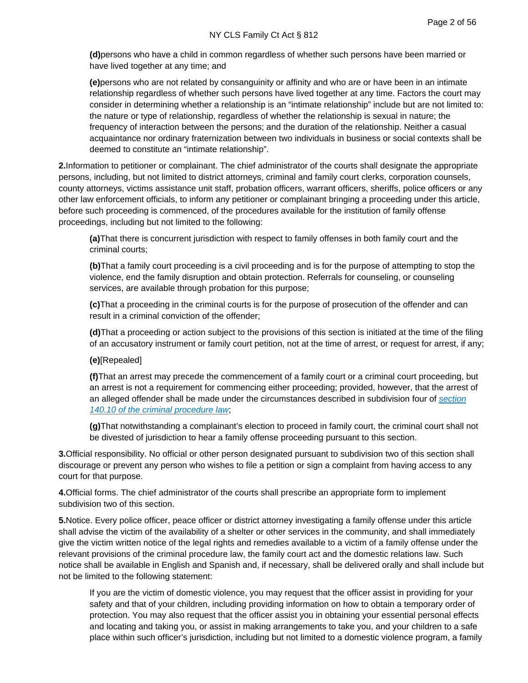**(d)**persons who have a child in common regardless of whether such persons have been married or have lived together at any time; and

**(e)**persons who are not related by consanguinity or affinity and who are or have been in an intimate relationship regardless of whether such persons have lived together at any time. Factors the court may consider in determining whether a relationship is an "intimate relationship" include but are not limited to: the nature or type of relationship, regardless of whether the relationship is sexual in nature; the frequency of interaction between the persons; and the duration of the relationship. Neither a casual acquaintance nor ordinary fraternization between two individuals in business or social contexts shall be deemed to constitute an "intimate relationship".

**2.**Information to petitioner or complainant. The chief administrator of the courts shall designate the appropriate persons, including, but not limited to district attorneys, criminal and family court clerks, corporation counsels, county attorneys, victims assistance unit staff, probation officers, warrant officers, sheriffs, police officers or any other law enforcement officials, to inform any petitioner or complainant bringing a proceeding under this article, before such proceeding is commenced, of the procedures available for the institution of family offense proceedings, including but not limited to the following:

**(a)**That there is concurrent jurisdiction with respect to family offenses in both family court and the criminal courts;

**(b)**That a family court proceeding is a civil proceeding and is for the purpose of attempting to stop the violence, end the family disruption and obtain protection. Referrals for counseling, or counseling services, are available through probation for this purpose;

**(c)**That a proceeding in the criminal courts is for the purpose of prosecution of the offender and can result in a criminal conviction of the offender;

**(d)**That a proceeding or action subject to the provisions of this section is initiated at the time of the filing of an accusatory instrument or family court petition, not at the time of arrest, or request for arrest, if any;

#### **(e)**[Repealed]

**(f)**That an arrest may precede the commencement of a family court or a criminal court proceeding, but an arrest is not a requirement for commencing either proceeding; provided, however, that the arrest of an alleged offender shall be made under the circumstances described in subdivision four of section [140.10 of the criminal procedure law](https://advance.lexis.com/api/document?collection=statutes-legislation&id=urn:contentItem:5HFT-8XC1-DXC8-0157-00000-00&context=);

**(g)**That notwithstanding a complainant's election to proceed in family court, the criminal court shall not be divested of jurisdiction to hear a family offense proceeding pursuant to this section.

**3.**Official responsibility. No official or other person designated pursuant to subdivision two of this section shall discourage or prevent any person who wishes to file a petition or sign a complaint from having access to any court for that purpose.

**4.**Official forms. The chief administrator of the courts shall prescribe an appropriate form to implement subdivision two of this section.

**5.**Notice. Every police officer, peace officer or district attorney investigating a family offense under this article shall advise the victim of the availability of a shelter or other services in the community, and shall immediately give the victim written notice of the legal rights and remedies available to a victim of a family offense under the relevant provisions of the criminal procedure law, the family court act and the domestic relations law. Such notice shall be available in English and Spanish and, if necessary, shall be delivered orally and shall include but not be limited to the following statement:

If you are the victim of domestic violence, you may request that the officer assist in providing for your safety and that of your children, including providing information on how to obtain a temporary order of protection. You may also request that the officer assist you in obtaining your essential personal effects and locating and taking you, or assist in making arrangements to take you, and your children to a safe place within such officer's jurisdiction, including but not limited to a domestic violence program, a family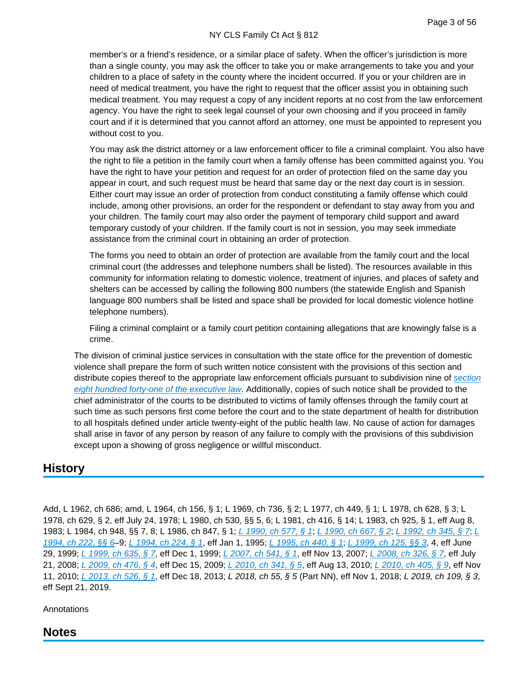#### NY CLS Family Ct Act § 812

member's or a friend's residence, or a similar place of safety. When the officer's jurisdiction is more than a single county, you may ask the officer to take you or make arrangements to take you and your children to a place of safety in the county where the incident occurred. If you or your children are in need of medical treatment, you have the right to request that the officer assist you in obtaining such medical treatment. You may request a copy of any incident reports at no cost from the law enforcement agency. You have the right to seek legal counsel of your own choosing and if you proceed in family court and if it is determined that you cannot afford an attorney, one must be appointed to represent you without cost to you.

You may ask the district attorney or a law enforcement officer to file a criminal complaint. You also have the right to file a petition in the family court when a family offense has been committed against you. You have the right to have your petition and request for an order of protection filed on the same day you appear in court, and such request must be heard that same day or the next day court is in session. Either court may issue an order of protection from conduct constituting a family offense which could include, among other provisions, an order for the respondent or defendant to stay away from you and your children. The family court may also order the payment of temporary child support and award temporary custody of your children. If the family court is not in session, you may seek immediate assistance from the criminal court in obtaining an order of protection.

The forms you need to obtain an order of protection are available from the family court and the local criminal court (the addresses and telephone numbers shall be listed). The resources available in this community for information relating to domestic violence, treatment of injuries, and places of safety and shelters can be accessed by calling the following 800 numbers (the statewide English and Spanish language 800 numbers shall be listed and space shall be provided for local domestic violence hotline telephone numbers).

Filing a criminal complaint or a family court petition containing allegations that are knowingly false is a crime.

The division of criminal justice services in consultation with the state office for the prevention of domestic violence shall prepare the form of such written notice consistent with the provisions of this section and distribute copies thereof to the appropriate law enforcement officials pursuant to subdivision nine of section [eight hundred forty-one of the executive law](https://advance.lexis.com/api/document?collection=statutes-legislation&id=urn:contentItem:5CT3-0SG1-6RDJ-8522-00000-00&context=). Additionally, copies of such notice shall be provided to the chief administrator of the courts to be distributed to victims of family offenses through the family court at such time as such persons first come before the court and to the state department of health for distribution to all hospitals defined under article twenty-eight of the public health law. No cause of action for damages shall arise in favor of any person by reason of any failure to comply with the provisions of this subdivision except upon a showing of gross negligence or willful misconduct.

# **History**

Add, L 1962, ch 686; amd, L 1964, ch 156, § 1; L 1969, ch 736, § 2; L 1977, ch 449, § 1; L 1978, ch 628, § 3; L 1978, ch 629, § 2, eff July 24, 1978; L 1980, ch 530, §§ 5, 6; L 1981, ch 416, § 14; L 1983, ch 925, § 1, eff Aug 8, 1983; L 1984, ch 948, §§ 7, 8; L 1986, ch 847, § 1; [L 1990, ch 577, § 1](https://advance.lexis.com/api/document?collection=statutes-legislation&id=urn:contentItem:3SYG-9GF0-003Y-V256-00000-00&context=); [L 1990, ch 667, § 2](https://advance.lexis.com/api/document?collection=statutes-legislation&id=urn:contentItem:3SYG-9GK0-003Y-V28C-00000-00&context=); [L 1992, ch 345, § 7](https://advance.lexis.com/api/document?collection=statutes-legislation&id=urn:contentItem:3SYG-98B0-003Y-V51N-00000-00&context=); [L](https://advance.lexis.com/api/document?collection=statutes-legislation&id=urn:contentItem:3SYG-8WY0-003Y-V30R-00000-00&context=)  [1994, ch 222, §§ 6](https://advance.lexis.com/api/document?collection=statutes-legislation&id=urn:contentItem:3SYG-8WY0-003Y-V30R-00000-00&context=)–9; [L 1994, ch 224, § 1](https://advance.lexis.com/api/document?collection=statutes-legislation&id=urn:contentItem:3SYG-8X00-003Y-V30T-00000-00&context=), eff Jan 1, 1995; [L 1995, ch 440, § 1](https://advance.lexis.com/api/document?collection=statutes-legislation&id=urn:contentItem:3SYG-8TY0-003Y-V2CP-00000-00&context=); [L 1999, ch 125, §§ 3](https://advance.lexis.com/api/document?collection=statutes-legislation&id=urn:contentItem:3X0K-4340-003Y-V02M-00000-00&context=), 4, eff June 29, 1999; [L 1999, ch 635, § 7](https://advance.lexis.com/api/document?collection=statutes-legislation&id=urn:contentItem:3Y2T-Y630-003Y-V0S7-00000-00&context=), eff Dec 1, 1999; [L 2007, ch 541, § 1](https://advance.lexis.com/api/document?collection=statutes-legislation&id=urn:contentItem:5CWT-BC11-DY1N-W3FR-00000-00&context=), eff Nov 13, 2007; [L 2008, ch 326, § 7](https://advance.lexis.com/api/document?collection=statutes-legislation&id=urn:contentItem:5CWT-BPW1-DY1N-W4T4-00000-00&context=), eff July 21, 2008; [L 2009, ch 476, § 4](https://advance.lexis.com/api/document?collection=statutes-legislation&id=urn:contentItem:5CWT-C231-DY1N-W2P0-00000-00&context=), eff Dec 15, 2009; [L 2010, ch 341, § 5](https://advance.lexis.com/api/document?collection=statutes-legislation&id=urn:contentItem:5CWT-C521-DY1N-W0ST-00000-00&context=), eff Aug 13, 2010; [L 2010, ch 405, § 9](https://advance.lexis.com/api/document?collection=statutes-legislation&id=urn:contentItem:5CWT-C561-DY1N-W1YT-00000-00&context=), eff Nov 11, 2010; [L 2013, ch 526, § 1](https://advance.lexis.com/api/document?collection=statutes-legislation&id=urn:contentItem:5CWT-C5F1-DY1N-W4TP-00000-00&context=), eff Dec 18, 2013; L 2018, ch 55, § 5 (Part NN), eff Nov 1, 2018; L 2019, ch 109, § 3, eff Sept 21, 2019.

Annotations

# **Notes**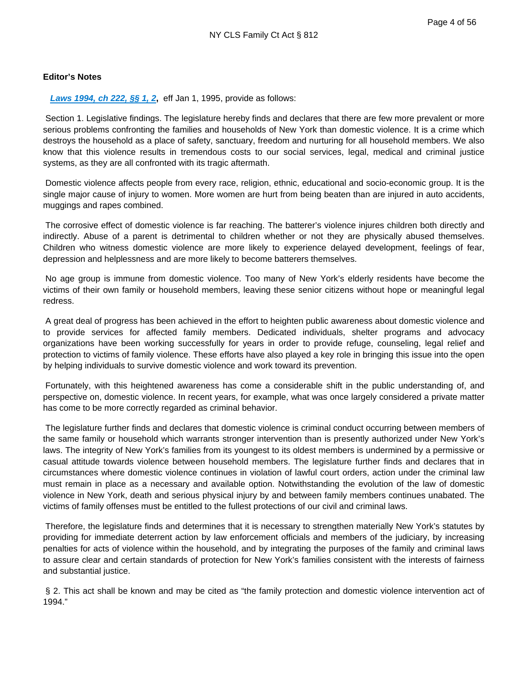## **Editor's Notes**

**[Laws 1994, ch 222, §§ 1, 2](https://advance.lexis.com/api/document?collection=statutes-legislation&id=urn:contentItem:3SYG-8WY0-003Y-V30R-00000-00&context=),** eff Jan 1, 1995, provide as follows:

 Section 1. Legislative findings. The legislature hereby finds and declares that there are few more prevalent or more serious problems confronting the families and households of New York than domestic violence. It is a crime which destroys the household as a place of safety, sanctuary, freedom and nurturing for all household members. We also know that this violence results in tremendous costs to our social services, legal, medical and criminal justice systems, as they are all confronted with its tragic aftermath.

 Domestic violence affects people from every race, religion, ethnic, educational and socio-economic group. It is the single major cause of injury to women. More women are hurt from being beaten than are injured in auto accidents, muggings and rapes combined.

 The corrosive effect of domestic violence is far reaching. The batterer's violence injures children both directly and indirectly. Abuse of a parent is detrimental to children whether or not they are physically abused themselves. Children who witness domestic violence are more likely to experience delayed development, feelings of fear, depression and helplessness and are more likely to become batterers themselves.

 No age group is immune from domestic violence. Too many of New York's elderly residents have become the victims of their own family or household members, leaving these senior citizens without hope or meaningful legal redress.

 A great deal of progress has been achieved in the effort to heighten public awareness about domestic violence and to provide services for affected family members. Dedicated individuals, shelter programs and advocacy organizations have been working successfully for years in order to provide refuge, counseling, legal relief and protection to victims of family violence. These efforts have also played a key role in bringing this issue into the open by helping individuals to survive domestic violence and work toward its prevention.

 Fortunately, with this heightened awareness has come a considerable shift in the public understanding of, and perspective on, domestic violence. In recent years, for example, what was once largely considered a private matter has come to be more correctly regarded as criminal behavior.

 The legislature further finds and declares that domestic violence is criminal conduct occurring between members of the same family or household which warrants stronger intervention than is presently authorized under New York's laws. The integrity of New York's families from its youngest to its oldest members is undermined by a permissive or casual attitude towards violence between household members. The legislature further finds and declares that in circumstances where domestic violence continues in violation of lawful court orders, action under the criminal law must remain in place as a necessary and available option. Notwithstanding the evolution of the law of domestic violence in New York, death and serious physical injury by and between family members continues unabated. The victims of family offenses must be entitled to the fullest protections of our civil and criminal laws.

 Therefore, the legislature finds and determines that it is necessary to strengthen materially New York's statutes by providing for immediate deterrent action by law enforcement officials and members of the judiciary, by increasing penalties for acts of violence within the household, and by integrating the purposes of the family and criminal laws to assure clear and certain standards of protection for New York's families consistent with the interests of fairness and substantial justice.

 § 2. This act shall be known and may be cited as "the family protection and domestic violence intervention act of 1994."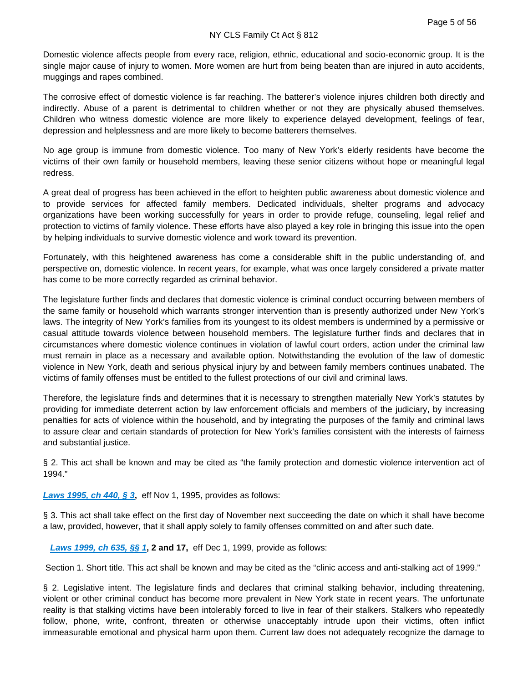Domestic violence affects people from every race, religion, ethnic, educational and socio-economic group. It is the single major cause of injury to women. More women are hurt from being beaten than are injured in auto accidents, muggings and rapes combined.

The corrosive effect of domestic violence is far reaching. The batterer's violence injures children both directly and indirectly. Abuse of a parent is detrimental to children whether or not they are physically abused themselves. Children who witness domestic violence are more likely to experience delayed development, feelings of fear, depression and helplessness and are more likely to become batterers themselves.

No age group is immune from domestic violence. Too many of New York's elderly residents have become the victims of their own family or household members, leaving these senior citizens without hope or meaningful legal redress.

A great deal of progress has been achieved in the effort to heighten public awareness about domestic violence and to provide services for affected family members. Dedicated individuals, shelter programs and advocacy organizations have been working successfully for years in order to provide refuge, counseling, legal relief and protection to victims of family violence. These efforts have also played a key role in bringing this issue into the open by helping individuals to survive domestic violence and work toward its prevention.

Fortunately, with this heightened awareness has come a considerable shift in the public understanding of, and perspective on, domestic violence. In recent years, for example, what was once largely considered a private matter has come to be more correctly regarded as criminal behavior.

The legislature further finds and declares that domestic violence is criminal conduct occurring between members of the same family or household which warrants stronger intervention than is presently authorized under New York's laws. The integrity of New York's families from its youngest to its oldest members is undermined by a permissive or casual attitude towards violence between household members. The legislature further finds and declares that in circumstances where domestic violence continues in violation of lawful court orders, action under the criminal law must remain in place as a necessary and available option. Notwithstanding the evolution of the law of domestic violence in New York, death and serious physical injury by and between family members continues unabated. The victims of family offenses must be entitled to the fullest protections of our civil and criminal laws.

Therefore, the legislature finds and determines that it is necessary to strengthen materially New York's statutes by providing for immediate deterrent action by law enforcement officials and members of the judiciary, by increasing penalties for acts of violence within the household, and by integrating the purposes of the family and criminal laws to assure clear and certain standards of protection for New York's families consistent with the interests of fairness and substantial justice.

§ 2. This act shall be known and may be cited as "the family protection and domestic violence intervention act of 1994."

**[Laws 1995, ch 440, § 3](https://advance.lexis.com/api/document?collection=statutes-legislation&id=urn:contentItem:3SYG-8TY0-003Y-V2CP-00000-00&context=),** eff Nov 1, 1995, provides as follows:

§ 3. This act shall take effect on the first day of November next succeeding the date on which it shall have become a law, provided, however, that it shall apply solely to family offenses committed on and after such date.

**[Laws 1999, ch 635, §§ 1](https://advance.lexis.com/api/document?collection=statutes-legislation&id=urn:contentItem:3Y2T-Y630-003Y-V0S7-00000-00&context=), 2 and 17,** eff Dec 1, 1999, provide as follows:

Section 1. Short title. This act shall be known and may be cited as the "clinic access and anti-stalking act of 1999."

§ 2. Legislative intent. The legislature finds and declares that criminal stalking behavior, including threatening, violent or other criminal conduct has become more prevalent in New York state in recent years. The unfortunate reality is that stalking victims have been intolerably forced to live in fear of their stalkers. Stalkers who repeatedly follow, phone, write, confront, threaten or otherwise unacceptably intrude upon their victims, often inflict immeasurable emotional and physical harm upon them. Current law does not adequately recognize the damage to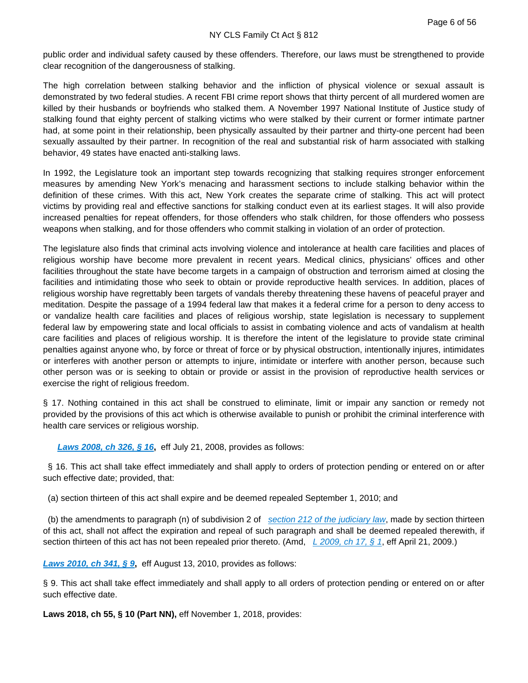public order and individual safety caused by these offenders. Therefore, our laws must be strengthened to provide clear recognition of the dangerousness of stalking.

The high correlation between stalking behavior and the infliction of physical violence or sexual assault is demonstrated by two federal studies. A recent FBI crime report shows that thirty percent of all murdered women are killed by their husbands or boyfriends who stalked them. A November 1997 National Institute of Justice study of stalking found that eighty percent of stalking victims who were stalked by their current or former intimate partner had, at some point in their relationship, been physically assaulted by their partner and thirty-one percent had been sexually assaulted by their partner. In recognition of the real and substantial risk of harm associated with stalking behavior, 49 states have enacted anti-stalking laws.

In 1992, the Legislature took an important step towards recognizing that stalking requires stronger enforcement measures by amending New York's menacing and harassment sections to include stalking behavior within the definition of these crimes. With this act, New York creates the separate crime of stalking. This act will protect victims by providing real and effective sanctions for stalking conduct even at its earliest stages. It will also provide increased penalties for repeat offenders, for those offenders who stalk children, for those offenders who possess weapons when stalking, and for those offenders who commit stalking in violation of an order of protection.

The legislature also finds that criminal acts involving violence and intolerance at health care facilities and places of religious worship have become more prevalent in recent years. Medical clinics, physicians' offices and other facilities throughout the state have become targets in a campaign of obstruction and terrorism aimed at closing the facilities and intimidating those who seek to obtain or provide reproductive health services. In addition, places of religious worship have regrettably been targets of vandals thereby threatening these havens of peaceful prayer and meditation. Despite the passage of a 1994 federal law that makes it a federal crime for a person to deny access to or vandalize health care facilities and places of religious worship, state legislation is necessary to supplement federal law by empowering state and local officials to assist in combating violence and acts of vandalism at health care facilities and places of religious worship. It is therefore the intent of the legislature to provide state criminal penalties against anyone who, by force or threat of force or by physical obstruction, intentionally injures, intimidates or interferes with another person or attempts to injure, intimidate or interfere with another person, because such other person was or is seeking to obtain or provide or assist in the provision of reproductive health services or exercise the right of religious freedom.

§ 17. Nothing contained in this act shall be construed to eliminate, limit or impair any sanction or remedy not provided by the provisions of this act which is otherwise available to punish or prohibit the criminal interference with health care services or religious worship.

**[Laws 2008, ch 326, § 16](https://advance.lexis.com/api/document?collection=statutes-legislation&id=urn:contentItem:5CWT-BPW1-DY1N-W4T4-00000-00&context=),** eff July 21, 2008, provides as follows:

 § 16. This act shall take effect immediately and shall apply to orders of protection pending or entered on or after such effective date; provided, that:

(a) section thirteen of this act shall expire and be deemed repealed September 1, 2010; and

(b) the amendments to paragraph (n) of subdivision 2 of section  $212$  of the judiciary law, made by section thirteen of this act, shall not affect the expiration and repeal of such paragraph and shall be deemed repealed therewith, if section thirteen of this act has not been repealed prior thereto. (Amd,  $\angle L$  2009, ch 17, § 1, eff April 21, 2009.)

**[Laws 2010, ch 341, § 9](https://advance.lexis.com/api/document?collection=statutes-legislation&id=urn:contentItem:5CWT-C521-DY1N-W0ST-00000-00&context=),** eff August 13, 2010, provides as follows:

§ 9. This act shall take effect immediately and shall apply to all orders of protection pending or entered on or after such effective date.

**Laws 2018, ch 55, § 10 (Part NN),** eff November 1, 2018, provides: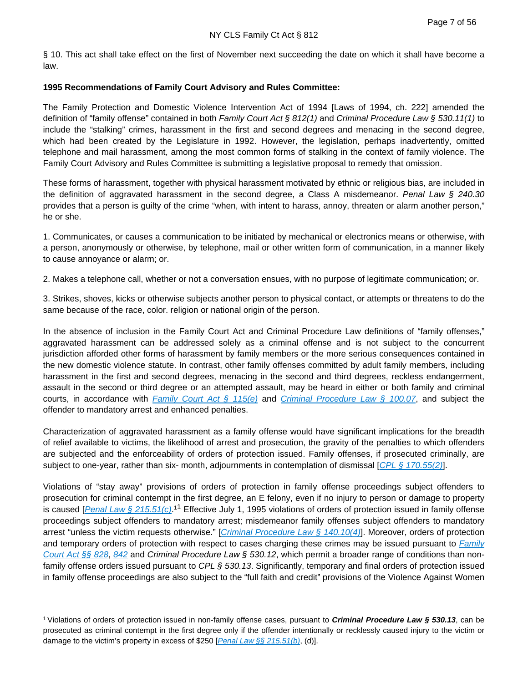§ 10. This act shall take effect on the first of November next succeeding the date on which it shall have become a law.

## **1995 Recommendations of Family Court Advisory and Rules Committee:**

The Family Protection and Domestic Violence Intervention Act of 1994 [Laws of 1994, ch. 222] amended the definition of "family offense" contained in both Family Court Act § 812(1) and Criminal Procedure Law § 530.11(1) to include the "stalking" crimes, harassment in the first and second degrees and menacing in the second degree, which had been created by the Legislature in 1992. However, the legislation, perhaps inadvertently, omitted telephone and mail harassment, among the most common forms of stalking in the context of family violence. The Family Court Advisory and Rules Committee is submitting a legislative proposal to remedy that omission.

These forms of harassment, together with physical harassment motivated by ethnic or religious bias, are included in the definition of aggravated harassment in the second degree, a Class A misdemeanor. Penal Law  $\S$  240.30 provides that a person is guilty of the crime "when, with intent to harass, annoy, threaten or alarm another person," he or she.

1. Communicates, or causes a communication to be initiated by mechanical or electronics means or otherwise, with a person, anonymously or otherwise, by telephone, mail or other written form of communication, in a manner likely to cause annoyance or alarm; or.

2. Makes a telephone call, whether or not a conversation ensues, with no purpose of legitimate communication; or.

3. Strikes, shoves, kicks or otherwise subjects another person to physical contact, or attempts or threatens to do the same because of the race, color. religion or national origin of the person.

In the absence of inclusion in the Family Court Act and Criminal Procedure Law definitions of "family offenses," aggravated harassment can be addressed solely as a criminal offense and is not subject to the concurrent jurisdiction afforded other forms of harassment by family members or the more serious consequences contained in the new domestic violence statute. In contrast, other family offenses committed by adult family members, including harassment in the first and second degrees, menacing in the second and third degrees, reckless endangerment, assault in the second or third degree or an attempted assault, may be heard in either or both family and criminal courts, in accordance with Family Court Act  $\S 115(e)$  and Criminal Procedure Law  $\S 100.07$ , and subject the offender to mandatory arrest and enhanced penalties.

Characterization of aggravated harassment as a family offense would have significant implications for the breadth of relief available to victims, the likelihood of arrest and prosecution, the gravity of the penalties to which offenders are subjected and the enforceability of orders of protection issued. Family offenses, if prosecuted criminally, are subject to one-year, rather than six- month, adjournments in contemplation of dismissal  $[CPL \S 170.55(2)]$ .

Violations of "stay away" provisions of orders of protection in family offense proceedings subject offenders to prosecution for criminal contempt in the first degree, an E felony, even if no injury to person or damage to property is caused [*[Penal Law § 215.51\(c\)](https://advance.lexis.com/api/document?collection=statutes-legislation&id=urn:contentItem:5CT3-1N31-6RDJ-8492-00000-00&context=)*.<sup>11</sup> Effective July 1, 1995 violations of orders of protection issued in family offense proceedings subject offenders to mandatory arrest; misdemeanor family offenses subject offenders to mandatory arrest "unless the victim requests otherwise." [Criminal Procedure Law  $\S$  140.10(4)]. Moreover, orders of protection and temporary orders of protection with respect to cases charging these crimes may be issued pursuant to Family [Court Act §§ 828](https://advance.lexis.com/api/document?collection=statutes-legislation&id=urn:contentItem:5CT3-0VD1-6RDJ-84Y2-00000-00&context=), [842](https://advance.lexis.com/api/document?collection=statutes-legislation&id=urn:contentItem:5CT3-0VD1-6RDJ-84YF-00000-00&context=) and Criminal Procedure Law § 530.12, which permit a broader range of conditions than nonfamily offense orders issued pursuant to CPL  $\S$  530.13. Significantly, temporary and final orders of protection issued in family offense proceedings are also subject to the "full faith and credit" provisions of the Violence Against Women

<sup>1</sup>Violations of orders of protection issued in non-family offense cases, pursuant to **Criminal Procedure Law § 530.13**, can be prosecuted as criminal contempt in the first degree only if the offender intentionally or recklessly caused injury to the victim or damage to the victim's property in excess of \$250  $[Penal Law \S \S 215.51(b), (d)]$ .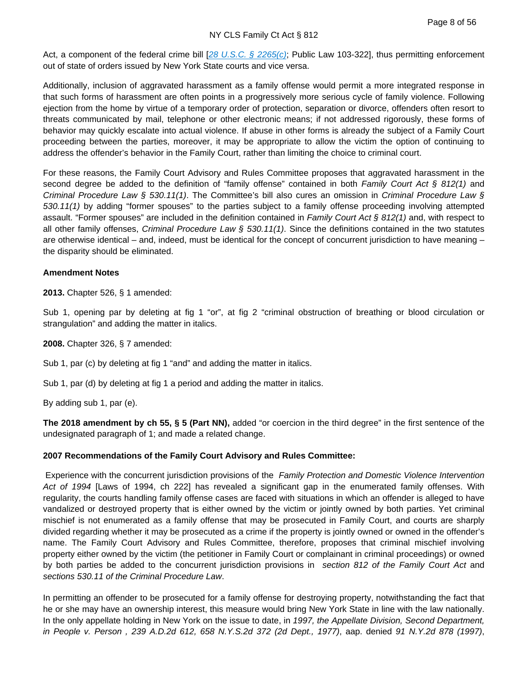Act, a component of the federal crime bill  $[28 \text{ U.S.C.} \S 2265/c]$ ; Public Law 103-322], thus permitting enforcement out of state of orders issued by New York State courts and vice versa.

Additionally, inclusion of aggravated harassment as a family offense would permit a more integrated response in that such forms of harassment are often points in a progressively more serious cycle of family violence. Following ejection from the home by virtue of a temporary order of protection, separation or divorce, offenders often resort to threats communicated by mail, telephone or other electronic means; if not addressed rigorously, these forms of behavior may quickly escalate into actual violence. If abuse in other forms is already the subject of a Family Court proceeding between the parties, moreover, it may be appropriate to allow the victim the option of continuing to address the offender's behavior in the Family Court, rather than limiting the choice to criminal court.

For these reasons, the Family Court Advisory and Rules Committee proposes that aggravated harassment in the second degree be added to the definition of "family offense" contained in both Family Court Act  $\S 812(1)$  and Criminal Procedure Law § 530.11(1). The Committee's bill also cures an omission in Criminal Procedure Law § 530.11(1) by adding "former spouses" to the parties subject to a family offense proceeding involving attempted assault. "Former spouses" are included in the definition contained in Family Court Act  $\S 812(1)$  and, with respect to all other family offenses, Criminal Procedure Law  $\S$  530.11(1). Since the definitions contained in the two statutes are otherwise identical – and, indeed, must be identical for the concept of concurrent jurisdiction to have meaning – the disparity should be eliminated.

## **Amendment Notes**

**2013.** Chapter 526, § 1 amended:

Sub 1, opening par by deleting at fig 1 "or", at fig 2 "criminal obstruction of breathing or blood circulation or strangulation" and adding the matter in italics.

**2008.** Chapter 326, § 7 amended:

Sub 1, par (c) by deleting at fig 1 "and" and adding the matter in italics.

Sub 1, par (d) by deleting at fig 1 a period and adding the matter in italics.

By adding sub 1, par (e).

**The 2018 amendment by ch 55, § 5 (Part NN),** added "or coercion in the third degree" in the first sentence of the undesignated paragraph of 1; and made a related change.

# **2007 Recommendations of the Family Court Advisory and Rules Committee:**

 Experience with the concurrent jurisdiction provisions of the Family Protection and Domestic Violence Intervention Act of 1994 [Laws of 1994, ch 222] has revealed a significant gap in the enumerated family offenses. With regularity, the courts handling family offense cases are faced with situations in which an offender is alleged to have vandalized or destroyed property that is either owned by the victim or jointly owned by both parties. Yet criminal mischief is not enumerated as a family offense that may be prosecuted in Family Court, and courts are sharply divided regarding whether it may be prosecuted as a crime if the property is jointly owned or owned in the offender's name. The Family Court Advisory and Rules Committee, therefore, proposes that criminal mischief involving property either owned by the victim (the petitioner in Family Court or complainant in criminal proceedings) or owned by both parties be added to the concurrent jurisdiction provisions in section 812 of the Family Court Act and sections 530.11 of the Criminal Procedure Law.

In permitting an offender to be prosecuted for a family offense for destroying property, notwithstanding the fact that he or she may have an ownership interest, this measure would bring New York State in line with the law nationally. In the only appellate holding in New York on the issue to date, in 1997, the Appellate Division, Second Department, in People v. Person , 239 A.D.2d 612, 658 N.Y.S.2d 372 (2d Dept., 1977), aap. denied 91 N.Y.2d 878 (1997),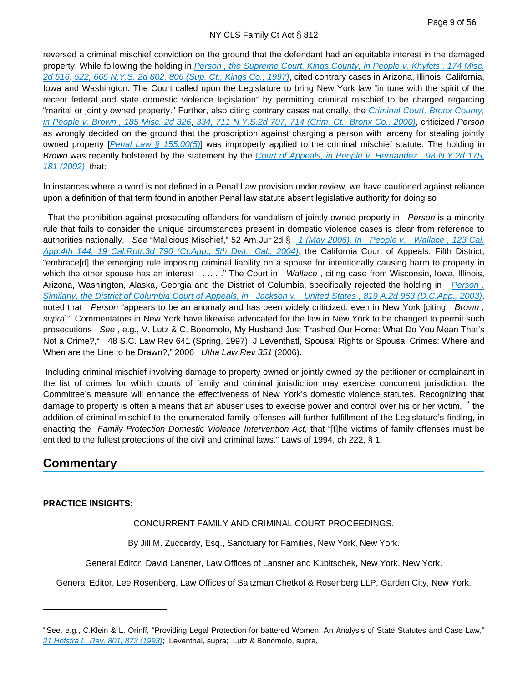## NY CLS Family Ct Act § 812

reversed a criminal mischief conviction on the ground that the defendant had an equitable interest in the damaged property. While following the holding in Person, the Supreme Court, Kings County, in People v. Khyfcts, 174 Misc. [2d 516](https://advance.lexis.com/api/document?collection=cases&id=urn:contentItem:3S16-1YB0-0039-4558-00000-00&context=), [522, 665 N.Y.S. 2d 802, 806 \(Sup. Ct., Kings Co., 1997\)](https://advance.lexis.com/api/document?collection=cases&id=urn:contentItem:3S16-1YB0-0039-4558-00000-00&context=), cited contrary cases in Arizona, Illinois, California, Iowa and Washington. The Court called upon the Legislature to bring New York law "in tune with the spirit of the recent federal and state domestic violence legislation" by permitting criminal mischief to be charged regarding "marital or jointly owned property." Further, also citing contrary cases nationally, the [Criminal Court, Bronx County,](https://advance.lexis.com/api/document?collection=cases&id=urn:contentItem:4101-6T10-0039-452N-00000-00&context=)  [in People v. Brown , 185 Misc. 2d 326](https://advance.lexis.com/api/document?collection=cases&id=urn:contentItem:4101-6T10-0039-452N-00000-00&context=), [334, 711 N.Y.S.2d 707, 714 \(Crim. Ct., Bronx Co., 2000\)](https://advance.lexis.com/api/document?collection=cases&id=urn:contentItem:4101-6T10-0039-452N-00000-00&context=), criticized Person as wrongly decided on the ground that the proscription against charging a person with larceny for stealing jointly owned property [Penal Law  $\S$  155.00(5)] was improperly applied to the criminal mischief statute. The holding in Brown was recently bolstered by the statement by the Court of Appeals, in People v. Hernandez, 98 N.Y.2d 175, [181 \(2002\)](https://advance.lexis.com/api/document?collection=cases&id=urn:contentItem:4627-SBC0-0039-43G6-00000-00&context=), that:

In instances where a word is not defined in a Penal Law provision under review, we have cautioned against reliance upon a definition of that term found in another Penal law statute absent legislative authority for doing so

That the prohibition against prosecuting offenders for vandalism of jointly owned property in Person is a minority rule that fails to consider the unique circumstances present in domestic violence cases is clear from reference to authorities nationally, See "Malicious Mischief," 52 Am Jur 2d § 1 (May 2006). In People v. Wallace, 123 Cal. [App.4th 144, 19 Cal.Rptr.3d 790 \(Ct.App., 5th Dist., Cal., 2004\)](https://advance.lexis.com/api/document?collection=cases&id=urn:contentItem:4DKD-PCW0-0039-40T3-00000-00&context=), the California Court of Appeals, Fifth District, "embrace[d] the emerging rule imposing criminal liability on a spouse for intentionally causing harm to property in which the other spouse has an interest . . . . . . " The Court in Wallace, citing case from Wisconsin, Iowa, Illinois, Arizona, Washington, Alaska, Georgia and the District of Columbia, specifically rejected the holding in Person. [Similarly, the District of Columbia Court of Appeals, in Jackson v. United States , 819 A.2d 963 \(D.C.App., 2003\)](https://advance.lexis.com/api/document?collection=cases&id=urn:contentItem:487M-G2N0-0039-44NH-00000-00&context=), noted that Person "appears to be an anomaly and has been widely criticized, even in New York [citing Brown, supra]". Commentators in New York have likewise advocated for the law in New York to be changed to permit such prosecutions See , e.g., V. Lutz & C. Bonomolo, My Husband Just Trashed Our Home: What Do You Mean That's Not a Crime?," 48 S.C. Law Rev 641 (Spring, 1997); J Leventhatl, Spousal Rights or Spousal Crimes: Where and When are the Line to be Drawn?," 2006 Utha Law Rev 351 (2006).

 Including criminal mischief involving damage to property owned or jointly owned by the petitioner or complainant in the list of crimes for which courts of family and criminal jurisdiction may exercise concurrent jurisdiction, the Committee's measure will enhance the effectiveness of New York's domestic violence statutes. Recognizing that damage to property is often a means that an abuser uses to execise power and control over his or her victim,  $\dot{\,}$  the addition of criminal mischief to the enumerated family offenses will further fulfillment of the Legislature's finding, in enacting the Family Protection Domestic Violence Intervention Act, that "[t]he victims of family offenses must be entitled to the fullest protections of the civil and criminal laws." Laws of 1994, ch 222, § 1.

# **Commentary**

# **PRACTICE INSIGHTS:**

CONCURRENT FAMILY AND CRIMINAL COURT PROCEEDINGS.

By Jill M. Zuccardy, Esq., Sanctuary for Families, New York, New York.

General Editor, David Lansner, Law Offices of Lansner and Kubitschek, New York, New York.

General Editor, Lee Rosenberg, Law Offices of Saltzman Chetkof & Rosenberg LLP, Garden City, New York.

<sup>\*</sup> See. e.g., C.Klein & L. Orinff, "Providing Legal Protection for battered Women: An Analysis of State Statutes and Case Law," [21 Hofstra L. Rev. 801, 873 \(1993\)](https://advance.lexis.com/api/document?collection=analytical-materials&id=urn:contentItem:3S3V-47T0-00CW-G39G-00000-01&context=), Leventhal, supra; Lutz & Bonomolo, supra,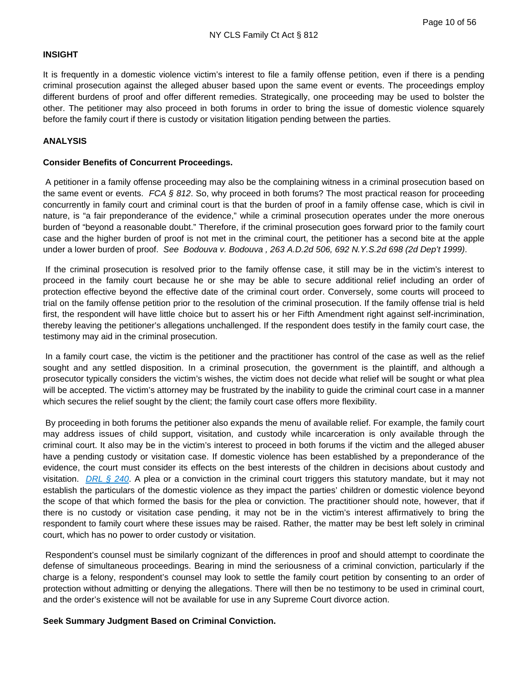## **INSIGHT**

It is frequently in a domestic violence victim's interest to file a family offense petition, even if there is a pending criminal prosecution against the alleged abuser based upon the same event or events. The proceedings employ different burdens of proof and offer different remedies. Strategically, one proceeding may be used to bolster the other. The petitioner may also proceed in both forums in order to bring the issue of domestic violence squarely before the family court if there is custody or visitation litigation pending between the parties.

#### **ANALYSIS**

#### **Consider Benefits of Concurrent Proceedings.**

 A petitioner in a family offense proceeding may also be the complaining witness in a criminal prosecution based on the same event or events.  $FCA \& 812$ . So, why proceed in both forums? The most practical reason for proceeding concurrently in family court and criminal court is that the burden of proof in a family offense case, which is civil in nature, is "a fair preponderance of the evidence," while a criminal prosecution operates under the more onerous burden of "beyond a reasonable doubt." Therefore, if the criminal prosecution goes forward prior to the family court case and the higher burden of proof is not met in the criminal court, the petitioner has a second bite at the apple under a lower burden of proof. See Bodouva v. Bodouva, 263 A.D.2d 506, 692 N.Y.S.2d 698 (2d Dep't 1999).

 If the criminal prosecution is resolved prior to the family offense case, it still may be in the victim's interest to proceed in the family court because he or she may be able to secure additional relief including an order of protection effective beyond the effective date of the criminal court order. Conversely, some courts will proceed to trial on the family offense petition prior to the resolution of the criminal prosecution. If the family offense trial is held first, the respondent will have little choice but to assert his or her Fifth Amendment right against self-incrimination, thereby leaving the petitioner's allegations unchallenged. If the respondent does testify in the family court case, the testimony may aid in the criminal prosecution.

 In a family court case, the victim is the petitioner and the practitioner has control of the case as well as the relief sought and any settled disposition. In a criminal prosecution, the government is the plaintiff, and although a prosecutor typically considers the victim's wishes, the victim does not decide what relief will be sought or what plea will be accepted. The victim's attorney may be frustrated by the inability to guide the criminal court case in a manner which secures the relief sought by the client; the family court case offers more flexibility.

 By proceeding in both forums the petitioner also expands the menu of available relief. For example, the family court may address issues of child support, visitation, and custody while incarceration is only available through the criminal court. It also may be in the victim's interest to proceed in both forums if the victim and the alleged abuser have a pending custody or visitation case. If domestic violence has been established by a preponderance of the evidence, the court must consider its effects on the best interests of the children in decisions about custody and visitation. DRL  $\S 240$ . A plea or a conviction in the criminal court triggers this statutory mandate, but it may not establish the particulars of the domestic violence as they impact the parties' children or domestic violence beyond the scope of that which formed the basis for the plea or conviction. The practitioner should note, however, that if there is no custody or visitation case pending, it may not be in the victim's interest affirmatively to bring the respondent to family court where these issues may be raised. Rather, the matter may be best left solely in criminal court, which has no power to order custody or visitation.

 Respondent's counsel must be similarly cognizant of the differences in proof and should attempt to coordinate the defense of simultaneous proceedings. Bearing in mind the seriousness of a criminal conviction, particularly if the charge is a felony, respondent's counsel may look to settle the family court petition by consenting to an order of protection without admitting or denying the allegations. There will then be no testimony to be used in criminal court, and the order's existence will not be available for use in any Supreme Court divorce action.

#### **Seek Summary Judgment Based on Criminal Conviction.**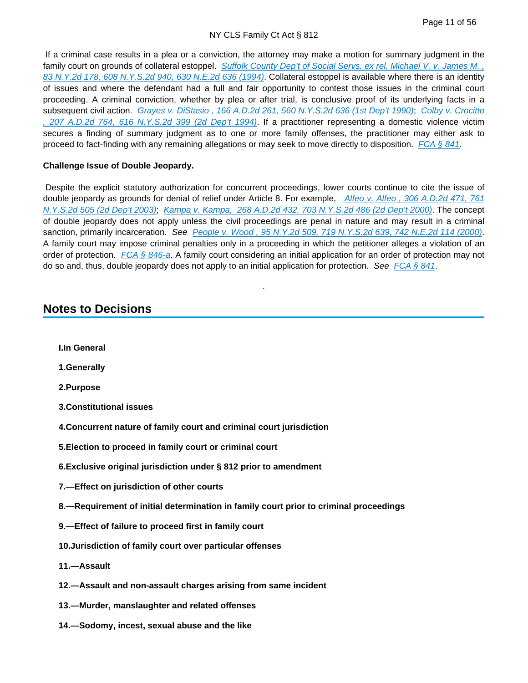#### NY CLS Family Ct Act § 812

 If a criminal case results in a plea or a conviction, the attorney may make a motion for summary judgment in the family court on grounds of collateral estoppel. Suffolk County Dep't of Social Servs. ex rel. Michael V. v. James M., [83 N.Y.2d 178, 608 N.Y.S.2d 940, 630 N.E.2d 636 \(1994\)](https://advance.lexis.com/api/document?collection=cases&id=urn:contentItem:3S2R-72N0-003V-B0DH-00000-00&context=). Collateral estoppel is available where there is an identity of issues and where the defendant had a full and fair opportunity to contest those issues in the criminal court proceeding. A criminal conviction, whether by plea or after trial, is conclusive proof of its underlying facts in a subsequent civil action. Grayes v. DiStasio, 166 A.D.2d 261, 560 N.Y.S.2d 636 (1st Dep't 1990); Colby v. Crocitto [, 207 A.D.2d 764, 616 N.Y.S.2d 399 \(2d Dep't 1994\)](https://advance.lexis.com/api/document?collection=cases&id=urn:contentItem:3S2R-6PB0-003V-B4K9-00000-00&context=). If a practitioner representing a domestic violence victim secures a finding of summary judgment as to one or more family offenses, the practitioner may either ask to proceed to fact-finding with any remaining allegations or may seek to move directly to disposition. [FCA § 841](https://advance.lexis.com/api/document?collection=statutes-legislation&id=urn:contentItem:5CT3-0VD1-6RDJ-84YD-00000-00&context=).

## **Challenge Issue of Double Jeopardy.**

 Despite the explicit statutory authorization for concurrent proceedings, lower courts continue to cite the issue of double jeopardy as grounds for denial of relief under Article 8. For example, *Alfeo v. Alfeo*, 306 A.D.2d 471, 761 [N.Y.S.2d 505 \(2d Dep't 2003\)](https://advance.lexis.com/api/document?collection=cases&id=urn:contentItem:48XS-YC70-0039-42PG-00000-00&context=); [Kampa v. Kampa, 268 A.D.2d 432, 703 N.Y.S.2d 486 \(2d Dep't 2000\)](https://advance.lexis.com/api/document?collection=cases&id=urn:contentItem:3YB4-HBD0-0039-42F8-00000-00&context=). The concept of double jeopardy does not apply unless the civil proceedings are penal in nature and may result in a criminal sanction, primarily incarceration. See People v. Wood, 95 N.Y.2d 509, 719 N.Y.S.2d 639, 742 N.E.2d 114 (2000). A family court may impose criminal penalties only in a proceeding in which the petitioner alleges a violation of an order of protection.  $FCA \& 846-a$ . A family court considering an initial application for an order of protection may not do so and, thus, double jeopardy does not apply to an initial application for protection. See  $FCA \& 841$ .

.

# **Notes to Decisions**

- **I.In General**
- **1.Generally**
- **2.Purpose**
- **3.Constitutional issues**
- **4.Concurrent nature of family court and criminal court jurisdiction**
- **5.Election to proceed in family court or criminal court**
- **6.Exclusive original jurisdiction under § 812 prior to amendment**
- **7.—Effect on jurisdiction of other courts**
- **8.—Requirement of initial determination in family court prior to criminal proceedings**
- **9.—Effect of failure to proceed first in family court**
- **10.Jurisdiction of family court over particular offenses**
- **11.—Assault**
- **12.—Assault and non-assault charges arising from same incident**
- **13.—Murder, manslaughter and related offenses**
- **14.—Sodomy, incest, sexual abuse and the like**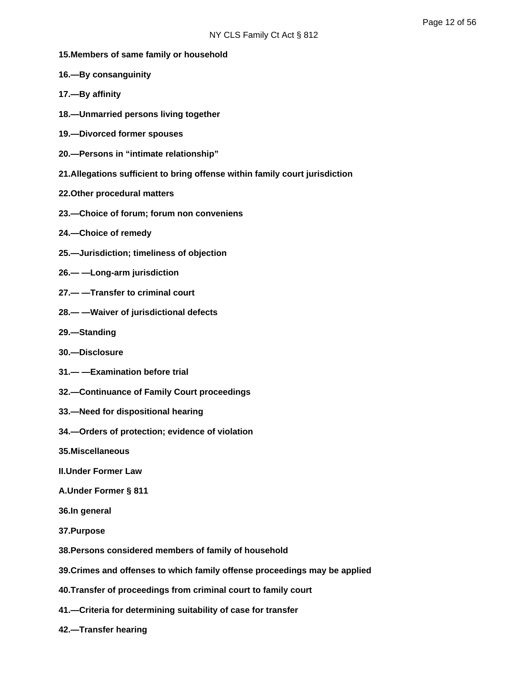#### **15.Members of same family or household**

- **16.—By consanguinity**
- **17.—By affinity**
- **18.—Unmarried persons living together**
- **19.—Divorced former spouses**
- **20.—Persons in "intimate relationship"**
- **21.Allegations sufficient to bring offense within family court jurisdiction**
- **22.Other procedural matters**
- **23.—Choice of forum; forum non conveniens**
- **24.—Choice of remedy**
- **25.—Jurisdiction; timeliness of objection**
- **26.— —Long-arm jurisdiction**
- **27.— —Transfer to criminal court**
- **28.— —Waiver of jurisdictional defects**
- **29.—Standing**
- **30.—Disclosure**
- **31.— —Examination before trial**
- **32.—Continuance of Family Court proceedings**
- **33.—Need for dispositional hearing**
- **34.—Orders of protection; evidence of violation**
- **35.Miscellaneous**
- **II.Under Former Law**
- **A.Under Former § 811**
- **36.In general**
- **37.Purpose**
- **38.Persons considered members of family of household**
- **39.Crimes and offenses to which family offense proceedings may be applied**
- **40.Transfer of proceedings from criminal court to family court**
- **41.—Criteria for determining suitability of case for transfer**
- **42.—Transfer hearing**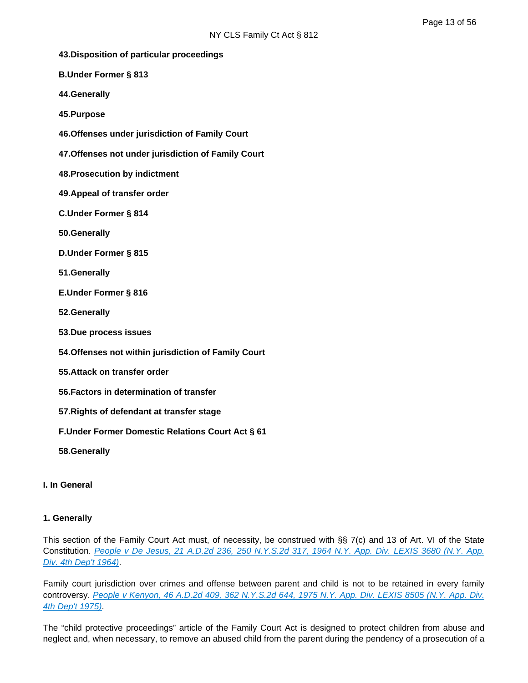- **43.Disposition of particular proceedings**
- **B.Under Former § 813**
- **44.Generally**
- **45.Purpose**
- **46.Offenses under jurisdiction of Family Court**
- **47.Offenses not under jurisdiction of Family Court**
- **48.Prosecution by indictment**
- **49.Appeal of transfer order**
- **C.Under Former § 814**
- **50.Generally**
- **D.Under Former § 815**
- **51.Generally**
- **E.Under Former § 816**
- **52.Generally**
- **53.Due process issues**
- **54.Offenses not within jurisdiction of Family Court**
- **55.Attack on transfer order**
- **56.Factors in determination of transfer**
- **57.Rights of defendant at transfer stage**
- **F.Under Former Domestic Relations Court Act § 61**
- **58.Generally**

# **I. In General**

#### **1. Generally**

This section of the Family Court Act must, of necessity, be construed with §§ 7(c) and 13 of Art. VI of the State Constitution. [People v De Jesus, 21 A.D.2d 236, 250 N.Y.S.2d 317, 1964 N.Y. App. Div. LEXIS 3680 \(N.Y. App.](https://advance.lexis.com/api/document?collection=cases&id=urn:contentItem:3RRT-1HG0-003C-C31K-00000-00&context=)  [Div. 4th Dep't 1964\)](https://advance.lexis.com/api/document?collection=cases&id=urn:contentItem:3RRT-1HG0-003C-C31K-00000-00&context=).

Family court jurisdiction over crimes and offense between parent and child is not to be retained in every family controversy. People v Kenyon, 46 A.D.2d 409, 362 N.Y.S.2d 644, 1975 N.Y. App. Div. LEXIS 8505 (N.Y. App. Div. [4th Dep't 1975\)](https://advance.lexis.com/api/document?collection=cases&id=urn:contentItem:3RRS-G350-003C-F4T1-00000-00&context=).

The "child protective proceedings" article of the Family Court Act is designed to protect children from abuse and neglect and, when necessary, to remove an abused child from the parent during the pendency of a prosecution of a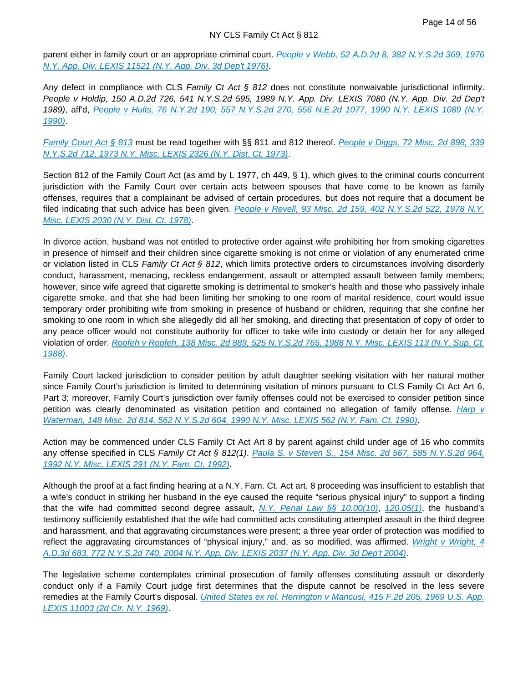parent either in family court or an appropriate criminal court. People v Webb, 52 A.D.2d 8, 382 N.Y.S.2d 369, 1976 [N.Y. App. Div. LEXIS 11521 \(N.Y. App. Div. 3d Dep't 1976\)](https://advance.lexis.com/api/document?collection=cases&id=urn:contentItem:3RRS-FCT0-003C-F2NY-00000-00&context=).

Any defect in compliance with CLS Family Ct Act  $\frac{6}{5}$  812 does not constitute nonwaivable jurisdictional infirmity. People v Holdip, 150 A.D.2d 726, 541 N.Y.S.2d 595, 1989 N.Y. App. Div. LEXIS 7080 (N.Y. App. Div. 2d Dep't 1989), aff'd, [People v Hults, 76 N.Y.2d 190, 557 N.Y.S.2d 270, 556 N.E.2d 1077, 1990 N.Y. LEXIS 1089 \(N.Y.](https://advance.lexis.com/api/document?collection=cases&id=urn:contentItem:3S2R-9DB0-003V-B43D-00000-00&context=)  [1990\)](https://advance.lexis.com/api/document?collection=cases&id=urn:contentItem:3S2R-9DB0-003V-B43D-00000-00&context=).

[Family Court Act § 813](https://advance.lexis.com/api/document?collection=statutes-legislation&id=urn:contentItem:5CT3-0VD1-6RDJ-84XG-00000-00&context=) must be read together with §§ 811 and 812 thereof. People v Diggs, 72 Misc. 2d 898, 339 [N.Y.S.2d 712, 1973 N.Y. Misc. LEXIS 2326 \(N.Y. Dist. Ct. 1973\)](https://advance.lexis.com/api/document?collection=cases&id=urn:contentItem:3RRS-9T30-003C-D311-00000-00&context=).

Section 812 of the Family Court Act (as amd by L 1977, ch 449, § 1), which gives to the criminal courts concurrent jurisdiction with the Family Court over certain acts between spouses that have come to be known as family offenses, requires that a complainant be advised of certain procedures, but does not require that a document be filed indicating that such advice has been given. People v Revell, 93 Misc. 2d 159, 402 N.Y.S.2d 522, 1978 N.Y. [Misc. LEXIS 2030 \(N.Y. Dist. Ct. 1978\)](https://advance.lexis.com/api/document?collection=cases&id=urn:contentItem:3RRS-GRJ0-003C-F40M-00000-00&context=).

In divorce action, husband was not entitled to protective order against wife prohibiting her from smoking cigarettes in presence of himself and their children since cigarette smoking is not crime or violation of any enumerated crime or violation listed in CLS Family Ct Act  $\S 812$ , which limits protective orders to circumstances involving disorderly conduct, harassment, menacing, reckless endangerment, assault or attempted assault between family members; however, since wife agreed that cigarette smoking is detrimental to smoker's health and those who passively inhale cigarette smoke, and that she had been limiting her smoking to one room of marital residence, court would issue temporary order prohibiting wife from smoking in presence of husband or children, requiring that she confine her smoking to one room in which she allegedly did all her smoking, and directing that presentation of copy of order to any peace officer would not constitute authority for officer to take wife into custody or detain her for any alleged violation of order. [Roofeh v Roofeh, 138 Misc. 2d 889, 525 N.Y.S.2d 765, 1988 N.Y. Misc. LEXIS 113 \(N.Y. Sup. Ct.](https://advance.lexis.com/api/document?collection=cases&id=urn:contentItem:3S3K-2MR0-003D-G2VB-00000-00&context=)  [1988\)](https://advance.lexis.com/api/document?collection=cases&id=urn:contentItem:3S3K-2MR0-003D-G2VB-00000-00&context=).

Family Court lacked jurisdiction to consider petition by adult daughter seeking visitation with her natural mother since Family Court's jurisdiction is limited to determining visitation of minors pursuant to CLS Family Ct Act Art 6, Part 3; moreover, Family Court's jurisdiction over family offenses could not be exercised to consider petition since petition was clearly denominated as visitation petition and contained no allegation of family offense. Harp v [Waterman, 148 Misc. 2d 814, 562 N.Y.S.2d 604, 1990 N.Y. Misc. LEXIS 562 \(N.Y. Fam. Ct. 1990\)](https://advance.lexis.com/api/document?collection=cases&id=urn:contentItem:3S2R-91R0-003V-B24D-00000-00&context=).

Action may be commenced under CLS Family Ct Act Art 8 by parent against child under age of 16 who commits any offense specified in CLS Family Ct Act § 812(1). Paula S. v Steven S., 154 Misc. 2d 567, 585 N.Y.S.2d 964, [1992 N.Y. Misc. LEXIS 291 \(N.Y. Fam. Ct. 1992\)](https://advance.lexis.com/api/document?collection=cases&id=urn:contentItem:3S2R-80G0-003V-B2M5-00000-00&context=).

Although the proof at a fact finding hearing at a N.Y. Fam. Ct. Act art. 8 proceeding was insufficient to establish that a wife's conduct in striking her husband in the eye caused the requite "serious physical injury" to support a finding that the wife had committed second degree assault, [N.Y. Penal Law §§ 10.00\(10\)](https://advance.lexis.com/api/document?collection=statutes-legislation&id=urn:contentItem:8VMY-J392-8T6X-70TH-00000-00&context=), [120.05\(1\)](https://advance.lexis.com/api/document?collection=statutes-legislation&id=urn:contentItem:8JX6-8M12-8T6X-730H-00000-00&context=), the husband's testimony sufficiently established that the wife had committed acts constituting attempted assault in the third degree and harassment, and that aggravating circumstances were present; a three year order of protection was modified to reflect the aggravating circumstances of "physical injury," and, as so modified, was affirmed. Wright v Wright, 4 [A.D.3d 683, 772 N.Y.S.2d 740, 2004 N.Y. App. Div. LEXIS 2037 \(N.Y. App. Div. 3d Dep't 2004\)](https://advance.lexis.com/api/document?collection=cases&id=urn:contentItem:4BT3-KHT0-0039-43XK-00000-00&context=).

The legislative scheme contemplates criminal prosecution of family offenses constituting assault or disorderly conduct only if a Family Court judge first determines that the dispute cannot be resolved in the less severe remedies at the Family Court's disposal. *United States ex rel. Herrington v Mancusi, 415 F.2d 205, 1969 U.S. App.* [LEXIS 11003 \(2d Cir. N.Y. 1969\)](https://advance.lexis.com/api/document?collection=cases&id=urn:contentItem:3S4W-SYC0-0039-Y2W0-00000-00&context=).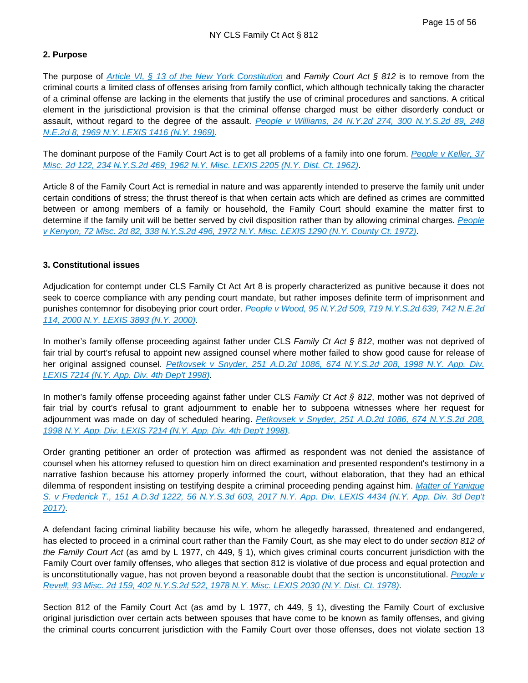# **2. Purpose**

The purpose of [Article VI, § 13 of the New York Constitution](https://advance.lexis.com/api/document?collection=statutes-legislation&id=urn:contentItem:5CT2-JHJ1-DYB7-M51C-00000-00&context=) and Family Court Act § 812 is to remove from the criminal courts a limited class of offenses arising from family conflict, which although technically taking the character of a criminal offense are lacking in the elements that justify the use of criminal procedures and sanctions. A critical element in the jurisdictional provision is that the criminal offense charged must be either disorderly conduct or assault, without regard to the degree of the assault. People v Williams, 24 N.Y.2d 274, 300 N.Y.S.2d 89, 248 [N.E.2d 8, 1969 N.Y. LEXIS 1416 \(N.Y. 1969\)](https://advance.lexis.com/api/document?collection=cases&id=urn:contentItem:3RRS-W2P0-003C-C07H-00000-00&context=).

The dominant purpose of the Family Court Act is to get all problems of a family into one forum. People v Keller, 37 [Misc. 2d 122, 234 N.Y.S.2d 469, 1962 N.Y. Misc. LEXIS 2205 \(N.Y. Dist. Ct. 1962\)](https://advance.lexis.com/api/document?collection=cases&id=urn:contentItem:3RRS-C4T0-003C-D147-00000-00&context=).

Article 8 of the Family Court Act is remedial in nature and was apparently intended to preserve the family unit under certain conditions of stress; the thrust thereof is that when certain acts which are defined as crimes are committed between or among members of a family or household, the Family Court should examine the matter first to determine if the family unit will be better served by civil disposition rather than by allowing criminal charges. People [v Kenyon, 72 Misc. 2d 82, 338 N.Y.S.2d 496, 1972 N.Y. Misc. LEXIS 1290 \(N.Y. County Ct. 1972\)](https://advance.lexis.com/api/document?collection=cases&id=urn:contentItem:3RRS-9TJ0-003C-D34J-00000-00&context=).

# **3. Constitutional issues**

Adjudication for contempt under CLS Family Ct Act Art 8 is properly characterized as punitive because it does not seek to coerce compliance with any pending court mandate, but rather imposes definite term of imprisonment and punishes contemnor for disobeying prior court order. [People v Wood, 95 N.Y.2d 509, 719 N.Y.S.2d 639, 742 N.E.2d](https://advance.lexis.com/api/document?collection=cases&id=urn:contentItem:41Y9-GPB0-0039-411J-00000-00&context=)  [114, 2000 N.Y. LEXIS 3893 \(N.Y. 2000\)](https://advance.lexis.com/api/document?collection=cases&id=urn:contentItem:41Y9-GPB0-0039-411J-00000-00&context=).

In mother's family offense proceeding against father under CLS Family Ct Act § 812, mother was not deprived of fair trial by court's refusal to appoint new assigned counsel where mother failed to show good cause for release of her original assigned counsel. Petkovsek v Snyder, 251 A.D.2d 1086, 674 N.Y.S.2d 208, 1998 N.Y. App. Div. [LEXIS 7214 \(N.Y. App. Div. 4th Dep't 1998\)](https://advance.lexis.com/api/document?collection=cases&id=urn:contentItem:3SYM-DSN0-0039-4173-00000-00&context=).

In mother's family offense proceeding against father under CLS Family Ct Act  $\S 812$ , mother was not deprived of fair trial by court's refusal to grant adjournment to enable her to subpoena witnesses where her request for adjournment was made on day of scheduled hearing. Petkovsek v Snyder, 251 A.D.2d 1086, 674 N.Y.S.2d 208, [1998 N.Y. App. Div. LEXIS 7214 \(N.Y. App. Div. 4th Dep't 1998\)](https://advance.lexis.com/api/document?collection=cases&id=urn:contentItem:3SYM-DSN0-0039-4173-00000-00&context=).

Order granting petitioner an order of protection was affirmed as respondent was not denied the assistance of counsel when his attorney refused to question him on direct examination and presented respondent's testimony in a narrative fashion because his attorney properly informed the court, without elaboration, that they had an ethical dilemma of respondent insisting on testifying despite a criminal proceeding pending against him. Matter of Yanique [S. v Frederick T., 151 A.D.3d 1222, 56 N.Y.S.3d 603, 2017 N.Y. App. Div. LEXIS 4434 \(N.Y. App. Div. 3d Dep't](https://advance.lexis.com/api/document?collection=cases&id=urn:contentItem:5NRG-WJW1-F04J-720H-00000-00&context=)  [2017\)](https://advance.lexis.com/api/document?collection=cases&id=urn:contentItem:5NRG-WJW1-F04J-720H-00000-00&context=).

A defendant facing criminal liability because his wife, whom he allegedly harassed, threatened and endangered, has elected to proceed in a criminal court rather than the Family Court, as she may elect to do under section 812 of the Family Court Act (as amd by L 1977, ch 449, § 1), which gives criminal courts concurrent jurisdiction with the Family Court over family offenses, who alleges that section 812 is violative of due process and equal protection and is unconstitutionally vague, has not proven beyond a reasonable doubt that the section is unconstitutional. People v [Revell, 93 Misc. 2d 159, 402 N.Y.S.2d 522, 1978 N.Y. Misc. LEXIS 2030 \(N.Y. Dist. Ct. 1978\)](https://advance.lexis.com/api/document?collection=cases&id=urn:contentItem:3RRS-GRJ0-003C-F40M-00000-00&context=).

Section 812 of the Family Court Act (as amd by L 1977, ch 449, § 1), divesting the Family Court of exclusive original jurisdiction over certain acts between spouses that have come to be known as family offenses, and giving the criminal courts concurrent jurisdiction with the Family Court over those offenses, does not violate section 13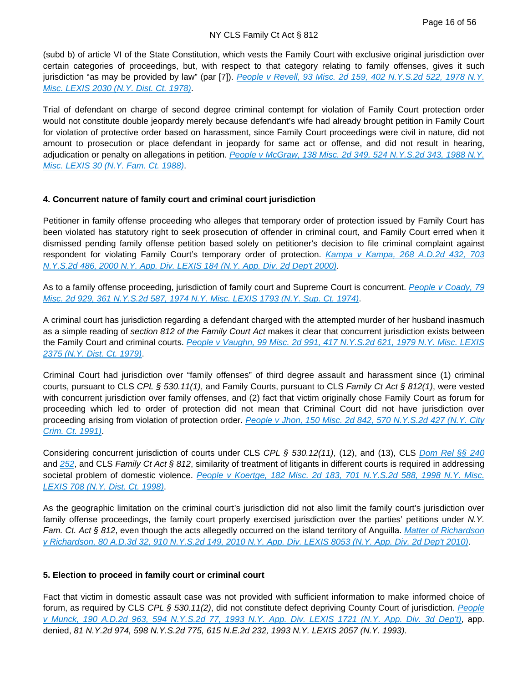(subd b) of article VI of the State Constitution, which vests the Family Court with exclusive original jurisdiction over certain categories of proceedings, but, with respect to that category relating to family offenses, gives it such jurisdiction "as may be provided by law" (par [7]). [People v Revell, 93 Misc. 2d 159, 402 N.Y.S.2d 522, 1978 N.Y.](https://advance.lexis.com/api/document?collection=cases&id=urn:contentItem:3RRS-GRJ0-003C-F40M-00000-00&context=)  [Misc. LEXIS 2030 \(N.Y. Dist. Ct. 1978\)](https://advance.lexis.com/api/document?collection=cases&id=urn:contentItem:3RRS-GRJ0-003C-F40M-00000-00&context=).

Trial of defendant on charge of second degree criminal contempt for violation of Family Court protection order would not constitute double jeopardy merely because defendant's wife had already brought petition in Family Court for violation of protective order based on harassment, since Family Court proceedings were civil in nature, did not amount to prosecution or place defendant in jeopardy for same act or offense, and did not result in hearing, adjudication or penalty on allegations in petition. People v McGraw, 138 Misc. 2d 349, 524 N.Y.S.2d 343, 1988 N.Y. [Misc. LEXIS 30 \(N.Y. Fam. Ct. 1988\)](https://advance.lexis.com/api/document?collection=cases&id=urn:contentItem:3S3K-2N00-003D-G2YJ-00000-00&context=).

# **4. Concurrent nature of family court and criminal court jurisdiction**

Petitioner in family offense proceeding who alleges that temporary order of protection issued by Family Court has been violated has statutory right to seek prosecution of offender in criminal court, and Family Court erred when it dismissed pending family offense petition based solely on petitioner's decision to file criminal complaint against respondent for violating Family Court's temporary order of protection. Kampa v Kampa, 268 A.D.2d 432, 703 [N.Y.S.2d 486, 2000 N.Y. App. Div. LEXIS 184 \(N.Y. App. Div. 2d Dep't 2000\)](https://advance.lexis.com/api/document?collection=cases&id=urn:contentItem:3YB4-HBD0-0039-42F8-00000-00&context=).

As to a family offense proceeding, jurisdiction of family court and Supreme Court is concurrent. People v Coady, 79 [Misc. 2d 929, 361 N.Y.S.2d 587, 1974 N.Y. Misc. LEXIS 1793 \(N.Y. Sup. Ct. 1974\)](https://advance.lexis.com/api/document?collection=cases&id=urn:contentItem:3RRS-9JK0-003C-D0GK-00000-00&context=).

A criminal court has jurisdiction regarding a defendant charged with the attempted murder of her husband inasmuch as a simple reading of section 812 of the Family Court Act makes it clear that concurrent jurisdiction exists between the Family Court and criminal courts. People v Vaughn, 99 Misc. 2d 991, 417 N.Y.S.2d 621, 1979 N.Y. Misc. LEXIS [2375 \(N.Y. Dist. Ct. 1979\)](https://advance.lexis.com/api/document?collection=cases&id=urn:contentItem:3RRS-GGY0-003C-F2BD-00000-00&context=).

Criminal Court had jurisdiction over "family offenses" of third degree assault and harassment since (1) criminal courts, pursuant to CLS CPL § 530.11(1), and Family Courts, pursuant to CLS Family Ct Act § 812(1), were vested with concurrent jurisdiction over family offenses, and (2) fact that victim originally chose Family Court as forum for proceeding which led to order of protection did not mean that Criminal Court did not have jurisdiction over proceeding arising from violation of protection order. People v Jhon, 150 Misc. 2d 842, 570 N.Y.S.2d 427 (N.Y. City [Crim. Ct. 1991\)](https://advance.lexis.com/api/document?collection=cases&id=urn:contentItem:3S2R-8R50-003V-B1YC-00000-00&context=).

Considering concurrent jurisdiction of courts under CLS CPL § 530.12(11), (12), and (13), CLS [Dom Rel §§ 240](https://advance.lexis.com/api/document?collection=statutes-legislation&id=urn:contentItem:8MT4-RS62-8T6X-74RD-00000-00&context=) and  $252$ , and CLS Family Ct Act § 812, similarity of treatment of litigants in different courts is required in addressing societal problem of domestic violence. People v Koertge, 182 Misc. 2d 183, 701 N.Y.S.2d 588, 1998 N.Y. Misc. [LEXIS 708 \(N.Y. Dist. Ct. 1998\)](https://advance.lexis.com/api/document?collection=cases&id=urn:contentItem:3Y28-JG10-0039-40Y8-00000-00&context=).

As the geographic limitation on the criminal court's jurisdiction did not also limit the family court's jurisdiction over family offense proceedings, the family court properly exercised jurisdiction over the parties' petitions under N.Y. Fam. Ct. Act § 812, even though the acts allegedly occurred on the island territory of Anguilla. Matter of Richardson [v Richardson, 80 A.D.3d 32, 910 N.Y.S.2d 149, 2010 N.Y. App. Div. LEXIS 8053 \(N.Y. App. Div. 2d Dep't 2010\)](https://advance.lexis.com/api/document?collection=cases&id=urn:contentItem:51D7-XKF1-F04J-71M2-00000-00&context=).

### **5. Election to proceed in family court or criminal court**

Fact that victim in domestic assault case was not provided with sufficient information to make informed choice of forum, as required by CLS CPL § 530.11(2), did not constitute defect depriving County Court of jurisdiction. People [v Munck, 190 A.D.2d 963, 594 N.Y.S.2d 77, 1993 N.Y. App. Div. LEXIS 1721 \(N.Y. App. Div. 3d Dep't\)](https://advance.lexis.com/api/document?collection=cases&id=urn:contentItem:3S2R-7KH0-003V-B1DR-00000-00&context=), app. denied, 81 N.Y.2d 974, 598 N.Y.S.2d 775, 615 N.E.2d 232, 1993 N.Y. LEXIS 2057 (N.Y. 1993).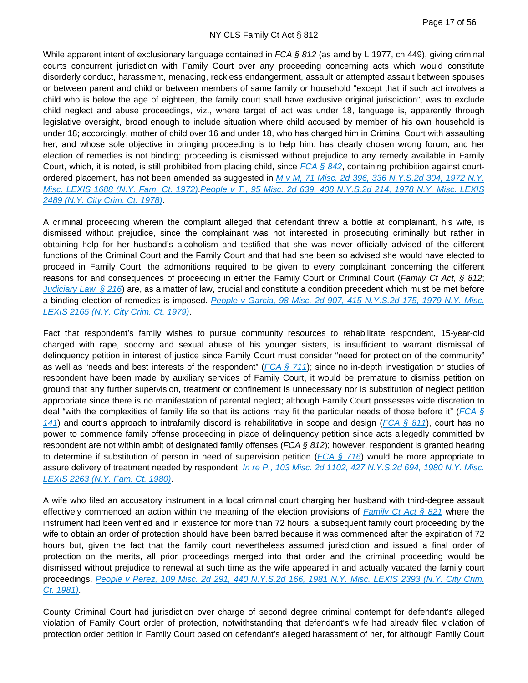While apparent intent of exclusionary language contained in  $FCA \& 812$  (as amd by L 1977, ch 449), giving criminal courts concurrent jurisdiction with Family Court over any proceeding concerning acts which would constitute disorderly conduct, harassment, menacing, reckless endangerment, assault or attempted assault between spouses or between parent and child or between members of same family or household "except that if such act involves a child who is below the age of eighteen, the family court shall have exclusive original jurisdiction", was to exclude child neglect and abuse proceedings, viz., where target of act was under 18, language is, apparently through legislative oversight, broad enough to include situation where child accused by member of his own household is under 18; accordingly, mother of child over 16 and under 18, who has charged him in Criminal Court with assaulting her, and whose sole objective in bringing proceeding is to help him, has clearly chosen wrong forum, and her election of remedies is not binding; proceeding is dismissed without prejudice to any remedy available in Family Court, which, it is noted, is still prohibited from placing child, since  $FCA \, \S$  842, containing prohibition against courtordered placement, has not been amended as suggested in M v M, 71 Misc. 2d 396, 336 N.Y.S.2d 304, 1972 N.Y. [Misc. LEXIS 1688 \(N.Y. Fam. Ct. 1972\)](https://advance.lexis.com/api/document?collection=cases&id=urn:contentItem:3RRS-9WF0-003C-D3N5-00000-00&context=).[People v T., 95 Misc. 2d 639, 408 N.Y.S.2d 214, 1978 N.Y. Misc. LEXIS](https://advance.lexis.com/api/document?collection=cases&id=urn:contentItem:3RRS-GNB0-003C-F3DR-00000-00&context=)  [2489 \(N.Y. City Crim. Ct. 1978\)](https://advance.lexis.com/api/document?collection=cases&id=urn:contentItem:3RRS-GNB0-003C-F3DR-00000-00&context=).

A criminal proceeding wherein the complaint alleged that defendant threw a bottle at complainant, his wife, is dismissed without prejudice, since the complainant was not interested in prosecuting criminally but rather in obtaining help for her husband's alcoholism and testified that she was never officially advised of the different functions of the Criminal Court and the Family Court and that had she been so advised she would have elected to proceed in Family Court; the admonitions required to be given to every complainant concerning the different reasons for and consequences of proceeding in either the Family Court or Criminal Court (Family Ct Act, § 812; [Judiciary Law, § 216](https://advance.lexis.com/api/document?collection=statutes-legislation&id=urn:contentItem:5CT3-13S1-6RDJ-855D-00000-00&context=)) are, as a matter of law, crucial and constitute a condition precedent which must be met before a binding election of remedies is imposed. [People v Garcia, 98 Misc. 2d 907, 415 N.Y.S.2d 175, 1979 N.Y. Misc.](https://advance.lexis.com/api/document?collection=cases&id=urn:contentItem:3RRS-GJ20-003C-F2M2-00000-00&context=)  [LEXIS 2165 \(N.Y. City Crim. Ct. 1979\)](https://advance.lexis.com/api/document?collection=cases&id=urn:contentItem:3RRS-GJ20-003C-F2M2-00000-00&context=).

Fact that respondent's family wishes to pursue community resources to rehabilitate respondent, 15-year-old charged with rape, sodomy and sexual abuse of his younger sisters, is insufficient to warrant dismissal of delinquency petition in interest of justice since Family Court must consider "need for protection of the community" as well as "needs and best interests of the respondent" ( $FCA \, \S 711$ ); since no in-depth investigation or studies of respondent have been made by auxiliary services of Family Court, it would be premature to dismiss petition on ground that any further supervision, treatment or confinement is unnecessary nor is substitution of neglect petition appropriate since there is no manifestation of parental neglect; although Family Court possesses wide discretion to deal "with the complexities of family life so that its actions may fit the particular needs of those before it" ( $FCA \textless$ [141](https://advance.lexis.com/api/document?collection=statutes-legislation&id=urn:contentItem:5CT3-0VD1-6RDJ-845V-00000-00&context=)) and court's approach to intrafamily discord is rehabilitative in scope and design ([FCA § 811](https://advance.lexis.com/api/document?collection=statutes-legislation&id=urn:contentItem:5CT3-0VD1-6RDJ-84XD-00000-00&context=)), court has no power to commence family offense proceeding in place of delinquency petition since acts allegedly committed by respondent are not within ambit of designated family offenses ( $FCA \& 812$ ); however, respondent is granted hearing to determine if substitution of person in need of supervision petition ( $FCA \& 716$ ) would be more appropriate to assure delivery of treatment needed by respondent. In re P., 103 Misc. 2d 1102, 427 N.Y.S.2d 694, 1980 N.Y. Misc. [LEXIS 2263 \(N.Y. Fam. Ct. 1980\)](https://advance.lexis.com/api/document?collection=cases&id=urn:contentItem:3RRS-GBD0-003C-F160-00000-00&context=).

A wife who filed an accusatory instrument in a local criminal court charging her husband with third-degree assault effectively commenced an action within the meaning of the election provisions of Family Ct Act  $\S 821$  where the instrument had been verified and in existence for more than 72 hours; a subsequent family court proceeding by the wife to obtain an order of protection should have been barred because it was commenced after the expiration of 72 hours but, given the fact that the family court nevertheless assumed jurisdiction and issued a final order of protection on the merits, all prior proceedings merged into that order and the criminal proceeding would be dismissed without prejudice to renewal at such time as the wife appeared in and actually vacated the family court proceedings. People v Perez, 109 Misc. 2d 291, 440 N.Y.S.2d 166, 1981 N.Y. Misc. LEXIS 2393 (N.Y. City Crim. [Ct. 1981\)](https://advance.lexis.com/api/document?collection=cases&id=urn:contentItem:3RRS-G470-003C-F52F-00000-00&context=).

County Criminal Court had jurisdiction over charge of second degree criminal contempt for defendant's alleged violation of Family Court order of protection, notwithstanding that defendant's wife had already filed violation of protection order petition in Family Court based on defendant's alleged harassment of her, for although Family Court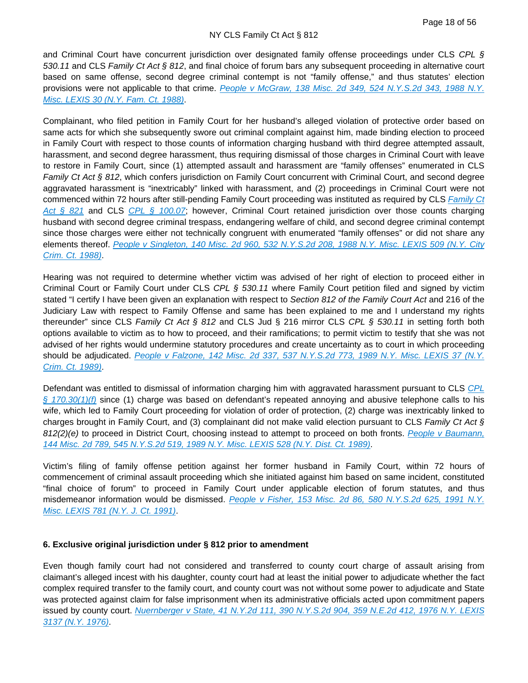and Criminal Court have concurrent jurisdiction over designated family offense proceedings under CLS CPL § 530.11 and CLS Family Ct Act § 812, and final choice of forum bars any subsequent proceeding in alternative court based on same offense, second degree criminal contempt is not "family offense," and thus statutes' election provisions were not applicable to that crime. People v McGraw, 138 Misc. 2d 349, 524 N.Y.S.2d 343, 1988 N.Y. [Misc. LEXIS 30 \(N.Y. Fam. Ct. 1988\)](https://advance.lexis.com/api/document?collection=cases&id=urn:contentItem:3S3K-2N00-003D-G2YJ-00000-00&context=).

Complainant, who filed petition in Family Court for her husband's alleged violation of protective order based on same acts for which she subsequently swore out criminal complaint against him, made binding election to proceed in Family Court with respect to those counts of information charging husband with third degree attempted assault, harassment, and second degree harassment, thus requiring dismissal of those charges in Criminal Court with leave to restore in Family Court, since (1) attempted assault and harassment are "family offenses" enumerated in CLS Family Ct Act § 812, which confers jurisdiction on Family Court concurrent with Criminal Court, and second degree aggravated harassment is "inextricably" linked with harassment, and (2) proceedings in Criminal Court were not commenced within 72 hours after still-pending Family Court proceeding was instituted as required by CLS Family Ct [Act § 821](https://advance.lexis.com/api/document?collection=statutes-legislation&id=urn:contentItem:8RGK-1RB2-D6RV-H2NJ-00000-00&context=) and CLS [CPL § 100.07](https://advance.lexis.com/api/document?collection=statutes-legislation&id=urn:contentItem:8SSW-JWY2-D6RV-H4FW-00000-00&context=); however, Criminal Court retained jurisdiction over those counts charging husband with second degree criminal trespass, endangering welfare of child, and second degree criminal contempt since those charges were either not technically congruent with enumerated "family offenses" or did not share any elements thereof. [People v Singleton, 140 Misc. 2d 960, 532 N.Y.S.2d 208, 1988 N.Y. Misc. LEXIS 509 \(N.Y. City](https://advance.lexis.com/api/document?collection=cases&id=urn:contentItem:3S3K-2KN0-003D-G2C3-00000-00&context=)  [Crim. Ct. 1988\)](https://advance.lexis.com/api/document?collection=cases&id=urn:contentItem:3S3K-2KN0-003D-G2C3-00000-00&context=).

Hearing was not required to determine whether victim was advised of her right of election to proceed either in Criminal Court or Family Court under CLS CPL § 530.11 where Family Court petition filed and signed by victim stated "I certify I have been given an explanation with respect to Section 812 of the Family Court Act and 216 of the Judiciary Law with respect to Family Offense and same has been explained to me and I understand my rights thereunder" since CLS Family Ct Act  $\S 812$  and CLS Jud  $\S 216$  mirror CLS CPL  $\S 530.11$  in setting forth both options available to victim as to how to proceed, and their ramifications; to permit victim to testify that she was not advised of her rights would undermine statutory procedures and create uncertainty as to court in which proceeding should be adjudicated. People v Falzone, 142 Misc. 2d 337, 537 N.Y.S.2d 773, 1989 N.Y. Misc. LEXIS 37 (N.Y. [Crim. Ct. 1989\)](https://advance.lexis.com/api/document?collection=cases&id=urn:contentItem:3S2R-BH10-003V-B350-00000-00&context=).

Defendant was entitled to dismissal of information charging him with aggravated harassment pursuant to CLS CPL  $\S$  170.30(1)(f) since (1) charge was based on defendant's repeated annoying and abusive telephone calls to his wife, which led to Family Court proceeding for violation of order of protection, (2) charge was inextricably linked to charges brought in Family Court, and (3) complainant did not make valid election pursuant to CLS Family Ct Act  $\S$ 812(2)(e) to proceed in District Court, choosing instead to attempt to proceed on both fronts. People v Baumann, [144 Misc. 2d 789, 545 N.Y.S.2d 519, 1989 N.Y. Misc. LEXIS 528 \(N.Y. Dist. Ct. 1989\)](https://advance.lexis.com/api/document?collection=cases&id=urn:contentItem:3S2R-B140-003V-B260-00000-00&context=).

Victim's filing of family offense petition against her former husband in Family Court, within 72 hours of commencement of criminal assault proceeding which she initiated against him based on same incident, constituted "final choice of forum" to proceed in Family Court under applicable election of forum statutes, and thus misdemeanor information would be dismissed. People v Fisher, 153 Misc. 2d 86, 580 N.Y.S.2d 625, 1991 N.Y. [Misc. LEXIS 781 \(N.Y. J. Ct. 1991\)](https://advance.lexis.com/api/document?collection=cases&id=urn:contentItem:3S2R-8650-003V-B1SD-00000-00&context=).

### **6. Exclusive original jurisdiction under § 812 prior to amendment**

Even though family court had not considered and transferred to county court charge of assault arising from claimant's alleged incest with his daughter, county court had at least the initial power to adjudicate whether the fact complex required transfer to the family court, and county court was not without some power to adjudicate and State was protected against claim for false imprisonment when its administrative officials acted upon commitment papers issued by county court. Nuernberger v State, 41 N.Y.2d 111, 390 N.Y.S.2d 904, 359 N.E.2d 412, 1976 N.Y. LEXIS [3137 \(N.Y. 1976\)](https://advance.lexis.com/api/document?collection=cases&id=urn:contentItem:3RRS-B5Y0-003C-F4XK-00000-00&context=).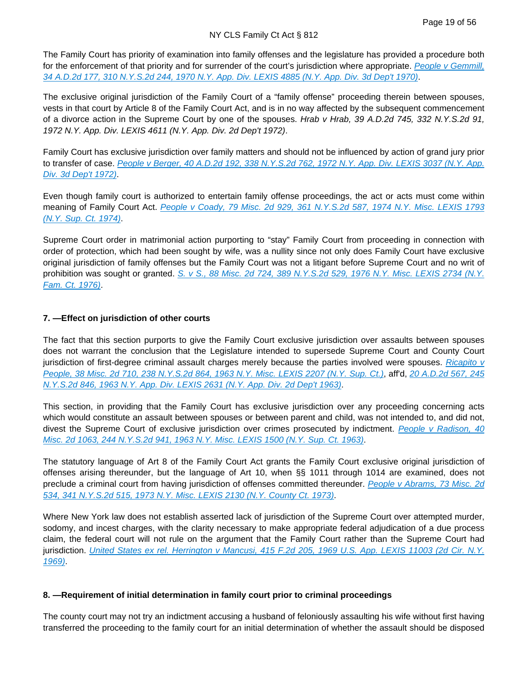The Family Court has priority of examination into family offenses and the legislature has provided a procedure both for the enforcement of that priority and for surrender of the court's jurisdiction where appropriate. People v Gemmill, [34 A.D.2d 177, 310 N.Y.S.2d 244, 1970 N.Y. App. Div. LEXIS 4885 \(N.Y. App. Div. 3d Dep't 1970\)](https://advance.lexis.com/api/document?collection=cases&id=urn:contentItem:3RRT-01C0-003C-C042-00000-00&context=).

The exclusive original jurisdiction of the Family Court of a "family offense" proceeding therein between spouses, vests in that court by Article 8 of the Family Court Act, and is in no way affected by the subsequent commencement of a divorce action in the Supreme Court by one of the spouses. Hrab v Hrab, 39 A.D.2d 745, 332 N.Y.S.2d 91, 1972 N.Y. App. Div. LEXIS 4611 (N.Y. App. Div. 2d Dep't 1972).

Family Court has exclusive jurisdiction over family matters and should not be influenced by action of grand jury prior to transfer of case. [People v Berger, 40 A.D.2d 192, 338 N.Y.S.2d 762, 1972 N.Y. App. Div. LEXIS 3037 \(N.Y. App.](https://advance.lexis.com/api/document?collection=cases&id=urn:contentItem:3RRS-YF40-003C-C1P9-00000-00&context=)  [Div. 3d Dep't 1972\)](https://advance.lexis.com/api/document?collection=cases&id=urn:contentItem:3RRS-YF40-003C-C1P9-00000-00&context=).

Even though family court is authorized to entertain family offense proceedings, the act or acts must come within meaning of Family Court Act. People v Coady, 79 Misc. 2d 929, 361 N.Y.S.2d 587, 1974 N.Y. Misc. LEXIS 1793 [\(N.Y. Sup. Ct. 1974\)](https://advance.lexis.com/api/document?collection=cases&id=urn:contentItem:3RRS-9JK0-003C-D0GK-00000-00&context=).

Supreme Court order in matrimonial action purporting to "stay" Family Court from proceeding in connection with order of protection, which had been sought by wife, was a nullity since not only does Family Court have exclusive original jurisdiction of family offenses but the Family Court was not a litigant before Supreme Court and no writ of prohibition was sought or granted. S. v S., 88 Misc. 2d 724, 389 N.Y.S.2d 529, 1976 N.Y. Misc. LEXIS 2734 (N.Y. [Fam. Ct. 1976\)](https://advance.lexis.com/api/document?collection=cases&id=urn:contentItem:3RRS-GXR0-003C-F03T-00000-00&context=).

# **7. —Effect on jurisdiction of other courts**

The fact that this section purports to give the Family Court exclusive jurisdiction over assaults between spouses does not warrant the conclusion that the Legislature intended to supersede Supreme Court and County Court jurisdiction of first-degree criminal assault charges merely because the parties involved were spouses. Ricapito v [People, 38 Misc. 2d 710, 238 N.Y.S.2d 864, 1963 N.Y. Misc. LEXIS 2207 \(N.Y. Sup. Ct.\)](https://advance.lexis.com/api/document?collection=cases&id=urn:contentItem:3RRS-C3K0-003C-D0NB-00000-00&context=), aff'd, [20 A.D.2d 567, 245](https://advance.lexis.com/api/document?collection=cases&id=urn:contentItem:3RRT-1NK0-003C-C497-00000-00&context=)  [N.Y.S.2d 846, 1963 N.Y. App. Div. LEXIS 2631 \(N.Y. App. Div. 2d Dep't 1963\)](https://advance.lexis.com/api/document?collection=cases&id=urn:contentItem:3RRT-1NK0-003C-C497-00000-00&context=).

This section, in providing that the Family Court has exclusive jurisdiction over any proceeding concerning acts which would constitute an assault between spouses or between parent and child, was not intended to, and did not, divest the Supreme Court of exclusive jurisdiction over crimes prosecuted by indictment. People v Radison, 40 [Misc. 2d 1063, 244 N.Y.S.2d 941, 1963 N.Y. Misc. LEXIS 1500 \(N.Y. Sup. Ct. 1963\)](https://advance.lexis.com/api/document?collection=cases&id=urn:contentItem:3RRS-C1B0-003C-D509-00000-00&context=).

The statutory language of Art 8 of the Family Court Act grants the Family Court exclusive original jurisdiction of offenses arising thereunder, but the language of Art 10, when §§ 1011 through 1014 are examined, does not preclude a criminal court from having jurisdiction of offenses committed thereunder. People v Abrams, 73 Misc. 2d [534, 341 N.Y.S.2d 515, 1973 N.Y. Misc. LEXIS 2130 \(N.Y. County Ct. 1973\)](https://advance.lexis.com/api/document?collection=cases&id=urn:contentItem:3RRS-9S50-003C-D2RN-00000-00&context=).

Where New York law does not establish asserted lack of jurisdiction of the Supreme Court over attempted murder, sodomy, and incest charges, with the clarity necessary to make appropriate federal adjudication of a due process claim, the federal court will not rule on the argument that the Family Court rather than the Supreme Court had jurisdiction. United States ex rel. Herrington v Mancusi, 415 F.2d 205, 1969 U.S. App. LEXIS 11003 (2d Cir. N.Y. [1969\)](https://advance.lexis.com/api/document?collection=cases&id=urn:contentItem:3S4W-SYC0-0039-Y2W0-00000-00&context=).

### **8. —Requirement of initial determination in family court prior to criminal proceedings**

The county court may not try an indictment accusing a husband of feloniously assaulting his wife without first having transferred the proceeding to the family court for an initial determination of whether the assault should be disposed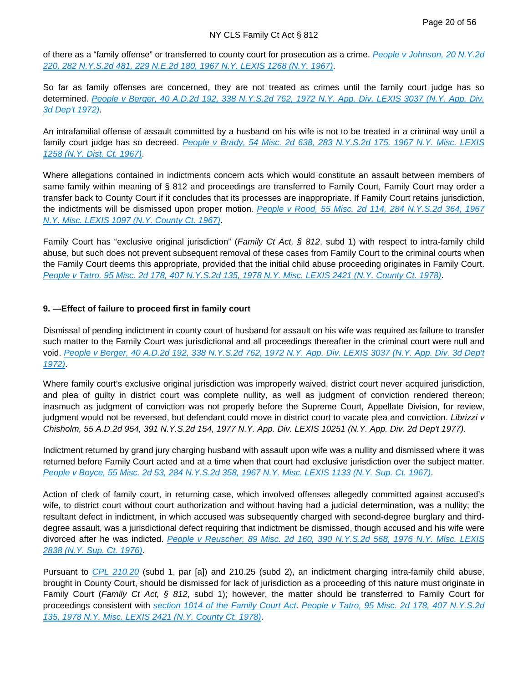of there as a "family offense" or transferred to county court for prosecution as a crime. [People v Johnson, 20 N.Y.2d](https://advance.lexis.com/api/document?collection=cases&id=urn:contentItem:3RRS-W8Y0-003C-C1Y1-00000-00&context=)  [220, 282 N.Y.S.2d 481, 229 N.E.2d 180, 1967 N.Y. LEXIS 1268 \(N.Y. 1967\)](https://advance.lexis.com/api/document?collection=cases&id=urn:contentItem:3RRS-W8Y0-003C-C1Y1-00000-00&context=).

So far as family offenses are concerned, they are not treated as crimes until the family court judge has so determined. [People v Berger, 40 A.D.2d 192, 338 N.Y.S.2d 762, 1972 N.Y. App. Div. LEXIS 3037 \(N.Y. App. Div.](https://advance.lexis.com/api/document?collection=cases&id=urn:contentItem:3RRS-YF40-003C-C1P9-00000-00&context=)  [3d Dep't 1972\)](https://advance.lexis.com/api/document?collection=cases&id=urn:contentItem:3RRS-YF40-003C-C1P9-00000-00&context=).

An intrafamilial offense of assault committed by a husband on his wife is not to be treated in a criminal way until a family court judge has so decreed. [People v Brady, 54 Misc. 2d 638, 283 N.Y.S.2d 175, 1967 N.Y. Misc. LEXIS](https://advance.lexis.com/api/document?collection=cases&id=urn:contentItem:3RRS-BGJ0-003C-D4JN-00000-00&context=)  [1258 \(N.Y. Dist. Ct. 1967\)](https://advance.lexis.com/api/document?collection=cases&id=urn:contentItem:3RRS-BGJ0-003C-D4JN-00000-00&context=).

Where allegations contained in indictments concern acts which would constitute an assault between members of same family within meaning of § 812 and proceedings are transferred to Family Court, Family Court may order a transfer back to County Court if it concludes that its processes are inappropriate. If Family Court retains jurisdiction, the indictments will be dismissed upon proper motion. People v Rood, 55 Misc. 2d 114, 284 N.Y.S.2d 364, 1967 [N.Y. Misc. LEXIS 1097 \(N.Y. County Ct. 1967\)](https://advance.lexis.com/api/document?collection=cases&id=urn:contentItem:3RRS-BG00-003C-D4BX-00000-00&context=).

Family Court has "exclusive original jurisdiction" (Family Ct Act,  $\S$  812, subd 1) with respect to intra-family child abuse, but such does not prevent subsequent removal of these cases from Family Court to the criminal courts when the Family Court deems this appropriate, provided that the initial child abuse proceeding originates in Family Court. [People v Tatro, 95 Misc. 2d 178, 407 N.Y.S.2d 135, 1978 N.Y. Misc. LEXIS 2421 \(N.Y. County Ct. 1978\)](https://advance.lexis.com/api/document?collection=cases&id=urn:contentItem:3RRS-GNF0-003C-F3FD-00000-00&context=).

# **9. —Effect of failure to proceed first in family court**

Dismissal of pending indictment in county court of husband for assault on his wife was required as failure to transfer such matter to the Family Court was jurisdictional and all proceedings thereafter in the criminal court were null and void. [People v Berger, 40 A.D.2d 192, 338 N.Y.S.2d 762, 1972 N.Y. App. Div. LEXIS 3037 \(N.Y. App. Div. 3d Dep't](https://advance.lexis.com/api/document?collection=cases&id=urn:contentItem:3RRS-YF40-003C-C1P9-00000-00&context=)  [1972\)](https://advance.lexis.com/api/document?collection=cases&id=urn:contentItem:3RRS-YF40-003C-C1P9-00000-00&context=).

Where family court's exclusive original jurisdiction was improperly waived, district court never acquired jurisdiction, and plea of guilty in district court was complete nullity, as well as judgment of conviction rendered thereon; inasmuch as judgment of conviction was not properly before the Supreme Court, Appellate Division, for review, judgment would not be reversed, but defendant could move in district court to vacate plea and conviction. Librizzi v Chisholm, 55 A.D.2d 954, 391 N.Y.S.2d 154, 1977 N.Y. App. Div. LEXIS 10251 (N.Y. App. Div. 2d Dep't 1977).

Indictment returned by grand jury charging husband with assault upon wife was a nullity and dismissed where it was returned before Family Court acted and at a time when that court had exclusive jurisdiction over the subject matter. [People v Boyce, 55 Misc. 2d 53, 284 N.Y.S.2d 358, 1967 N.Y. Misc. LEXIS 1133 \(N.Y. Sup. Ct. 1967\)](https://advance.lexis.com/api/document?collection=cases&id=urn:contentItem:3RRS-BG30-003C-D4D5-00000-00&context=).

Action of clerk of family court, in returning case, which involved offenses allegedly committed against accused's wife, to district court without court authorization and without having had a judicial determination, was a nullity; the resultant defect in indictment, in which accused was subsequently charged with second-degree burglary and thirddegree assault, was a jurisdictional defect requiring that indictment be dismissed, though accused and his wife were divorced after he was indicted. People v Reuscher, 89 Misc. 2d 160, 390 N.Y.S.2d 568, 1976 N.Y. Misc. LEXIS [2838 \(N.Y. Sup. Ct. 1976\)](https://advance.lexis.com/api/document?collection=cases&id=urn:contentItem:3RRS-GXF0-003C-F01R-00000-00&context=).

Pursuant to [CPL 210.20](https://advance.lexis.com/api/document?collection=statutes-legislation&id=urn:contentItem:5CT2-YTD1-6RDJ-8474-00000-00&context=) (subd 1, par [a]) and 210.25 (subd 2), an indictment charging intra-family child abuse, brought in County Court, should be dismissed for lack of jurisdiction as a proceeding of this nature must originate in Family Court (Family Ct Act, § 812, subd 1); however, the matter should be transferred to Family Court for proceedings consistent with [section 1014 of the Family Court Act](https://advance.lexis.com/api/document?collection=statutes-legislation&id=urn:contentItem:5CT3-0VD1-6RDJ-850D-00000-00&context=). People v Tatro, 95 Misc. 2d 178, 407 N.Y.S.2d [135, 1978 N.Y. Misc. LEXIS 2421 \(N.Y. County Ct. 1978\)](https://advance.lexis.com/api/document?collection=cases&id=urn:contentItem:3RRS-GNF0-003C-F3FD-00000-00&context=).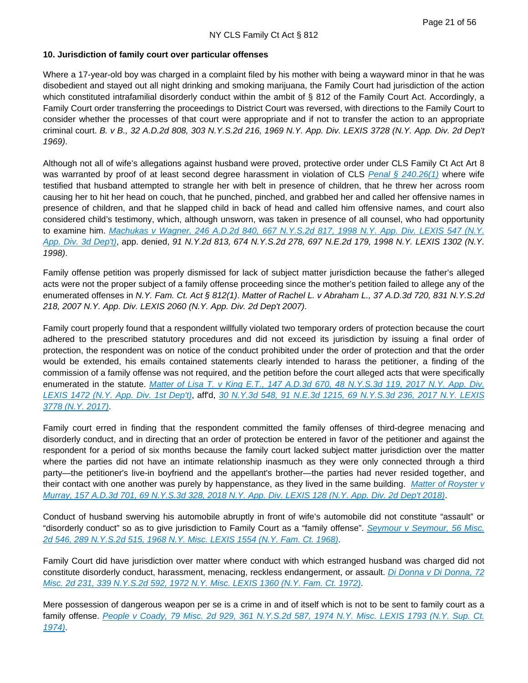# **10. Jurisdiction of family court over particular offenses**

Where a 17-year-old boy was charged in a complaint filed by his mother with being a wayward minor in that he was disobedient and stayed out all night drinking and smoking marijuana, the Family Court had jurisdiction of the action which constituted intrafamilial disorderly conduct within the ambit of § 812 of the Family Court Act. Accordingly, a Family Court order transferring the proceedings to District Court was reversed, with directions to the Family Court to consider whether the processes of that court were appropriate and if not to transfer the action to an appropriate criminal court. B. v B., 32 A.D.2d 808, 303 N.Y.S.2d 216, 1969 N.Y. App. Div. LEXIS 3728 (N.Y. App. Div. 2d Dep't 1969).

Although not all of wife's allegations against husband were proved, protective order under CLS Family Ct Act Art 8 was warranted by proof of at least second degree harassment in violation of CLS Penal  $\S$  240.26(1) where wife testified that husband attempted to strangle her with belt in presence of children, that he threw her across room causing her to hit her head on couch, that he punched, pinched, and grabbed her and called her offensive names in presence of children, and that he slapped child in back of head and called him offensive names, and court also considered child's testimony, which, although unsworn, was taken in presence of all counsel, who had opportunity to examine him. Machukas v Wagner, 246 A.D.2d 840, 667 N.Y.S.2d 817, 1998 N.Y. App. Div. LEXIS 547 (N.Y. [App. Div. 3d Dep't\)](https://advance.lexis.com/api/document?collection=cases&id=urn:contentItem:3RWM-HDB0-0039-44Y8-00000-00&context=), app. denied, 91 N.Y.2d 813, 674 N.Y.S.2d 278, 697 N.E.2d 179, 1998 N.Y. LEXIS 1302 (N.Y. 1998).

Family offense petition was properly dismissed for lack of subject matter jurisdiction because the father's alleged acts were not the proper subject of a family offense proceeding since the mother's petition failed to allege any of the enumerated offenses in N.Y. Fam. Ct. Act § 812(1). Matter of Rachel L. v Abraham L., 37 A.D.3d 720, 831 N.Y.S.2d 218, 2007 N.Y. App. Div. LEXIS 2060 (N.Y. App. Div. 2d Dep't 2007).

Family court properly found that a respondent willfully violated two temporary orders of protection because the court adhered to the prescribed statutory procedures and did not exceed its jurisdiction by issuing a final order of protection, the respondent was on notice of the conduct prohibited under the order of protection and that the order would be extended, his emails contained statements clearly intended to harass the petitioner, a finding of the commission of a family offense was not required, and the petition before the court alleged acts that were specifically enumerated in the statute. Matter of Lisa T. v King E.T., 147 A.D.3d 670, 48 N.Y.S.3d 119, 2017 N.Y. App. Div. [LEXIS 1472 \(N.Y. App. Div. 1st Dep't\)](https://advance.lexis.com/api/document?collection=cases&id=urn:contentItem:5N06-M6T1-F04J-7007-00000-00&context=), aff'd, [30 N.Y.3d 548, 91 N.E.3d 1215, 69 N.Y.S.3d 236, 2017 N.Y. LEXIS](https://advance.lexis.com/api/document?collection=cases&id=urn:contentItem:5R6W-7501-JSC5-M186-00000-00&context=)  [3778 \(N.Y. 2017\)](https://advance.lexis.com/api/document?collection=cases&id=urn:contentItem:5R6W-7501-JSC5-M186-00000-00&context=).

Family court erred in finding that the respondent committed the family offenses of third-degree menacing and disorderly conduct, and in directing that an order of protection be entered in favor of the petitioner and against the respondent for a period of six months because the family court lacked subject matter jurisdiction over the matter where the parties did not have an intimate relationship inasmuch as they were only connected through a third party—the petitioner's live-in boyfriend and the appellant's brother—the parties had never resided together, and their contact with one another was purely by happenstance, as they lived in the same building. Matter of Royster v [Murray, 157 A.D.3d 701, 69 N.Y.S.3d 328, 2018 N.Y. App. Div. LEXIS 128 \(N.Y. App. Div. 2d Dep't 2018\)](https://advance.lexis.com/api/document?collection=cases&id=urn:contentItem:5RCK-D581-FH4C-X18V-00000-00&context=).

Conduct of husband swerving his automobile abruptly in front of wife's automobile did not constitute "assault" or "disorderly conduct" so as to give jurisdiction to Family Court as a "family offense". Seymour v Seymour, 56 Misc. [2d 546, 289 N.Y.S.2d 515, 1968 N.Y. Misc. LEXIS 1554 \(N.Y. Fam. Ct. 1968\)](https://advance.lexis.com/api/document?collection=cases&id=urn:contentItem:3RRS-BD60-003C-D3SH-00000-00&context=).

Family Court did have jurisdiction over matter where conduct with which estranged husband was charged did not constitute disorderly conduct, harassment, menacing, reckless endangerment, or assault. Di Donna v Di Donna, 72 [Misc. 2d 231, 339 N.Y.S.2d 592, 1972 N.Y. Misc. LEXIS 1360 \(N.Y. Fam. Ct. 1972\)](https://advance.lexis.com/api/document?collection=cases&id=urn:contentItem:3RRS-9TX0-003C-D375-00000-00&context=).

Mere possession of dangerous weapon per se is a crime in and of itself which is not to be sent to family court as a family offense. People v Coady, 79 Misc. 2d 929, 361 N.Y.S.2d 587, 1974 N.Y. Misc. LEXIS 1793 (N.Y. Sup. Ct. [1974\)](https://advance.lexis.com/api/document?collection=cases&id=urn:contentItem:3RRS-9JK0-003C-D0GK-00000-00&context=).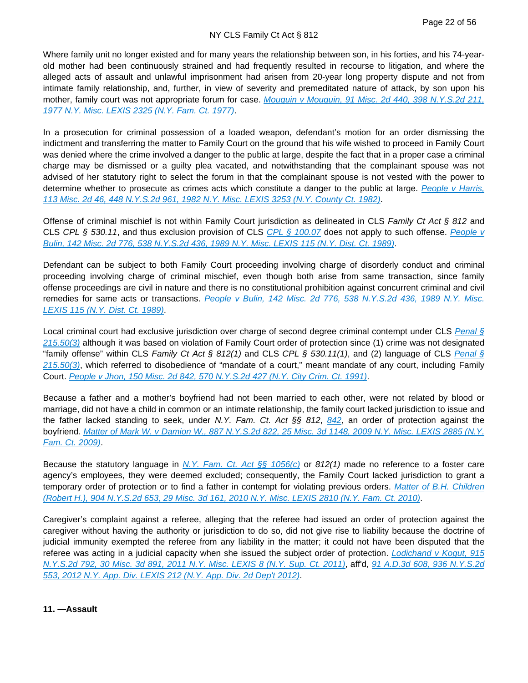Where family unit no longer existed and for many years the relationship between son, in his forties, and his 74-yearold mother had been continuously strained and had frequently resulted in recourse to litigation, and where the alleged acts of assault and unlawful imprisonment had arisen from 20-year long property dispute and not from intimate family relationship, and, further, in view of severity and premeditated nature of attack, by son upon his mother, family court was not appropriate forum for case. Mouquin v Mouquin, 91 Misc. 2d 440, 398 N.Y.S.2d 211, [1977 N.Y. Misc. LEXIS 2325 \(N.Y. Fam. Ct. 1977\)](https://advance.lexis.com/api/document?collection=cases&id=urn:contentItem:3RRS-GV10-003C-F4KV-00000-00&context=).

In a prosecution for criminal possession of a loaded weapon, defendant's motion for an order dismissing the indictment and transferring the matter to Family Court on the ground that his wife wished to proceed in Family Court was denied where the crime involved a danger to the public at large, despite the fact that in a proper case a criminal charge may be dismissed or a guilty plea vacated, and notwithstanding that the complainant spouse was not advised of her statutory right to select the forum in that the complainant spouse is not vested with the power to determine whether to prosecute as crimes acts which constitute a danger to the public at large. People v Harris, [113 Misc. 2d 46, 448 N.Y.S.2d 961, 1982 N.Y. Misc. LEXIS 3253 \(N.Y. County Ct. 1982\)](https://advance.lexis.com/api/document?collection=cases&id=urn:contentItem:3S3K-34Y0-003D-G4FW-00000-00&context=).

Offense of criminal mischief is not within Family Court jurisdiction as delineated in CLS Family Ct Act  $\S$  812 and CLS CPL § 530.11, and thus exclusion provision of CLS [CPL § 100.07](https://advance.lexis.com/api/document?collection=statutes-legislation&id=urn:contentItem:8SSW-JWY2-D6RV-H4FW-00000-00&context=) does not apply to such offense. People v [Bulin, 142 Misc. 2d 776, 538 N.Y.S.2d 436, 1989 N.Y. Misc. LEXIS 115 \(N.Y. Dist. Ct. 1989\)](https://advance.lexis.com/api/document?collection=cases&id=urn:contentItem:3S2R-BF00-003V-B0MF-00000-00&context=).

Defendant can be subject to both Family Court proceeding involving charge of disorderly conduct and criminal proceeding involving charge of criminal mischief, even though both arise from same transaction, since family offense proceedings are civil in nature and there is no constitutional prohibition against concurrent criminal and civil remedies for same acts or transactions. People v Bulin, 142 Misc. 2d 776, 538 N.Y.S.2d 436, 1989 N.Y. Misc. [LEXIS 115 \(N.Y. Dist. Ct. 1989\)](https://advance.lexis.com/api/document?collection=cases&id=urn:contentItem:3S2R-BF00-003V-B0MF-00000-00&context=).

Local criminal court had exclusive jurisdiction over charge of second degree criminal contempt under CLS Penal §  $215.50(3)$  although it was based on violation of Family Court order of protection since (1) crime was not designated "family offense" within CLS Family Ct Act § 812(1) and CLS CPL § 530.11(1), and (2) language of CLS Penal §  $215.50(3)$ , which referred to disobedience of "mandate of a court," meant mandate of any court, including Family Court. [People v Jhon, 150 Misc. 2d 842, 570 N.Y.S.2d 427 \(N.Y. City Crim. Ct. 1991\)](https://advance.lexis.com/api/document?collection=cases&id=urn:contentItem:3S2R-8R50-003V-B1YC-00000-00&context=).

Because a father and a mother's boyfriend had not been married to each other, were not related by blood or marriage, did not have a child in common or an intimate relationship, the family court lacked jurisdiction to issue and the father lacked standing to seek, under N.Y. Fam. Ct. Act  $\S$  812, [842](https://advance.lexis.com/api/document?collection=statutes-legislation&id=urn:contentItem:5CT3-0VD1-6RDJ-84YF-00000-00&context=), an order of protection against the boyfriend. Matter of Mark W. v Damion W., 887 N.Y.S.2d 822, 25 Misc. 3d 1148, 2009 N.Y. Misc. LEXIS 2885 (N.Y. [Fam. Ct. 2009\)](https://advance.lexis.com/api/document?collection=cases&id=urn:contentItem:4XHF-B9C0-TXFV-V2HG-00000-00&context=).

Because the statutory language in  $N.Y.$  Fam. Ct. Act §§ 1056(c) or 812(1) made no reference to a foster care agency's employees, they were deemed excluded; consequently, the Family Court lacked jurisdiction to grant a temporary order of protection or to find a father in contempt for violating previous orders. Matter of B.H. Children [\(Robert H.\), 904 N.Y.S.2d 653, 29 Misc. 3d 161, 2010 N.Y. Misc. LEXIS 2810 \(N.Y. Fam. Ct. 2010\)](https://advance.lexis.com/api/document?collection=cases&id=urn:contentItem:7YVD-7WN1-2RHR-D018-00000-00&context=).

Caregiver's complaint against a referee, alleging that the referee had issued an order of protection against the caregiver without having the authority or jurisdiction to do so, did not give rise to liability because the doctrine of judicial immunity exempted the referee from any liability in the matter; it could not have been disputed that the referee was acting in a judicial capacity when she issued the subject order of protection. *Lodichand v Kogut, 915* [N.Y.S.2d 792, 30 Misc. 3d 891, 2011 N.Y. Misc. LEXIS 8 \(N.Y. Sup. Ct. 2011\)](https://advance.lexis.com/api/document?collection=cases&id=urn:contentItem:51WM-RF31-F04J-8134-00000-00&context=), aff'd, [91 A.D.3d 608, 936 N.Y.S.2d](https://advance.lexis.com/api/document?collection=cases&id=urn:contentItem:54PK-KC11-F04J-703F-00000-00&context=)  [553, 2012 N.Y. App. Div. LEXIS 212 \(N.Y. App. Div. 2d Dep't 2012\)](https://advance.lexis.com/api/document?collection=cases&id=urn:contentItem:54PK-KC11-F04J-703F-00000-00&context=).

**11. —Assault**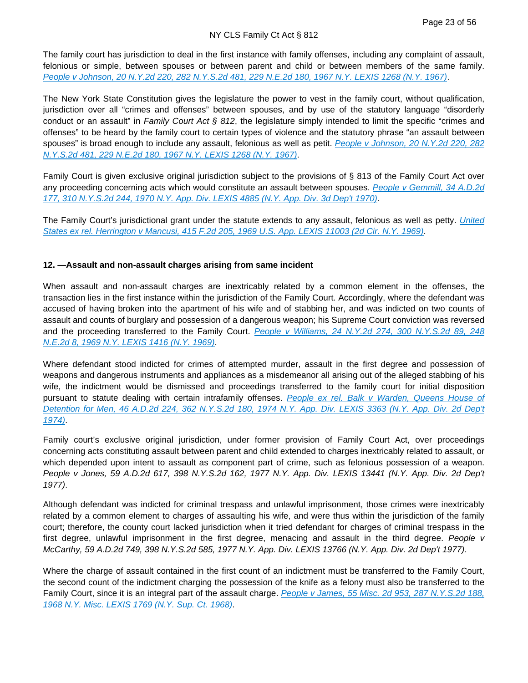The family court has jurisdiction to deal in the first instance with family offenses, including any complaint of assault, felonious or simple, between spouses or between parent and child or between members of the same family. [People v Johnson, 20 N.Y.2d 220, 282 N.Y.S.2d 481, 229 N.E.2d 180, 1967 N.Y. LEXIS 1268 \(N.Y. 1967\)](https://advance.lexis.com/api/document?collection=cases&id=urn:contentItem:3RRS-W8Y0-003C-C1Y1-00000-00&context=).

The New York State Constitution gives the legislature the power to vest in the family court, without qualification, jurisdiction over all "crimes and offenses" between spouses, and by use of the statutory language "disorderly conduct or an assault" in Family Court Act  $\S 812$ , the legislature simply intended to limit the specific "crimes and offenses" to be heard by the family court to certain types of violence and the statutory phrase "an assault between spouses" is broad enough to include any assault, felonious as well as petit. People v Johnson, 20 N.Y.2d 220, 282 [N.Y.S.2d 481, 229 N.E.2d 180, 1967 N.Y. LEXIS 1268 \(N.Y. 1967\)](https://advance.lexis.com/api/document?collection=cases&id=urn:contentItem:3RRS-W8Y0-003C-C1Y1-00000-00&context=).

Family Court is given exclusive original jurisdiction subject to the provisions of § 813 of the Family Court Act over any proceeding concerning acts which would constitute an assault between spouses. People v Gemmill, 34 A.D.2d [177, 310 N.Y.S.2d 244, 1970 N.Y. App. Div. LEXIS 4885 \(N.Y. App. Div. 3d Dep't 1970\)](https://advance.lexis.com/api/document?collection=cases&id=urn:contentItem:3RRT-01C0-003C-C042-00000-00&context=).

The Family Court's jurisdictional grant under the statute extends to any assault, felonious as well as petty. United [States ex rel. Herrington v Mancusi, 415 F.2d 205, 1969 U.S. App. LEXIS 11003 \(2d Cir. N.Y. 1969\)](https://advance.lexis.com/api/document?collection=cases&id=urn:contentItem:3S4W-SYC0-0039-Y2W0-00000-00&context=).

### **12. —Assault and non-assault charges arising from same incident**

When assault and non-assault charges are inextricably related by a common element in the offenses, the transaction lies in the first instance within the jurisdiction of the Family Court. Accordingly, where the defendant was accused of having broken into the apartment of his wife and of stabbing her, and was indicted on two counts of assault and counts of burglary and possession of a dangerous weapon; his Supreme Court conviction was reversed and the proceeding transferred to the Family Court. People v Williams, 24 N.Y.2d 274, 300 N.Y.S.2d 89, 248 [N.E.2d 8, 1969 N.Y. LEXIS 1416 \(N.Y. 1969\)](https://advance.lexis.com/api/document?collection=cases&id=urn:contentItem:3RRS-W2P0-003C-C07H-00000-00&context=).

Where defendant stood indicted for crimes of attempted murder, assault in the first degree and possession of weapons and dangerous instruments and appliances as a misdemeanor all arising out of the alleged stabbing of his wife, the indictment would be dismissed and proceedings transferred to the family court for initial disposition pursuant to statute dealing with certain intrafamily offenses. People ex rel. Balk v Warden, Queens House of [Detention for Men, 46 A.D.2d 224, 362 N.Y.S.2d 180, 1974 N.Y. App. Div. LEXIS 3363 \(N.Y. App. Div. 2d Dep't](https://advance.lexis.com/api/document?collection=cases&id=urn:contentItem:3RRS-XYM0-003C-C037-00000-00&context=)  [1974\)](https://advance.lexis.com/api/document?collection=cases&id=urn:contentItem:3RRS-XYM0-003C-C037-00000-00&context=).

Family court's exclusive original jurisdiction, under former provision of Family Court Act, over proceedings concerning acts constituting assault between parent and child extended to charges inextricably related to assault, or which depended upon intent to assault as component part of crime, such as felonious possession of a weapon. People v Jones, 59 A.D.2d 617, 398 N.Y.S.2d 162, 1977 N.Y. App. Div. LEXIS 13441 (N.Y. App. Div. 2d Dep't 1977).

Although defendant was indicted for criminal trespass and unlawful imprisonment, those crimes were inextricably related by a common element to charges of assaulting his wife, and were thus within the jurisdiction of the family court; therefore, the county court lacked jurisdiction when it tried defendant for charges of criminal trespass in the first degree, unlawful imprisonment in the first degree, menacing and assault in the third degree. People v McCarthy, 59 A.D.2d 749, 398 N.Y.S.2d 585, 1977 N.Y. App. Div. LEXIS 13766 (N.Y. App. Div. 2d Dep't 1977).

Where the charge of assault contained in the first count of an indictment must be transferred to the Family Court, the second count of the indictment charging the possession of the knife as a felony must also be transferred to the Family Court, since it is an integral part of the assault charge. People v James, 55 Misc. 2d 953, 287 N.Y.S.2d 188, [1968 N.Y. Misc. LEXIS 1769 \(N.Y. Sup. Ct. 1968\)](https://advance.lexis.com/api/document?collection=cases&id=urn:contentItem:3RRS-BF40-003C-D426-00000-00&context=).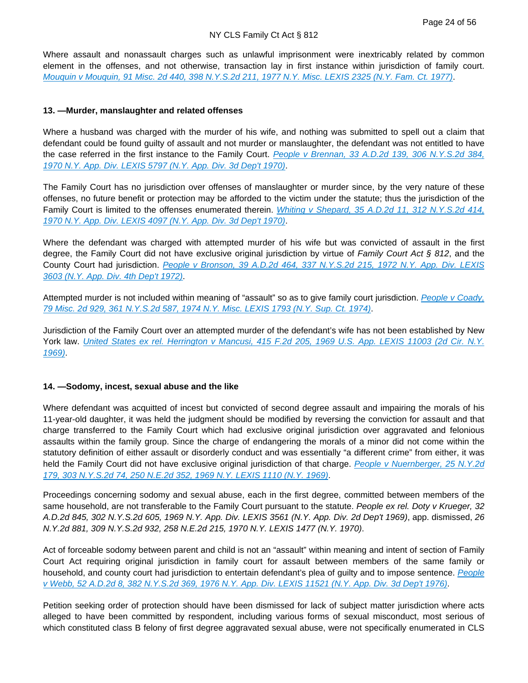Where assault and nonassault charges such as unlawful imprisonment were inextricably related by common element in the offenses, and not otherwise, transaction lay in first instance within jurisdiction of family court. [Mouquin v Mouquin, 91 Misc. 2d 440, 398 N.Y.S.2d 211, 1977 N.Y. Misc. LEXIS 2325 \(N.Y. Fam. Ct. 1977\)](https://advance.lexis.com/api/document?collection=cases&id=urn:contentItem:3RRS-GV10-003C-F4KV-00000-00&context=).

#### **13. —Murder, manslaughter and related offenses**

Where a husband was charged with the murder of his wife, and nothing was submitted to spell out a claim that defendant could be found guilty of assault and not murder or manslaughter, the defendant was not entitled to have the case referred in the first instance to the Family Court. People v Brennan, 33 A.D.2d 139, 306 N.Y.S.2d 384, [1970 N.Y. App. Div. LEXIS 5797 \(N.Y. App. Div. 3d Dep't 1970\)](https://advance.lexis.com/api/document?collection=cases&id=urn:contentItem:3RRT-03S0-003C-C18K-00000-00&context=).

The Family Court has no jurisdiction over offenses of manslaughter or murder since, by the very nature of these offenses, no future benefit or protection may be afforded to the victim under the statute; thus the jurisdiction of the Family Court is limited to the offenses enumerated therein. [Whiting v Shepard, 35 A.D.2d 11, 312 N.Y.S.2d 414,](https://advance.lexis.com/api/document?collection=cases&id=urn:contentItem:3RRS-YYC0-003C-C4B4-00000-00&context=)  [1970 N.Y. App. Div. LEXIS 4097 \(N.Y. App. Div. 3d Dep't 1970\)](https://advance.lexis.com/api/document?collection=cases&id=urn:contentItem:3RRS-YYC0-003C-C4B4-00000-00&context=).

Where the defendant was charged with attempted murder of his wife but was convicted of assault in the first degree, the Family Court did not have exclusive original jurisdiction by virtue of Family Court Act  $\S 812$ , and the County Court had jurisdiction. People v Bronson, 39 A.D.2d 464, 337 N.Y.S.2d 215, 1972 N.Y. App. Div. LEXIS [3603 \(N.Y. App. Div. 4th Dep't 1972\)](https://advance.lexis.com/api/document?collection=cases&id=urn:contentItem:3RRS-YGG0-003C-C2DJ-00000-00&context=).

Attempted murder is not included within meaning of "assault" so as to give family court jurisdiction. People v Coady, [79 Misc. 2d 929, 361 N.Y.S.2d 587, 1974 N.Y. Misc. LEXIS 1793 \(N.Y. Sup. Ct. 1974\)](https://advance.lexis.com/api/document?collection=cases&id=urn:contentItem:3RRS-9JK0-003C-D0GK-00000-00&context=).

Jurisdiction of the Family Court over an attempted murder of the defendant's wife has not been established by New York law. United States ex rel. Herrington v Mancusi, 415 F.2d 205, 1969 U.S. App. LEXIS 11003 (2d Cir. N.Y. [1969\)](https://advance.lexis.com/api/document?collection=cases&id=urn:contentItem:3S4W-SYC0-0039-Y2W0-00000-00&context=).

### **14. —Sodomy, incest, sexual abuse and the like**

Where defendant was acquitted of incest but convicted of second degree assault and impairing the morals of his 11-year-old daughter, it was held the judgment should be modified by reversing the conviction for assault and that charge transferred to the Family Court which had exclusive original jurisdiction over aggravated and felonious assaults within the family group. Since the charge of endangering the morals of a minor did not come within the statutory definition of either assault or disorderly conduct and was essentially "a different crime" from either, it was held the Family Court did not have exclusive original jurisdiction of that charge. People v Nuernberger, 25 N.Y.2d [179, 303 N.Y.S.2d 74, 250 N.E.2d 352, 1969 N.Y. LEXIS 1110 \(N.Y. 1969\)](https://advance.lexis.com/api/document?collection=cases&id=urn:contentItem:3RRS-W140-003C-C52J-00000-00&context=).

Proceedings concerning sodomy and sexual abuse, each in the first degree, committed between members of the same household, are not transferable to the Family Court pursuant to the statute. People ex rel. Doty v Krueger, 32 A.D.2d 845, 302 N.Y.S.2d 605, 1969 N.Y. App. Div. LEXIS 3561 (N.Y. App. Div. 2d Dep't 1969), app. dismissed, 26 N.Y.2d 881, 309 N.Y.S.2d 932, 258 N.E.2d 215, 1970 N.Y. LEXIS 1477 (N.Y. 1970).

Act of forceable sodomy between parent and child is not an "assault" within meaning and intent of section of Family Court Act requiring original jurisdiction in family court for assault between members of the same family or household, and county court had jurisdiction to entertain defendant's plea of guilty and to impose sentence. People [v Webb, 52 A.D.2d 8, 382 N.Y.S.2d 369, 1976 N.Y. App. Div. LEXIS 11521 \(N.Y. App. Div. 3d Dep't 1976\)](https://advance.lexis.com/api/document?collection=cases&id=urn:contentItem:3RRS-FCT0-003C-F2NY-00000-00&context=).

Petition seeking order of protection should have been dismissed for lack of subject matter jurisdiction where acts alleged to have been committed by respondent, including various forms of sexual misconduct, most serious of which constituted class B felony of first degree aggravated sexual abuse, were not specifically enumerated in CLS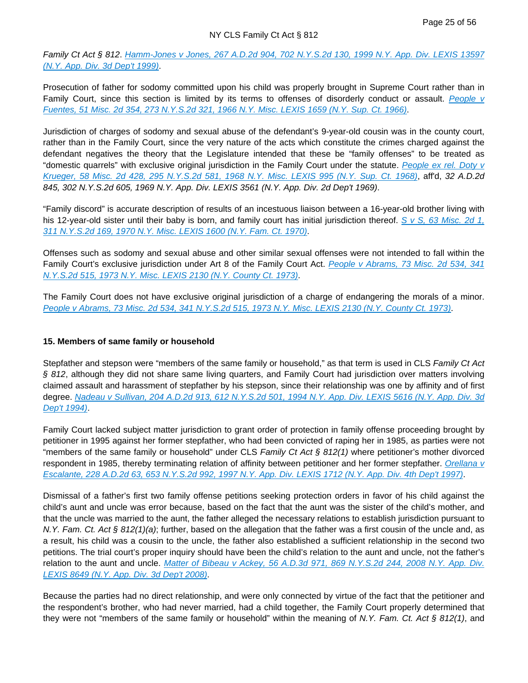Family Ct Act § 812. Hamm-Jones v Jones, 267 A.D.2d 904, 702 N.Y.S.2d 130, 1999 N.Y. App. Div. LEXIS 13597 [\(N.Y. App. Div. 3d Dep't 1999\)](https://advance.lexis.com/api/document?collection=cases&id=urn:contentItem:3Y81-SB50-0039-41TW-00000-00&context=).

Prosecution of father for sodomy committed upon his child was properly brought in Supreme Court rather than in Family Court, since this section is limited by its terms to offenses of disorderly conduct or assault. People v [Fuentes, 51 Misc. 2d 354, 273 N.Y.S.2d 321, 1966 N.Y. Misc. LEXIS 1659 \(N.Y. Sup. Ct. 1966\)](https://advance.lexis.com/api/document?collection=cases&id=urn:contentItem:3RRS-BMK0-003C-D0SB-00000-00&context=).

Jurisdiction of charges of sodomy and sexual abuse of the defendant's 9-year-old cousin was in the county court, rather than in the Family Court, since the very nature of the acts which constitute the crimes charged against the defendant negatives the theory that the Legislature intended that these be "family offenses" to be treated as "domestic quarrels" with exclusive original jurisdiction in the Family Court under the statute. People ex rel. Doty v [Krueger, 58 Misc. 2d 428, 295 N.Y.S.2d 581, 1968 N.Y. Misc. LEXIS 995 \(N.Y. Sup. Ct. 1968\)](https://advance.lexis.com/api/document?collection=cases&id=urn:contentItem:3RRS-BBC0-003C-D32H-00000-00&context=), aff'd, 32 A.D.2d 845, 302 N.Y.S.2d 605, 1969 N.Y. App. Div. LEXIS 3561 (N.Y. App. Div. 2d Dep't 1969).

"Family discord" is accurate description of results of an incestuous liaison between a 16-year-old brother living with his 12-year-old sister until their baby is born, and family court has initial jurisdiction thereof. S v S, 63 Misc. 2d 1, [311 N.Y.S.2d 169, 1970 N.Y. Misc. LEXIS 1600 \(N.Y. Fam. Ct. 1970\)](https://advance.lexis.com/api/document?collection=cases&id=urn:contentItem:3RRS-B5M0-003C-D18B-00000-00&context=).

Offenses such as sodomy and sexual abuse and other similar sexual offenses were not intended to fall within the Family Court's exclusive jurisdiction under Art 8 of the Family Court Act. People v Abrams, 73 Misc. 2d 534, 341 [N.Y.S.2d 515, 1973 N.Y. Misc. LEXIS 2130 \(N.Y. County Ct. 1973\)](https://advance.lexis.com/api/document?collection=cases&id=urn:contentItem:3RRS-9S50-003C-D2RN-00000-00&context=).

The Family Court does not have exclusive original jurisdiction of a charge of endangering the morals of a minor. [People v Abrams, 73 Misc. 2d 534, 341 N.Y.S.2d 515, 1973 N.Y. Misc. LEXIS 2130 \(N.Y. County Ct. 1973\)](https://advance.lexis.com/api/document?collection=cases&id=urn:contentItem:3RRS-9S50-003C-D2RN-00000-00&context=).

# **15. Members of same family or household**

Stepfather and stepson were "members of the same family or household," as that term is used in CLS Family Ct Act § 812, although they did not share same living quarters, and Family Court had jurisdiction over matters involving claimed assault and harassment of stepfather by his stepson, since their relationship was one by affinity and of first degree. [Nadeau v Sullivan, 204 A.D.2d 913, 612 N.Y.S.2d 501, 1994 N.Y. App. Div. LEXIS 5616 \(N.Y. App. Div. 3d](https://advance.lexis.com/api/document?collection=cases&id=urn:contentItem:3S2R-6VT0-003V-B011-00000-00&context=)  [Dep't 1994\)](https://advance.lexis.com/api/document?collection=cases&id=urn:contentItem:3S2R-6VT0-003V-B011-00000-00&context=).

Family Court lacked subject matter jurisdiction to grant order of protection in family offense proceeding brought by petitioner in 1995 against her former stepfather, who had been convicted of raping her in 1985, as parties were not "members of the same family or household" under CLS Family Ct Act  $\S 812(1)$  where petitioner's mother divorced respondent in 1985, thereby terminating relation of affinity between petitioner and her former stepfather. Orellana v [Escalante, 228 A.D.2d 63, 653 N.Y.S.2d 992, 1997 N.Y. App. Div. LEXIS 1712 \(N.Y. App. Div. 4th Dep't 1997\)](https://advance.lexis.com/api/document?collection=cases&id=urn:contentItem:3RGS-BG70-003V-B00F-00000-00&context=).

Dismissal of a father's first two family offense petitions seeking protection orders in favor of his child against the child's aunt and uncle was error because, based on the fact that the aunt was the sister of the child's mother, and that the uncle was married to the aunt, the father alleged the necessary relations to establish jurisdiction pursuant to N.Y. Fam. Ct. Act § 812(1)(a); further, based on the allegation that the father was a first cousin of the uncle and, as a result, his child was a cousin to the uncle, the father also established a sufficient relationship in the second two petitions. The trial court's proper inquiry should have been the child's relation to the aunt and uncle, not the father's relation to the aunt and uncle. Matter of Bibeau v Ackey, 56 A.D.3d 971, 869 N.Y.S.2d 244, 2008 N.Y. App. Div. [LEXIS 8649 \(N.Y. App. Div. 3d Dep't 2008\)](https://advance.lexis.com/api/document?collection=cases&id=urn:contentItem:4TYT-5RJ0-TXFV-T3DR-00000-00&context=).

Because the parties had no direct relationship, and were only connected by virtue of the fact that the petitioner and the respondent's brother, who had never married, had a child together, the Family Court properly determined that they were not "members of the same family or household" within the meaning of N.Y. Fam. Ct. Act  $\S 812(1)$ , and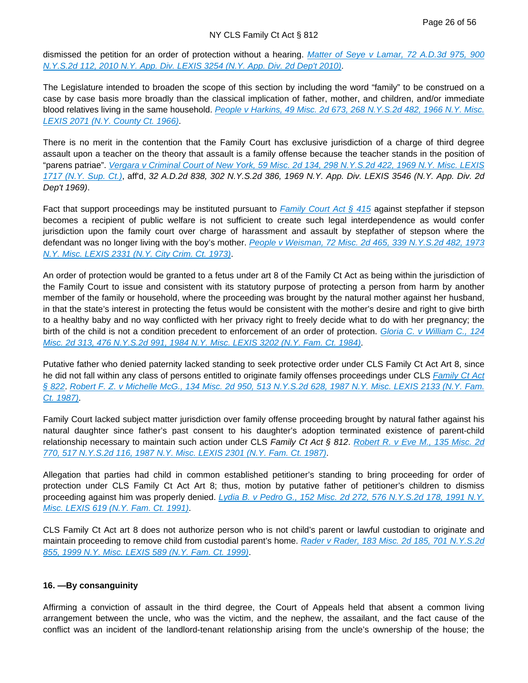dismissed the petition for an order of protection without a hearing. Matter of Seye v Lamar, 72 A.D.3d 975, 900 [N.Y.S.2d 112, 2010 N.Y. App. Div. LEXIS 3254 \(N.Y. App. Div. 2d Dep't 2010\)](https://advance.lexis.com/api/document?collection=cases&id=urn:contentItem:7Y98-M8H0-YB0T-304H-00000-00&context=).

The Legislature intended to broaden the scope of this section by including the word "family" to be construed on a case by case basis more broadly than the classical implication of father, mother, and children, and/or immediate blood relatives living in the same household. People v Harkins, 49 Misc. 2d 673, 268 N.Y.S.2d 482, 1966 N.Y. Misc. [LEXIS 2071 \(N.Y. County Ct. 1966\)](https://advance.lexis.com/api/document?collection=cases&id=urn:contentItem:3RRS-BNY0-003C-D193-00000-00&context=).

There is no merit in the contention that the Family Court has exclusive jurisdiction of a charge of third degree assault upon a teacher on the theory that assault is a family offense because the teacher stands in the position of "parens patriae". [Vergara v Criminal Court of New York, 59 Misc. 2d 134, 298 N.Y.S.2d 422, 1969 N.Y. Misc. LEXIS](https://advance.lexis.com/api/document?collection=cases&id=urn:contentItem:3RRS-B9M0-003C-D2ST-00000-00&context=)  [1717 \(N.Y. Sup. Ct.\)](https://advance.lexis.com/api/document?collection=cases&id=urn:contentItem:3RRS-B9M0-003C-D2ST-00000-00&context=), aff'd, 32 A.D.2d 838, 302 N.Y.S.2d 386, 1969 N.Y. App. Div. LEXIS 3546 (N.Y. App. Div. 2d Dep't 1969).

Fact that support proceedings may be instituted pursuant to **[Family Court Act § 415](https://advance.lexis.com/api/document?collection=statutes-legislation&id=urn:contentItem:5CT3-0VD1-6RDJ-84G1-00000-00&context=)** against stepfather if stepson becomes a recipient of public welfare is not sufficient to create such legal interdependence as would confer jurisdiction upon the family court over charge of harassment and assault by stepfather of stepson where the defendant was no longer living with the boy's mother. People v Weisman, 72 Misc. 2d 465, 339 N.Y.S.2d 482, 1973 [N.Y. Misc. LEXIS 2331 \(N.Y. City Crim. Ct. 1973\)](https://advance.lexis.com/api/document?collection=cases&id=urn:contentItem:3RRS-9T40-003C-D318-00000-00&context=).

An order of protection would be granted to a fetus under art 8 of the Family Ct Act as being within the jurisdiction of the Family Court to issue and consistent with its statutory purpose of protecting a person from harm by another member of the family or household, where the proceeding was brought by the natural mother against her husband, in that the state's interest in protecting the fetus would be consistent with the mother's desire and right to give birth to a healthy baby and no way conflicted with her privacy right to freely decide what to do with her pregnancy; the birth of the child is not a condition precedent to enforcement of an order of protection. Gloria C. v William C., 124 [Misc. 2d 313, 476 N.Y.S.2d 991, 1984 N.Y. Misc. LEXIS 3202 \(N.Y. Fam. Ct. 1984\)](https://advance.lexis.com/api/document?collection=cases&id=urn:contentItem:3S3K-2XY0-003D-G1KV-00000-00&context=).

Putative father who denied paternity lacked standing to seek protective order under CLS Family Ct Act Art 8, since he did not fall within any class of persons entitled to originate family offenses proceedings under CLS Family Ct Act [§ 822](https://advance.lexis.com/api/document?collection=statutes-legislation&id=urn:contentItem:5CT3-0VD1-6RDJ-84XV-00000-00&context=). [Robert F. Z. v Michelle McG., 134 Misc. 2d 950, 513 N.Y.S.2d 628, 1987 N.Y. Misc. LEXIS 2133 \(N.Y. Fam.](https://advance.lexis.com/api/document?collection=cases&id=urn:contentItem:3S3K-2PW0-003D-G3W1-00000-00&context=)  [Ct. 1987\)](https://advance.lexis.com/api/document?collection=cases&id=urn:contentItem:3S3K-2PW0-003D-G3W1-00000-00&context=).

Family Court lacked subject matter jurisdiction over family offense proceeding brought by natural father against his natural daughter since father's past consent to his daughter's adoption terminated existence of parent-child relationship necessary to maintain such action under CLS Family Ct Act § 812. Robert R. v Eve M., 135 Misc. 2d [770, 517 N.Y.S.2d 116, 1987 N.Y. Misc. LEXIS 2301 \(N.Y. Fam. Ct. 1987\)](https://advance.lexis.com/api/document?collection=cases&id=urn:contentItem:3S3K-2PK0-003D-G3PT-00000-00&context=).

Allegation that parties had child in common established petitioner's standing to bring proceeding for order of protection under CLS Family Ct Act Art 8; thus, motion by putative father of petitioner's children to dismiss proceeding against him was properly denied. Lydia B. v Pedro G., 152 Misc. 2d 272, 576 N.Y.S.2d 178, 1991 N.Y. [Misc. LEXIS 619 \(N.Y. Fam. Ct. 1991\)](https://advance.lexis.com/api/document?collection=cases&id=urn:contentItem:3S2R-8B20-003V-B30C-00000-00&context=).

CLS Family Ct Act art 8 does not authorize person who is not child's parent or lawful custodian to originate and maintain proceeding to remove child from custodial parent's home. Rader v Rader, 183 Misc. 2d 185, 701 N.Y.S.2d [855, 1999 N.Y. Misc. LEXIS 589 \(N.Y. Fam. Ct. 1999\)](https://advance.lexis.com/api/document?collection=cases&id=urn:contentItem:3YDW-9F10-0039-43VT-00000-00&context=).

### **16. —By consanguinity**

Affirming a conviction of assault in the third degree, the Court of Appeals held that absent a common living arrangement between the uncle, who was the victim, and the nephew, the assailant, and the fact cause of the conflict was an incident of the landlord-tenant relationship arising from the uncle's ownership of the house; the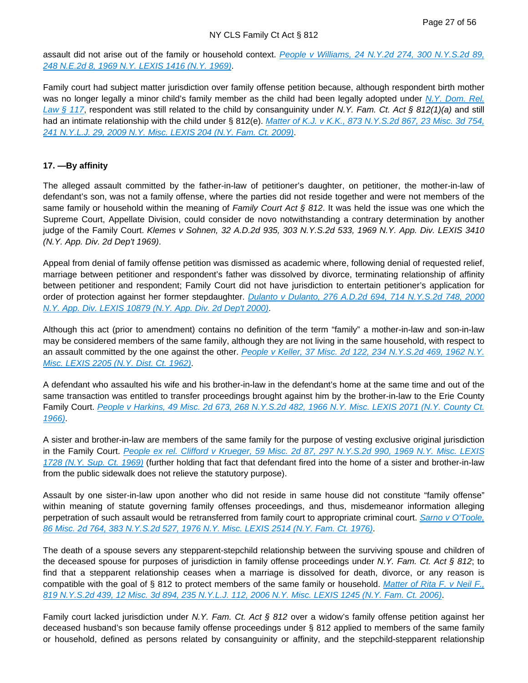assault did not arise out of the family or household context. [People v Williams, 24 N.Y.2d 274, 300 N.Y.S.2d 89,](https://advance.lexis.com/api/document?collection=cases&id=urn:contentItem:3RRS-W2P0-003C-C07H-00000-00&context=)  [248 N.E.2d 8, 1969 N.Y. LEXIS 1416 \(N.Y. 1969\)](https://advance.lexis.com/api/document?collection=cases&id=urn:contentItem:3RRS-W2P0-003C-C07H-00000-00&context=).

Family court had subject matter jurisdiction over family offense petition because, although respondent birth mother was no longer legally a minor child's family member as the child had been legally adopted under N.Y. Dom. Rel. [Law § 117](https://advance.lexis.com/api/document?collection=statutes-legislation&id=urn:contentItem:5CT3-0FK1-6RDJ-84YG-00000-00&context=), respondent was still related to the child by consanguinity under N.Y. Fam. Ct. Act § 812(1)(a) and still had an intimate relationship with the child under § 812(e). Matter of K.J. v K.K., 873 N.Y.S.2d 867, 23 Misc. 3d 754, [241 N.Y.L.J. 29, 2009 N.Y. Misc. LEXIS 204 \(N.Y. Fam. Ct. 2009\)](https://advance.lexis.com/api/document?collection=cases&id=urn:contentItem:4VJC-MKG0-TXFV-V3BV-00000-00&context=).

# **17. —By affinity**

The alleged assault committed by the father-in-law of petitioner's daughter, on petitioner, the mother-in-law of defendant's son, was not a family offense, where the parties did not reside together and were not members of the same family or household within the meaning of Family Court Act  $\S 812$ . It was held the issue was one which the Supreme Court, Appellate Division, could consider de novo notwithstanding a contrary determination by another judge of the Family Court. Klemes v Sohnen, 32 A.D.2d 935, 303 N.Y.S.2d 533, 1969 N.Y. App. Div. LEXIS 3410 (N.Y. App. Div. 2d Dep't 1969).

Appeal from denial of family offense petition was dismissed as academic where, following denial of requested relief, marriage between petitioner and respondent's father was dissolved by divorce, terminating relationship of affinity between petitioner and respondent; Family Court did not have jurisdiction to entertain petitioner's application for order of protection against her former stepdaughter. Dulanto v Dulanto, 276 A.D.2d 694, 714 N.Y.S.2d 748, 2000 [N.Y. App. Div. LEXIS 10879 \(N.Y. App. Div. 2d Dep't 2000\)](https://advance.lexis.com/api/document?collection=cases&id=urn:contentItem:41J7-0JJ0-0039-419M-00000-00&context=).

Although this act (prior to amendment) contains no definition of the term "family" a mother-in-law and son-in-law may be considered members of the same family, although they are not living in the same household, with respect to an assault committed by the one against the other. People v Keller, 37 Misc. 2d 122, 234 N.Y.S.2d 469, 1962 N.Y. [Misc. LEXIS 2205 \(N.Y. Dist. Ct. 1962\)](https://advance.lexis.com/api/document?collection=cases&id=urn:contentItem:3RRS-C4T0-003C-D147-00000-00&context=).

A defendant who assaulted his wife and his brother-in-law in the defendant's home at the same time and out of the same transaction was entitled to transfer proceedings brought against him by the brother-in-law to the Erie County Family Court. [People v Harkins, 49 Misc. 2d 673, 268 N.Y.S.2d 482, 1966 N.Y. Misc. LEXIS 2071 \(N.Y. County Ct.](https://advance.lexis.com/api/document?collection=cases&id=urn:contentItem:3RRS-BNY0-003C-D193-00000-00&context=)  [1966\)](https://advance.lexis.com/api/document?collection=cases&id=urn:contentItem:3RRS-BNY0-003C-D193-00000-00&context=).

A sister and brother-in-law are members of the same family for the purpose of vesting exclusive original jurisdiction in the Family Court. People ex rel. Clifford v Krueger, 59 Misc. 2d 87, 297 N.Y.S.2d 990, 1969 N.Y. Misc. LEXIS [1728 \(N.Y. Sup. Ct. 1969\)](https://advance.lexis.com/api/document?collection=cases&id=urn:contentItem:3RRS-B9N0-003C-D2T6-00000-00&context=) (further holding that fact that defendant fired into the home of a sister and brother-in-law from the public sidewalk does not relieve the statutory purpose).

Assault by one sister-in-law upon another who did not reside in same house did not constitute "family offense" within meaning of statute governing family offenses proceedings, and thus, misdemeanor information alleging perpetration of such assault would be retransferred from family court to appropriate criminal court. Sarno v O'Toole, [86 Misc. 2d 764, 383 N.Y.S.2d 527, 1976 N.Y. Misc. LEXIS 2514 \(N.Y. Fam. Ct. 1976\)](https://advance.lexis.com/api/document?collection=cases&id=urn:contentItem:3RRS-H0V0-003C-F0PD-00000-00&context=).

The death of a spouse severs any stepparent-stepchild relationship between the surviving spouse and children of the deceased spouse for purposes of jurisdiction in family offense proceedings under N.Y. Fam. Ct. Act  $\S 812$ ; to find that a stepparent relationship ceases when a marriage is dissolved for death, divorce, or any reason is compatible with the goal of § 812 to protect members of the same family or household. Matter of Rita F. v Neil F., [819 N.Y.S.2d 439, 12 Misc. 3d 894, 235 N.Y.L.J. 112, 2006 N.Y. Misc. LEXIS 1245 \(N.Y. Fam. Ct. 2006\)](https://advance.lexis.com/api/document?collection=cases&id=urn:contentItem:4K19-RXJ0-0039-42DN-00000-00&context=).

Family court lacked jurisdiction under N.Y. Fam. Ct. Act § 812 over a widow's family offense petition against her deceased husband's son because family offense proceedings under § 812 applied to members of the same family or household, defined as persons related by consanguinity or affinity, and the stepchild-stepparent relationship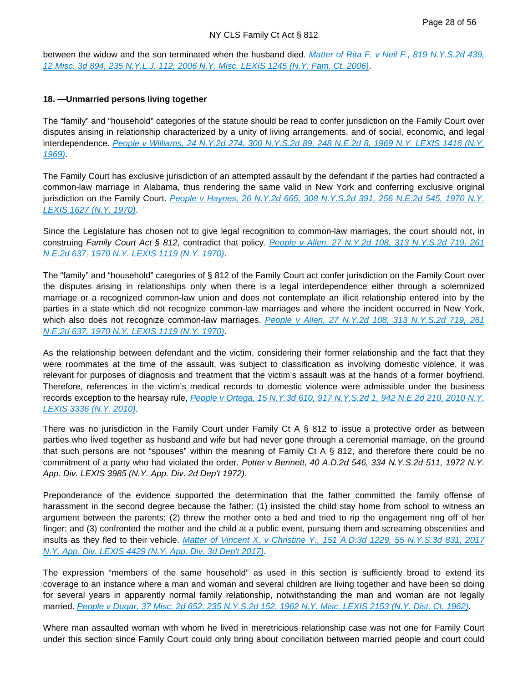between the widow and the son terminated when the husband died. Matter of Rita F. v Neil F., 819 N.Y.S.2d 439, [12 Misc. 3d 894, 235 N.Y.L.J. 112, 2006 N.Y. Misc. LEXIS 1245 \(N.Y. Fam. Ct. 2006\)](https://advance.lexis.com/api/document?collection=cases&id=urn:contentItem:4K19-RXJ0-0039-42DN-00000-00&context=).

# **18. —Unmarried persons living together**

The "family" and "household" categories of the statute should be read to confer jurisdiction on the Family Court over disputes arising in relationship characterized by a unity of living arrangements, and of social, economic, and legal interdependence. [People v Williams, 24 N.Y.2d 274, 300 N.Y.S.2d 89, 248 N.E.2d 8, 1969 N.Y. LEXIS 1416 \(N.Y.](https://advance.lexis.com/api/document?collection=cases&id=urn:contentItem:3RRS-W2P0-003C-C07H-00000-00&context=)  [1969\)](https://advance.lexis.com/api/document?collection=cases&id=urn:contentItem:3RRS-W2P0-003C-C07H-00000-00&context=).

The Family Court has exclusive jurisdiction of an attempted assault by the defendant if the parties had contracted a common-law marriage in Alabama, thus rendering the same valid in New York and conferring exclusive original jurisdiction on the Family Court. People v Haynes, 26 N.Y.2d 665, 308 N.Y.S.2d 391, 256 N.E.2d 545, 1970 N.Y. [LEXIS 1627 \(N.Y. 1970\)](https://advance.lexis.com/api/document?collection=cases&id=urn:contentItem:3RRS-VYT0-003C-C4RC-00000-00&context=).

Since the Legislature has chosen not to give legal recognition to common-law marriages, the court should not, in construing Family Court Act § 812, contradict that policy. [People v Allen, 27 N.Y.2d 108, 313 N.Y.S.2d 719, 261](https://advance.lexis.com/api/document?collection=cases&id=urn:contentItem:3RRS-VW90-003C-C433-00000-00&context=)  [N.E.2d 637, 1970 N.Y. LEXIS 1119 \(N.Y. 1970\)](https://advance.lexis.com/api/document?collection=cases&id=urn:contentItem:3RRS-VW90-003C-C433-00000-00&context=).

The "family" and "household" categories of § 812 of the Family Court act confer jurisdiction on the Family Court over the disputes arising in relationships only when there is a legal interdependence either through a solemnized marriage or a recognized common-law union and does not contemplate an illicit relationship entered into by the parties in a state which did not recognize common-law marriages and where the incident occurred in New York, which also does not recognize common-law marriages. People v Allen, 27 N.Y.2d 108, 313 N.Y.S.2d 719, 261 [N.E.2d 637, 1970 N.Y. LEXIS 1119 \(N.Y. 1970\)](https://advance.lexis.com/api/document?collection=cases&id=urn:contentItem:3RRS-VW90-003C-C433-00000-00&context=).

As the relationship between defendant and the victim, considering their former relationship and the fact that they were roommates at the time of the assault, was subject to classification as involving domestic violence, it was relevant for purposes of diagnosis and treatment that the victim's assault was at the hands of a former boyfriend. Therefore, references in the victim's medical records to domestic violence were admissible under the business records exception to the hearsay rule, People v Ortega, 15 N.Y.3d 610, 917 N.Y.S.2d 1, 942 N.E.2d 210, 2010 N.Y. [LEXIS 3336 \(N.Y. 2010\)](https://advance.lexis.com/api/document?collection=cases&id=urn:contentItem:51J2-HC81-F04J-6020-00000-00&context=).

There was no jurisdiction in the Family Court under Family Ct A § 812 to issue a protective order as between parties who lived together as husband and wife but had never gone through a ceremonial marriage, on the ground that such persons are not "spouses" within the meaning of Family Ct A § 812, and therefore there could be no commitment of a party who had violated the order. Potter v Bennett, 40 A.D.2d 546, 334 N.Y.S.2d 511, 1972 N.Y. App. Div. LEXIS 3985 (N.Y. App. Div. 2d Dep't 1972).

Preponderance of the evidence supported the determination that the father committed the family offense of harassment in the second degree because the father: (1) insisted the child stay home from school to witness an argument between the parents; (2) threw the mother onto a bed and tried to rip the engagement ring off of her finger; and (3) confronted the mother and the child at a public event, pursuing them and screaming obscenities and insults as they fled to their vehicle. Matter of Vincent X. v Christine Y., 151 A.D.3d 1229, 55 N.Y.S.3d 831, 2017 [N.Y. App. Div. LEXIS 4429 \(N.Y. App. Div. 3d Dep't 2017\)](https://advance.lexis.com/api/document?collection=cases&id=urn:contentItem:5NRG-WJW1-F04J-720K-00000-00&context=).

The expression "members of the same household" as used in this section is sufficiently broad to extend its coverage to an instance where a man and woman and several children are living together and have been so doing for several years in apparently normal family relationship, notwithstanding the man and woman are not legally married. [People v Dugar, 37 Misc. 2d 652, 235 N.Y.S.2d 152, 1962 N.Y. Misc. LEXIS 2153 \(N.Y. Dist. Ct. 1962\)](https://advance.lexis.com/api/document?collection=cases&id=urn:contentItem:3RRS-C4M0-003C-D12C-00000-00&context=).

Where man assaulted woman with whom he lived in meretricious relationship case was not one for Family Court under this section since Family Court could only bring about conciliation between married people and court could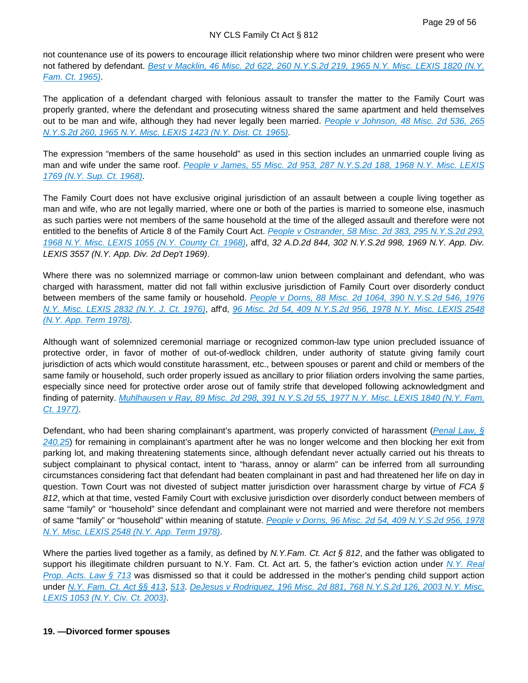not countenance use of its powers to encourage illicit relationship where two minor children were present who were not fathered by defendant. [Best v Macklin, 46 Misc. 2d 622, 260 N.Y.S.2d 219, 1965 N.Y. Misc. LEXIS 1820 \(N.Y.](https://advance.lexis.com/api/document?collection=cases&id=urn:contentItem:3RRS-BSX0-003C-D2DW-00000-00&context=)  [Fam. Ct. 1965\)](https://advance.lexis.com/api/document?collection=cases&id=urn:contentItem:3RRS-BSX0-003C-D2DW-00000-00&context=).

The application of a defendant charged with felonious assault to transfer the matter to the Family Court was properly granted, where the defendant and prosecuting witness shared the same apartment and held themselves out to be man and wife, although they had never legally been married. People v Johnson, 48 Misc. 2d 536, 265 [N.Y.S.2d 260, 1965 N.Y. Misc. LEXIS 1423 \(N.Y. Dist. Ct. 1965\)](https://advance.lexis.com/api/document?collection=cases&id=urn:contentItem:3RRS-BRH0-003C-D1XN-00000-00&context=).

The expression "members of the same household" as used in this section includes an unmarried couple living as man and wife under the same roof. People v James, 55 Misc. 2d 953, 287 N.Y.S.2d 188, 1968 N.Y. Misc. LEXIS [1769 \(N.Y. Sup. Ct. 1968\)](https://advance.lexis.com/api/document?collection=cases&id=urn:contentItem:3RRS-BF40-003C-D426-00000-00&context=).

The Family Court does not have exclusive original jurisdiction of an assault between a couple living together as man and wife, who are not legally married, where one or both of the parties is married to someone else, inasmuch as such parties were not members of the same household at the time of the alleged assault and therefore were not entitled to the benefits of Article 8 of the Family Court Act. People v Ostrander, 58 Misc. 2d 383, 295 N.Y.S.2d 293, [1968 N.Y. Misc. LEXIS 1055 \(N.Y. County Ct. 1968\)](https://advance.lexis.com/api/document?collection=cases&id=urn:contentItem:3RRS-BBJ0-003C-D34N-00000-00&context=), aff'd, 32 A.D.2d 844, 302 N.Y.S.2d 998, 1969 N.Y. App. Div. LEXIS 3557 (N.Y. App. Div. 2d Dep't 1969).

Where there was no solemnized marriage or common-law union between complainant and defendant, who was charged with harassment, matter did not fall within exclusive jurisdiction of Family Court over disorderly conduct between members of the same family or household. People v Dorns, 88 Misc. 2d 1064, 390 N.Y.S.2d 546, 1976 [N.Y. Misc. LEXIS 2832 \(N.Y. J. Ct. 1976\)](https://advance.lexis.com/api/document?collection=cases&id=urn:contentItem:3RRS-GXJ0-003C-F02G-00000-00&context=), aff'd, [96 Misc. 2d 54, 409 N.Y.S.2d 956, 1978 N.Y. Misc. LEXIS 2548](https://advance.lexis.com/api/document?collection=cases&id=urn:contentItem:3RRS-GP40-003C-F3M1-00000-00&context=)  [\(N.Y. App. Term 1978\)](https://advance.lexis.com/api/document?collection=cases&id=urn:contentItem:3RRS-GP40-003C-F3M1-00000-00&context=).

Although want of solemnized ceremonial marriage or recognized common-law type union precluded issuance of protective order, in favor of mother of out-of-wedlock children, under authority of statute giving family court jurisdiction of acts which would constitute harassment, etc., between spouses or parent and child or members of the same family or household, such order properly issued as ancillary to prior filiation orders involving the same parties, especially since need for protective order arose out of family strife that developed following acknowledgment and finding of paternity. Muhlhausen v Ray, 89 Misc. 2d 298, 391 N.Y.S.2d 55, 1977 N.Y. Misc. LEXIS 1840 (N.Y. Fam. [Ct. 1977\)](https://advance.lexis.com/api/document?collection=cases&id=urn:contentItem:3RRS-GX40-003C-F562-00000-00&context=).

Defendant, who had been sharing complainant's apartment, was properly convicted of harassment (Penal Law, § [240.25](https://advance.lexis.com/api/document?collection=statutes-legislation&id=urn:contentItem:5CT3-1N31-6RDJ-84FY-00000-00&context=)) for remaining in complainant's apartment after he was no longer welcome and then blocking her exit from parking lot, and making threatening statements since, although defendant never actually carried out his threats to subject complainant to physical contact, intent to "harass, annoy or alarm" can be inferred from all surrounding circumstances considering fact that defendant had beaten complainant in past and had threatened her life on day in question. Town Court was not divested of subject matter jurisdiction over harassment charge by virtue of FCA § 812, which at that time, vested Family Court with exclusive jurisdiction over disorderly conduct between members of same "family" or "household" since defendant and complainant were not married and were therefore not members of same "family" or "household" within meaning of statute. People v Dorns, 96 Misc. 2d 54, 409 N.Y.S.2d 956, 1978 [N.Y. Misc. LEXIS 2548 \(N.Y. App. Term 1978\)](https://advance.lexis.com/api/document?collection=cases&id=urn:contentItem:3RRS-GP40-003C-F3M1-00000-00&context=).

Where the parties lived together as a family, as defined by N.Y.Fam. Ct. Act  $\S 812$ , and the father was obligated to support his illegitimate children pursuant to N.Y. Fam. Ct. Act art. 5, the father's eviction action under  $N.Y.$  Real Prop. Acts. Law  $\S 713$  was dismissed so that it could be addressed in the mother's pending child support action under [N.Y. Fam. Ct. Act §§ 413](https://advance.lexis.com/api/document?collection=statutes-legislation&id=urn:contentItem:5H81-X461-DXC8-01C5-00000-00&context=), [513](https://advance.lexis.com/api/document?collection=statutes-legislation&id=urn:contentItem:5CT3-0VD1-6RDJ-84JV-00000-00&context=). DeJesus v Rodriguez, 196 Misc. 2d 881, 768 N.Y.S.2d 126, 2003 N.Y. Misc. [LEXIS 1053 \(N.Y. Civ. Ct. 2003\)](https://advance.lexis.com/api/document?collection=cases&id=urn:contentItem:49BB-7270-0039-41FK-00000-00&context=).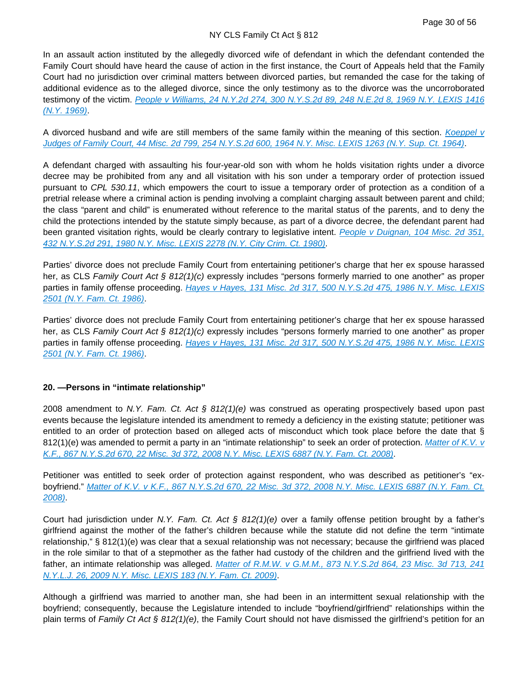In an assault action instituted by the allegedly divorced wife of defendant in which the defendant contended the Family Court should have heard the cause of action in the first instance, the Court of Appeals held that the Family Court had no jurisdiction over criminal matters between divorced parties, but remanded the case for the taking of additional evidence as to the alleged divorce, since the only testimony as to the divorce was the uncorroborated testimony of the victim. People v Williams, 24 N.Y.2d 274, 300 N.Y.S.2d 89, 248 N.E.2d 8, 1969 N.Y. LEXIS 1416 [\(N.Y. 1969\)](https://advance.lexis.com/api/document?collection=cases&id=urn:contentItem:3RRS-W2P0-003C-C07H-00000-00&context=).

A divorced husband and wife are still members of the same family within the meaning of this section. Koeppel v [Judges of Family Court, 44 Misc. 2d 799, 254 N.Y.S.2d 600, 1964 N.Y. Misc. LEXIS 1263 \(N.Y. Sup. Ct. 1964\)](https://advance.lexis.com/api/document?collection=cases&id=urn:contentItem:3RRS-BW90-003C-D3BS-00000-00&context=).

A defendant charged with assaulting his four-year-old son with whom he holds visitation rights under a divorce decree may be prohibited from any and all visitation with his son under a temporary order of protection issued pursuant to CPL 530.11, which empowers the court to issue a temporary order of protection as a condition of a pretrial release where a criminal action is pending involving a complaint charging assault between parent and child; the class "parent and child" is enumerated without reference to the marital status of the parents, and to deny the child the protections intended by the statute simply because, as part of a divorce decree, the defendant parent had been granted visitation rights, would be clearly contrary to legislative intent. People v Duignan, 104 Misc. 2d 351, [432 N.Y.S.2d 291, 1980 N.Y. Misc. LEXIS 2278 \(N.Y. City Crim. Ct. 1980\)](https://advance.lexis.com/api/document?collection=cases&id=urn:contentItem:3RRS-GBH0-003C-F16R-00000-00&context=).

Parties' divorce does not preclude Family Court from entertaining petitioner's charge that her ex spouse harassed her, as CLS Family Court Act § 812(1)(c) expressly includes "persons formerly married to one another" as proper parties in family offense proceeding. Hayes v Hayes, 131 Misc. 2d 317, 500 N.Y.S.2d 475, 1986 N.Y. Misc. LEXIS [2501 \(N.Y. Fam. Ct. 1986\)](https://advance.lexis.com/api/document?collection=cases&id=urn:contentItem:3S3K-2T00-003D-G4XF-00000-00&context=).

Parties' divorce does not preclude Family Court from entertaining petitioner's charge that her ex spouse harassed her, as CLS Family Court Act § 812(1)(c) expressly includes "persons formerly married to one another" as proper parties in family offense proceeding. Hayes v Hayes, 131 Misc. 2d 317, 500 N.Y.S.2d 475, 1986 N.Y. Misc. LEXIS [2501 \(N.Y. Fam. Ct. 1986\)](https://advance.lexis.com/api/document?collection=cases&id=urn:contentItem:3S3K-2T00-003D-G4XF-00000-00&context=).

### **20. —Persons in "intimate relationship"**

2008 amendment to N.Y. Fam. Ct. Act  $\frac{1}{2}$  812(1)(e) was construed as operating prospectively based upon past events because the legislature intended its amendment to remedy a deficiency in the existing statute; petitioner was entitled to an order of protection based on alleged acts of misconduct which took place before the date that § 812(1)(e) was amended to permit a party in an "intimate relationship" to seek an order of protection. Matter of K.V. v [K.F., 867 N.Y.S.2d 670, 22 Misc. 3d 372, 2008 N.Y. Misc. LEXIS 6887 \(N.Y. Fam. Ct. 2008\)](https://advance.lexis.com/api/document?collection=cases&id=urn:contentItem:4V2J-4FW0-TXFV-V1RR-00000-00&context=).

Petitioner was entitled to seek order of protection against respondent, who was described as petitioner's "exboyfriend." Matter of K.V. v K.F., 867 N.Y.S.2d 670, 22 Misc. 3d 372, 2008 N.Y. Misc. LEXIS 6887 (N.Y. Fam. Ct. [2008\)](https://advance.lexis.com/api/document?collection=cases&id=urn:contentItem:4V2J-4FW0-TXFV-V1RR-00000-00&context=).

Court had jurisdiction under N.Y. Fam. Ct. Act  $\frac{1}{2}$  812(1)(e) over a family offense petition brought by a father's girlfriend against the mother of the father's children because while the statute did not define the term "intimate relationship," § 812(1)(e) was clear that a sexual relationship was not necessary; because the girlfriend was placed in the role similar to that of a stepmother as the father had custody of the children and the girlfriend lived with the father, an intimate relationship was alleged. [Matter of R.M.W. v G.M.M., 873 N.Y.S.2d 864, 23 Misc. 3d 713, 241](https://advance.lexis.com/api/document?collection=cases&id=urn:contentItem:4VHW-73S0-TXFV-V2SH-00000-00&context=)  [N.Y.L.J. 26, 2009 N.Y. Misc. LEXIS 183 \(N.Y. Fam. Ct. 2009\)](https://advance.lexis.com/api/document?collection=cases&id=urn:contentItem:4VHW-73S0-TXFV-V2SH-00000-00&context=).

Although a girlfriend was married to another man, she had been in an intermittent sexual relationship with the boyfriend; consequently, because the Legislature intended to include "boyfriend/girlfriend" relationships within the plain terms of Family Ct Act § 812(1)(e), the Family Court should not have dismissed the girlfriend's petition for an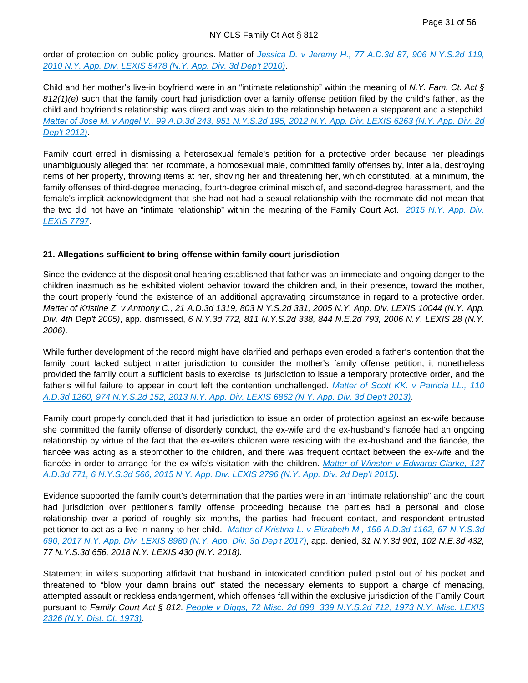order of protection on public policy grounds. Matter of Jessica D. v Jeremy H., 77 A.D.3d 87, 906 N.Y.S.2d 119, [2010 N.Y. App. Div. LEXIS 5478 \(N.Y. App. Div. 3d Dep't 2010\)](https://advance.lexis.com/api/document?collection=cases&id=urn:contentItem:7YSN-XXN0-YB0T-3057-00000-00&context=).

Child and her mother's live-in boyfriend were in an "intimate relationship" within the meaning of N.Y. Fam. Ct. Act  $\hat{S}$  $812(1)(e)$  such that the family court had jurisdiction over a family offense petition filed by the child's father, as the child and boyfriend's relationship was direct and was akin to the relationship between a stepparent and a stepchild. [Matter of Jose M. v Angel V., 99 A.D.3d 243, 951 N.Y.S.2d 195, 2012 N.Y. App. Div. LEXIS 6263 \(N.Y. App. Div. 2d](https://advance.lexis.com/api/document?collection=cases&id=urn:contentItem:56NK-TKM1-F04J-7090-00000-00&context=)  [Dep't 2012\)](https://advance.lexis.com/api/document?collection=cases&id=urn:contentItem:56NK-TKM1-F04J-7090-00000-00&context=).

Family court erred in dismissing a heterosexual female's petition for a protective order because her pleadings unambiguously alleged that her roommate, a homosexual male, committed family offenses by, inter alia, destroying items of her property, throwing items at her, shoving her and threatening her, which constituted, at a minimum, the family offenses of third-degree menacing, fourth-degree criminal mischief, and second-degree harassment, and the female's implicit acknowledgment that she had not had a sexual relationship with the roommate did not mean that the two did not have an "intimate relationship" within the meaning of the Family Court Act. 2015 N.Y. App. Div. [LEXIS 7797](https://advance.lexis.com/api/document?collection=cases&id=urn:contentItem:5H6M-CWT1-F04J-70BV-00000-00&context=).

# **21. Allegations sufficient to bring offense within family court jurisdiction**

Since the evidence at the dispositional hearing established that father was an immediate and ongoing danger to the children inasmuch as he exhibited violent behavior toward the children and, in their presence, toward the mother, the court properly found the existence of an additional aggravating circumstance in regard to a protective order. Matter of Kristine Z. v Anthony C., 21 A.D.3d 1319, 803 N.Y.S.2d 331, 2005 N.Y. App. Div. LEXIS 10044 (N.Y. App. Div. 4th Dep't 2005), app. dismissed, 6 N.Y.3d 772, 811 N.Y.S.2d 338, 844 N.E.2d 793, 2006 N.Y. LEXIS 28 (N.Y. 2006).

While further development of the record might have clarified and perhaps even eroded a father's contention that the family court lacked subject matter jurisdiction to consider the mother's family offense petition, it nonetheless provided the family court a sufficient basis to exercise its jurisdiction to issue a temporary protective order, and the father's willful failure to appear in court left the contention unchallenged. Matter of Scott KK. v Patricia LL., 110 [A.D.3d 1260, 974 N.Y.S.2d 152, 2013 N.Y. App. Div. LEXIS 6862 \(N.Y. App. Div. 3d Dep't 2013\)](https://advance.lexis.com/api/document?collection=cases&id=urn:contentItem:59NC-MH71-F04J-7234-00000-00&context=).

Family court properly concluded that it had jurisdiction to issue an order of protection against an ex-wife because she committed the family offense of disorderly conduct, the ex-wife and the ex-husband's fiancée had an ongoing relationship by virtue of the fact that the ex-wife's children were residing with the ex-husband and the fiancée, the fiancée was acting as a stepmother to the children, and there was frequent contact between the ex-wife and the fiancée in order to arrange for the ex-wife's visitation with the children. Matter of Winston v Edwards-Clarke, 127 [A.D.3d 771, 6 N.Y.S.3d 566, 2015 N.Y. App. Div. LEXIS 2796 \(N.Y. App. Div. 2d Dep't 2015\)](https://advance.lexis.com/api/document?collection=cases&id=urn:contentItem:5FN4-TVW1-F04J-709P-00000-00&context=).

Evidence supported the family court's determination that the parties were in an "intimate relationship" and the court had jurisdiction over petitioner's family offense proceeding because the parties had a personal and close relationship over a period of roughly six months, the parties had frequent contact, and respondent entrusted petitioner to act as a live-in nanny to her child. [Matter of Kristina L. v Elizabeth M., 156 A.D.3d 1162, 67 N.Y.S.3d](https://advance.lexis.com/api/document?collection=cases&id=urn:contentItem:5R79-GP61-FGJR-21MX-00000-00&context=)  [690, 2017 N.Y. App. Div. LEXIS 8980 \(N.Y. App. Div. 3d Dep't 2017\)](https://advance.lexis.com/api/document?collection=cases&id=urn:contentItem:5R79-GP61-FGJR-21MX-00000-00&context=), app. denied, 31 N.Y.3d 901, 102 N.E.3d 432, 77 N.Y.S.3d 656, 2018 N.Y. LEXIS 430 (N.Y. 2018).

Statement in wife's supporting affidavit that husband in intoxicated condition pulled pistol out of his pocket and threatened to "blow your damn brains out" stated the necessary elements to support a charge of menacing, attempted assault or reckless endangerment, which offenses fall within the exclusive jurisdiction of the Family Court pursuant to Family Court Act § 812. People v Diggs, 72 Misc. 2d 898, 339 N.Y.S.2d 712, 1973 N.Y. Misc. LEXIS [2326 \(N.Y. Dist. Ct. 1973\)](https://advance.lexis.com/api/document?collection=cases&id=urn:contentItem:3RRS-9T30-003C-D311-00000-00&context=).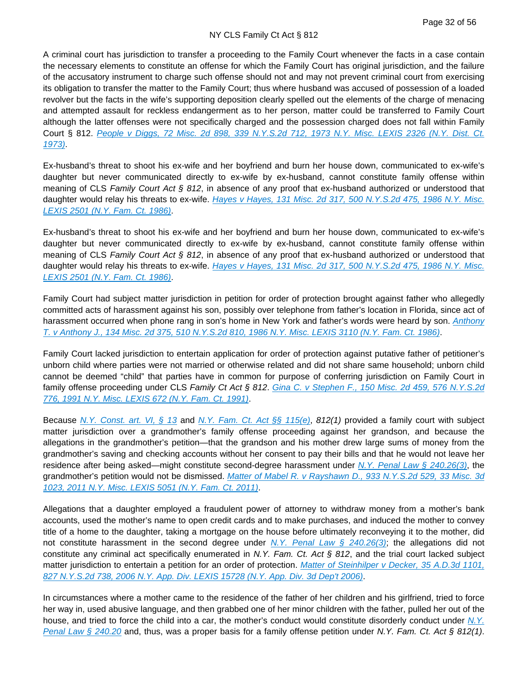A criminal court has jurisdiction to transfer a proceeding to the Family Court whenever the facts in a case contain the necessary elements to constitute an offense for which the Family Court has original jurisdiction, and the failure of the accusatory instrument to charge such offense should not and may not prevent criminal court from exercising its obligation to transfer the matter to the Family Court; thus where husband was accused of possession of a loaded revolver but the facts in the wife's supporting deposition clearly spelled out the elements of the charge of menacing and attempted assault for reckless endangerment as to her person, matter could be transferred to Family Court although the latter offenses were not specifically charged and the possession charged does not fall within Family Court § 812. [People v Diggs, 72 Misc. 2d 898, 339 N.Y.S.2d 712, 1973 N.Y. Misc. LEXIS 2326 \(N.Y. Dist. Ct.](https://advance.lexis.com/api/document?collection=cases&id=urn:contentItem:3RRS-9T30-003C-D311-00000-00&context=)  [1973\)](https://advance.lexis.com/api/document?collection=cases&id=urn:contentItem:3RRS-9T30-003C-D311-00000-00&context=).

Ex-husband's threat to shoot his ex-wife and her boyfriend and burn her house down, communicated to ex-wife's daughter but never communicated directly to ex-wife by ex-husband, cannot constitute family offense within meaning of CLS Family Court Act § 812, in absence of any proof that ex-husband authorized or understood that daughter would relay his threats to ex-wife. Hayes v Hayes, 131 Misc. 2d 317, 500 N.Y.S.2d 475, 1986 N.Y. Misc. [LEXIS 2501 \(N.Y. Fam. Ct. 1986\)](https://advance.lexis.com/api/document?collection=cases&id=urn:contentItem:3S3K-2T00-003D-G4XF-00000-00&context=).

Ex-husband's threat to shoot his ex-wife and her boyfriend and burn her house down, communicated to ex-wife's daughter but never communicated directly to ex-wife by ex-husband, cannot constitute family offense within meaning of CLS Family Court Act § 812, in absence of any proof that ex-husband authorized or understood that daughter would relay his threats to ex-wife. Hayes v Hayes, 131 Misc. 2d 317, 500 N.Y.S.2d 475, 1986 N.Y. Misc. [LEXIS 2501 \(N.Y. Fam. Ct. 1986\)](https://advance.lexis.com/api/document?collection=cases&id=urn:contentItem:3S3K-2T00-003D-G4XF-00000-00&context=).

Family Court had subject matter jurisdiction in petition for order of protection brought against father who allegedly committed acts of harassment against his son, possibly over telephone from father's location in Florida, since act of harassment occurred when phone rang in son's home in New York and father's words were heard by son. Anthony [T. v Anthony J., 134 Misc. 2d 375, 510 N.Y.S.2d 810, 1986 N.Y. Misc. LEXIS 3110 \(N.Y. Fam. Ct. 1986\)](https://advance.lexis.com/api/document?collection=cases&id=urn:contentItem:3S3K-2R90-003D-G432-00000-00&context=).

Family Court lacked jurisdiction to entertain application for order of protection against putative father of petitioner's unborn child where parties were not married or otherwise related and did not share same household; unborn child cannot be deemed "child" that parties have in common for purpose of conferring jurisdiction on Family Court in family offense proceeding under CLS Family Ct Act § 812. Gina C. v Stephen F., 150 Misc. 2d 459, 576 N.Y.S.2d [776, 1991 N.Y. Misc. LEXIS 672 \(N.Y. Fam. Ct. 1991\)](https://advance.lexis.com/api/document?collection=cases&id=urn:contentItem:3S2R-88Y0-003V-B110-00000-00&context=).

Because [N.Y. Const. art. VI, § 13](https://advance.lexis.com/api/document?collection=statutes-legislation&id=urn:contentItem:5CT2-JHJ1-DYB7-M51C-00000-00&context=) and [N.Y. Fam. Ct. Act §§ 115\(e\)](https://advance.lexis.com/api/document?collection=statutes-legislation&id=urn:contentItem:5JW5-8WH1-DXC8-01MM-00000-00&context=), 812(1) provided a family court with subject matter jurisdiction over a grandmother's family offense proceeding against her grandson, and because the allegations in the grandmother's petition—that the grandson and his mother drew large sums of money from the grandmother's saving and checking accounts without her consent to pay their bills and that he would not leave her residence after being asked—might constitute second-degree harassment under  $N.Y.$  Penal Law § 240.26(3), the grandmother's petition would not be dismissed. Matter of Mabel R. v Rayshawn D., 933 N.Y.S.2d 529, 33 Misc. 3d [1023, 2011 N.Y. Misc. LEXIS 5051 \(N.Y. Fam. Ct. 2011\)](https://advance.lexis.com/api/document?collection=cases&id=urn:contentItem:5445-B5J1-F04J-80P8-00000-00&context=).

Allegations that a daughter employed a fraudulent power of attorney to withdraw money from a mother's bank accounts, used the mother's name to open credit cards and to make purchases, and induced the mother to convey title of a home to the daughter, taking a mortgage on the house before ultimately reconveying it to the mother, did not constitute harassment in the second degree under  $N.Y.$  Penal Law § 240.26(3); the allegations did not constitute any criminal act specifically enumerated in N.Y. Fam. Ct. Act  $\S 812$ , and the trial court lacked subject matter jurisdiction to entertain a petition for an order of protection. Matter of Steinhilper v Decker, 35 A.D.3d 1101, [827 N.Y.S.2d 738, 2006 N.Y. App. Div. LEXIS 15728 \(N.Y. App. Div. 3d Dep't 2006\)](https://advance.lexis.com/api/document?collection=cases&id=urn:contentItem:4MP1-CG80-0039-4515-00000-00&context=).

In circumstances where a mother came to the residence of the father of her children and his girlfriend, tried to force her way in, used abusive language, and then grabbed one of her minor children with the father, pulled her out of the house, and tried to force the child into a car, the mother's conduct would constitute disorderly conduct under N.Y. [Penal Law § 240.20](https://advance.lexis.com/api/document?collection=statutes-legislation&id=urn:contentItem:5CT3-1N31-6RDJ-84FW-00000-00&context=) and, thus, was a proper basis for a family offense petition under N.Y. Fam. Ct. Act § 812(1).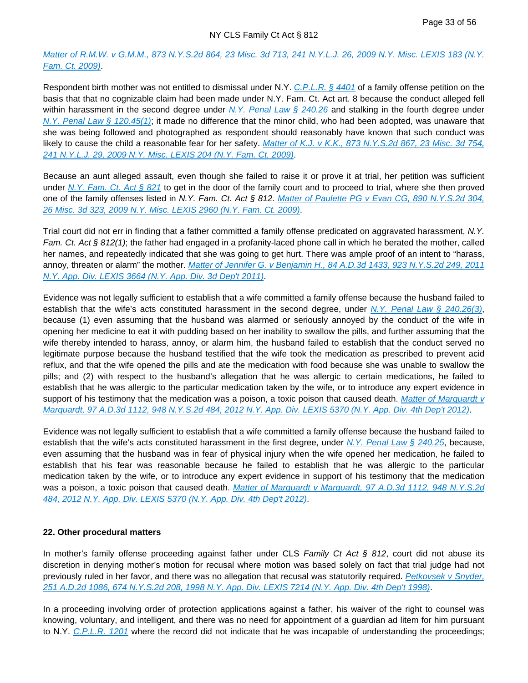# [Matter of R.M.W. v G.M.M., 873 N.Y.S.2d 864, 23 Misc. 3d 713, 241 N.Y.L.J. 26, 2009 N.Y. Misc. LEXIS 183 \(N.Y.](https://advance.lexis.com/api/document?collection=cases&id=urn:contentItem:4VHW-73S0-TXFV-V2SH-00000-00&context=)  [Fam. Ct. 2009\)](https://advance.lexis.com/api/document?collection=cases&id=urn:contentItem:4VHW-73S0-TXFV-V2SH-00000-00&context=).

Respondent birth mother was not entitled to dismissal under N.Y. [C.P.L.R. § 4401](https://advance.lexis.com/api/document?collection=statutes-legislation&id=urn:contentItem:5CT3-08C1-6RDJ-84PG-00000-00&context=) of a family offense petition on the basis that that no cognizable claim had been made under N.Y. Fam. Ct. Act art. 8 because the conduct alleged fell within harassment in the second degree under N.Y. Penal Law  $\S$  240.26 and stalking in the fourth degree under [N.Y. Penal Law § 120.45\(1\)](https://advance.lexis.com/api/document?collection=statutes-legislation&id=urn:contentItem:5F2D-N201-DXC8-014N-00000-00&context=); it made no difference that the minor child, who had been adopted, was unaware that she was being followed and photographed as respondent should reasonably have known that such conduct was likely to cause the child a reasonable fear for her safety. Matter of K.J. v K.K., 873 N.Y.S.2d 867, 23 Misc. 3d 754, [241 N.Y.L.J. 29, 2009 N.Y. Misc. LEXIS 204 \(N.Y. Fam. Ct. 2009\)](https://advance.lexis.com/api/document?collection=cases&id=urn:contentItem:4VJC-MKG0-TXFV-V3BV-00000-00&context=).

Because an aunt alleged assault, even though she failed to raise it or prove it at trial, her petition was sufficient under [N.Y. Fam. Ct. Act § 821](https://advance.lexis.com/api/document?collection=statutes-legislation&id=urn:contentItem:8RGK-1RB2-D6RV-H2NJ-00000-00&context=) to get in the door of the family court and to proceed to trial, where she then proved one of the family offenses listed in N.Y. Fam. Ct. Act § 812. Matter of Paulette PG v Evan CG, 890 N.Y.S.2d 304, [26 Misc. 3d 323, 2009 N.Y. Misc. LEXIS 2960 \(N.Y. Fam. Ct. 2009\)](https://advance.lexis.com/api/document?collection=cases&id=urn:contentItem:4XK4-Y1K0-TXFV-V35H-00000-00&context=).

Trial court did not err in finding that a father committed a family offense predicated on aggravated harassment, N.Y. Fam. Ct. Act  $\S 812(1)$ ; the father had engaged in a profanity-laced phone call in which he berated the mother, called her names, and repeatedly indicated that she was going to get hurt. There was ample proof of an intent to "harass, annoy, threaten or alarm" the mother. Matter of Jennifer G. v Benjamin H., 84 A.D.3d 1433, 923 N.Y.S.2d 249, 2011 [N.Y. App. Div. LEXIS 3664 \(N.Y. App. Div. 3d Dep't 2011\)](https://advance.lexis.com/api/document?collection=cases&id=urn:contentItem:52ST-Y321-F04J-72C7-00000-00&context=).

Evidence was not legally sufficient to establish that a wife committed a family offense because the husband failed to establish that the wife's acts constituted harassment in the second degree, under N.Y. Penal Law  $\S$  240.26(3), because (1) even assuming that the husband was alarmed or seriously annoyed by the conduct of the wife in opening her medicine to eat it with pudding based on her inability to swallow the pills, and further assuming that the wife thereby intended to harass, annoy, or alarm him, the husband failed to establish that the conduct served no legitimate purpose because the husband testified that the wife took the medication as prescribed to prevent acid reflux, and that the wife opened the pills and ate the medication with food because she was unable to swallow the pills; and (2) with respect to the husband's allegation that he was allergic to certain medications, he failed to establish that he was allergic to the particular medication taken by the wife, or to introduce any expert evidence in support of his testimony that the medication was a poison, a toxic poison that caused death. Matter of Marquardt v [Marquardt, 97 A.D.3d 1112, 948 N.Y.S.2d 484, 2012 N.Y. App. Div. LEXIS 5370 \(N.Y. App. Div. 4th Dep't 2012\)](https://advance.lexis.com/api/document?collection=cases&id=urn:contentItem:5624-4311-F04J-7407-00000-00&context=).

Evidence was not legally sufficient to establish that a wife committed a family offense because the husband failed to establish that the wife's acts constituted harassment in the first degree, under N.Y. Penal Law  $\S 240.25$ , because, even assuming that the husband was in fear of physical injury when the wife opened her medication, he failed to establish that his fear was reasonable because he failed to establish that he was allergic to the particular medication taken by the wife, or to introduce any expert evidence in support of his testimony that the medication was a poison, a toxic poison that caused death. Matter of Marquardt v Marquardt, 97 A.D.3d 1112, 948 N.Y.S.2d [484, 2012 N.Y. App. Div. LEXIS 5370 \(N.Y. App. Div. 4th Dep't 2012\)](https://advance.lexis.com/api/document?collection=cases&id=urn:contentItem:5624-4311-F04J-7407-00000-00&context=).

# **22. Other procedural matters**

In mother's family offense proceeding against father under CLS Family Ct Act  $\S$  812, court did not abuse its discretion in denying mother's motion for recusal where motion was based solely on fact that trial judge had not previously ruled in her favor, and there was no allegation that recusal was statutorily required. Petkovsek v Snyder, [251 A.D.2d 1086, 674 N.Y.S.2d 208, 1998 N.Y. App. Div. LEXIS 7214 \(N.Y. App. Div. 4th Dep't 1998\)](https://advance.lexis.com/api/document?collection=cases&id=urn:contentItem:3SYM-DSN0-0039-4173-00000-00&context=).

In a proceeding involving order of protection applications against a father, his waiver of the right to counsel was knowing, voluntary, and intelligent, and there was no need for appointment of a guardian ad litem for him pursuant to N.Y. [C.P.L.R. 1201](https://advance.lexis.com/api/document?collection=statutes-legislation&id=urn:contentItem:5CT3-08C1-6RDJ-849Y-00000-00&context=) where the record did not indicate that he was incapable of understanding the proceedings;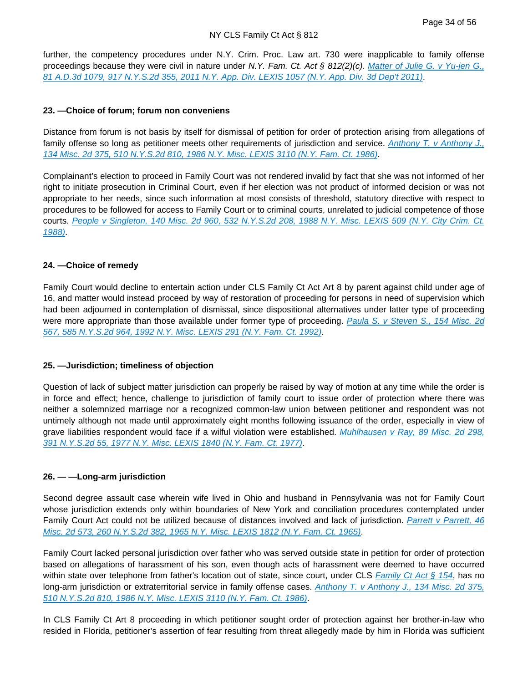further, the competency procedures under N.Y. Crim. Proc. Law art. 730 were inapplicable to family offense proceedings because they were civil in nature under N.Y. Fam. Ct. Act  $\S 812(2)(c)$ . Matter of Julie G. v Yu-jen G., [81 A.D.3d 1079, 917 N.Y.S.2d 355, 2011 N.Y. App. Div. LEXIS 1057 \(N.Y. App. Div. 3d Dep't 2011\)](https://advance.lexis.com/api/document?collection=cases&id=urn:contentItem:526D-BCD1-F04J-701S-00000-00&context=).

### **23. —Choice of forum; forum non conveniens**

Distance from forum is not basis by itself for dismissal of petition for order of protection arising from allegations of family offense so long as petitioner meets other requirements of jurisdiction and service. Anthony T. v Anthony J., [134 Misc. 2d 375, 510 N.Y.S.2d 810, 1986 N.Y. Misc. LEXIS 3110 \(N.Y. Fam. Ct. 1986\)](https://advance.lexis.com/api/document?collection=cases&id=urn:contentItem:3S3K-2R90-003D-G432-00000-00&context=).

Complainant's election to proceed in Family Court was not rendered invalid by fact that she was not informed of her right to initiate prosecution in Criminal Court, even if her election was not product of informed decision or was not appropriate to her needs, since such information at most consists of threshold, statutory directive with respect to procedures to be followed for access to Family Court or to criminal courts, unrelated to judicial competence of those courts. [People v Singleton, 140 Misc. 2d 960, 532 N.Y.S.2d 208, 1988 N.Y. Misc. LEXIS 509 \(N.Y. City Crim. Ct.](https://advance.lexis.com/api/document?collection=cases&id=urn:contentItem:3S3K-2KN0-003D-G2C3-00000-00&context=)  [1988\)](https://advance.lexis.com/api/document?collection=cases&id=urn:contentItem:3S3K-2KN0-003D-G2C3-00000-00&context=).

#### **24. —Choice of remedy**

Family Court would decline to entertain action under CLS Family Ct Act Art 8 by parent against child under age of 16, and matter would instead proceed by way of restoration of proceeding for persons in need of supervision which had been adjourned in contemplation of dismissal, since dispositional alternatives under latter type of proceeding were more appropriate than those available under former type of proceeding. Paula S. v Steven S., 154 Misc. 2d [567, 585 N.Y.S.2d 964, 1992 N.Y. Misc. LEXIS 291 \(N.Y. Fam. Ct. 1992\)](https://advance.lexis.com/api/document?collection=cases&id=urn:contentItem:3S2R-80G0-003V-B2M5-00000-00&context=).

### **25. —Jurisdiction; timeliness of objection**

Question of lack of subject matter jurisdiction can properly be raised by way of motion at any time while the order is in force and effect; hence, challenge to jurisdiction of family court to issue order of protection where there was neither a solemnized marriage nor a recognized common-law union between petitioner and respondent was not untimely although not made until approximately eight months following issuance of the order, especially in view of grave liabilities respondent would face if a wilful violation were established. Muhlhausen v Ray, 89 Misc. 2d 298, [391 N.Y.S.2d 55, 1977 N.Y. Misc. LEXIS 1840 \(N.Y. Fam. Ct. 1977\)](https://advance.lexis.com/api/document?collection=cases&id=urn:contentItem:3RRS-GX40-003C-F562-00000-00&context=).

### **26. — —Long-arm jurisdiction**

Second degree assault case wherein wife lived in Ohio and husband in Pennsylvania was not for Family Court whose jurisdiction extends only within boundaries of New York and conciliation procedures contemplated under Family Court Act could not be utilized because of distances involved and lack of jurisdiction. Parrett v Parrett, 46 [Misc. 2d 573, 260 N.Y.S.2d 382, 1965 N.Y. Misc. LEXIS 1812 \(N.Y. Fam. Ct. 1965\)](https://advance.lexis.com/api/document?collection=cases&id=urn:contentItem:3RRS-BSW0-003C-D2DK-00000-00&context=).

Family Court lacked personal jurisdiction over father who was served outside state in petition for order of protection based on allegations of harassment of his son, even though acts of harassment were deemed to have occurred within state over telephone from father's location out of state, since court, under CLS Family Ct Act  $\S$  154, has no long-arm jurisdiction or extraterritorial service in family offense cases. Anthony T. v Anthony J., 134 Misc. 2d 375, [510 N.Y.S.2d 810, 1986 N.Y. Misc. LEXIS 3110 \(N.Y. Fam. Ct. 1986\)](https://advance.lexis.com/api/document?collection=cases&id=urn:contentItem:3S3K-2R90-003D-G432-00000-00&context=).

In CLS Family Ct Art 8 proceeding in which petitioner sought order of protection against her brother-in-law who resided in Florida, petitioner's assertion of fear resulting from threat allegedly made by him in Florida was sufficient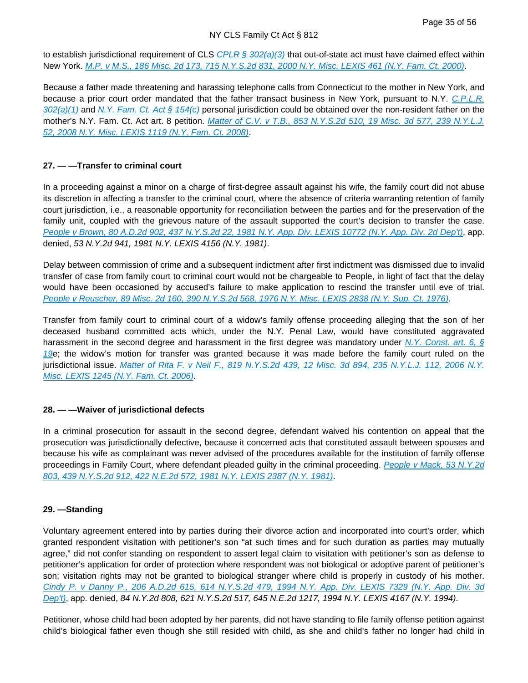to establish jurisdictional requirement of CLS CPLR  $\S$  302(a)(3) that out-of-state act must have claimed effect within New York. [M.P. v M.S., 186 Misc. 2d 173, 715 N.Y.S.2d 831, 2000 N.Y. Misc. LEXIS 461 \(N.Y. Fam. Ct. 2000\)](https://advance.lexis.com/api/document?collection=cases&id=urn:contentItem:41SD-5FY0-0039-40RK-00000-00&context=).

Because a father made threatening and harassing telephone calls from Connecticut to the mother in New York, and because a prior court order mandated that the father transact business in New York, pursuant to N.Y. C.P.L.R.  $302(a)(1)$  and [N.Y. Fam. Ct. Act § 154\(c\)](https://advance.lexis.com/api/document?collection=statutes-legislation&id=urn:contentItem:5CT3-0VD1-6RDJ-8469-00000-00&context=) personal jurisdiction could be obtained over the non-resident father on the mother's N.Y. Fam. Ct. Act art. 8 petition. Matter of C.V. v T.B., 853 N.Y.S.2d 510, 19 Misc. 3d 577, 239 N.Y.L.J. [52, 2008 N.Y. Misc. LEXIS 1119 \(N.Y. Fam. Ct. 2008\)](https://advance.lexis.com/api/document?collection=cases&id=urn:contentItem:4S21-R0M0-TX4N-G003-00000-00&context=).

# **27. — —Transfer to criminal court**

In a proceeding against a minor on a charge of first-degree assault against his wife, the family court did not abuse its discretion in affecting a transfer to the criminal court, where the absence of criteria warranting retention of family court jurisdiction, i.e., a reasonable opportunity for reconciliation between the parties and for the preservation of the family unit, coupled with the grievous nature of the assault supported the court's decision to transfer the case. [People v Brown, 80 A.D.2d 902, 437 N.Y.S.2d 22, 1981 N.Y. App. Div. LEXIS 10772 \(N.Y. App. Div. 2d Dep't\)](https://advance.lexis.com/api/document?collection=cases&id=urn:contentItem:3RRS-BJ80-003C-F3KN-00000-00&context=), app. denied, 53 N.Y.2d 941, 1981 N.Y. LEXIS 4156 (N.Y. 1981).

Delay between commission of crime and a subsequent indictment after first indictment was dismissed due to invalid transfer of case from family court to criminal court would not be chargeable to People, in light of fact that the delay would have been occasioned by accused's failure to make application to rescind the transfer until eve of trial. [People v Reuscher, 89 Misc. 2d 160, 390 N.Y.S.2d 568, 1976 N.Y. Misc. LEXIS 2838 \(N.Y. Sup. Ct. 1976\)](https://advance.lexis.com/api/document?collection=cases&id=urn:contentItem:3RRS-GXF0-003C-F01R-00000-00&context=).

Transfer from family court to criminal court of a widow's family offense proceeding alleging that the son of her deceased husband committed acts which, under the N.Y. Penal Law, would have constituted aggravated harassment in the second degree and harassment in the first degree was mandatory under N.Y. Const. art. 6,  $\S$ [19](https://advance.lexis.com/api/document?collection=statutes-legislation&id=urn:contentItem:5CT2-JHJ1-DYB7-M51N-00000-00&context=)e; the widow's motion for transfer was granted because it was made before the family court ruled on the jurisdictional issue. Matter of Rita F. v Neil F., 819 N.Y.S.2d 439, 12 Misc. 3d 894, 235 N.Y.L.J. 112, 2006 N.Y. [Misc. LEXIS 1245 \(N.Y. Fam. Ct. 2006\)](https://advance.lexis.com/api/document?collection=cases&id=urn:contentItem:4K19-RXJ0-0039-42DN-00000-00&context=).

### **28. — —Waiver of jurisdictional defects**

In a criminal prosecution for assault in the second degree, defendant waived his contention on appeal that the prosecution was jurisdictionally defective, because it concerned acts that constituted assault between spouses and because his wife as complainant was never advised of the procedures available for the institution of family offense proceedings in Family Court, where defendant pleaded guilty in the criminal proceeding. People v Mack, 53 N.Y.2d [803, 439 N.Y.S.2d 912, 422 N.E.2d 572, 1981 N.Y. LEXIS 2387 \(N.Y. 1981\)](https://advance.lexis.com/api/document?collection=cases&id=urn:contentItem:3RRS-9PH0-003C-F0CT-00000-00&context=).

### **29. —Standing**

Voluntary agreement entered into by parties during their divorce action and incorporated into court's order, which granted respondent visitation with petitioner's son "at such times and for such duration as parties may mutually agree," did not confer standing on respondent to assert legal claim to visitation with petitioner's son as defense to petitioner's application for order of protection where respondent was not biological or adoptive parent of petitioner's son; visitation rights may not be granted to biological stranger where child is properly in custody of his mother. [Cindy P. v Danny P., 206 A.D.2d 615, 614 N.Y.S.2d 479, 1994 N.Y. App. Div. LEXIS 7329 \(N.Y. App. Div. 3d](https://advance.lexis.com/api/document?collection=cases&id=urn:contentItem:3S2R-6S70-003V-B1YX-00000-00&context=)  [Dep't\)](https://advance.lexis.com/api/document?collection=cases&id=urn:contentItem:3S2R-6S70-003V-B1YX-00000-00&context=), app. denied, 84 N.Y.2d 808, 621 N.Y.S.2d 517, 645 N.E.2d 1217, 1994 N.Y. LEXIS 4167 (N.Y. 1994).

Petitioner, whose child had been adopted by her parents, did not have standing to file family offense petition against child's biological father even though she still resided with child, as she and child's father no longer had child in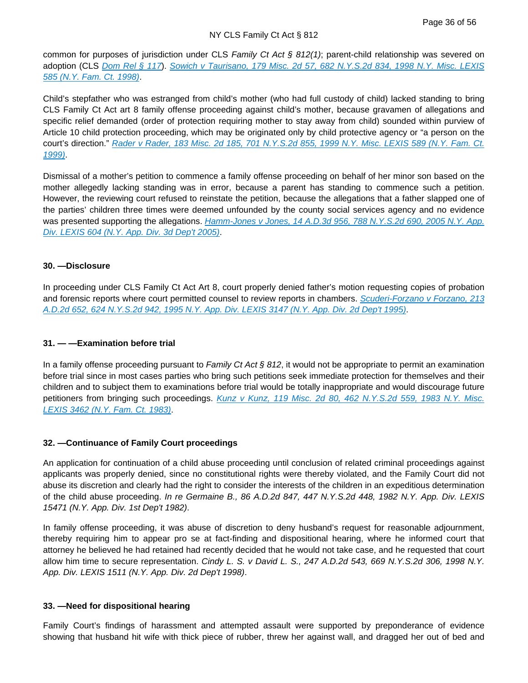common for purposes of jurisdiction under CLS Family Ct Act § 812(1); parent-child relationship was severed on adoption (CLS [Dom Rel § 117](https://advance.lexis.com/api/document?collection=statutes-legislation&id=urn:contentItem:5CT3-0FK1-6RDJ-84YG-00000-00&context=)). [Sowich v Taurisano, 179 Misc. 2d 57, 682 N.Y.S.2d 834, 1998 N.Y. Misc. LEXIS](https://advance.lexis.com/api/document?collection=cases&id=urn:contentItem:3VCP-YB80-0039-44RM-00000-00&context=)  [585 \(N.Y. Fam. Ct. 1998\)](https://advance.lexis.com/api/document?collection=cases&id=urn:contentItem:3VCP-YB80-0039-44RM-00000-00&context=).

Child's stepfather who was estranged from child's mother (who had full custody of child) lacked standing to bring CLS Family Ct Act art 8 family offense proceeding against child's mother, because gravamen of allegations and specific relief demanded (order of protection requiring mother to stay away from child) sounded within purview of Article 10 child protection proceeding, which may be originated only by child protective agency or "a person on the court's direction." [Rader v Rader, 183 Misc. 2d 185, 701 N.Y.S.2d 855, 1999 N.Y. Misc. LEXIS 589 \(N.Y. Fam. Ct.](https://advance.lexis.com/api/document?collection=cases&id=urn:contentItem:3YDW-9F10-0039-43VT-00000-00&context=)  [1999\)](https://advance.lexis.com/api/document?collection=cases&id=urn:contentItem:3YDW-9F10-0039-43VT-00000-00&context=).

Dismissal of a mother's petition to commence a family offense proceeding on behalf of her minor son based on the mother allegedly lacking standing was in error, because a parent has standing to commence such a petition. However, the reviewing court refused to reinstate the petition, because the allegations that a father slapped one of the parties' children three times were deemed unfounded by the county social services agency and no evidence was presented supporting the allegations. Hamm-Jones v Jones, 14 A.D.3d 956, 788 N.Y.S.2d 690, 2005 N.Y. App. [Div. LEXIS 604 \(N.Y. App. Div. 3d Dep't 2005\)](https://advance.lexis.com/api/document?collection=cases&id=urn:contentItem:4FBR-SPS0-0039-438M-00000-00&context=).

### **30. —Disclosure**

In proceeding under CLS Family Ct Act Art 8, court properly denied father's motion requesting copies of probation and forensic reports where court permitted counsel to review reports in chambers. Scuderi-Forzano v Forzano, 213 [A.D.2d 652, 624 N.Y.S.2d 942, 1995 N.Y. App. Div. LEXIS 3147 \(N.Y. App. Div. 2d Dep't 1995\)](https://advance.lexis.com/api/document?collection=cases&id=urn:contentItem:3S2R-6C50-003V-B10Y-00000-00&context=).

## **31. — —Examination before trial**

In a family offense proceeding pursuant to Family Ct Act  $\S 812$ , it would not be appropriate to permit an examination before trial since in most cases parties who bring such petitions seek immediate protection for themselves and their children and to subject them to examinations before trial would be totally inappropriate and would discourage future petitioners from bringing such proceedings. Kunz v Kunz, 119 Misc. 2d 80, 462 N.Y.S.2d 559, 1983 N.Y. Misc. [LEXIS 3462 \(N.Y. Fam. Ct. 1983\)](https://advance.lexis.com/api/document?collection=cases&id=urn:contentItem:3S3K-31R0-003D-G2XD-00000-00&context=).

### **32. —Continuance of Family Court proceedings**

An application for continuation of a child abuse proceeding until conclusion of related criminal proceedings against applicants was properly denied, since no constitutional rights were thereby violated, and the Family Court did not abuse its discretion and clearly had the right to consider the interests of the children in an expeditious determination of the child abuse proceeding. In re Germaine B., 86 A.D.2d 847, 447 N.Y.S.2d 448, 1982 N.Y. App. Div. LEXIS 15471 (N.Y. App. Div. 1st Dep't 1982).

In family offense proceeding, it was abuse of discretion to deny husband's request for reasonable adjournment, thereby requiring him to appear pro se at fact-finding and dispositional hearing, where he informed court that attorney he believed he had retained had recently decided that he would not take case, and he requested that court allow him time to secure representation. Cindy L. S. v David L. S., 247 A.D.2d 543, 669 N.Y.S.2d 306, 1998 N.Y. App. Div. LEXIS 1511 (N.Y. App. Div. 2d Dep't 1998).

### **33. —Need for dispositional hearing**

Family Court's findings of harassment and attempted assault were supported by preponderance of evidence showing that husband hit wife with thick piece of rubber, threw her against wall, and dragged her out of bed and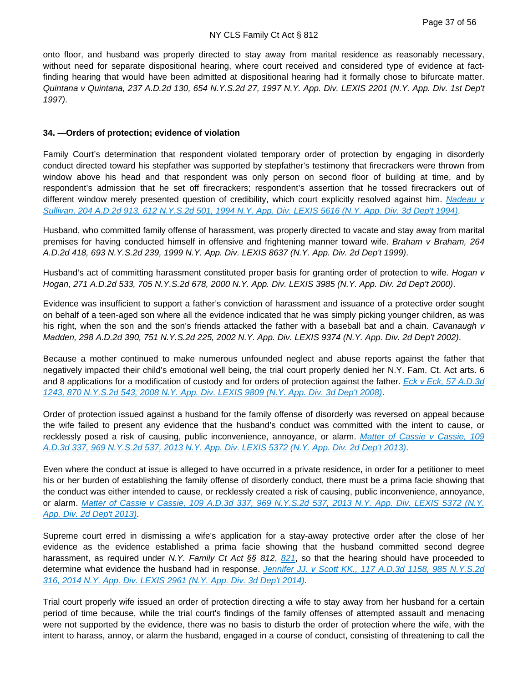onto floor, and husband was properly directed to stay away from marital residence as reasonably necessary, without need for separate dispositional hearing, where court received and considered type of evidence at factfinding hearing that would have been admitted at dispositional hearing had it formally chose to bifurcate matter. Quintana v Quintana, 237 A.D.2d 130, 654 N.Y.S.2d 27, 1997 N.Y. App. Div. LEXIS 2201 (N.Y. App. Div. 1st Dep't 1997).

## **34. —Orders of protection; evidence of violation**

Family Court's determination that respondent violated temporary order of protection by engaging in disorderly conduct directed toward his stepfather was supported by stepfather's testimony that firecrackers were thrown from window above his head and that respondent was only person on second floor of building at time, and by respondent's admission that he set off firecrackers; respondent's assertion that he tossed firecrackers out of different window merely presented question of credibility, which court explicitly resolved against him. Nadeau v [Sullivan, 204 A.D.2d 913, 612 N.Y.S.2d 501, 1994 N.Y. App. Div. LEXIS 5616 \(N.Y. App. Div. 3d Dep't 1994\)](https://advance.lexis.com/api/document?collection=cases&id=urn:contentItem:3S2R-6VT0-003V-B011-00000-00&context=).

Husband, who committed family offense of harassment, was properly directed to vacate and stay away from marital premises for having conducted himself in offensive and frightening manner toward wife. Braham v Braham, 264 A.D.2d 418, 693 N.Y.S.2d 239, 1999 N.Y. App. Div. LEXIS 8637 (N.Y. App. Div. 2d Dep't 1999).

Husband's act of committing harassment constituted proper basis for granting order of protection to wife. Hogan v Hogan, 271 A.D.2d 533, 705 N.Y.S.2d 678, 2000 N.Y. App. Div. LEXIS 3985 (N.Y. App. Div. 2d Dep't 2000).

Evidence was insufficient to support a father's conviction of harassment and issuance of a protective order sought on behalf of a teen-aged son where all the evidence indicated that he was simply picking younger children, as was his right, when the son and the son's friends attacked the father with a baseball bat and a chain. Cavanaugh v Madden, 298 A.D.2d 390, 751 N.Y.S.2d 225, 2002 N.Y. App. Div. LEXIS 9374 (N.Y. App. Div. 2d Dep't 2002).

Because a mother continued to make numerous unfounded neglect and abuse reports against the father that negatively impacted their child's emotional well being, the trial court properly denied her N.Y. Fam. Ct. Act arts. 6 and 8 applications for a modification of custody and for orders of protection against the father. Eck v Eck, 57 A.D.3d [1243, 870 N.Y.S.2d 543, 2008 N.Y. App. Div. LEXIS 9809 \(N.Y. App. Div. 3d Dep't 2008\)](https://advance.lexis.com/api/document?collection=cases&id=urn:contentItem:4V72-0170-TXFV-T1S3-00000-00&context=).

Order of protection issued against a husband for the family offense of disorderly was reversed on appeal because the wife failed to present any evidence that the husband's conduct was committed with the intent to cause, or recklessly posed a risk of causing, public inconvenience, annoyance, or alarm. Matter of Cassie v Cassie, 109 [A.D.3d 337, 969 N.Y.S.2d 537, 2013 N.Y. App. Div. LEXIS 5372 \(N.Y. App. Div. 2d Dep't 2013\)](https://advance.lexis.com/api/document?collection=cases&id=urn:contentItem:58YS-T411-F04J-700J-00000-00&context=).

Even where the conduct at issue is alleged to have occurred in a private residence, in order for a petitioner to meet his or her burden of establishing the family offense of disorderly conduct, there must be a prima facie showing that the conduct was either intended to cause, or recklessly created a risk of causing, public inconvenience, annoyance, or alarm. [Matter of Cassie v Cassie, 109 A.D.3d 337, 969 N.Y.S.2d 537, 2013 N.Y. App. Div. LEXIS 5372 \(N.Y.](https://advance.lexis.com/api/document?collection=cases&id=urn:contentItem:58YS-T411-F04J-700J-00000-00&context=)  [App. Div. 2d Dep't 2013\)](https://advance.lexis.com/api/document?collection=cases&id=urn:contentItem:58YS-T411-F04J-700J-00000-00&context=).

Supreme court erred in dismissing a wife's application for a stay-away protective order after the close of her evidence as the evidence established a prima facie showing that the husband committed second degree harassment, as required under N.Y. Family Ct Act  $\S$  812,  $821$ , so that the hearing should have proceeded to determine what evidence the husband had in response. Jennifer JJ. v Scott KK., 117 A.D.3d 1158, 985 N.Y.S.2d [316, 2014 N.Y. App. Div. LEXIS 2961 \(N.Y. App. Div. 3d Dep't 2014\)](https://advance.lexis.com/api/document?collection=cases&id=urn:contentItem:5C3P-MYM1-F04J-703X-00000-00&context=).

Trial court properly wife issued an order of protection directing a wife to stay away from her husband for a certain period of time because, while the trial court's findings of the family offenses of attempted assault and menacing were not supported by the evidence, there was no basis to disturb the order of protection where the wife, with the intent to harass, annoy, or alarm the husband, engaged in a course of conduct, consisting of threatening to call the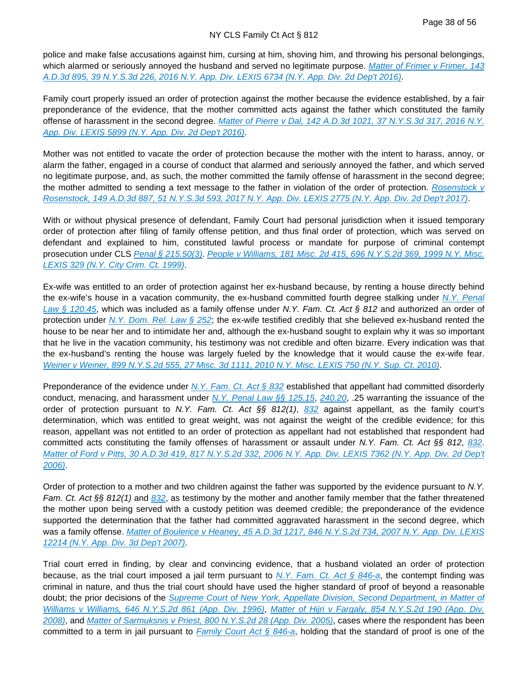police and make false accusations against him, cursing at him, shoving him, and throwing his personal belongings, which alarmed or seriously annoyed the husband and served no legitimate purpose. Matter of Frimer v Frimer, 143 [A.D.3d 895, 39 N.Y.S.3d 226, 2016 N.Y. App. Div. LEXIS 6734 \(N.Y. App. Div. 2d Dep't 2016\)](https://advance.lexis.com/api/document?collection=cases&id=urn:contentItem:5M02-9971-F04J-7015-00000-00&context=).

Family court properly issued an order of protection against the mother because the evidence established, by a fair preponderance of the evidence, that the mother committed acts against the father which constituted the family offense of harassment in the second degree. Matter of Pierre v Dal, 142 A.D.3d 1021, 37 N.Y.S.3d 317, 2016 N.Y. [App. Div. LEXIS 5899 \(N.Y. App. Div. 2d Dep't 2016\)](https://advance.lexis.com/api/document?collection=cases&id=urn:contentItem:5KPK-9VJ1-F04J-73HR-00000-00&context=).

Mother was not entitled to vacate the order of protection because the mother with the intent to harass, annoy, or alarm the father, engaged in a course of conduct that alarmed and seriously annoyed the father, and which served no legitimate purpose, and, as such, the mother committed the family offense of harassment in the second degree; the mother admitted to sending a text message to the father in violation of the order of protection. Rosenstock v [Rosenstock, 149 A.D.3d 887, 51 N.Y.S.3d 593, 2017 N.Y. App. Div. LEXIS 2775 \(N.Y. App. Div. 2d Dep't 2017\)](https://advance.lexis.com/api/document?collection=cases&id=urn:contentItem:5N9C-6DM1-F04J-71WC-00000-00&context=).

With or without physical presence of defendant, Family Court had personal jurisdiction when it issued temporary order of protection after filing of family offense petition, and thus final order of protection, which was served on defendant and explained to him, constituted lawful process or mandate for purpose of criminal contempt prosecution under CLS [Penal § 215.50\(3\)](https://advance.lexis.com/api/document?collection=statutes-legislation&id=urn:contentItem:5CT3-1N31-6RDJ-8491-00000-00&context=). People v Williams, 181 Misc. 2d 415, 696 N.Y.S.2d 369, 1999 N.Y. Misc. [LEXIS 329 \(N.Y. City Crim. Ct. 1999\)](https://advance.lexis.com/api/document?collection=cases&id=urn:contentItem:3X6J-08D0-0039-442Y-00000-00&context=).

Ex-wife was entitled to an order of protection against her ex-husband because, by renting a house directly behind the ex-wife's house in a vacation community, the ex-husband committed fourth degree stalking under N.Y. Penal [Law § 120.45](https://advance.lexis.com/api/document?collection=statutes-legislation&id=urn:contentItem:5F2D-N201-DXC8-014N-00000-00&context=), which was included as a family offense under N.Y. Fam. Ct. Act § 812 and authorized an order of protection under N.Y. Dom. Rel. Law  $\S$  252; the ex-wife testified credibly that she believed ex-husband rented the house to be near her and to intimidate her and, although the ex-husband sought to explain why it was so important that he live in the vacation community, his testimony was not credible and often bizarre. Every indication was that the ex-husband's renting the house was largely fueled by the knowledge that it would cause the ex-wife fear. [Weiner v Weiner, 899 N.Y.S.2d 555, 27 Misc. 3d 1111, 2010 N.Y. Misc. LEXIS 750 \(N.Y. Sup. Ct. 2010\)](https://advance.lexis.com/api/document?collection=cases&id=urn:contentItem:7Y7J-RX00-YB0T-40FJ-00000-00&context=).

Preponderance of the evidence under N.Y. Fam. Ct. Act  $\S 832$  established that appellant had committed disorderly conduct, menacing, and harassment under  $N. Y.$  Penal Law  $\S$ § 125.15, [240.20](https://advance.lexis.com/api/document?collection=statutes-legislation&id=urn:contentItem:5CT3-1N31-6RDJ-84FW-00000-00&context=), .25 warranting the issuance of the order of protection pursuant to N.Y. Fam. Ct. Act  $\S$  812(1), [832](https://advance.lexis.com/api/document?collection=statutes-legislation&id=urn:contentItem:5CT3-0VD1-6RDJ-84Y5-00000-00&context=) against appellant, as the family court's determination, which was entitled to great weight, was not against the weight of the credible evidence; for this reason, appellant was not entitled to an order of protection as appellant had not established that respondent had committed acts constituting the family offenses of harassment or assault under N.Y. Fam. Ct. Act  $\S$ § 812, [832](https://advance.lexis.com/api/document?collection=statutes-legislation&id=urn:contentItem:5CT3-0VD1-6RDJ-84Y5-00000-00&context=). [Matter of Ford v Pitts, 30 A.D.3d 419, 817 N.Y.S.2d 332, 2006 N.Y. App. Div. LEXIS 7362 \(N.Y. App. Div. 2d Dep't](https://advance.lexis.com/api/document?collection=cases&id=urn:contentItem:4K4H-9PN0-0039-44KR-00000-00&context=)  [2006\)](https://advance.lexis.com/api/document?collection=cases&id=urn:contentItem:4K4H-9PN0-0039-44KR-00000-00&context=).

Order of protection to a mother and two children against the father was supported by the evidence pursuant to N.Y. Fam. Ct. Act  $\S$ § 812(1) and [832](https://advance.lexis.com/api/document?collection=statutes-legislation&id=urn:contentItem:5CT3-0VD1-6RDJ-84Y5-00000-00&context=), as testimony by the mother and another family member that the father threatened the mother upon being served with a custody petition was deemed credible; the preponderance of the evidence supported the determination that the father had committed aggravated harassment in the second degree, which was a family offense. Matter of Boulerice v Heaney, 45 A.D.3d 1217, 846 N.Y.S.2d 734, 2007 N.Y. App. Div. LEXIS [12214 \(N.Y. App. Div. 3d Dep't 2007\)](https://advance.lexis.com/api/document?collection=cases&id=urn:contentItem:4R7W-6HF0-TX4N-G1JH-00000-00&context=).

Trial court erred in finding, by clear and convincing evidence, that a husband violated an order of protection because, as the trial court imposed a jail term pursuant to  $N.Y.$  Fam. Ct. Act § 846-a, the contempt finding was criminal in nature, and thus the trial court should have used the higher standard of proof of beyond a reasonable doubt; the prior decisions of the *Supreme Court of New York, Appellate Division, Second Department, in Matter of* [Williams v Williams, 646 N.Y.S.2d 861 \(App. Div. 1996\)](https://advance.lexis.com/api/document?collection=cases&id=urn:contentItem:3S2R-5HK0-003V-B1DB-00000-00&context=), Matter of Hijri v Fargaly, 854 N.Y.S.2d 190 (App. Div. [2008\)](https://advance.lexis.com/api/document?collection=cases&id=urn:contentItem:4S3X-7H50-TX4N-G198-00000-00&context=), and [Matter of Sarmuksnis v Priest, 800 N.Y.S.2d 28 \(App. Div. 2005\)](https://advance.lexis.com/api/document?collection=cases&id=urn:contentItem:4GSV-9D10-0039-411Y-00000-00&context=), cases where the respondent has been committed to a term in jail pursuant to Family Court Act  $\frac{6}{5}$  846-a, holding that the standard of proof is one of the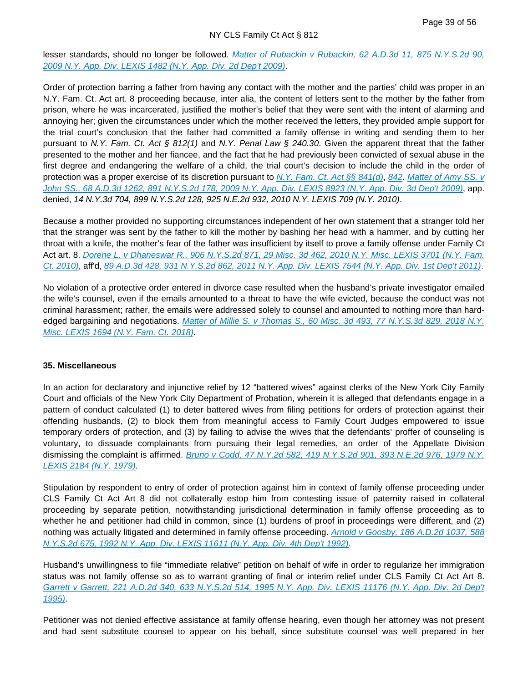lesser standards, should no longer be followed. [Matter of Rubackin v Rubackin, 62 A.D.3d 11, 875 N.Y.S.2d 90,](https://advance.lexis.com/api/document?collection=cases&id=urn:contentItem:4VRJ-B610-TXFV-T33Y-00000-00&context=)  [2009 N.Y. App. Div. LEXIS 1482 \(N.Y. App. Div. 2d Dep't 2009\)](https://advance.lexis.com/api/document?collection=cases&id=urn:contentItem:4VRJ-B610-TXFV-T33Y-00000-00&context=).

Order of protection barring a father from having any contact with the mother and the parties' child was proper in an N.Y. Fam. Ct. Act art. 8 proceeding because, inter alia, the content of letters sent to the mother by the father from prison, where he was incarcerated, justified the mother's belief that they were sent with the intent of alarming and annoying her; given the circumstances under which the mother received the letters, they provided ample support for the trial court's conclusion that the father had committed a family offense in writing and sending them to her pursuant to N.Y. Fam. Ct. Act § 812(1) and N.Y. Penal Law § 240.30. Given the apparent threat that the father presented to the mother and her fiancee, and the fact that he had previously been convicted of sexual abuse in the first degree and endangering the welfare of a child, the trial court's decision to include the child in the order of protection was a proper exercise of its discretion pursuant to [N.Y. Fam. Ct. Act §§ 841\(d\)](https://advance.lexis.com/api/document?collection=statutes-legislation&id=urn:contentItem:5CT3-0VD1-6RDJ-84YD-00000-00&context=), [842](https://advance.lexis.com/api/document?collection=statutes-legislation&id=urn:contentItem:5CT3-0VD1-6RDJ-84YF-00000-00&context=). Matter of Amy SS. v [John SS., 68 A.D.3d 1262, 891 N.Y.S.2d 178, 2009 N.Y. App. Div. LEXIS 8923 \(N.Y. App. Div. 3d Dep't 2009\)](https://advance.lexis.com/api/document?collection=cases&id=urn:contentItem:7X8W-SFJ0-YB0T-300C-00000-00&context=), app. denied, 14 N.Y.3d 704, 899 N.Y.S.2d 128, 925 N.E.2d 932, 2010 N.Y. LEXIS 709 (N.Y. 2010).

Because a mother provided no supporting circumstances independent of her own statement that a stranger told her that the stranger was sent by the father to kill the mother by bashing her head with a hammer, and by cutting her throat with a knife, the mother's fear of the father was insufficient by itself to prove a family offense under Family Ct Act art. 8. Dorene L. v Dhaneswar R., 906 N.Y.S.2d 871, 29 Misc. 3d 462, 2010 N.Y. Misc. LEXIS 3701 (N.Y. Fam. [Ct. 2010\)](https://advance.lexis.com/api/document?collection=cases&id=urn:contentItem:804P-3110-YB0T-4089-00000-00&context=), aff'd, [89 A.D.3d 428, 931 N.Y.S.2d 862, 2011 N.Y. App. Div. LEXIS 7544 \(N.Y. App. Div. 1st Dep't 2011\)](https://advance.lexis.com/api/document?collection=cases&id=urn:contentItem:5456-VRR1-F04J-71W7-00000-00&context=).

No violation of a protective order entered in divorce case resulted when the husband's private investigator emailed the wife's counsel, even if the emails amounted to a threat to have the wife evicted, because the conduct was not criminal harassment; rather, the emails were addressed solely to counsel and amounted to nothing more than hardedged bargaining and negotiations. Matter of Millie S. v Thomas S., 60 Misc. 3d 493, 77 N.Y.S.3d 829, 2018 N.Y. [Misc. LEXIS 1694 \(N.Y. Fam. Ct. 2018\)](https://advance.lexis.com/api/document?collection=cases&id=urn:contentItem:5SB1-SY01-JS5Y-B2NC-00000-00&context=).

### **35. Miscellaneous**

In an action for declaratory and injunctive relief by 12 "battered wives" against clerks of the New York City Family Court and officials of the New York City Department of Probation, wherein it is alleged that defendants engage in a pattern of conduct calculated (1) to deter battered wives from filing petitions for orders of protection against their offending husbands, (2) to block them from meaningful access to Family Court Judges empowered to issue temporary orders of protection, and (3) by failing to advise the wives that the defendants' proffer of counseling is voluntary, to dissuade complainants from pursuing their legal remedies, an order of the Appellate Division dismissing the complaint is affirmed. Bruno v Codd, 47 N.Y.2d 582, 419 N.Y.S.2d 901, 393 N.E.2d 976, 1979 N.Y. [LEXIS 2184 \(N.Y. 1979\)](https://advance.lexis.com/api/document?collection=cases&id=urn:contentItem:3RRS-9XM0-003C-F28Y-00000-00&context=).

Stipulation by respondent to entry of order of protection against him in context of family offense proceeding under CLS Family Ct Act Art 8 did not collaterally estop him from contesting issue of paternity raised in collateral proceeding by separate petition, notwithstanding jurisdictional determination in family offense proceeding as to whether he and petitioner had child in common, since (1) burdens of proof in proceedings were different, and (2) nothing was actually litigated and determined in family offense proceeding. Arnold v Goosby, 186 A.D.2d 1037, 588 [N.Y.S.2d 675, 1992 N.Y. App. Div. LEXIS 11611 \(N.Y. App. Div. 4th Dep't 1992\)](https://advance.lexis.com/api/document?collection=cases&id=urn:contentItem:3S2R-7T60-003V-B508-00000-00&context=).

Husband's unwillingness to file "immediate relative" petition on behalf of wife in order to regularize her immigration status was not family offense so as to warrant granting of final or interim relief under CLS Family Ct Act Art 8. [Garrett v Garrett, 221 A.D.2d 340, 633 N.Y.S.2d 514, 1995 N.Y. App. Div. LEXIS 11176 \(N.Y. App. Div. 2d Dep't](https://advance.lexis.com/api/document?collection=cases&id=urn:contentItem:3S2R-61N0-003V-B2H0-00000-00&context=)  [1995\)](https://advance.lexis.com/api/document?collection=cases&id=urn:contentItem:3S2R-61N0-003V-B2H0-00000-00&context=).

Petitioner was not denied effective assistance at family offense hearing, even though her attorney was not present and had sent substitute counsel to appear on his behalf, since substitute counsel was well prepared in her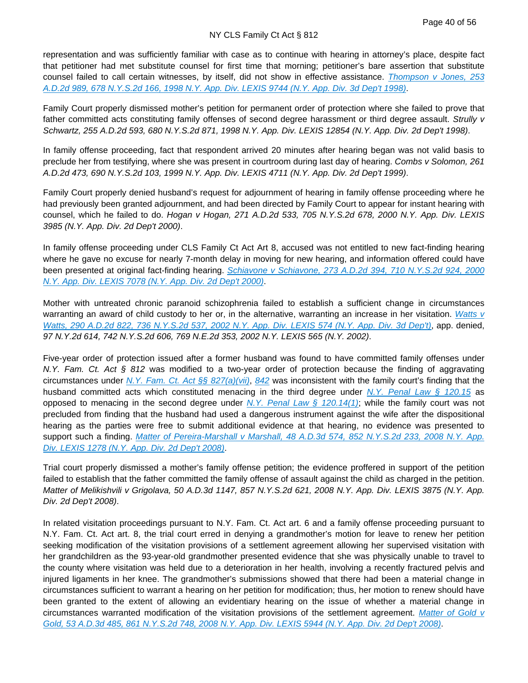representation and was sufficiently familiar with case as to continue with hearing in attorney's place, despite fact that petitioner had met substitute counsel for first time that morning; petitioner's bare assertion that substitute counsel failed to call certain witnesses, by itself, did not show in effective assistance. Thompson v Jones, 253 [A.D.2d 989, 678 N.Y.S.2d 166, 1998 N.Y. App. Div. LEXIS 9744 \(N.Y. App. Div. 3d Dep't 1998\)](https://advance.lexis.com/api/document?collection=cases&id=urn:contentItem:3TPY-HG10-0039-44HX-00000-00&context=).

Family Court properly dismissed mother's petition for permanent order of protection where she failed to prove that father committed acts constituting family offenses of second degree harassment or third degree assault. Strully v Schwartz, 255 A.D.2d 593, 680 N.Y.S.2d 871, 1998 N.Y. App. Div. LEXIS 12854 (N.Y. App. Div. 2d Dep't 1998).

In family offense proceeding, fact that respondent arrived 20 minutes after hearing began was not valid basis to preclude her from testifying, where she was present in courtroom during last day of hearing. Combs v Solomon, 261 A.D.2d 473, 690 N.Y.S.2d 103, 1999 N.Y. App. Div. LEXIS 4711 (N.Y. App. Div. 2d Dep't 1999).

Family Court properly denied husband's request for adjournment of hearing in family offense proceeding where he had previously been granted adjournment, and had been directed by Family Court to appear for instant hearing with counsel, which he failed to do. Hogan v Hogan, 271 A.D.2d 533, 705 N.Y.S.2d 678, 2000 N.Y. App. Div. LEXIS 3985 (N.Y. App. Div. 2d Dep't 2000).

In family offense proceeding under CLS Family Ct Act Art 8, accused was not entitled to new fact-finding hearing where he gave no excuse for nearly 7-month delay in moving for new hearing, and information offered could have been presented at original fact-finding hearing. [Schiavone v Schiavone, 273 A.D.2d 394, 710 N.Y.S.2d 924, 2000](https://advance.lexis.com/api/document?collection=cases&id=urn:contentItem:40JG-SS80-0039-40G5-00000-00&context=)  [N.Y. App. Div. LEXIS 7078 \(N.Y. App. Div. 2d Dep't 2000\)](https://advance.lexis.com/api/document?collection=cases&id=urn:contentItem:40JG-SS80-0039-40G5-00000-00&context=).

Mother with untreated chronic paranoid schizophrenia failed to establish a sufficient change in circumstances warranting an award of child custody to her or, in the alternative, warranting an increase in her visitation. Watts v [Watts, 290 A.D.2d 822, 736 N.Y.S.2d 537, 2002 N.Y. App. Div. LEXIS 574 \(N.Y. App. Div. 3d Dep't\)](https://advance.lexis.com/api/document?collection=cases&id=urn:contentItem:450J-10W0-0039-449R-00000-00&context=), app. denied, 97 N.Y.2d 614, 742 N.Y.S.2d 606, 769 N.E.2d 353, 2002 N.Y. LEXIS 565 (N.Y. 2002).

Five-year order of protection issued after a former husband was found to have committed family offenses under N.Y. Fam. Ct. Act  $\S$  812 was modified to a two-year order of protection because the finding of aggravating circumstances under [N.Y. Fam. Ct. Act §§ 827\(a\)\(vii\)](https://advance.lexis.com/api/document?collection=statutes-legislation&id=urn:contentItem:5CT3-0VD1-6RDJ-84Y1-00000-00&context=), [842](https://advance.lexis.com/api/document?collection=statutes-legislation&id=urn:contentItem:5CT3-0VD1-6RDJ-84YF-00000-00&context=) was inconsistent with the family court's finding that the husband committed acts which constituted menacing in the third degree under  $N.Y.$  Penal Law § 120.15 as opposed to menacing in the second degree under  $N.Y.$  Penal Law § 120.14(1); while the family court was not precluded from finding that the husband had used a dangerous instrument against the wife after the dispositional hearing as the parties were free to submit additional evidence at that hearing, no evidence was presented to support such a finding. Matter of Pereira-Marshall v Marshall, 48 A.D.3d 574, 852 N.Y.S.2d 233, 2008 N.Y. App. [Div. LEXIS 1278 \(N.Y. App. Div. 2d Dep't 2008\)](https://advance.lexis.com/api/document?collection=cases&id=urn:contentItem:4RVN-W0M0-TX4N-G02F-00000-00&context=).

Trial court properly dismissed a mother's family offense petition; the evidence proffered in support of the petition failed to establish that the father committed the family offense of assault against the child as charged in the petition. Matter of Melikishvili v Grigolava, 50 A.D.3d 1147, 857 N.Y.S.2d 621, 2008 N.Y. App. Div. LEXIS 3875 (N.Y. App. Div. 2d Dep't 2008).

In related visitation proceedings pursuant to N.Y. Fam. Ct. Act art. 6 and a family offense proceeding pursuant to N.Y. Fam. Ct. Act art. 8, the trial court erred in denying a grandmother's motion for leave to renew her petition seeking modification of the visitation provisions of a settlement agreement allowing her supervised visitation with her grandchildren as the 93-year-old grandmother presented evidence that she was physically unable to travel to the county where visitation was held due to a deterioration in her health, involving a recently fractured pelvis and injured ligaments in her knee. The grandmother's submissions showed that there had been a material change in circumstances sufficient to warrant a hearing on her petition for modification; thus, her motion to renew should have been granted to the extent of allowing an evidentiary hearing on the issue of whether a material change in circumstances warranted modification of the visitation provisions of the settlement agreement. Matter of Gold v [Gold, 53 A.D.3d 485, 861 N.Y.S.2d 748, 2008 N.Y. App. Div. LEXIS 5944 \(N.Y. App. Div. 2d Dep't 2008\)](https://advance.lexis.com/api/document?collection=cases&id=urn:contentItem:4SX9-PVY0-TX4N-G0W3-00000-00&context=).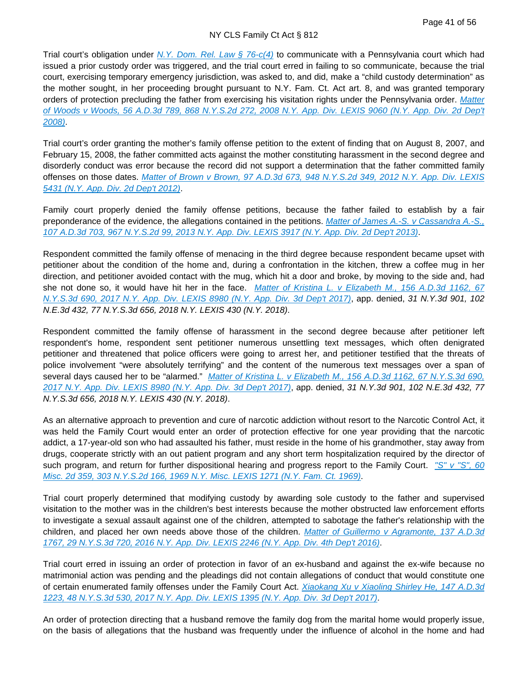Trial court's obligation under [N.Y. Dom. Rel. Law § 76-c\(4\)](https://advance.lexis.com/api/document?collection=statutes-legislation&id=urn:contentItem:5CT3-0FK1-6RDJ-84WB-00000-00&context=) to communicate with a Pennsylvania court which had issued a prior custody order was triggered, and the trial court erred in failing to so communicate, because the trial court, exercising temporary emergency jurisdiction, was asked to, and did, make a "child custody determination" as the mother sought, in her proceeding brought pursuant to N.Y. Fam. Ct. Act art. 8, and was granted temporary orders of protection precluding the father from exercising his visitation rights under the Pennsylvania order. Matter [of Woods v Woods, 56 A.D.3d 789, 868 N.Y.S.2d 272, 2008 N.Y. App. Div. LEXIS 9060 \(N.Y. App. Div. 2d Dep't](https://advance.lexis.com/api/document?collection=cases&id=urn:contentItem:4V1G-WP20-TXFV-T38H-00000-00&context=)  [2008\)](https://advance.lexis.com/api/document?collection=cases&id=urn:contentItem:4V1G-WP20-TXFV-T38H-00000-00&context=).

Trial court's order granting the mother's family offense petition to the extent of finding that on August 8, 2007, and February 15, 2008, the father committed acts against the mother constituting harassment in the second degree and disorderly conduct was error because the record did not support a determination that the father committed family offenses on those dates. [Matter of Brown v Brown, 97 A.D.3d 673, 948 N.Y.S.2d 349, 2012 N.Y. App. Div. LEXIS](https://advance.lexis.com/api/document?collection=cases&id=urn:contentItem:5636-0861-F04J-7438-00000-00&context=)  [5431 \(N.Y. App. Div. 2d Dep't 2012\)](https://advance.lexis.com/api/document?collection=cases&id=urn:contentItem:5636-0861-F04J-7438-00000-00&context=).

Family court properly denied the family offense petitions, because the father failed to establish by a fair preponderance of the evidence, the allegations contained in the petitions. Matter of James A.-S. v Cassandra A.-S., [107 A.D.3d 703, 967 N.Y.S.2d 99, 2013 N.Y. App. Div. LEXIS 3917 \(N.Y. App. Div. 2d Dep't 2013\)](https://advance.lexis.com/api/document?collection=cases&id=urn:contentItem:58KB-CSC1-F04J-701F-00000-00&context=).

Respondent committed the family offense of menacing in the third degree because respondent became upset with petitioner about the condition of the home and, during a confrontation in the kitchen, threw a coffee mug in her direction, and petitioner avoided contact with the mug, which hit a door and broke, by moving to the side and, had she not done so, it would have hit her in the face. Matter of Kristina L. v Elizabeth M., 156 A.D.3d 1162, 67 [N.Y.S.3d 690, 2017 N.Y. App. Div. LEXIS 8980 \(N.Y. App. Div. 3d Dep't 2017\)](https://advance.lexis.com/api/document?collection=cases&id=urn:contentItem:5R79-GP61-FGJR-21MX-00000-00&context=), app. denied, 31 N.Y.3d 901, 102 N.E.3d 432, 77 N.Y.S.3d 656, 2018 N.Y. LEXIS 430 (N.Y. 2018).

Respondent committed the family offense of harassment in the second degree because after petitioner left respondent's home, respondent sent petitioner numerous unsettling text messages, which often denigrated petitioner and threatened that police officers were going to arrest her, and petitioner testified that the threats of police involvement "were absolutely terrifying" and the content of the numerous text messages over a span of several days caused her to be "alarmed." Matter of Kristina L. v Elizabeth M., 156 A.D.3d 1162, 67 N.Y.S.3d 690, [2017 N.Y. App. Div. LEXIS 8980 \(N.Y. App. Div. 3d Dep't 2017\)](https://advance.lexis.com/api/document?collection=cases&id=urn:contentItem:5R79-GP61-FGJR-21MX-00000-00&context=), app. denied, 31 N.Y.3d 901, 102 N.E.3d 432, 77 N.Y.S.3d 656, 2018 N.Y. LEXIS 430 (N.Y. 2018).

As an alternative approach to prevention and cure of narcotic addiction without resort to the Narcotic Control Act, it was held the Family Court would enter an order of protection effective for one year providing that the narcotic addict, a 17-year-old son who had assaulted his father, must reside in the home of his grandmother, stay away from drugs, cooperate strictly with an out patient program and any short term hospitalization required by the director of such program, and return for further dispositional hearing and progress report to the Family Court. " $S''$  v "S", 60 [Misc. 2d 359, 303 N.Y.S.2d 166, 1969 N.Y. Misc. LEXIS 1271 \(N.Y. Fam. Ct. 1969\)](https://advance.lexis.com/api/document?collection=cases&id=urn:contentItem:3RRS-B860-003C-D26W-00000-00&context=).

Trial court properly determined that modifying custody by awarding sole custody to the father and supervised visitation to the mother was in the children's best interests because the mother obstructed law enforcement efforts to investigate a sexual assault against one of the children, attempted to sabotage the father's relationship with the children, and placed her own needs above those of the children. Matter of Guillermo v Agramonte, 137 A.D.3d [1767, 29 N.Y.S.3d 720, 2016 N.Y. App. Div. LEXIS 2246 \(N.Y. App. Div. 4th Dep't 2016\)](https://advance.lexis.com/api/document?collection=cases&id=urn:contentItem:5JCP-HNT1-F04J-7514-00000-00&context=).

Trial court erred in issuing an order of protection in favor of an ex-husband and against the ex-wife because no matrimonial action was pending and the pleadings did not contain allegations of conduct that would constitute one of certain enumerated family offenses under the Family Court Act. Xiaokang Xu v Xiaoling Shirley He, 147 A.D.3d [1223, 48 N.Y.S.3d 530, 2017 N.Y. App. Div. LEXIS 1395 \(N.Y. App. Div. 3d Dep't 2017\)](https://advance.lexis.com/api/document?collection=cases&id=urn:contentItem:5MY4-3VN1-F04J-70KV-00000-00&context=).

An order of protection directing that a husband remove the family dog from the marital home would properly issue, on the basis of allegations that the husband was frequently under the influence of alcohol in the home and had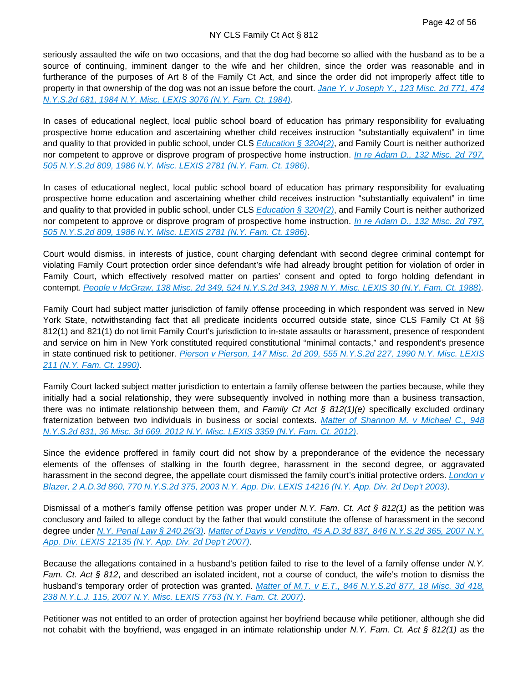seriously assaulted the wife on two occasions, and that the dog had become so allied with the husband as to be a source of continuing, imminent danger to the wife and her children, since the order was reasonable and in furtherance of the purposes of Art 8 of the Family Ct Act, and since the order did not improperly affect title to property in that ownership of the dog was not an issue before the court. Jane Y. v Joseph Y., 123 Misc. 2d 771, 474 [N.Y.S.2d 681, 1984 N.Y. Misc. LEXIS 3076 \(N.Y. Fam. Ct. 1984\)](https://advance.lexis.com/api/document?collection=cases&id=urn:contentItem:3S3K-2Y30-003D-G1NT-00000-00&context=).

In cases of educational neglect, local public school board of education has primary responsibility for evaluating prospective home education and ascertaining whether child receives instruction "substantially equivalent" in time and quality to that provided in public school, under CLS Education  $\S 3204(2)$ , and Family Court is neither authorized nor competent to approve or disprove program of prospective home instruction. In re Adam D., 132 Misc. 2d 797, [505 N.Y.S.2d 809, 1986 N.Y. Misc. LEXIS 2781 \(N.Y. Fam. Ct. 1986\)](https://advance.lexis.com/api/document?collection=cases&id=urn:contentItem:3S3K-2S10-003D-G4DY-00000-00&context=).

In cases of educational neglect, local public school board of education has primary responsibility for evaluating prospective home education and ascertaining whether child receives instruction "substantially equivalent" in time and quality to that provided in public school, under CLS **[Education § 3204\(2\)](https://advance.lexis.com/api/document?collection=statutes-legislation&id=urn:contentItem:8RJN-X8N2-D6RV-H0DS-00000-00&context=)**, and Family Court is neither authorized nor competent to approve or disprove program of prospective home instruction. In re Adam D., 132 Misc. 2d 797, [505 N.Y.S.2d 809, 1986 N.Y. Misc. LEXIS 2781 \(N.Y. Fam. Ct. 1986\)](https://advance.lexis.com/api/document?collection=cases&id=urn:contentItem:3S3K-2S10-003D-G4DY-00000-00&context=).

Court would dismiss, in interests of justice, count charging defendant with second degree criminal contempt for violating Family Court protection order since defendant's wife had already brought petition for violation of order in Family Court, which effectively resolved matter on parties' consent and opted to forgo holding defendant in contempt. [People v McGraw, 138 Misc. 2d 349, 524 N.Y.S.2d 343, 1988 N.Y. Misc. LEXIS 30 \(N.Y. Fam. Ct. 1988\)](https://advance.lexis.com/api/document?collection=cases&id=urn:contentItem:3S3K-2N00-003D-G2YJ-00000-00&context=).

Family Court had subject matter jurisdiction of family offense proceeding in which respondent was served in New York State, notwithstanding fact that all predicate incidents occurred outside state, since CLS Family Ct At §§ 812(1) and 821(1) do not limit Family Court's jurisdiction to in-state assaults or harassment, presence of respondent and service on him in New York constituted required constitutional "minimal contacts," and respondent's presence in state continued risk to petitioner. Pierson v Pierson, 147 Misc. 2d 209, 555 N.Y.S.2d 227, 1990 N.Y. Misc. LEXIS [211 \(N.Y. Fam. Ct. 1990\)](https://advance.lexis.com/api/document?collection=cases&id=urn:contentItem:3S2R-9G90-003V-B0XB-00000-00&context=).

Family Court lacked subject matter jurisdiction to entertain a family offense between the parties because, while they initially had a social relationship, they were subsequently involved in nothing more than a business transaction, there was no intimate relationship between them, and Family Ct Act § 812(1)(e) specifically excluded ordinary fraternization between two individuals in business or social contexts. [Matter of Shannon M. v Michael C., 948](https://advance.lexis.com/api/document?collection=cases&id=urn:contentItem:5647-N5F1-F04J-82DD-00000-00&context=)  [N.Y.S.2d 831, 36 Misc. 3d 669, 2012 N.Y. Misc. LEXIS 3359 \(N.Y. Fam. Ct. 2012\)](https://advance.lexis.com/api/document?collection=cases&id=urn:contentItem:5647-N5F1-F04J-82DD-00000-00&context=).

Since the evidence proffered in family court did not show by a preponderance of the evidence the necessary elements of the offenses of stalking in the fourth degree, harassment in the second degree, or aggravated harassment in the second degree, the appellate court dismissed the family court's initial protective orders. London v [Blazer, 2 A.D.3d 860, 770 N.Y.S.2d 375, 2003 N.Y. App. Div. LEXIS 14216 \(N.Y. App. Div. 2d Dep't 2003\)](https://advance.lexis.com/api/document?collection=cases&id=urn:contentItem:4BBY-7TT0-0039-42WR-00000-00&context=).

Dismissal of a mother's family offense petition was proper under N.Y. Fam. Ct. Act § 812(1) as the petition was conclusory and failed to allege conduct by the father that would constitute the offense of harassment in the second degree under [N.Y. Penal Law § 240.26\(3\)](https://advance.lexis.com/api/document?collection=statutes-legislation&id=urn:contentItem:5CT3-1N31-6RDJ-84G0-00000-00&context=). Matter of Davis v Venditto, 45 A.D.3d 837, 846 N.Y.S.2d 365, 2007 N.Y. [App. Div. LEXIS 12135 \(N.Y. App. Div. 2d Dep't 2007\)](https://advance.lexis.com/api/document?collection=cases&id=urn:contentItem:4R7V-CWM0-TX4N-G0FS-00000-00&context=).

Because the allegations contained in a husband's petition failed to rise to the level of a family offense under N.Y. Fam. Ct. Act § 812, and described an isolated incident, not a course of conduct, the wife's motion to dismiss the husband's temporary order of protection was granted. Matter of M.T. v E.T., 846 N.Y.S.2d 877, 18 Misc. 3d 418, [238 N.Y.L.J. 115, 2007 N.Y. Misc. LEXIS 7753 \(N.Y. Fam. Ct. 2007\)](https://advance.lexis.com/api/document?collection=cases&id=urn:contentItem:4R80-8CB0-TX4N-G08X-00000-00&context=).

Petitioner was not entitled to an order of protection against her boyfriend because while petitioner, although she did not cohabit with the boyfriend, was engaged in an intimate relationship under N.Y. Fam. Ct. Act § 812(1) as the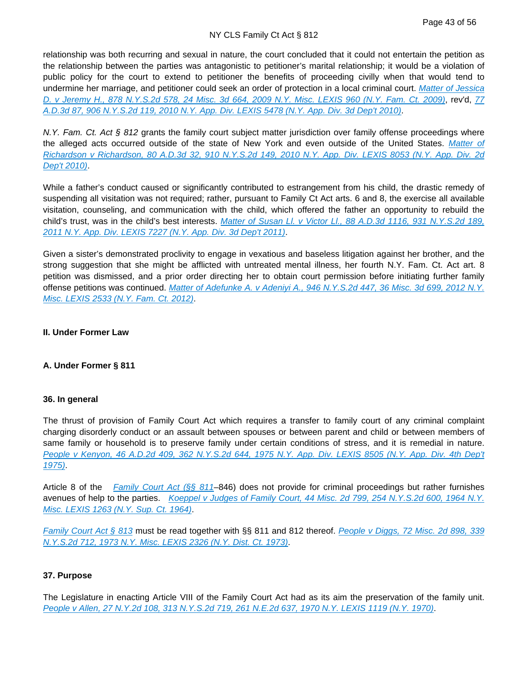relationship was both recurring and sexual in nature, the court concluded that it could not entertain the petition as the relationship between the parties was antagonistic to petitioner's marital relationship; it would be a violation of public policy for the court to extend to petitioner the benefits of proceeding civilly when that would tend to undermine her marriage, and petitioner could seek an order of protection in a local criminal court. Matter of Jessica [D. v Jeremy H., 878 N.Y.S.2d 578, 24 Misc. 3d 664, 2009 N.Y. Misc. LEXIS 960 \(N.Y. Fam. Ct. 2009\)](https://advance.lexis.com/api/document?collection=cases&id=urn:contentItem:7VK3-HVT0-Y9NK-S3B5-00000-00&context=), rev'd, [77](https://advance.lexis.com/api/document?collection=cases&id=urn:contentItem:7YSN-XXN0-YB0T-3057-00000-00&context=)  [A.D.3d 87, 906 N.Y.S.2d 119, 2010 N.Y. App. Div. LEXIS 5478 \(N.Y. App. Div. 3d Dep't 2010\)](https://advance.lexis.com/api/document?collection=cases&id=urn:contentItem:7YSN-XXN0-YB0T-3057-00000-00&context=).

N.Y. Fam. Ct. Act  $\S 812$  grants the family court subject matter jurisdiction over family offense proceedings where the alleged acts occurred outside of the state of New York and even outside of the United States. Matter of [Richardson v Richardson, 80 A.D.3d 32, 910 N.Y.S.2d 149, 2010 N.Y. App. Div. LEXIS 8053 \(N.Y. App. Div. 2d](https://advance.lexis.com/api/document?collection=cases&id=urn:contentItem:51D7-XKF1-F04J-71M2-00000-00&context=)  [Dep't 2010\)](https://advance.lexis.com/api/document?collection=cases&id=urn:contentItem:51D7-XKF1-F04J-71M2-00000-00&context=).

While a father's conduct caused or significantly contributed to estrangement from his child, the drastic remedy of suspending all visitation was not required; rather, pursuant to Family Ct Act arts. 6 and 8, the exercise all available visitation, counseling, and communication with the child, which offered the father an opportunity to rebuild the child's trust, was in the child's best interests. Matter of Susan Ll. v Victor Ll., 88 A.D.3d 1116, 931 N.Y.S.2d 189, [2011 N.Y. App. Div. LEXIS 7227 \(N.Y. App. Div. 3d Dep't 2011\)](https://advance.lexis.com/api/document?collection=cases&id=urn:contentItem:542N-6H41-F04J-71FG-00000-00&context=).

Given a sister's demonstrated proclivity to engage in vexatious and baseless litigation against her brother, and the strong suggestion that she might be afflicted with untreated mental illness, her fourth N.Y. Fam. Ct. Act art. 8 petition was dismissed, and a prior order directing her to obtain court permission before initiating further family offense petitions was continued. Matter of Adefunke A. v Adeniyi A., 946 N.Y.S.2d 447, 36 Misc. 3d 699, 2012 N.Y. [Misc. LEXIS 2533 \(N.Y. Fam. Ct. 2012\)](https://advance.lexis.com/api/document?collection=cases&id=urn:contentItem:55SF-0W01-F04J-81CG-00000-00&context=).

### **II. Under Former Law**

### **A. Under Former § 811**

### **36. In general**

The thrust of provision of Family Court Act which requires a transfer to family court of any criminal complaint charging disorderly conduct or an assault between spouses or between parent and child or between members of same family or household is to preserve family under certain conditions of stress, and it is remedial in nature. People v Kenyon, 46 A.D.2d 409, 362 N.Y.S.2d 644, 1975 N.Y. App. Div. LEXIS 8505 (N.Y. App. Div. 4th Dep't [1975\)](https://advance.lexis.com/api/document?collection=cases&id=urn:contentItem:3RRS-G350-003C-F4T1-00000-00&context=).

Article 8 of the [Family Court Act \(§§ 811](https://advance.lexis.com/api/document?collection=statutes-legislation&id=urn:contentItem:5CT3-0VD1-6RDJ-84XD-00000-00&context=)–846) does not provide for criminal proceedings but rather furnishes avenues of help to the parties. Koeppel v Judges of Family Court, 44 Misc. 2d 799, 254 N.Y.S.2d 600, 1964 N.Y. [Misc. LEXIS 1263 \(N.Y. Sup. Ct. 1964\)](https://advance.lexis.com/api/document?collection=cases&id=urn:contentItem:3RRS-BW90-003C-D3BS-00000-00&context=).

[Family Court Act § 813](https://advance.lexis.com/api/document?collection=statutes-legislation&id=urn:contentItem:5CT3-0VD1-6RDJ-84XG-00000-00&context=) must be read together with §§ 811 and 812 thereof. People v Diggs, 72 Misc. 2d 898, 339 [N.Y.S.2d 712, 1973 N.Y. Misc. LEXIS 2326 \(N.Y. Dist. Ct. 1973\)](https://advance.lexis.com/api/document?collection=cases&id=urn:contentItem:3RRS-9T30-003C-D311-00000-00&context=).

### **37. Purpose**

The Legislature in enacting Article VIII of the Family Court Act had as its aim the preservation of the family unit. [People v Allen, 27 N.Y.2d 108, 313 N.Y.S.2d 719, 261 N.E.2d 637, 1970 N.Y. LEXIS 1119 \(N.Y. 1970\)](https://advance.lexis.com/api/document?collection=cases&id=urn:contentItem:3RRS-VW90-003C-C433-00000-00&context=).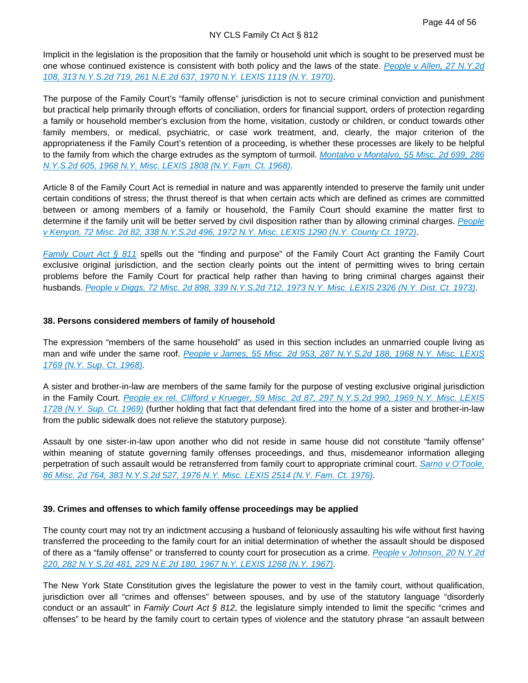Implicit in the legislation is the proposition that the family or household unit which is sought to be preserved must be one whose continued existence is consistent with both policy and the laws of the state. People v Allen, 27 N.Y.2d [108, 313 N.Y.S.2d 719, 261 N.E.2d 637, 1970 N.Y. LEXIS 1119 \(N.Y. 1970\)](https://advance.lexis.com/api/document?collection=cases&id=urn:contentItem:3RRS-VW90-003C-C433-00000-00&context=).

The purpose of the Family Court's "family offense" jurisdiction is not to secure criminal conviction and punishment but practical help primarily through efforts of conciliation, orders for financial support, orders of protection regarding a family or household member's exclusion from the home, visitation, custody or children, or conduct towards other family members, or medical, psychiatric, or case work treatment, and, clearly, the major criterion of the appropriateness if the Family Court's retention of a proceeding, is whether these processes are likely to be helpful to the family from which the charge extrudes as the symptom of turmoil. Montalvo v Montalvo, 55 Misc. 2d 699, 286 [N.Y.S.2d 605, 1968 N.Y. Misc. LEXIS 1808 \(N.Y. Fam. Ct. 1968\)](https://advance.lexis.com/api/document?collection=cases&id=urn:contentItem:3RRS-BF80-003C-D43K-00000-00&context=).

Article 8 of the Family Court Act is remedial in nature and was apparently intended to preserve the family unit under certain conditions of stress; the thrust thereof is that when certain acts which are defined as crimes are committed between or among members of a family or household, the Family Court should examine the matter first to determine if the family unit will be better served by civil disposition rather than by allowing criminal charges. People [v Kenyon, 72 Misc. 2d 82, 338 N.Y.S.2d 496, 1972 N.Y. Misc. LEXIS 1290 \(N.Y. County Ct. 1972\)](https://advance.lexis.com/api/document?collection=cases&id=urn:contentItem:3RRS-9TJ0-003C-D34J-00000-00&context=).

Family Court Act  $\S 811$  spells out the "finding and purpose" of the Family Court Act granting the Family Court exclusive original jurisdiction, and the section clearly points out the intent of permitting wives to bring certain problems before the Family Court for practical help rather than having to bring criminal charges against their husbands. [People v Diggs, 72 Misc. 2d 898, 339 N.Y.S.2d 712, 1973 N.Y. Misc. LEXIS 2326 \(N.Y. Dist. Ct. 1973\)](https://advance.lexis.com/api/document?collection=cases&id=urn:contentItem:3RRS-9T30-003C-D311-00000-00&context=).

# **38. Persons considered members of family of household**

The expression "members of the same household" as used in this section includes an unmarried couple living as man and wife under the same roof. People v James, 55 Misc. 2d 953, 287 N.Y.S.2d 188, 1968 N.Y. Misc. LEXIS [1769 \(N.Y. Sup. Ct. 1968\)](https://advance.lexis.com/api/document?collection=cases&id=urn:contentItem:3RRS-BF40-003C-D426-00000-00&context=).

A sister and brother-in-law are members of the same family for the purpose of vesting exclusive original jurisdiction in the Family Court. [People ex rel. Clifford v Krueger, 59 Misc. 2d 87, 297 N.Y.S.2d 990, 1969 N.Y. Misc. LEXIS](https://advance.lexis.com/api/document?collection=cases&id=urn:contentItem:3RRS-B9N0-003C-D2T6-00000-00&context=)  [1728 \(N.Y. Sup. Ct. 1969\)](https://advance.lexis.com/api/document?collection=cases&id=urn:contentItem:3RRS-B9N0-003C-D2T6-00000-00&context=) (further holding that fact that defendant fired into the home of a sister and brother-in-law from the public sidewalk does not relieve the statutory purpose).

Assault by one sister-in-law upon another who did not reside in same house did not constitute "family offense" within meaning of statute governing family offenses proceedings, and thus, misdemeanor information alleging perpetration of such assault would be retransferred from family court to appropriate criminal court. Sarno v O'Toole, [86 Misc. 2d 764, 383 N.Y.S.2d 527, 1976 N.Y. Misc. LEXIS 2514 \(N.Y. Fam. Ct. 1976\)](https://advance.lexis.com/api/document?collection=cases&id=urn:contentItem:3RRS-H0V0-003C-F0PD-00000-00&context=).

# **39. Crimes and offenses to which family offense proceedings may be applied**

The county court may not try an indictment accusing a husband of feloniously assaulting his wife without first having transferred the proceeding to the family court for an initial determination of whether the assault should be disposed of there as a "family offense" or transferred to county court for prosecution as a crime. [People v Johnson, 20 N.Y.2d](https://advance.lexis.com/api/document?collection=cases&id=urn:contentItem:3RRS-W8Y0-003C-C1Y1-00000-00&context=)  [220, 282 N.Y.S.2d 481, 229 N.E.2d 180, 1967 N.Y. LEXIS 1268 \(N.Y. 1967\)](https://advance.lexis.com/api/document?collection=cases&id=urn:contentItem:3RRS-W8Y0-003C-C1Y1-00000-00&context=).

The New York State Constitution gives the legislature the power to vest in the family court, without qualification, jurisdiction over all "crimes and offenses" between spouses, and by use of the statutory language "disorderly conduct or an assault" in Family Court Act § 812, the legislature simply intended to limit the specific "crimes and offenses" to be heard by the family court to certain types of violence and the statutory phrase "an assault between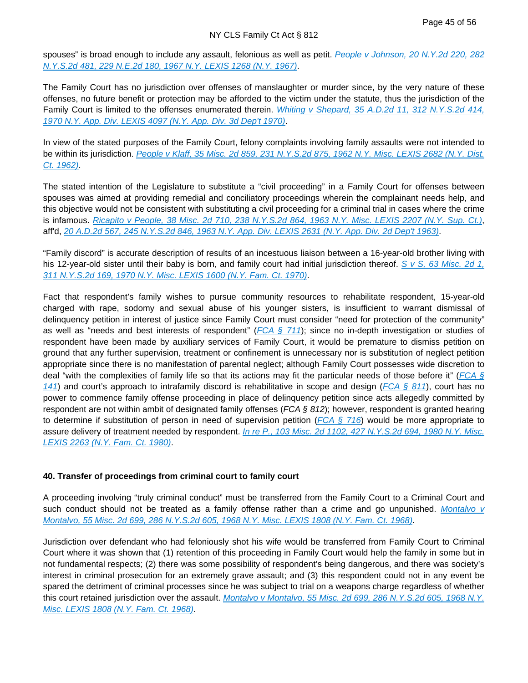spouses" is broad enough to include any assault, felonious as well as petit. People v Johnson, 20 N.Y.2d 220, 282 [N.Y.S.2d 481, 229 N.E.2d 180, 1967 N.Y. LEXIS 1268 \(N.Y. 1967\)](https://advance.lexis.com/api/document?collection=cases&id=urn:contentItem:3RRS-W8Y0-003C-C1Y1-00000-00&context=).

The Family Court has no jurisdiction over offenses of manslaughter or murder since, by the very nature of these offenses, no future benefit or protection may be afforded to the victim under the statute, thus the jurisdiction of the Family Court is limited to the offenses enumerated therein. Whiting v Shepard, 35 A.D.2d 11, 312 N.Y.S.2d 414, [1970 N.Y. App. Div. LEXIS 4097 \(N.Y. App. Div. 3d Dep't 1970\)](https://advance.lexis.com/api/document?collection=cases&id=urn:contentItem:3RRS-YYC0-003C-C4B4-00000-00&context=).

In view of the stated purposes of the Family Court, felony complaints involving family assaults were not intended to be within its jurisdiction. People v Klaff, 35 Misc. 2d 859, 231 N.Y.S.2d 875, 1962 N.Y. Misc. LEXIS 2682 (N.Y. Dist. [Ct. 1962\)](https://advance.lexis.com/api/document?collection=cases&id=urn:contentItem:3RRS-C6C0-003C-D1R9-00000-00&context=).

The stated intention of the Legislature to substitute a "civil proceeding" in a Family Court for offenses between spouses was aimed at providing remedial and conciliatory proceedings wherein the complainant needs help, and this objective would not be consistent with substituting a civil proceeding for a criminal trial in cases where the crime is infamous. [Ricapito v People, 38 Misc. 2d 710, 238 N.Y.S.2d 864, 1963 N.Y. Misc. LEXIS 2207 \(N.Y. Sup. Ct.\)](https://advance.lexis.com/api/document?collection=cases&id=urn:contentItem:3RRS-C3K0-003C-D0NB-00000-00&context=), aff'd, [20 A.D.2d 567, 245 N.Y.S.2d 846, 1963 N.Y. App. Div. LEXIS 2631 \(N.Y. App. Div. 2d Dep't 1963\)](https://advance.lexis.com/api/document?collection=cases&id=urn:contentItem:3RRT-1NK0-003C-C497-00000-00&context=).

"Family discord" is accurate description of results of an incestuous liaison between a 16-year-old brother living with his 12-year-old sister until their baby is born, and family court had initial jurisdiction thereof. S v S, 63 Misc. 2d 1, [311 N.Y.S.2d 169, 1970 N.Y. Misc. LEXIS 1600 \(N.Y. Fam. Ct. 1970\)](https://advance.lexis.com/api/document?collection=cases&id=urn:contentItem:3RRS-B5M0-003C-D18B-00000-00&context=).

Fact that respondent's family wishes to pursue community resources to rehabilitate respondent, 15-year-old charged with rape, sodomy and sexual abuse of his younger sisters, is insufficient to warrant dismissal of delinquency petition in interest of justice since Family Court must consider "need for protection of the community" as well as "needs and best interests of respondent" ( $FCA \le 711$ ); since no in-depth investigation or studies of respondent have been made by auxiliary services of Family Court, it would be premature to dismiss petition on ground that any further supervision, treatment or confinement is unnecessary nor is substitution of neglect petition appropriate since there is no manifestation of parental neglect; although Family Court possesses wide discretion to deal "with the complexities of family life so that its actions may fit the particular needs of those before it" ( $FCA \&$ [141](https://advance.lexis.com/api/document?collection=statutes-legislation&id=urn:contentItem:5CT3-0VD1-6RDJ-845V-00000-00&context=)) and court's approach to intrafamily discord is rehabilitative in scope and design (*[FCA § 811](https://advance.lexis.com/api/document?collection=statutes-legislation&id=urn:contentItem:5CT3-0VD1-6RDJ-84XD-00000-00&context=)*), court has no power to commence family offense proceeding in place of delinquency petition since acts allegedly committed by respondent are not within ambit of designated family offenses ( $FCA \& 812$ ); however, respondent is granted hearing to determine if substitution of person in need of supervision petition ( $FCA \& 716$ ) would be more appropriate to assure delivery of treatment needed by respondent. In re P., 103 Misc. 2d 1102, 427 N.Y.S.2d 694, 1980 N.Y. Misc. [LEXIS 2263 \(N.Y. Fam. Ct. 1980\)](https://advance.lexis.com/api/document?collection=cases&id=urn:contentItem:3RRS-GBD0-003C-F160-00000-00&context=).

# **40. Transfer of proceedings from criminal court to family court**

A proceeding involving "truly criminal conduct" must be transferred from the Family Court to a Criminal Court and such conduct should not be treated as a family offense rather than a crime and go unpunished. Montalvo v [Montalvo, 55 Misc. 2d 699, 286 N.Y.S.2d 605, 1968 N.Y. Misc. LEXIS 1808 \(N.Y. Fam. Ct. 1968\)](https://advance.lexis.com/api/document?collection=cases&id=urn:contentItem:3RRS-BF80-003C-D43K-00000-00&context=).

Jurisdiction over defendant who had feloniously shot his wife would be transferred from Family Court to Criminal Court where it was shown that (1) retention of this proceeding in Family Court would help the family in some but in not fundamental respects; (2) there was some possibility of respondent's being dangerous, and there was society's interest in criminal prosecution for an extremely grave assault; and (3) this respondent could not in any event be spared the detriment of criminal processes since he was subject to trial on a weapons charge regardless of whether this court retained jurisdiction over the assault. Montalvo v Montalvo, 55 Misc. 2d 699, 286 N.Y.S.2d 605, 1968 N.Y. [Misc. LEXIS 1808 \(N.Y. Fam. Ct. 1968\)](https://advance.lexis.com/api/document?collection=cases&id=urn:contentItem:3RRS-BF80-003C-D43K-00000-00&context=).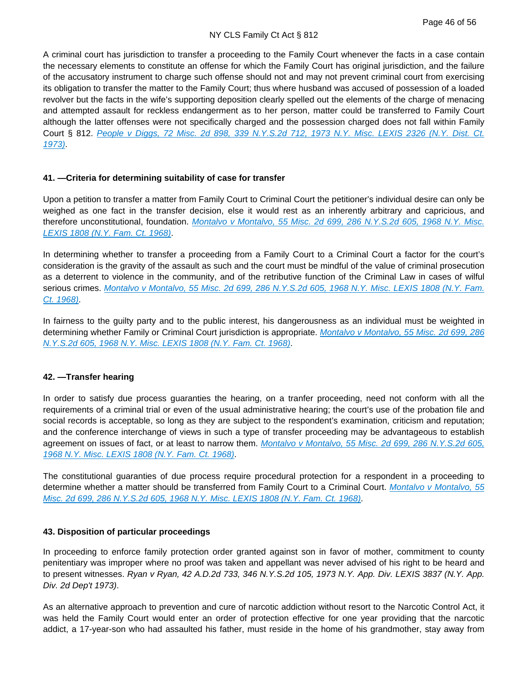A criminal court has jurisdiction to transfer a proceeding to the Family Court whenever the facts in a case contain the necessary elements to constitute an offense for which the Family Court has original jurisdiction, and the failure of the accusatory instrument to charge such offense should not and may not prevent criminal court from exercising its obligation to transfer the matter to the Family Court; thus where husband was accused of possession of a loaded revolver but the facts in the wife's supporting deposition clearly spelled out the elements of the charge of menacing and attempted assault for reckless endangerment as to her person, matter could be transferred to Family Court although the latter offenses were not specifically charged and the possession charged does not fall within Family Court § 812. People v Diggs, 72 Misc. 2d 898, 339 N.Y.S.2d 712, 1973 N.Y. Misc. LEXIS 2326 (N.Y. Dist. Ct. [1973\)](https://advance.lexis.com/api/document?collection=cases&id=urn:contentItem:3RRS-9T30-003C-D311-00000-00&context=).

# **41. —Criteria for determining suitability of case for transfer**

Upon a petition to transfer a matter from Family Court to Criminal Court the petitioner's individual desire can only be weighed as one fact in the transfer decision, else it would rest as an inherently arbitrary and capricious, and therefore unconstitutional, foundation. Montalvo v Montalvo, 55 Misc. 2d 699, 286 N.Y.S.2d 605, 1968 N.Y. Misc. [LEXIS 1808 \(N.Y. Fam. Ct. 1968\)](https://advance.lexis.com/api/document?collection=cases&id=urn:contentItem:3RRS-BF80-003C-D43K-00000-00&context=).

In determining whether to transfer a proceeding from a Family Court to a Criminal Court a factor for the court's consideration is the gravity of the assault as such and the court must be mindful of the value of criminal prosecution as a deterrent to violence in the community, and of the retributive function of the Criminal Law in cases of wilful serious crimes. Montalvo v Montalvo, 55 Misc. 2d 699, 286 N.Y.S.2d 605, 1968 N.Y. Misc. LEXIS 1808 (N.Y. Fam. [Ct. 1968\)](https://advance.lexis.com/api/document?collection=cases&id=urn:contentItem:3RRS-BF80-003C-D43K-00000-00&context=).

In fairness to the guilty party and to the public interest, his dangerousness as an individual must be weighted in determining whether Family or Criminal Court jurisdiction is appropriate. Montalvo v Montalvo, 55 Misc. 2d 699, 286 [N.Y.S.2d 605, 1968 N.Y. Misc. LEXIS 1808 \(N.Y. Fam. Ct. 1968\)](https://advance.lexis.com/api/document?collection=cases&id=urn:contentItem:3RRS-BF80-003C-D43K-00000-00&context=).

### **42. —Transfer hearing**

In order to satisfy due process guaranties the hearing, on a tranfer proceeding, need not conform with all the requirements of a criminal trial or even of the usual administrative hearing; the court's use of the probation file and social records is acceptable, so long as they are subject to the respondent's examination, criticism and reputation; and the conference interchange of views in such a type of transfer proceeding may be advantageous to establish agreement on issues of fact, or at least to narrow them. Montalvo v Montalvo, 55 Misc. 2d 699, 286 N.Y.S.2d 605, [1968 N.Y. Misc. LEXIS 1808 \(N.Y. Fam. Ct. 1968\)](https://advance.lexis.com/api/document?collection=cases&id=urn:contentItem:3RRS-BF80-003C-D43K-00000-00&context=).

The constitutional guaranties of due process require procedural protection for a respondent in a proceeding to determine whether a matter should be transferred from Family Court to a Criminal Court. Montalvo v Montalvo, 55 [Misc. 2d 699, 286 N.Y.S.2d 605, 1968 N.Y. Misc. LEXIS 1808 \(N.Y. Fam. Ct. 1968\)](https://advance.lexis.com/api/document?collection=cases&id=urn:contentItem:3RRS-BF80-003C-D43K-00000-00&context=).

# **43. Disposition of particular proceedings**

In proceeding to enforce family protection order granted against son in favor of mother, commitment to county penitentiary was improper where no proof was taken and appellant was never advised of his right to be heard and to present witnesses. Ryan v Ryan, 42 A.D.2d 733, 346 N.Y.S.2d 105, 1973 N.Y. App. Div. LEXIS 3837 (N.Y. App. Div. 2d Dep't 1973).

As an alternative approach to prevention and cure of narcotic addiction without resort to the Narcotic Control Act, it was held the Family Court would enter an order of protection effective for one year providing that the narcotic addict, a 17-year-son who had assaulted his father, must reside in the home of his grandmother, stay away from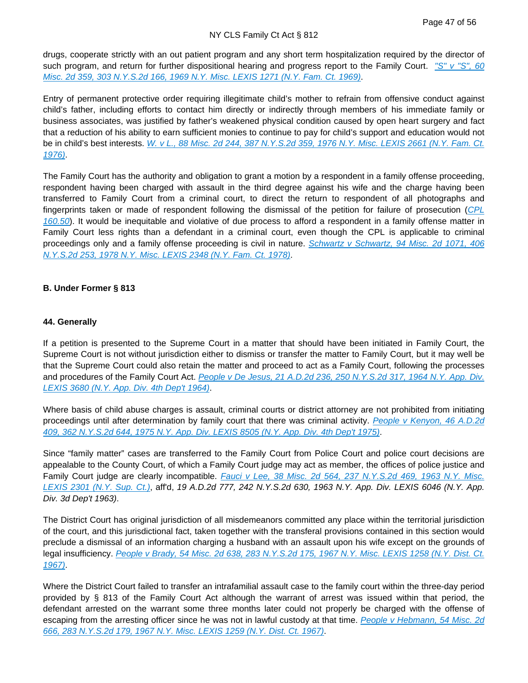drugs, cooperate strictly with an out patient program and any short term hospitalization required by the director of such program, and return for further dispositional hearing and progress report to the Family Court. "S" v "S", 60 [Misc. 2d 359, 303 N.Y.S.2d 166, 1969 N.Y. Misc. LEXIS 1271 \(N.Y. Fam. Ct. 1969\)](https://advance.lexis.com/api/document?collection=cases&id=urn:contentItem:3RRS-B860-003C-D26W-00000-00&context=).

Entry of permanent protective order requiring illegitimate child's mother to refrain from offensive conduct against child's father, including efforts to contact him directly or indirectly through members of his immediate family or business associates, was justified by father's weakened physical condition caused by open heart surgery and fact that a reduction of his ability to earn sufficient monies to continue to pay for child's support and education would not be in child's best interests. [W. v L., 88 Misc. 2d 244, 387 N.Y.S.2d 359, 1976 N.Y. Misc. LEXIS 2661 \(N.Y. Fam. Ct.](https://advance.lexis.com/api/document?collection=cases&id=urn:contentItem:3RRS-GYR0-003C-F0CN-00000-00&context=)  [1976\)](https://advance.lexis.com/api/document?collection=cases&id=urn:contentItem:3RRS-GYR0-003C-F0CN-00000-00&context=).

The Family Court has the authority and obligation to grant a motion by a respondent in a family offense proceeding, respondent having been charged with assault in the third degree against his wife and the charge having been transferred to Family Court from a criminal court, to direct the return to respondent of all photographs and fingerprints taken or made of respondent following the dismissal of the petition for failure of prosecution ([CPL](https://advance.lexis.com/api/document?collection=statutes-legislation&id=urn:contentItem:5HFT-8X31-DXC8-0156-00000-00&context=)  [160.50](https://advance.lexis.com/api/document?collection=statutes-legislation&id=urn:contentItem:5HFT-8X31-DXC8-0156-00000-00&context=)). It would be inequitable and violative of due process to afford a respondent in a family offense matter in Family Court less rights than a defendant in a criminal court, even though the CPL is applicable to criminal proceedings only and a family offense proceeding is civil in nature. Schwartz v Schwartz, 94 Misc. 2d 1071, 406 [N.Y.S.2d 253, 1978 N.Y. Misc. LEXIS 2348 \(N.Y. Fam. Ct. 1978\)](https://advance.lexis.com/api/document?collection=cases&id=urn:contentItem:3RRS-GNM0-003C-F3GN-00000-00&context=).

### **B. Under Former § 813**

### **44. Generally**

If a petition is presented to the Supreme Court in a matter that should have been initiated in Family Court, the Supreme Court is not without jurisdiction either to dismiss or transfer the matter to Family Court, but it may well be that the Supreme Court could also retain the matter and proceed to act as a Family Court, following the processes and procedures of the Family Court Act. People v De Jesus, 21 A.D.2d 236, 250 N.Y.S.2d 317, 1964 N.Y. App. Div. [LEXIS 3680 \(N.Y. App. Div. 4th Dep't 1964\)](https://advance.lexis.com/api/document?collection=cases&id=urn:contentItem:3RRT-1HG0-003C-C31K-00000-00&context=).

Where basis of child abuse charges is assault, criminal courts or district attorney are not prohibited from initiating proceedings until after determination by family court that there was criminal activity. [People v Kenyon, 46 A.D.2d](https://advance.lexis.com/api/document?collection=cases&id=urn:contentItem:3RRS-G350-003C-F4T1-00000-00&context=)  [409, 362 N.Y.S.2d 644, 1975 N.Y. App. Div. LEXIS 8505 \(N.Y. App. Div. 4th Dep't 1975\)](https://advance.lexis.com/api/document?collection=cases&id=urn:contentItem:3RRS-G350-003C-F4T1-00000-00&context=).

Since "family matter" cases are transferred to the Family Court from Police Court and police court decisions are appealable to the County Court, of which a Family Court judge may act as member, the offices of police justice and Family Court judge are clearly incompatible. Fauci v Lee, 38 Misc. 2d 564, 237 N.Y.S.2d 469, 1963 N.Y. Misc. [LEXIS 2301 \(N.Y. Sup. Ct.\)](https://advance.lexis.com/api/document?collection=cases&id=urn:contentItem:3RRS-C3W0-003C-D0SP-00000-00&context=), aff'd, 19 A.D.2d 777, 242 N.Y.S.2d 630, 1963 N.Y. App. Div. LEXIS 6046 (N.Y. App. Div. 3d Dep't 1963).

The District Court has original jurisdiction of all misdemeanors committed any place within the territorial jurisdiction of the court, and this jurisdictional fact, taken together with the transferal provisions contained in this section would preclude a dismissal of an information charging a husband with an assault upon his wife except on the grounds of legal insufficiency. [People v Brady, 54 Misc. 2d 638, 283 N.Y.S.2d 175, 1967 N.Y. Misc. LEXIS 1258 \(N.Y. Dist. Ct.](https://advance.lexis.com/api/document?collection=cases&id=urn:contentItem:3RRS-BGJ0-003C-D4JN-00000-00&context=)  [1967\)](https://advance.lexis.com/api/document?collection=cases&id=urn:contentItem:3RRS-BGJ0-003C-D4JN-00000-00&context=).

Where the District Court failed to transfer an intrafamilial assault case to the family court within the three-day period provided by § 813 of the Family Court Act although the warrant of arrest was issued within that period, the defendant arrested on the warrant some three months later could not properly be charged with the offense of escaping from the arresting officer since he was not in lawful custody at that time. People v Hebmann, 54 Misc. 2d [666, 283 N.Y.S.2d 179, 1967 N.Y. Misc. LEXIS 1259 \(N.Y. Dist. Ct. 1967\)](https://advance.lexis.com/api/document?collection=cases&id=urn:contentItem:3RRS-BGJ0-003C-D4JP-00000-00&context=).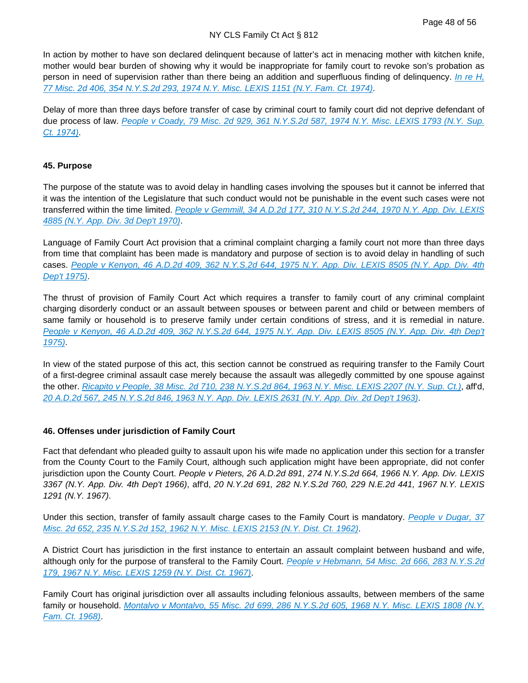In action by mother to have son declared delinquent because of latter's act in menacing mother with kitchen knife, mother would bear burden of showing why it would be inappropriate for family court to revoke son's probation as person in need of supervision rather than there being an addition and superfluous finding of delinquency. In re H, [77 Misc. 2d 406, 354 N.Y.S.2d 293, 1974 N.Y. Misc. LEXIS 1151 \(N.Y. Fam. Ct. 1974\)](https://advance.lexis.com/api/document?collection=cases&id=urn:contentItem:3RRS-9MK0-003C-D1CY-00000-00&context=).

Delay of more than three days before transfer of case by criminal court to family court did not deprive defendant of due process of law. People v Coady, 79 Misc. 2d 929, 361 N.Y.S.2d 587, 1974 N.Y. Misc. LEXIS 1793 (N.Y. Sup. [Ct. 1974\)](https://advance.lexis.com/api/document?collection=cases&id=urn:contentItem:3RRS-9JK0-003C-D0GK-00000-00&context=).

# **45. Purpose**

The purpose of the statute was to avoid delay in handling cases involving the spouses but it cannot be inferred that it was the intention of the Legislature that such conduct would not be punishable in the event such cases were not transferred within the time limited. [People v Gemmill, 34 A.D.2d 177, 310 N.Y.S.2d 244, 1970 N.Y. App. Div. LEXIS](https://advance.lexis.com/api/document?collection=cases&id=urn:contentItem:3RRT-01C0-003C-C042-00000-00&context=)  [4885 \(N.Y. App. Div. 3d Dep't 1970\)](https://advance.lexis.com/api/document?collection=cases&id=urn:contentItem:3RRT-01C0-003C-C042-00000-00&context=).

Language of Family Court Act provision that a criminal complaint charging a family court not more than three days from time that complaint has been made is mandatory and purpose of section is to avoid delay in handling of such cases. [People v Kenyon, 46 A.D.2d 409, 362 N.Y.S.2d 644, 1975 N.Y. App. Div. LEXIS 8505 \(N.Y. App. Div. 4th](https://advance.lexis.com/api/document?collection=cases&id=urn:contentItem:3RRS-G350-003C-F4T1-00000-00&context=)  [Dep't 1975\)](https://advance.lexis.com/api/document?collection=cases&id=urn:contentItem:3RRS-G350-003C-F4T1-00000-00&context=).

The thrust of provision of Family Court Act which requires a transfer to family court of any criminal complaint charging disorderly conduct or an assault between spouses or between parent and child or between members of same family or household is to preserve family under certain conditions of stress, and it is remedial in nature. [People v Kenyon, 46 A.D.2d 409, 362 N.Y.S.2d 644, 1975 N.Y. App. Div. LEXIS 8505 \(N.Y. App. Div. 4th Dep't](https://advance.lexis.com/api/document?collection=cases&id=urn:contentItem:3RRS-G350-003C-F4T1-00000-00&context=)  [1975\)](https://advance.lexis.com/api/document?collection=cases&id=urn:contentItem:3RRS-G350-003C-F4T1-00000-00&context=).

In view of the stated purpose of this act, this section cannot be construed as requiring transfer to the Family Court of a first-degree criminal assault case merely because the assault was allegedly committed by one spouse against the other. [Ricapito v People, 38 Misc. 2d 710, 238 N.Y.S.2d 864, 1963 N.Y. Misc. LEXIS 2207 \(N.Y. Sup. Ct.\)](https://advance.lexis.com/api/document?collection=cases&id=urn:contentItem:3RRS-C3K0-003C-D0NB-00000-00&context=), aff'd, [20 A.D.2d 567, 245 N.Y.S.2d 846, 1963 N.Y. App. Div. LEXIS 2631 \(N.Y. App. Div. 2d Dep't 1963\)](https://advance.lexis.com/api/document?collection=cases&id=urn:contentItem:3RRT-1NK0-003C-C497-00000-00&context=).

### **46. Offenses under jurisdiction of Family Court**

Fact that defendant who pleaded guilty to assault upon his wife made no application under this section for a transfer from the County Court to the Family Court, although such application might have been appropriate, did not confer jurisdiction upon the County Court. People v Pieters, 26 A.D.2d 891, 274 N.Y.S.2d 664, 1966 N.Y. App. Div. LEXIS 3367 (N.Y. App. Div. 4th Dep't 1966), aff'd, 20 N.Y.2d 691, 282 N.Y.S.2d 760, 229 N.E.2d 441, 1967 N.Y. LEXIS 1291 (N.Y. 1967).

Under this section, transfer of family assault charge cases to the Family Court is mandatory. People v Dugar, 37 [Misc. 2d 652, 235 N.Y.S.2d 152, 1962 N.Y. Misc. LEXIS 2153 \(N.Y. Dist. Ct. 1962\)](https://advance.lexis.com/api/document?collection=cases&id=urn:contentItem:3RRS-C4M0-003C-D12C-00000-00&context=).

A District Court has jurisdiction in the first instance to entertain an assault complaint between husband and wife, although only for the purpose of transferal to the Family Court. [People v Hebmann, 54 Misc. 2d 666, 283 N.Y.S.2d](https://advance.lexis.com/api/document?collection=cases&id=urn:contentItem:3RRS-BGJ0-003C-D4JP-00000-00&context=)  [179, 1967 N.Y. Misc. LEXIS 1259 \(N.Y. Dist. Ct. 1967\)](https://advance.lexis.com/api/document?collection=cases&id=urn:contentItem:3RRS-BGJ0-003C-D4JP-00000-00&context=).

Family Court has original jurisdiction over all assaults including felonious assaults, between members of the same family or household. [Montalvo v Montalvo, 55 Misc. 2d 699, 286 N.Y.S.2d 605, 1968 N.Y. Misc. LEXIS 1808 \(N.Y.](https://advance.lexis.com/api/document?collection=cases&id=urn:contentItem:3RRS-BF80-003C-D43K-00000-00&context=)  [Fam. Ct. 1968\)](https://advance.lexis.com/api/document?collection=cases&id=urn:contentItem:3RRS-BF80-003C-D43K-00000-00&context=).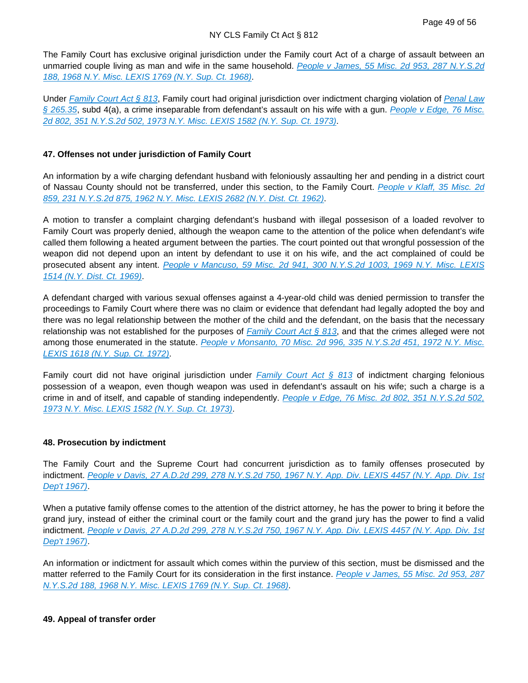The Family Court has exclusive original jurisdiction under the Family court Act of a charge of assault between an unmarried couple living as man and wife in the same household. People v James, 55 Misc. 2d 953, 287 N.Y.S.2d [188, 1968 N.Y. Misc. LEXIS 1769 \(N.Y. Sup. Ct. 1968\)](https://advance.lexis.com/api/document?collection=cases&id=urn:contentItem:3RRS-BF40-003C-D426-00000-00&context=).

Under [Family Court Act § 813](https://advance.lexis.com/api/document?collection=statutes-legislation&id=urn:contentItem:5CT3-0VD1-6RDJ-84XG-00000-00&context=), Family court had original jurisdiction over indictment charging violation of Penal Law [§ 265.35](https://advance.lexis.com/api/document?collection=statutes-legislation&id=urn:contentItem:5CT3-1N31-6RDJ-84M7-00000-00&context=), subd 4(a), a crime inseparable from defendant's assault on his wife with a gun. People v Edge, 76 Misc. [2d 802, 351 N.Y.S.2d 502, 1973 N.Y. Misc. LEXIS 1582 \(N.Y. Sup. Ct. 1973\)](https://advance.lexis.com/api/document?collection=cases&id=urn:contentItem:3RRS-9NF0-003C-D1R3-00000-00&context=).

# **47. Offenses not under jurisdiction of Family Court**

An information by a wife charging defendant husband with feloniously assaulting her and pending in a district court of Nassau County should not be transferred, under this section, to the Family Court. People v Klaff, 35 Misc. 2d [859, 231 N.Y.S.2d 875, 1962 N.Y. Misc. LEXIS 2682 \(N.Y. Dist. Ct. 1962\)](https://advance.lexis.com/api/document?collection=cases&id=urn:contentItem:3RRS-C6C0-003C-D1R9-00000-00&context=).

A motion to transfer a complaint charging defendant's husband with illegal possesison of a loaded revolver to Family Court was properly denied, although the weapon came to the attention of the police when defendant's wife called them following a heated argument between the parties. The court pointed out that wrongful possession of the weapon did not depend upon an intent by defendant to use it on his wife, and the act complained of could be prosecuted absent any intent. People v Mancuso, 59 Misc. 2d 941, 300 N.Y.S.2d 1003, 1969 N.Y. Misc. LEXIS [1514 \(N.Y. Dist. Ct. 1969\)](https://advance.lexis.com/api/document?collection=cases&id=urn:contentItem:3RRS-B8Y0-003C-D2HJ-00000-00&context=).

A defendant charged with various sexual offenses against a 4-year-old child was denied permission to transfer the proceedings to Family Court where there was no claim or evidence that defendant had legally adopted the boy and there was no legal relationship between the mother of the child and the defendant, on the basis that the necessary relationship was not established for the purposes of  $Family Court Act § 813$ , and that the crimes alleged were not among those enumerated in the statute. People v Monsanto, 70 Misc. 2d 996, 335 N.Y.S.2d 451, 1972 N.Y. Misc. [LEXIS 1618 \(N.Y. Sup. Ct. 1972\)](https://advance.lexis.com/api/document?collection=cases&id=urn:contentItem:3RRS-9W30-003C-D3JK-00000-00&context=).

Family court did not have original jurisdiction under [Family Court Act § 813](https://advance.lexis.com/api/document?collection=statutes-legislation&id=urn:contentItem:5CT3-0VD1-6RDJ-84XG-00000-00&context=) of indictment charging felonious possession of a weapon, even though weapon was used in defendant's assault on his wife; such a charge is a crime in and of itself, and capable of standing independently. People v Edge, 76 Misc. 2d 802, 351 N.Y.S.2d 502, [1973 N.Y. Misc. LEXIS 1582 \(N.Y. Sup. Ct. 1973\)](https://advance.lexis.com/api/document?collection=cases&id=urn:contentItem:3RRS-9NF0-003C-D1R3-00000-00&context=).

### **48. Prosecution by indictment**

The Family Court and the Supreme Court had concurrent jurisdiction as to family offenses prosecuted by indictment. [People v Davis, 27 A.D.2d 299, 278 N.Y.S.2d 750, 1967 N.Y. App. Div. LEXIS 4457 \(N.Y. App. Div. 1st](https://advance.lexis.com/api/document?collection=cases&id=urn:contentItem:3RRT-0SW0-003C-C4HJ-00000-00&context=)  [Dep't 1967\)](https://advance.lexis.com/api/document?collection=cases&id=urn:contentItem:3RRT-0SW0-003C-C4HJ-00000-00&context=).

When a putative family offense comes to the attention of the district attorney, he has the power to bring it before the grand jury, instead of either the criminal court or the family court and the grand jury has the power to find a valid indictment. [People v Davis, 27 A.D.2d 299, 278 N.Y.S.2d 750, 1967 N.Y. App. Div. LEXIS 4457 \(N.Y. App. Div. 1st](https://advance.lexis.com/api/document?collection=cases&id=urn:contentItem:3RRT-0SW0-003C-C4HJ-00000-00&context=)  [Dep't 1967\)](https://advance.lexis.com/api/document?collection=cases&id=urn:contentItem:3RRT-0SW0-003C-C4HJ-00000-00&context=).

An information or indictment for assault which comes within the purview of this section, must be dismissed and the matter referred to the Family Court for its consideration in the first instance. People v James, 55 Misc. 2d 953, 287 [N.Y.S.2d 188, 1968 N.Y. Misc. LEXIS 1769 \(N.Y. Sup. Ct. 1968\)](https://advance.lexis.com/api/document?collection=cases&id=urn:contentItem:3RRS-BF40-003C-D426-00000-00&context=).

### **49. Appeal of transfer order**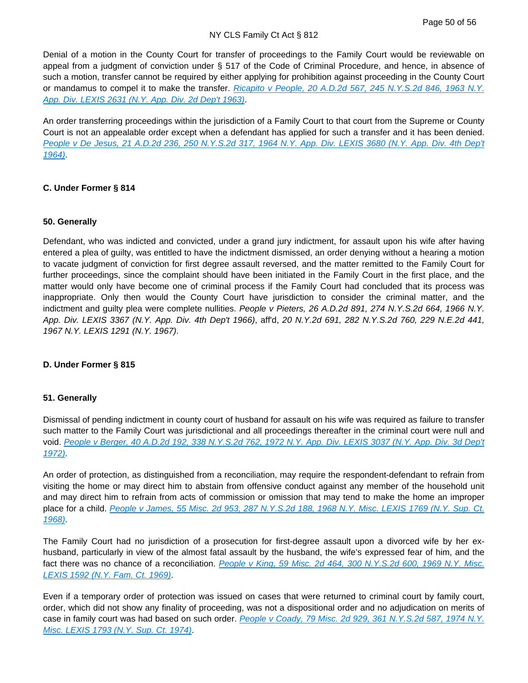Denial of a motion in the County Court for transfer of proceedings to the Family Court would be reviewable on appeal from a judgment of conviction under § 517 of the Code of Criminal Procedure, and hence, in absence of such a motion, transfer cannot be required by either applying for prohibition against proceeding in the County Court or mandamus to compel it to make the transfer. Ricapito v People, 20 A.D.2d 567, 245 N.Y.S.2d 846, 1963 N.Y. [App. Div. LEXIS 2631 \(N.Y. App. Div. 2d Dep't 1963\)](https://advance.lexis.com/api/document?collection=cases&id=urn:contentItem:3RRT-1NK0-003C-C497-00000-00&context=).

An order transferring proceedings within the jurisdiction of a Family Court to that court from the Supreme or County Court is not an appealable order except when a defendant has applied for such a transfer and it has been denied. [People v De Jesus, 21 A.D.2d 236, 250 N.Y.S.2d 317, 1964 N.Y. App. Div. LEXIS 3680 \(N.Y. App. Div. 4th Dep't](https://advance.lexis.com/api/document?collection=cases&id=urn:contentItem:3RRT-1HG0-003C-C31K-00000-00&context=)  [1964\)](https://advance.lexis.com/api/document?collection=cases&id=urn:contentItem:3RRT-1HG0-003C-C31K-00000-00&context=).

### **C. Under Former § 814**

### **50. Generally**

Defendant, who was indicted and convicted, under a grand jury indictment, for assault upon his wife after having entered a plea of guilty, was entitled to have the indictment dismissed, an order denying without a hearing a motion to vacate judgment of conviction for first degree assault reversed, and the matter remitted to the Family Court for further proceedings, since the complaint should have been initiated in the Family Court in the first place, and the matter would only have become one of criminal process if the Family Court had concluded that its process was inappropriate. Only then would the County Court have jurisdiction to consider the criminal matter, and the indictment and guilty plea were complete nullities. People v Pieters, 26 A.D.2d 891, 274 N.Y.S.2d 664, 1966 N.Y. App. Div. LEXIS 3367 (N.Y. App. Div. 4th Dep't 1966), aff'd, 20 N.Y.2d 691, 282 N.Y.S.2d 760, 229 N.E.2d 441, 1967 N.Y. LEXIS 1291 (N.Y. 1967).

### **D. Under Former § 815**

#### **51. Generally**

Dismissal of pending indictment in county court of husband for assault on his wife was required as failure to transfer such matter to the Family Court was jurisdictional and all proceedings thereafter in the criminal court were null and void. People v Berger, 40 A.D.2d 192, 338 N.Y.S.2d 762, 1972 N.Y. App. Div. LEXIS 3037 (N.Y. App. Div. 3d Dep't [1972\)](https://advance.lexis.com/api/document?collection=cases&id=urn:contentItem:3RRS-YF40-003C-C1P9-00000-00&context=).

An order of protection, as distinguished from a reconciliation, may require the respondent-defendant to refrain from visiting the home or may direct him to abstain from offensive conduct against any member of the household unit and may direct him to refrain from acts of commission or omission that may tend to make the home an improper place for a child. [People v James, 55 Misc. 2d 953, 287 N.Y.S.2d 188, 1968 N.Y. Misc. LEXIS 1769 \(N.Y. Sup. Ct.](https://advance.lexis.com/api/document?collection=cases&id=urn:contentItem:3RRS-BF40-003C-D426-00000-00&context=)  [1968\)](https://advance.lexis.com/api/document?collection=cases&id=urn:contentItem:3RRS-BF40-003C-D426-00000-00&context=).

The Family Court had no jurisdiction of a prosecution for first-degree assault upon a divorced wife by her exhusband, particularly in view of the almost fatal assault by the husband, the wife's expressed fear of him, and the fact there was no chance of a reconciliation. People v King, 59 Misc. 2d 464, 300 N.Y.S.2d 600, 1969 N.Y. Misc. [LEXIS 1592 \(N.Y. Fam. Ct. 1969\)](https://advance.lexis.com/api/document?collection=cases&id=urn:contentItem:3RRS-B960-003C-D2MB-00000-00&context=).

Even if a temporary order of protection was issued on cases that were returned to criminal court by family court, order, which did not show any finality of proceeding, was not a dispositional order and no adjudication on merits of case in family court was had based on such order. People v Coady, 79 Misc. 2d 929, 361 N.Y.S.2d 587, 1974 N.Y. [Misc. LEXIS 1793 \(N.Y. Sup. Ct. 1974\)](https://advance.lexis.com/api/document?collection=cases&id=urn:contentItem:3RRS-9JK0-003C-D0GK-00000-00&context=).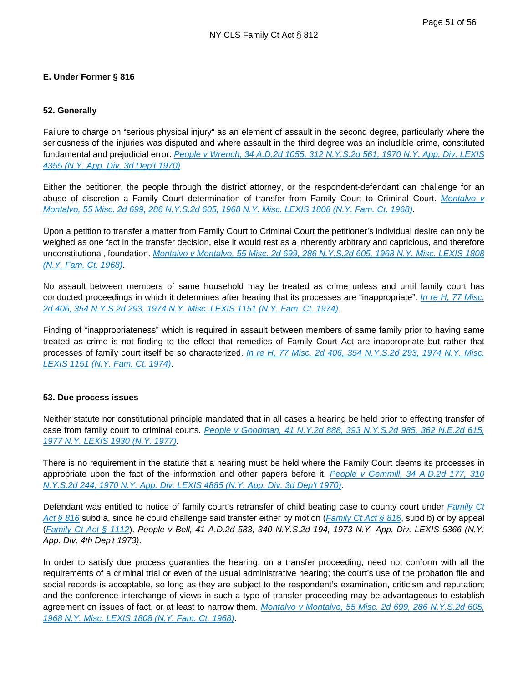## **E. Under Former § 816**

## **52. Generally**

Failure to charge on "serious physical injury" as an element of assault in the second degree, particularly where the seriousness of the injuries was disputed and where assault in the third degree was an includible crime, constituted fundamental and prejudicial error. [People v Wrench, 34 A.D.2d 1055, 312 N.Y.S.2d 561, 1970 N.Y. App. Div. LEXIS](https://advance.lexis.com/api/document?collection=cases&id=urn:contentItem:3RRT-0010-003C-C4NC-00000-00&context=)  [4355 \(N.Y. App. Div. 3d Dep't 1970\)](https://advance.lexis.com/api/document?collection=cases&id=urn:contentItem:3RRT-0010-003C-C4NC-00000-00&context=).

Either the petitioner, the people through the district attorney, or the respondent-defendant can challenge for an abuse of discretion a Family Court determination of transfer from Family Court to Criminal Court. Montalvo v [Montalvo, 55 Misc. 2d 699, 286 N.Y.S.2d 605, 1968 N.Y. Misc. LEXIS 1808 \(N.Y. Fam. Ct. 1968\)](https://advance.lexis.com/api/document?collection=cases&id=urn:contentItem:3RRS-BF80-003C-D43K-00000-00&context=).

Upon a petition to transfer a matter from Family Court to Criminal Court the petitioner's individual desire can only be weighed as one fact in the transfer decision, else it would rest as a inherently arbitrary and capricious, and therefore unconstitutional, foundation. [Montalvo v Montalvo, 55 Misc. 2d 699, 286 N.Y.S.2d 605, 1968 N.Y. Misc. LEXIS 1808](https://advance.lexis.com/api/document?collection=cases&id=urn:contentItem:3RRS-BF80-003C-D43K-00000-00&context=)  [\(N.Y. Fam. Ct. 1968\)](https://advance.lexis.com/api/document?collection=cases&id=urn:contentItem:3RRS-BF80-003C-D43K-00000-00&context=).

No assault between members of same household may be treated as crime unless and until family court has conducted proceedings in which it determines after hearing that its processes are "inappropriate". In re H, 77 Misc. [2d 406, 354 N.Y.S.2d 293, 1974 N.Y. Misc. LEXIS 1151 \(N.Y. Fam. Ct. 1974\)](https://advance.lexis.com/api/document?collection=cases&id=urn:contentItem:3RRS-9MK0-003C-D1CY-00000-00&context=).

Finding of "inappropriateness" which is required in assault between members of same family prior to having same treated as crime is not finding to the effect that remedies of Family Court Act are inappropriate but rather that processes of family court itself be so characterized. [In re H, 77 Misc. 2d 406, 354 N.Y.S.2d 293, 1974 N.Y. Misc.](https://advance.lexis.com/api/document?collection=cases&id=urn:contentItem:3RRS-9MK0-003C-D1CY-00000-00&context=)  [LEXIS 1151 \(N.Y. Fam. Ct. 1974\)](https://advance.lexis.com/api/document?collection=cases&id=urn:contentItem:3RRS-9MK0-003C-D1CY-00000-00&context=).

## **53. Due process issues**

Neither statute nor constitutional principle mandated that in all cases a hearing be held prior to effecting transfer of case from family court to criminal courts. [People v Goodman, 41 N.Y.2d 888, 393 N.Y.S.2d 985, 362 N.E.2d 615,](https://advance.lexis.com/api/document?collection=cases&id=urn:contentItem:3RRS-B5F0-003C-F4R3-00000-00&context=)  [1977 N.Y. LEXIS 1930 \(N.Y. 1977\)](https://advance.lexis.com/api/document?collection=cases&id=urn:contentItem:3RRS-B5F0-003C-F4R3-00000-00&context=).

There is no requirement in the statute that a hearing must be held where the Family Court deems its processes in appropriate upon the fact of the information and other papers before it. People v Gemmill, 34 A.D.2d 177, 310 [N.Y.S.2d 244, 1970 N.Y. App. Div. LEXIS 4885 \(N.Y. App. Div. 3d Dep't 1970\)](https://advance.lexis.com/api/document?collection=cases&id=urn:contentItem:3RRT-01C0-003C-C042-00000-00&context=).

Defendant was entitled to notice of family court's retransfer of child beating case to county court under Family Ct [Act § 816](https://advance.lexis.com/api/document?collection=statutes-legislation&id=urn:contentItem:5CT3-0VD1-6RDJ-84XM-00000-00&context=) subd a, since he could challenge said transfer either by motion ([Family Ct Act § 816](https://advance.lexis.com/api/document?collection=statutes-legislation&id=urn:contentItem:5CT3-0VD1-6RDJ-84XM-00000-00&context=), subd b) or by appeal ([Family Ct Act § 1112](https://advance.lexis.com/api/document?collection=statutes-legislation&id=urn:contentItem:5CT3-0VD1-6RDJ-8544-00000-00&context=)). People v Bell, 41 A.D.2d 583, 340 N.Y.S.2d 194, 1973 N.Y. App. Div. LEXIS 5366 (N.Y. App. Div. 4th Dep't 1973).

In order to satisfy due process guaranties the hearing, on a transfer proceeding, need not conform with all the requirements of a criminal trial or even of the usual administrative hearing; the court's use of the probation file and social records is acceptable, so long as they are subject to the respondent's examination, criticism and reputation; and the conference interchange of views in such a type of transfer proceeding may be advantageous to establish agreement on issues of fact, or at least to narrow them. Montalvo v Montalvo, 55 Misc. 2d 699, 286 N.Y.S.2d 605, [1968 N.Y. Misc. LEXIS 1808 \(N.Y. Fam. Ct. 1968\)](https://advance.lexis.com/api/document?collection=cases&id=urn:contentItem:3RRS-BF80-003C-D43K-00000-00&context=).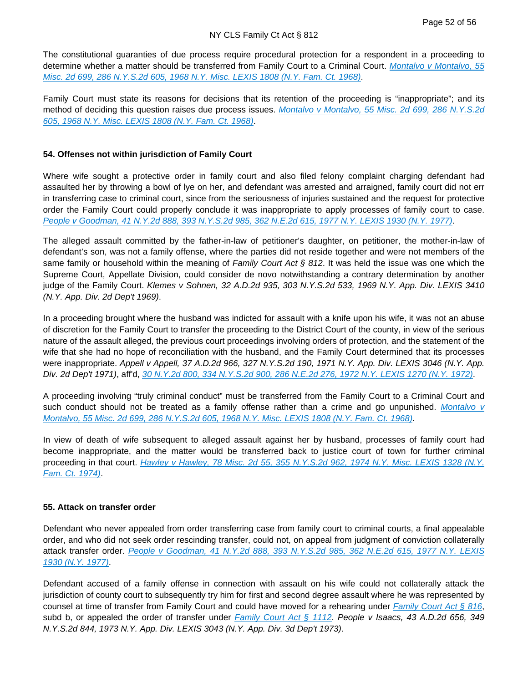#### NY CLS Family Ct Act § 812

The constitutional guaranties of due process require procedural protection for a respondent in a proceeding to determine whether a matter should be transferred from Family Court to a Criminal Court. Montalvo v Montalvo, 55 [Misc. 2d 699, 286 N.Y.S.2d 605, 1968 N.Y. Misc. LEXIS 1808 \(N.Y. Fam. Ct. 1968\)](https://advance.lexis.com/api/document?collection=cases&id=urn:contentItem:3RRS-BF80-003C-D43K-00000-00&context=).

Family Court must state its reasons for decisions that its retention of the proceeding is "inappropriate"; and its method of deciding this question raises due process issues. Montalvo v Montalvo, 55 Misc. 2d 699, 286 N.Y.S.2d [605, 1968 N.Y. Misc. LEXIS 1808 \(N.Y. Fam. Ct. 1968\)](https://advance.lexis.com/api/document?collection=cases&id=urn:contentItem:3RRS-BF80-003C-D43K-00000-00&context=).

#### **54. Offenses not within jurisdiction of Family Court**

Where wife sought a protective order in family court and also filed felony complaint charging defendant had assaulted her by throwing a bowl of lye on her, and defendant was arrested and arraigned, family court did not err in transferring case to criminal court, since from the seriousness of injuries sustained and the request for protective order the Family Court could properly conclude it was inappropriate to apply processes of family court to case. [People v Goodman, 41 N.Y.2d 888, 393 N.Y.S.2d 985, 362 N.E.2d 615, 1977 N.Y. LEXIS 1930 \(N.Y. 1977\)](https://advance.lexis.com/api/document?collection=cases&id=urn:contentItem:3RRS-B5F0-003C-F4R3-00000-00&context=).

The alleged assault committed by the father-in-law of petitioner's daughter, on petitioner, the mother-in-law of defendant's son, was not a family offense, where the parties did not reside together and were not members of the same family or household within the meaning of Family Court Act  $\S 812$ . It was held the issue was one which the Supreme Court, Appellate Division, could consider de novo notwithstanding a contrary determination by another judge of the Family Court. Klemes v Sohnen, 32 A.D.2d 935, 303 N.Y.S.2d 533, 1969 N.Y. App. Div. LEXIS 3410 (N.Y. App. Div. 2d Dep't 1969).

In a proceeding brought where the husband was indicted for assault with a knife upon his wife, it was not an abuse of discretion for the Family Court to transfer the proceeding to the District Court of the county, in view of the serious nature of the assault alleged, the previous court proceedings involving orders of protection, and the statement of the wife that she had no hope of reconciliation with the husband, and the Family Court determined that its processes were inappropriate. Appell v Appell, 37 A.D.2d 966, 327 N.Y.S.2d 190, 1971 N.Y. App. Div. LEXIS 3046 (N.Y. App. Div. 2d Dep't 1971), aff'd, [30 N.Y.2d 800, 334 N.Y.S.2d 900, 286 N.E.2d 276, 1972 N.Y. LEXIS 1270 \(N.Y. 1972\)](https://advance.lexis.com/api/document?collection=cases&id=urn:contentItem:3RRS-VNX0-003C-C2CH-00000-00&context=).

A proceeding involving "truly criminal conduct" must be transferred from the Family Court to a Criminal Court and such conduct should not be treated as a family offense rather than a crime and go unpunished. Montalvo v [Montalvo, 55 Misc. 2d 699, 286 N.Y.S.2d 605, 1968 N.Y. Misc. LEXIS 1808 \(N.Y. Fam. Ct. 1968\)](https://advance.lexis.com/api/document?collection=cases&id=urn:contentItem:3RRS-BF80-003C-D43K-00000-00&context=).

In view of death of wife subsequent to alleged assault against her by husband, processes of family court had become inappropriate, and the matter would be transferred back to justice court of town for further criminal proceeding in that court. Hawley v Hawley, 78 Misc. 2d 55, 355 N.Y.S.2d 962, 1974 N.Y. Misc. LEXIS 1328 (N.Y. [Fam. Ct. 1974\)](https://advance.lexis.com/api/document?collection=cases&id=urn:contentItem:3RRS-9KT0-003C-D11Y-00000-00&context=).

#### **55. Attack on transfer order**

Defendant who never appealed from order transferring case from family court to criminal courts, a final appealable order, and who did not seek order rescinding transfer, could not, on appeal from judgment of conviction collaterally attack transfer order. [People v Goodman, 41 N.Y.2d 888, 393 N.Y.S.2d 985, 362 N.E.2d 615, 1977 N.Y. LEXIS](https://advance.lexis.com/api/document?collection=cases&id=urn:contentItem:3RRS-B5F0-003C-F4R3-00000-00&context=)  [1930 \(N.Y. 1977\)](https://advance.lexis.com/api/document?collection=cases&id=urn:contentItem:3RRS-B5F0-003C-F4R3-00000-00&context=).

Defendant accused of a family offense in connection with assault on his wife could not collaterally attack the jurisdiction of county court to subsequently try him for first and second degree assault where he was represented by counsel at time of transfer from Family Court and could have moved for a rehearing under [Family Court Act § 816](https://advance.lexis.com/api/document?collection=statutes-legislation&id=urn:contentItem:5CT3-0VD1-6RDJ-84XM-00000-00&context=), subd b, or appealed the order of transfer under [Family Court Act § 1112](https://advance.lexis.com/api/document?collection=statutes-legislation&id=urn:contentItem:5CT3-0VD1-6RDJ-8544-00000-00&context=). People v Isaacs, 43 A.D.2d 656, 349 N.Y.S.2d 844, 1973 N.Y. App. Div. LEXIS 3043 (N.Y. App. Div. 3d Dep't 1973).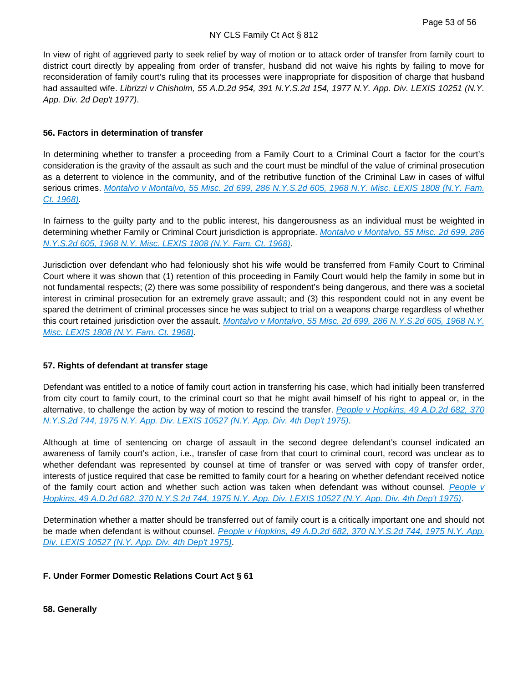#### NY CLS Family Ct Act § 812

In view of right of aggrieved party to seek relief by way of motion or to attack order of transfer from family court to district court directly by appealing from order of transfer, husband did not waive his rights by failing to move for reconsideration of family court's ruling that its processes were inappropriate for disposition of charge that husband had assaulted wife. Librizzi v Chisholm, 55 A.D.2d 954, 391 N.Y.S.2d 154, 1977 N.Y. App. Div. LEXIS 10251 (N.Y. App. Div. 2d Dep't 1977).

#### **56. Factors in determination of transfer**

In determining whether to transfer a proceeding from a Family Court to a Criminal Court a factor for the court's consideration is the gravity of the assault as such and the court must be mindful of the value of criminal prosecution as a deterrent to violence in the community, and of the retributive function of the Criminal Law in cases of wilful serious crimes. Montalvo v Montalvo, 55 Misc. 2d 699, 286 N.Y.S.2d 605, 1968 N.Y. Misc. LEXIS 1808 (N.Y. Fam. [Ct. 1968\)](https://advance.lexis.com/api/document?collection=cases&id=urn:contentItem:3RRS-BF80-003C-D43K-00000-00&context=).

In fairness to the guilty party and to the public interest, his dangerousness as an individual must be weighted in determining whether Family or Criminal Court jurisdiction is appropriate. Montalvo v Montalvo, 55 Misc. 2d 699, 286 [N.Y.S.2d 605, 1968 N.Y. Misc. LEXIS 1808 \(N.Y. Fam. Ct. 1968\)](https://advance.lexis.com/api/document?collection=cases&id=urn:contentItem:3RRS-BF80-003C-D43K-00000-00&context=).

Jurisdiction over defendant who had feloniously shot his wife would be transferred from Family Court to Criminal Court where it was shown that (1) retention of this proceeding in Family Court would help the family in some but in not fundamental respects; (2) there was some possibility of respondent's being dangerous, and there was a societal interest in criminal prosecution for an extremely grave assault; and (3) this respondent could not in any event be spared the detriment of criminal processes since he was subject to trial on a weapons charge regardless of whether this court retained jurisdiction over the assault. Montalvo v Montalvo, 55 Misc. 2d 699, 286 N.Y.S.2d 605, 1968 N.Y. [Misc. LEXIS 1808 \(N.Y. Fam. Ct. 1968\)](https://advance.lexis.com/api/document?collection=cases&id=urn:contentItem:3RRS-BF80-003C-D43K-00000-00&context=).

## **57. Rights of defendant at transfer stage**

Defendant was entitled to a notice of family court action in transferring his case, which had initially been transferred from city court to family court, to the criminal court so that he might avail himself of his right to appeal or, in the alternative, to challenge the action by way of motion to rescind the transfer. People v Hopkins, 49 A.D.2d 682, 370 [N.Y.S.2d 744, 1975 N.Y. App. Div. LEXIS 10527 \(N.Y. App. Div. 4th Dep't 1975\)](https://advance.lexis.com/api/document?collection=cases&id=urn:contentItem:3RRS-FWV0-003C-F29N-00000-00&context=).

Although at time of sentencing on charge of assault in the second degree defendant's counsel indicated an awareness of family court's action, i.e., transfer of case from that court to criminal court, record was unclear as to whether defendant was represented by counsel at time of transfer or was served with copy of transfer order, interests of justice required that case be remitted to family court for a hearing on whether defendant received notice of the family court action and whether such action was taken when defendant was without counsel. People v [Hopkins, 49 A.D.2d 682, 370 N.Y.S.2d 744, 1975 N.Y. App. Div. LEXIS 10527 \(N.Y. App. Div. 4th Dep't 1975\)](https://advance.lexis.com/api/document?collection=cases&id=urn:contentItem:3RRS-FWV0-003C-F29N-00000-00&context=).

Determination whether a matter should be transferred out of family court is a critically important one and should not be made when defendant is without counsel. People v Hopkins, 49 A.D.2d 682, 370 N.Y.S.2d 744, 1975 N.Y. App. [Div. LEXIS 10527 \(N.Y. App. Div. 4th Dep't 1975\)](https://advance.lexis.com/api/document?collection=cases&id=urn:contentItem:3RRS-FWV0-003C-F29N-00000-00&context=).

## **F. Under Former Domestic Relations Court Act § 61**

#### **58. Generally**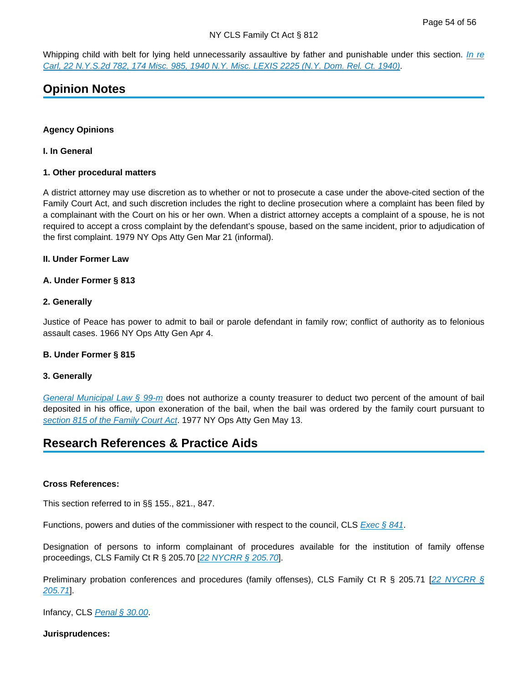Whipping child with belt for lying held unnecessarily assaultive by father and punishable under this section. In re [Carl, 22 N.Y.S.2d 782, 174 Misc. 985, 1940 N.Y. Misc. LEXIS 2225 \(N.Y. Dom. Rel. Ct. 1940\)](https://advance.lexis.com/api/document?collection=cases&id=urn:contentItem:3S3K-26G0-0044-F3CM-00000-00&context=).

## **Opinion Notes**

#### **Agency Opinions**

#### **I. In General**

## **1. Other procedural matters**

A district attorney may use discretion as to whether or not to prosecute a case under the above-cited section of the Family Court Act, and such discretion includes the right to decline prosecution where a complaint has been filed by a complainant with the Court on his or her own. When a district attorney accepts a complaint of a spouse, he is not required to accept a cross complaint by the defendant's spouse, based on the same incident, prior to adjudication of the first complaint. 1979 NY Ops Atty Gen Mar 21 (informal).

## **II. Under Former Law**

## **A. Under Former § 813**

## **2. Generally**

Justice of Peace has power to admit to bail or parole defendant in family row; conflict of authority as to felonious assault cases. 1966 NY Ops Atty Gen Apr 4.

#### **B. Under Former § 815**

#### **3. Generally**

[General Municipal Law § 99-m](https://advance.lexis.com/api/document?collection=statutes-legislation&id=urn:contentItem:5D9R-JX31-6RDJ-843X-00000-00&context=) does not authorize a county treasurer to deduct two percent of the amount of bail deposited in his office, upon exoneration of the bail, when the bail was ordered by the family court pursuant to [section 815 of the Family Court Act](https://advance.lexis.com/api/document?collection=statutes-legislation&id=urn:contentItem:5CT3-0VD1-6RDJ-84XK-00000-00&context=). 1977 NY Ops Atty Gen May 13.

## **Research References & Practice Aids**

#### **Cross References:**

This section referred to in §§ 155., 821., 847.

Functions, powers and duties of the commissioner with respect to the council, CLS  $\cancel{Exec}$   $\cancel{841}$ .

Designation of persons to inform complainant of procedures available for the institution of family offense proceedings, CLS Family Ct R § 205.70 [[22 NYCRR § 205.70](https://advance.lexis.com/api/document?collection=administrative-codes&id=urn:contentItem:5WND-FHT0-00XK-W1M2-00000-00&context=)].

Preliminary probation conferences and procedures (family offenses), CLS Family Ct R § 205.71 [22 NYCRR § [205.71](https://advance.lexis.com/api/document?collection=administrative-codes&id=urn:contentItem:5WND-FHT0-00XK-W1M3-00000-00&context=)].

Infancy, CLS [Penal § 30.00](https://advance.lexis.com/api/document?collection=statutes-legislation&id=urn:contentItem:8MWD-MR52-8T6X-7140-00000-00&context=).

#### **Jurisprudences:**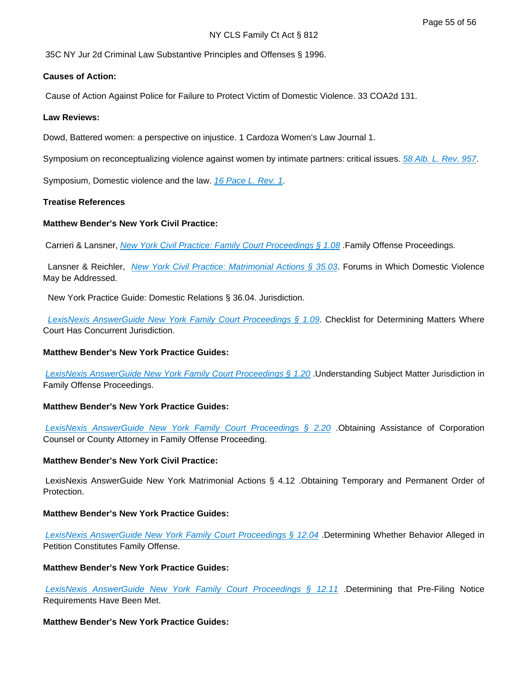35C NY Jur 2d Criminal Law Substantive Principles and Offenses § 1996.

#### **Causes of Action:**

Cause of Action Against Police for Failure to Protect Victim of Domestic Violence. 33 COA2d 131.

#### **Law Reviews:**

Dowd, Battered women: a perspective on injustice. 1 Cardoza Women's Law Journal 1.

Symposium on reconceptualizing violence against women by intimate partners: critical issues. [58 Alb. L. Rev. 957](https://advance.lexis.com/api/document?collection=analytical-materials&id=urn:contentItem:3S3T-W1M0-00CW-207F-00000-00&context=).

Symposium, Domestic violence and the law. [16 Pace L. Rev. 1](https://advance.lexis.com/api/document?collection=analytical-materials&id=urn:contentItem:3S3T-VCF0-00CV-R12R-00000-00&context=).

## **Treatise References**

## **Matthew Bender's New York Civil Practice:**

Carrieri & Lansner, [New York Civil Practice: Family Court Proceedings § 1.08](https://advance.lexis.com/api/document?collection=analytical-materials&id=urn:contentItem:52B8-2DY0-R03K-Y30R-00000-00&context=) .Family Offense Proceedings.

Lansner & Reichler, [New York Civil Practice: Matrimonial Actions § 35.03](https://advance.lexis.com/api/document?collection=analytical-materials&id=urn:contentItem:528Y-YGB0-R03K-Y1KS-00000-00&context=). Forums in Which Domestic Violence May be Addressed.

New York Practice Guide: Domestic Relations § 36.04. Jurisdiction.

[LexisNexis AnswerGuide New York Family Court Proceedings § 1.09](https://advance.lexis.com/api/document?collection=analytical-materials&id=urn:contentItem:520W-05W0-R03K-90MD-00000-00&context=). Checklist for Determining Matters Where Court Has Concurrent Jurisdiction.

#### **Matthew Bender's New York Practice Guides:**

[LexisNexis AnswerGuide New York Family Court Proceedings § 1.20](https://advance.lexis.com/api/document?collection=analytical-materials&id=urn:contentItem:520W-05W0-R03K-90MV-00000-00&context=) .Understanding Subject Matter Jurisdiction in Family Offense Proceedings.

## **Matthew Bender's New York Practice Guides:**

[LexisNexis AnswerGuide New York Family Court Proceedings § 2.20](https://advance.lexis.com/api/document?collection=analytical-materials&id=urn:contentItem:520W-05W0-R03K-90PV-00000-00&context=) . Obtaining Assistance of Corporation Counsel or County Attorney in Family Offense Proceeding.

#### **Matthew Bender's New York Civil Practice:**

 LexisNexis AnswerGuide New York Matrimonial Actions § 4.12 .Obtaining Temporary and Permanent Order of Protection.

## **Matthew Bender's New York Practice Guides:**

[LexisNexis AnswerGuide New York Family Court Proceedings § 12.04](https://advance.lexis.com/api/document?collection=analytical-materials&id=urn:contentItem:520W-0DS0-R03M-S1CR-00000-00&context=) .Determining Whether Behavior Alleged in Petition Constitutes Family Offense.

#### **Matthew Bender's New York Practice Guides:**

[LexisNexis AnswerGuide New York Family Court Proceedings § 12.11](https://advance.lexis.com/api/document?collection=analytical-materials&id=urn:contentItem:520W-0DS0-R03M-S1D2-00000-00&context=) Determining that Pre-Filing Notice Requirements Have Been Met.

## **Matthew Bender's New York Practice Guides:**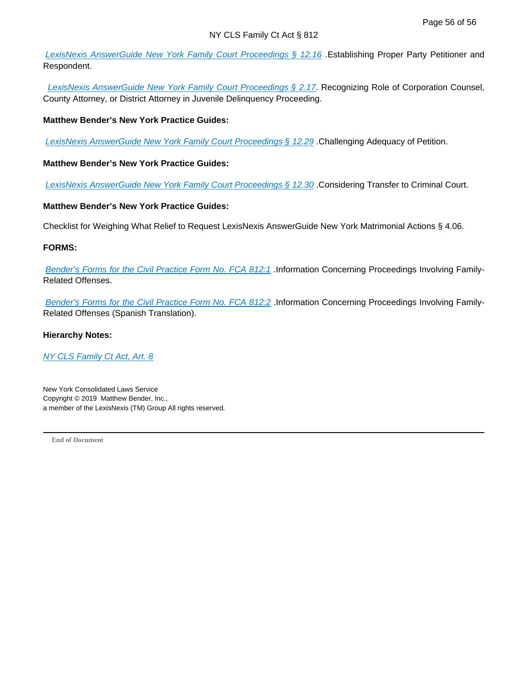[LexisNexis AnswerGuide New York Family Court Proceedings § 12.16](https://advance.lexis.com/api/document?collection=analytical-materials&id=urn:contentItem:520W-0DS0-R03M-S1D8-00000-00&context=) Establishing Proper Party Petitioner and Respondent.

 [LexisNexis AnswerGuide New York Family Court Proceedings § 2.17](https://advance.lexis.com/api/document?collection=analytical-materials&id=urn:contentItem:520W-05W0-R03K-90PR-00000-00&context=). Recognizing Role of Corporation Counsel, County Attorney, or District Attorney in Juvenile Delinquency Proceeding.

## **Matthew Bender's New York Practice Guides:**

[LexisNexis AnswerGuide New York Family Court Proceedings § 12.29](https://advance.lexis.com/api/document?collection=analytical-materials&id=urn:contentItem:520W-0DS0-R03M-S1DV-00000-00&context=) .Challenging Adequacy of Petition.

#### **Matthew Bender's New York Practice Guides:**

[LexisNexis AnswerGuide New York Family Court Proceedings § 12.30](https://advance.lexis.com/api/document?collection=analytical-materials&id=urn:contentItem:520W-0DS0-R03M-S1DW-00000-00&context=) .Considering Transfer to Criminal Court.

## **Matthew Bender's New York Practice Guides:**

Checklist for Weighing What Relief to Request LexisNexis AnswerGuide New York Matrimonial Actions § 4.06.

#### **FORMS:**

[Bender's Forms for the Civil Practice Form No. FCA 812:1](https://advance.lexis.com/api/document?collection=analytical-materials&id=urn:contentItem:52CJ-H5P0-R03M-V4N3-00000-00&context=) .Information Concerning Proceedings Involving Family-Related Offenses.

[Bender's Forms for the Civil Practice Form No. FCA 812:2](https://advance.lexis.com/api/document?collection=analytical-materials&id=urn:contentItem:52CJ-H5P0-R03M-V4N4-00000-00&context=) .Information Concerning Proceedings Involving Family-Related Offenses (Spanish Translation).

## **Hierarchy Notes:**

[NY CLS Family Ct Act, Art. 8](https://advance.lexis.com/api/document?collection=statutes-legislation&id=urn:contentItem:5CT3-0VD1-6RDJ-84XB-00000-00&context=)

New York Consolidated Laws Service Copyright © 2019 Matthew Bender, Inc., a member of the LexisNexis (TM) Group All rights reserved.

**End of Document**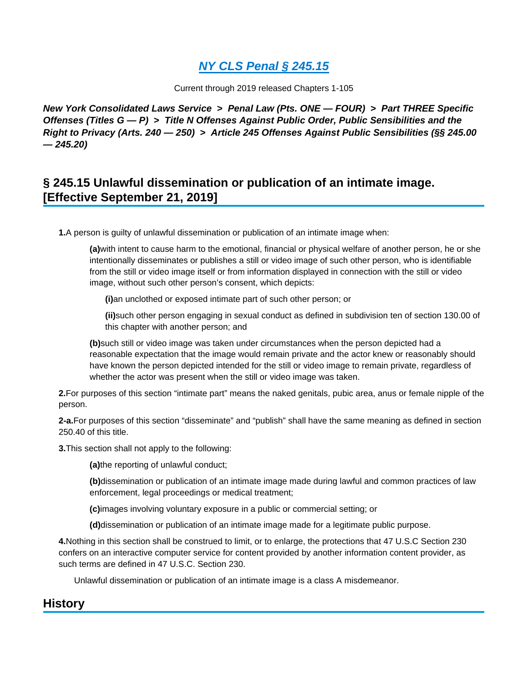# **[NY CLS Penal § 245.15](https://advance.lexis.com/api/document?collection=statutes-legislation&id=urn:contentItem:8W33-9GX2-8T6X-70KJ-00000-00&context=)**

Current through 2019 released Chapters 1-105

**New York Consolidated Laws Service > Penal Law (Pts. ONE — FOUR) > Part THREE Specific Offenses (Titles G — P) > Title N Offenses Against Public Order, Public Sensibilities and the Right to Privacy (Arts. 240 — 250) > Article 245 Offenses Against Public Sensibilities (§§ 245.00 — 245.20)**

# **§ 245.15 Unlawful dissemination or publication of an intimate image. [Effective September 21, 2019]**

**1.**A person is guilty of unlawful dissemination or publication of an intimate image when:

**(a)**with intent to cause harm to the emotional, financial or physical welfare of another person, he or she intentionally disseminates or publishes a still or video image of such other person, who is identifiable from the still or video image itself or from information displayed in connection with the still or video image, without such other person's consent, which depicts:

**(i)**an unclothed or exposed intimate part of such other person; or

**(ii)**such other person engaging in sexual conduct as defined in subdivision ten of section 130.00 of this chapter with another person; and

**(b)**such still or video image was taken under circumstances when the person depicted had a reasonable expectation that the image would remain private and the actor knew or reasonably should have known the person depicted intended for the still or video image to remain private, regardless of whether the actor was present when the still or video image was taken.

**2.**For purposes of this section "intimate part" means the naked genitals, pubic area, anus or female nipple of the person.

**2-a.**For purposes of this section "disseminate" and "publish" shall have the same meaning as defined in section 250.40 of this title.

**3.**This section shall not apply to the following:

**(a)**the reporting of unlawful conduct;

**(b)**dissemination or publication of an intimate image made during lawful and common practices of law enforcement, legal proceedings or medical treatment;

**(c)**images involving voluntary exposure in a public or commercial setting; or

**(d)**dissemination or publication of an intimate image made for a legitimate public purpose.

**4.**Nothing in this section shall be construed to limit, or to enlarge, the protections that 47 U.S.C Section 230 confers on an interactive computer service for content provided by another information content provider, as such terms are defined in 47 U.S.C. Section 230.

Unlawful dissemination or publication of an intimate image is a class A misdemeanor.

## **History**